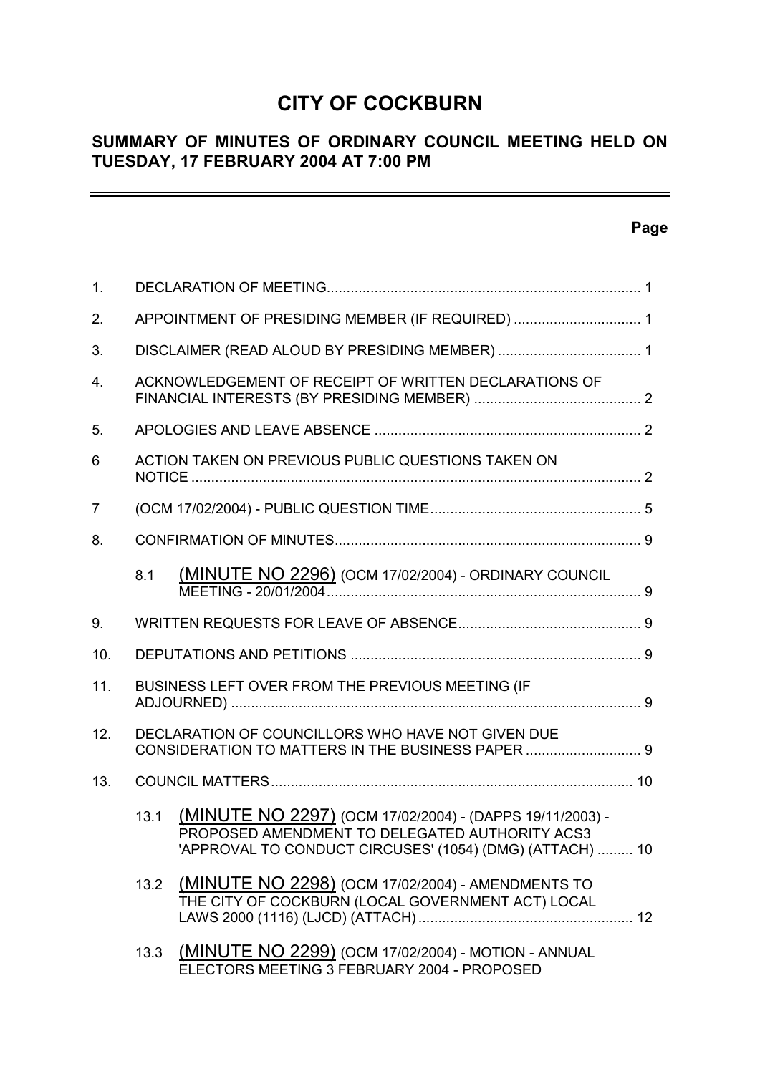# **CITY OF COCKBURN**

# **SUMMARY OF MINUTES OF ORDINARY COUNCIL MEETING HELD ON TUESDAY, 17 FEBRUARY 2004 AT 7:00 PM**

# **Page**

 $\equiv$ 

| 1.  |      |                                                                                                                                                                        |  |
|-----|------|------------------------------------------------------------------------------------------------------------------------------------------------------------------------|--|
| 2.  |      | APPOINTMENT OF PRESIDING MEMBER (IF REQUIRED)  1                                                                                                                       |  |
| 3.  |      |                                                                                                                                                                        |  |
| 4.  |      | ACKNOWLEDGEMENT OF RECEIPT OF WRITTEN DECLARATIONS OF                                                                                                                  |  |
| 5.  |      |                                                                                                                                                                        |  |
| 6   |      | ACTION TAKEN ON PREVIOUS PUBLIC QUESTIONS TAKEN ON                                                                                                                     |  |
| 7   |      |                                                                                                                                                                        |  |
| 8.  |      |                                                                                                                                                                        |  |
|     | 8.1  | (MINUTE NO 2296) (OCM 17/02/2004) - ORDINARY COUNCIL                                                                                                                   |  |
| 9.  |      |                                                                                                                                                                        |  |
| 10. |      |                                                                                                                                                                        |  |
| 11. |      | BUSINESS LEFT OVER FROM THE PREVIOUS MEETING (IF                                                                                                                       |  |
| 12. |      | DECLARATION OF COUNCILLORS WHO HAVE NOT GIVEN DUE<br>CONSIDERATION TO MATTERS IN THE BUSINESS PAPER  9                                                                 |  |
| 13. |      |                                                                                                                                                                        |  |
|     | 13.1 | (MINUTE NO 2297) (OCM 17/02/2004) - (DAPPS 19/11/2003) -<br>PROPOSED AMENDMENT TO DELEGATED AUTHORITY ACS3<br>'APPROVAL TO CONDUCT CIRCUSES' (1054) (DMG) (ATTACH)  10 |  |
|     | 13.2 | (MINUTE NO 2298) (OCM 17/02/2004) - AMENDMENTS TO<br>THE CITY OF COCKBURN (LOCAL GOVERNMENT ACT) LOCAL                                                                 |  |
|     | 13.3 | (MINUTE NO 2299) (OCM 17/02/2004) - MOTION - ANNUAL<br>ELECTORS MEETING 3 FEBRUARY 2004 - PROPOSED                                                                     |  |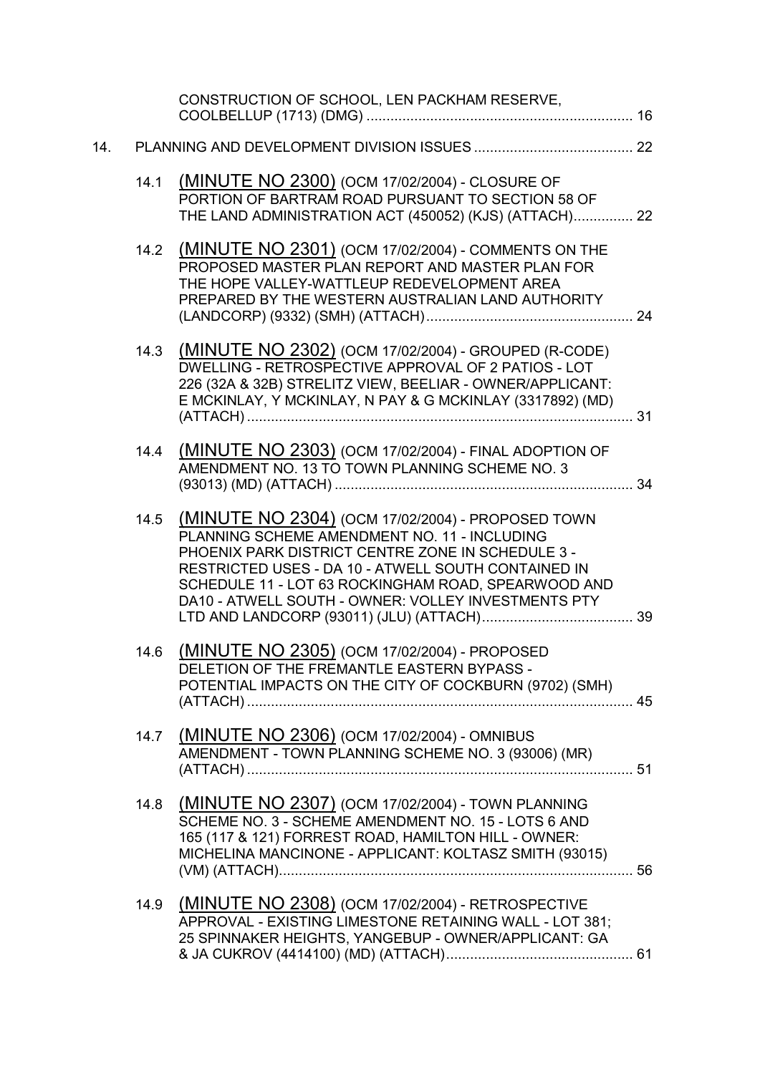|     |      | CONSTRUCTION OF SCHOOL, LEN PACKHAM RESERVE,                                                                                                                                                                                                                                                                                |  |
|-----|------|-----------------------------------------------------------------------------------------------------------------------------------------------------------------------------------------------------------------------------------------------------------------------------------------------------------------------------|--|
| 14. |      |                                                                                                                                                                                                                                                                                                                             |  |
|     | 14.1 | (MINUTE NO 2300) (OCM 17/02/2004) - CLOSURE OF<br>PORTION OF BARTRAM ROAD PURSUANT TO SECTION 58 OF<br>THE LAND ADMINISTRATION ACT (450052) (KJS) (ATTACH) 22                                                                                                                                                               |  |
|     |      | 14.2 (MINUTE NO 2301) (OCM 17/02/2004) - COMMENTS ON THE<br>PROPOSED MASTER PLAN REPORT AND MASTER PLAN FOR<br>THE HOPE VALLEY-WATTLEUP REDEVELOPMENT AREA<br>PREPARED BY THE WESTERN AUSTRALIAN LAND AUTHORITY                                                                                                             |  |
|     | 14.3 | (MINUTE NO 2302) (OCM 17/02/2004) - GROUPED (R-CODE)<br>DWELLING - RETROSPECTIVE APPROVAL OF 2 PATIOS - LOT<br>226 (32A & 32B) STRELITZ VIEW, BEELIAR - OWNER/APPLICANT:<br>E MCKINLAY, Y MCKINLAY, N PAY & G MCKINLAY (3317892) (MD)                                                                                       |  |
|     | 14.4 | (MINUTE NO 2303) (OCM 17/02/2004) - FINAL ADOPTION OF<br>AMENDMENT NO. 13 TO TOWN PLANNING SCHEME NO. 3                                                                                                                                                                                                                     |  |
|     | 14.5 | (MINUTE NO 2304) (OCM 17/02/2004) - PROPOSED TOWN<br>PLANNING SCHEME AMENDMENT NO. 11 - INCLUDING<br>PHOENIX PARK DISTRICT CENTRE ZONE IN SCHEDULE 3 -<br>RESTRICTED USES - DA 10 - ATWELL SOUTH CONTAINED IN<br>SCHEDULE 11 - LOT 63 ROCKINGHAM ROAD, SPEARWOOD AND<br>DA10 - ATWELL SOUTH - OWNER: VOLLEY INVESTMENTS PTY |  |
|     | 14.6 | (MINUTE NO 2305) (OCM 17/02/2004) - PROPOSED<br>DELETION OF THE FREMANTLE EASTERN BYPASS -<br>POTENTIAL IMPACTS ON THE CITY OF COCKBURN (9702) (SMH)                                                                                                                                                                        |  |
|     | 14.7 | (MINUTE NO 2306) (OCM 17/02/2004) - OMNIBUS<br>AMENDMENT - TOWN PLANNING SCHEME NO. 3 (93006) (MR)                                                                                                                                                                                                                          |  |
|     | 14.8 | (MINUTE NO 2307) (OCM 17/02/2004) - TOWN PLANNING<br>SCHEME NO. 3 - SCHEME AMENDMENT NO. 15 - LOTS 6 AND<br>165 (117 & 121) FORREST ROAD, HAMILTON HILL - OWNER:<br>MICHELINA MANCINONE - APPLICANT: KOLTASZ SMITH (93015)                                                                                                  |  |
|     | 14.9 | (MINUTE NO 2308) (OCM 17/02/2004) - RETROSPECTIVE<br>APPROVAL - EXISTING LIMESTONE RETAINING WALL - LOT 381;<br>25 SPINNAKER HEIGHTS, YANGEBUP - OWNER/APPLICANT: GA                                                                                                                                                        |  |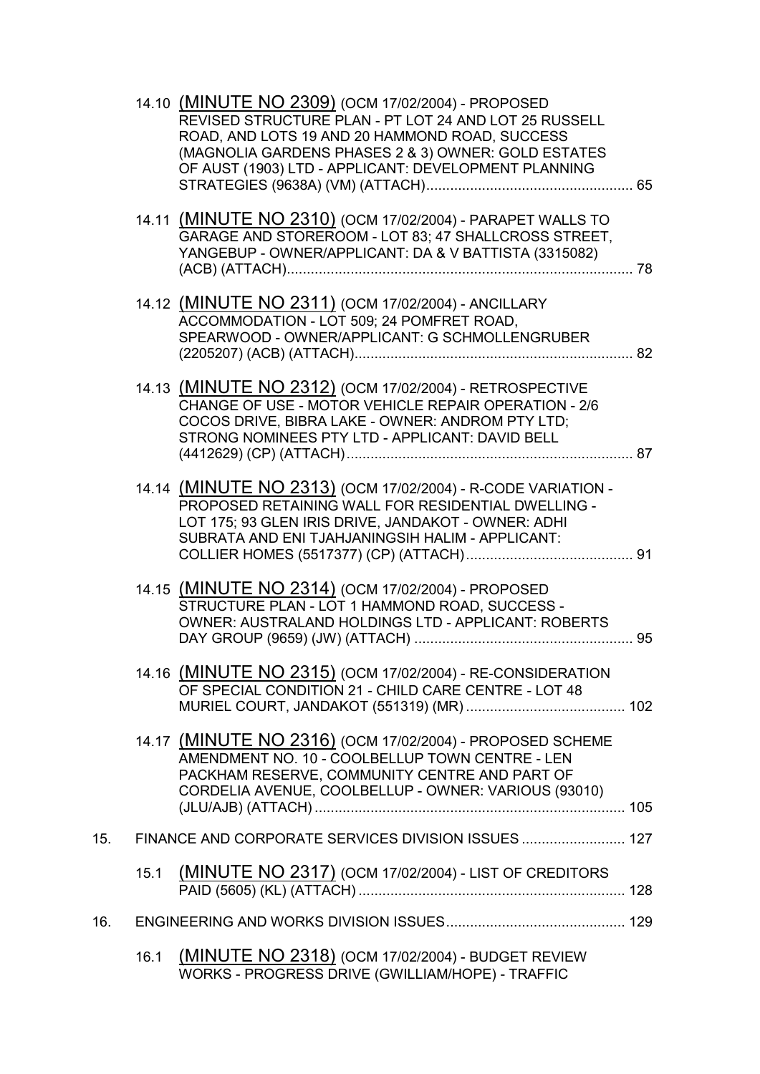|     |      | 14.10 (MINUTE NO 2309) (OCM 17/02/2004) - PROPOSED<br>REVISED STRUCTURE PLAN - PT LOT 24 AND LOT 25 RUSSELL<br>ROAD, AND LOTS 19 AND 20 HAMMOND ROAD, SUCCESS<br>(MAGNOLIA GARDENS PHASES 2 & 3) OWNER: GOLD ESTATES<br>OF AUST (1903) LTD - APPLICANT: DEVELOPMENT PLANNING |  |
|-----|------|------------------------------------------------------------------------------------------------------------------------------------------------------------------------------------------------------------------------------------------------------------------------------|--|
|     |      |                                                                                                                                                                                                                                                                              |  |
|     |      | 14.11 (MINUTE NO 2310) (OCM 17/02/2004) - PARAPET WALLS TO<br>GARAGE AND STOREROOM - LOT 83; 47 SHALLCROSS STREET,<br>YANGEBUP - OWNER/APPLICANT: DA & V BATTISTA (3315082)                                                                                                  |  |
|     |      | 14.12 (MINUTE NO 2311) (OCM 17/02/2004) - ANCILLARY<br>ACCOMMODATION - LOT 509; 24 POMFRET ROAD,<br>SPEARWOOD - OWNER/APPLICANT: G SCHMOLLENGRUBER                                                                                                                           |  |
|     |      | 14.13 (MINUTE NO 2312) (OCM 17/02/2004) - RETROSPECTIVE<br>CHANGE OF USE - MOTOR VEHICLE REPAIR OPERATION - 2/6<br>COCOS DRIVE, BIBRA LAKE - OWNER: ANDROM PTY LTD;<br>STRONG NOMINEES PTY LTD - APPLICANT: DAVID BELL                                                       |  |
|     |      | 14.14 (MINUTE NO 2313) (OCM 17/02/2004) - R-CODE VARIATION -<br>PROPOSED RETAINING WALL FOR RESIDENTIAL DWELLING -<br>LOT 175; 93 GLEN IRIS DRIVE, JANDAKOT - OWNER: ADHI<br>SUBRATA AND ENI TJAHJANINGSIH HALIM - APPLICANT:                                                |  |
|     |      | 14.15 (MINUTE NO 2314) (OCM 17/02/2004) - PROPOSED<br>STRUCTURE PLAN - LOT 1 HAMMOND ROAD, SUCCESS -<br>OWNER: AUSTRALAND HOLDINGS LTD - APPLICANT: ROBERTS                                                                                                                  |  |
|     |      | 14.16 (MINUTE NO 2315) (OCM 17/02/2004) - RE-CONSIDERATION<br>OF SPECIAL CONDITION 21 - CHILD CARE CENTRE - LOT 48                                                                                                                                                           |  |
|     |      | 14.17 (MINUTE NO 2316) (OCM 17/02/2004) - PROPOSED SCHEME<br>AMENDMENT NO. 10 - COOLBELLUP TOWN CENTRE - LEN<br>PACKHAM RESERVE, COMMUNITY CENTRE AND PART OF<br>CORDELIA AVENUE, COOLBELLUP - OWNER: VARIOUS (93010)                                                        |  |
| 15. |      | FINANCE AND CORPORATE SERVICES DIVISION ISSUES  127                                                                                                                                                                                                                          |  |
|     | 15.1 | <b>(MINUTE NO 2317)</b> (OCM 17/02/2004) - LIST OF CREDITORS                                                                                                                                                                                                                 |  |
| 16. |      |                                                                                                                                                                                                                                                                              |  |
|     | 16.1 | (MINUTE NO 2318) (OCM 17/02/2004) - BUDGET REVIEW<br>WORKS - PROGRESS DRIVE (GWILLIAM/HOPE) - TRAFFIC                                                                                                                                                                        |  |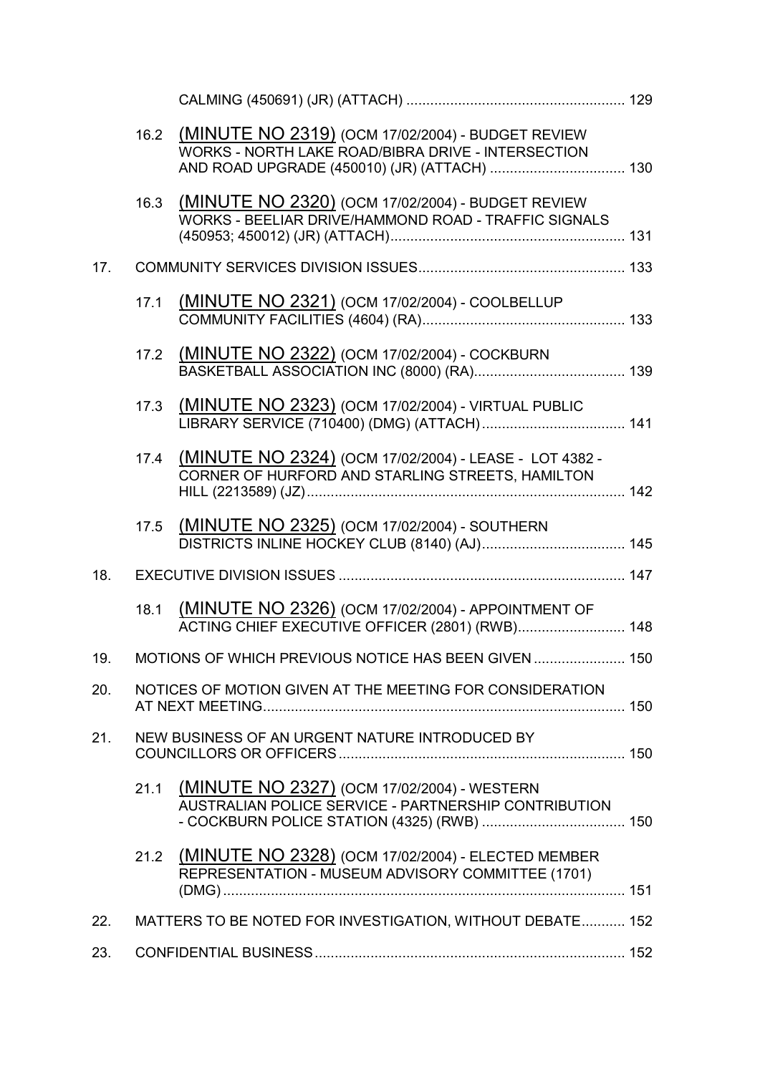|     | 16.2 | (MINUTE NO 2319) (OCM 17/02/2004) - BUDGET REVIEW<br>WORKS - NORTH LAKE ROAD/BIBRA DRIVE - INTERSECTION      |     |
|-----|------|--------------------------------------------------------------------------------------------------------------|-----|
|     | 16.3 | (MINUTE NO 2320) (OCM 17/02/2004) - BUDGET REVIEW<br>WORKS - BEELIAR DRIVE/HAMMOND ROAD - TRAFFIC SIGNALS    |     |
| 17. |      |                                                                                                              |     |
|     | 17.1 | (MINUTE NO 2321) (OCM 17/02/2004) - COOLBELLUP                                                               |     |
|     |      | 17.2 (MINUTE NO 2322) (OCM 17/02/2004) - COCKBURN                                                            |     |
|     | 17.3 | (MINUTE NO 2323) (OCM 17/02/2004) - VIRTUAL PUBLIC                                                           |     |
|     | 17.4 | (MINUTE NO 2324) (OCM 17/02/2004) - LEASE - LOT 4382 -<br>CORNER OF HURFORD AND STARLING STREETS, HAMILTON   |     |
|     | 17.5 | (MINUTE NO 2325) (OCM 17/02/2004) - SOUTHERN                                                                 |     |
| 18. |      |                                                                                                              |     |
|     | 18.1 | (MINUTE NO 2326) (OCM 17/02/2004) - APPOINTMENT OF<br>ACTING CHIEF EXECUTIVE OFFICER (2801) (RWB) 148        |     |
| 19. |      | MOTIONS OF WHICH PREVIOUS NOTICE HAS BEEN GIVEN                                                              | 150 |
| 20. |      | NOTICES OF MOTION GIVEN AT THE MEETING FOR CONSIDERATION                                                     |     |
| 21. |      | NEW BUSINESS OF AN URGENT NATURE INTRODUCED BY                                                               |     |
|     | 21.1 | (MINUTE NO 2327) (OCM 17/02/2004) - WESTERN<br>AUSTRALIAN POLICE SERVICE - PARTNERSHIP CONTRIBUTION          |     |
|     |      | 21.2 (MINUTE NO 2328) (OCM 17/02/2004) - ELECTED MEMBER<br>REPRESENTATION - MUSEUM ADVISORY COMMITTEE (1701) |     |
| 22. |      | MATTERS TO BE NOTED FOR INVESTIGATION, WITHOUT DEBATE 152                                                    |     |
| 23. |      |                                                                                                              |     |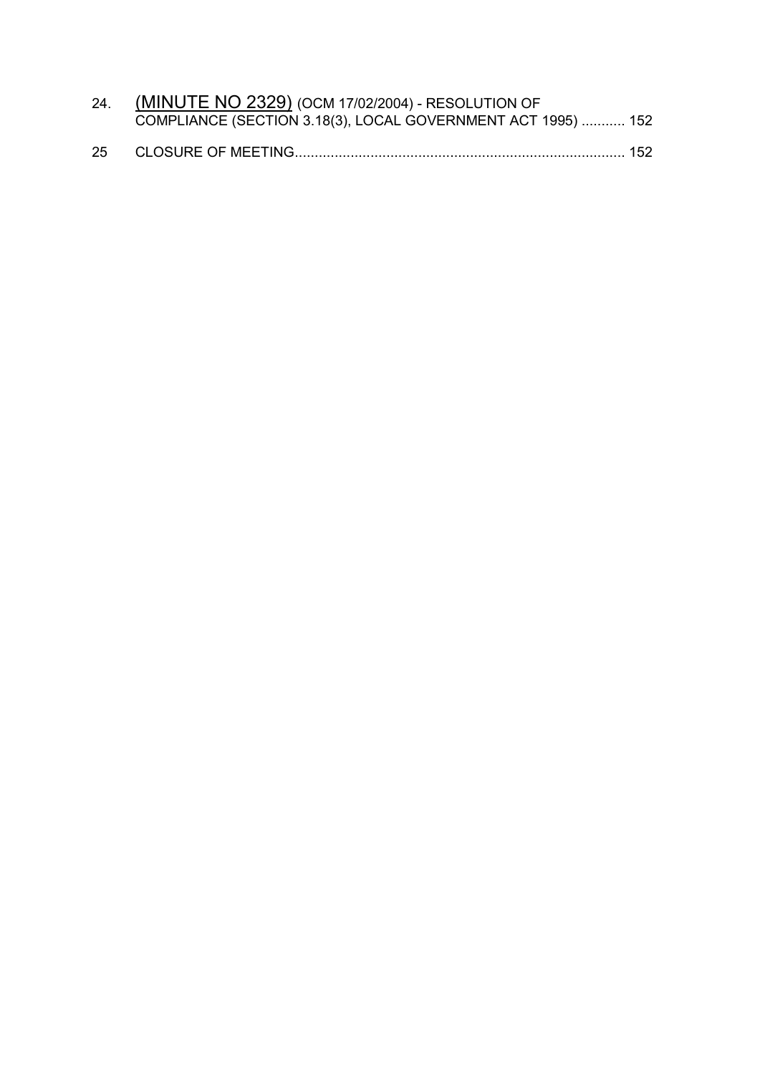|    | 24. (MINUTE NO 2329) (OCM 17/02/2004) - RESOLUTION OF        |  |  |  |
|----|--------------------------------------------------------------|--|--|--|
|    | COMPLIANCE (SECTION 3.18(3), LOCAL GOVERNMENT ACT 1995)  152 |  |  |  |
| 25 |                                                              |  |  |  |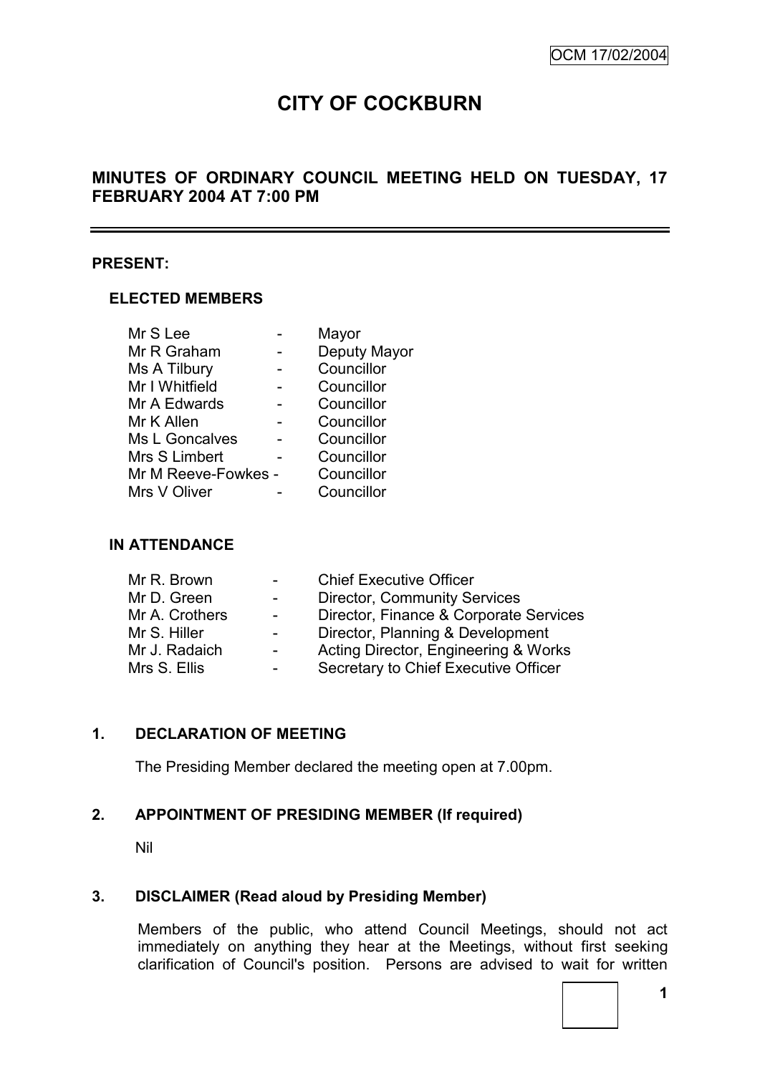# **CITY OF COCKBURN**

# **MINUTES OF ORDINARY COUNCIL MEETING HELD ON TUESDAY, 17 FEBRUARY 2004 AT 7:00 PM**

#### **PRESENT:**

#### **ELECTED MEMBERS**

| Mr S Lee            | Mayor        |
|---------------------|--------------|
| Mr R Graham         | Deputy Mayor |
| Ms A Tilbury        | Councillor   |
| Mr I Whitfield      | Councillor   |
| Mr A Edwards        | Councillor   |
| Mr K Allen          | Councillor   |
| Ms L Goncalves      | Councillor   |
| Mrs S Limbert       | Councillor   |
| Mr M Reeve-Fowkes - | Councillor   |
| Mrs V Oliver        | Councillor   |

#### **IN ATTENDANCE**

| Mr R. Brown    | $\blacksquare$           | <b>Chief Executive Officer</b>         |
|----------------|--------------------------|----------------------------------------|
| Mr D. Green    | $\overline{\phantom{0}}$ | <b>Director, Community Services</b>    |
| Mr A. Crothers | $\overline{\phantom{0}}$ | Director, Finance & Corporate Services |
| Mr S. Hiller   | Ξ.                       | Director, Planning & Development       |
| Mr J. Radaich  | $\sim$                   | Acting Director, Engineering & Works   |
| Mrs S. Ellis   | -                        | Secretary to Chief Executive Officer   |

# **1. DECLARATION OF MEETING**

The Presiding Member declared the meeting open at 7.00pm.

# **2. APPOINTMENT OF PRESIDING MEMBER (If required)**

Nil

#### **3. DISCLAIMER (Read aloud by Presiding Member)**

Members of the public, who attend Council Meetings, should not act immediately on anything they hear at the Meetings, without first seeking clarification of Council's position. Persons are advised to wait for written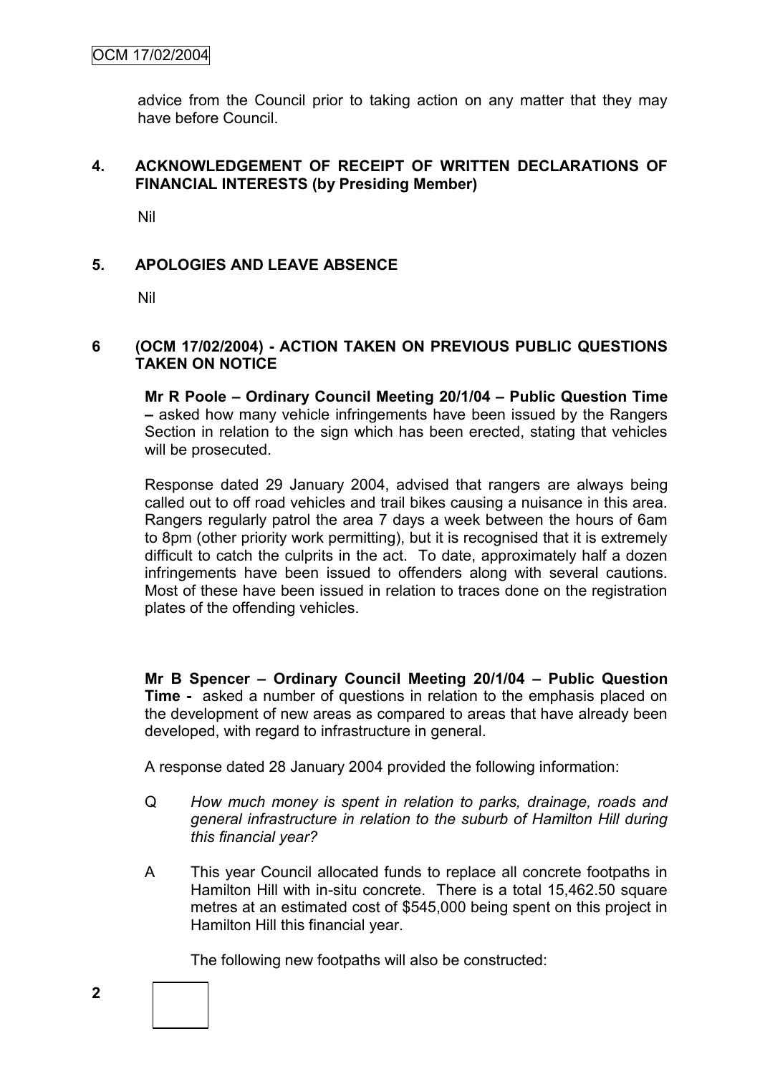advice from the Council prior to taking action on any matter that they may have before Council.

# **4. ACKNOWLEDGEMENT OF RECEIPT OF WRITTEN DECLARATIONS OF FINANCIAL INTERESTS (by Presiding Member)**

Nil

# **5. APOLOGIES AND LEAVE ABSENCE**

Nil

#### **6 (OCM 17/02/2004) - ACTION TAKEN ON PREVIOUS PUBLIC QUESTIONS TAKEN ON NOTICE**

**Mr R Poole – Ordinary Council Meeting 20/1/04 – Public Question Time –** asked how many vehicle infringements have been issued by the Rangers Section in relation to the sign which has been erected, stating that vehicles will be prosecuted.

Response dated 29 January 2004, advised that rangers are always being called out to off road vehicles and trail bikes causing a nuisance in this area. Rangers regularly patrol the area 7 days a week between the hours of 6am to 8pm (other priority work permitting), but it is recognised that it is extremely difficult to catch the culprits in the act. To date, approximately half a dozen infringements have been issued to offenders along with several cautions. Most of these have been issued in relation to traces done on the registration plates of the offending vehicles.

**Mr B Spencer – Ordinary Council Meeting 20/1/04 – Public Question Time -** asked a number of questions in relation to the emphasis placed on the development of new areas as compared to areas that have already been developed, with regard to infrastructure in general.

A response dated 28 January 2004 provided the following information:

- Q *How much money is spent in relation to parks, drainage, roads and general infrastructure in relation to the suburb of Hamilton Hill during this financial year?*
- A This year Council allocated funds to replace all concrete footpaths in Hamilton Hill with in-situ concrete. There is a total 15,462.50 square metres at an estimated cost of \$545,000 being spent on this project in Hamilton Hill this financial year.

The following new footpaths will also be constructed: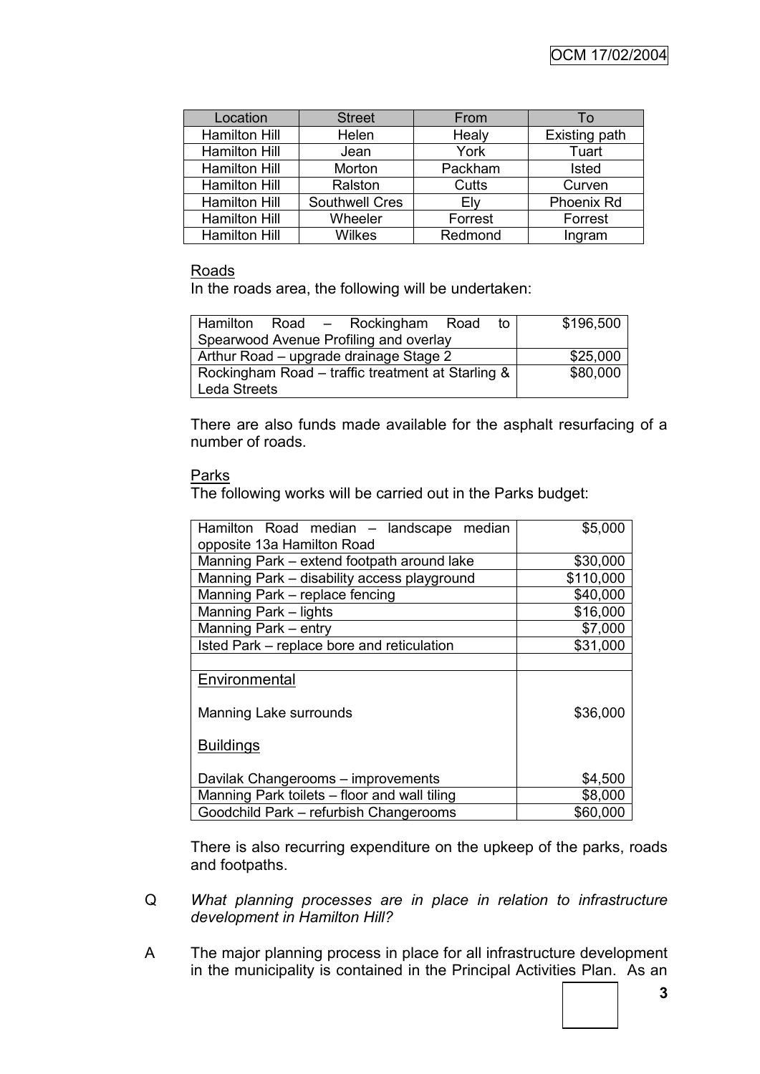| Location             | <b>Street</b>         | From    | 10            |
|----------------------|-----------------------|---------|---------------|
| <b>Hamilton Hill</b> | Helen                 | Healy   | Existing path |
| <b>Hamilton Hill</b> | Jean                  | York    | Tuart         |
| <b>Hamilton Hill</b> | Morton                | Packham | <b>Isted</b>  |
| <b>Hamilton Hill</b> | Ralston               | Cutts   | Curven        |
| <b>Hamilton Hill</b> | <b>Southwell Cres</b> | Ely     | Phoenix Rd    |
| <b>Hamilton Hill</b> | Wheeler               | Forrest | Forrest       |
| <b>Hamilton Hill</b> | <b>Wilkes</b>         | Redmond | Ingram        |

#### Roads

In the roads area, the following will be undertaken:

| Hamilton Road - Rockingham Road<br>to l           | \$196,500 |
|---------------------------------------------------|-----------|
| Spearwood Avenue Profiling and overlay            |           |
| Arthur Road - upgrade drainage Stage 2            | \$25,000  |
| Rockingham Road – traffic treatment at Starling & | \$80,000  |
| Leda Streets                                      |           |

There are also funds made available for the asphalt resurfacing of a number of roads.

#### Parks

The following works will be carried out in the Parks budget:

| Hamilton Road median - landscape median      | \$5,000   |
|----------------------------------------------|-----------|
| opposite 13a Hamilton Road                   |           |
| Manning Park – extend footpath around lake   | \$30,000  |
| Manning Park - disability access playground  | \$110,000 |
| Manning Park - replace fencing               | \$40,000  |
| Manning Park - lights                        | \$16,000  |
| Manning Park - entry                         | \$7,000   |
| Isted Park – replace bore and reticulation   | \$31,000  |
|                                              |           |
| Environmental                                |           |
| Manning Lake surrounds                       | \$36,000  |
| <u>Buildings</u>                             |           |
| Davilak Changerooms - improvements           | \$4,500   |
| Manning Park toilets - floor and wall tiling | \$8,000   |
| Goodchild Park - refurbish Changerooms       | \$60,000  |

There is also recurring expenditure on the upkeep of the parks, roads and footpaths.

- Q *What planning processes are in place in relation to infrastructure development in Hamilton Hill?*
- A The major planning process in place for all infrastructure development in the municipality is contained in the Principal Activities Plan. As an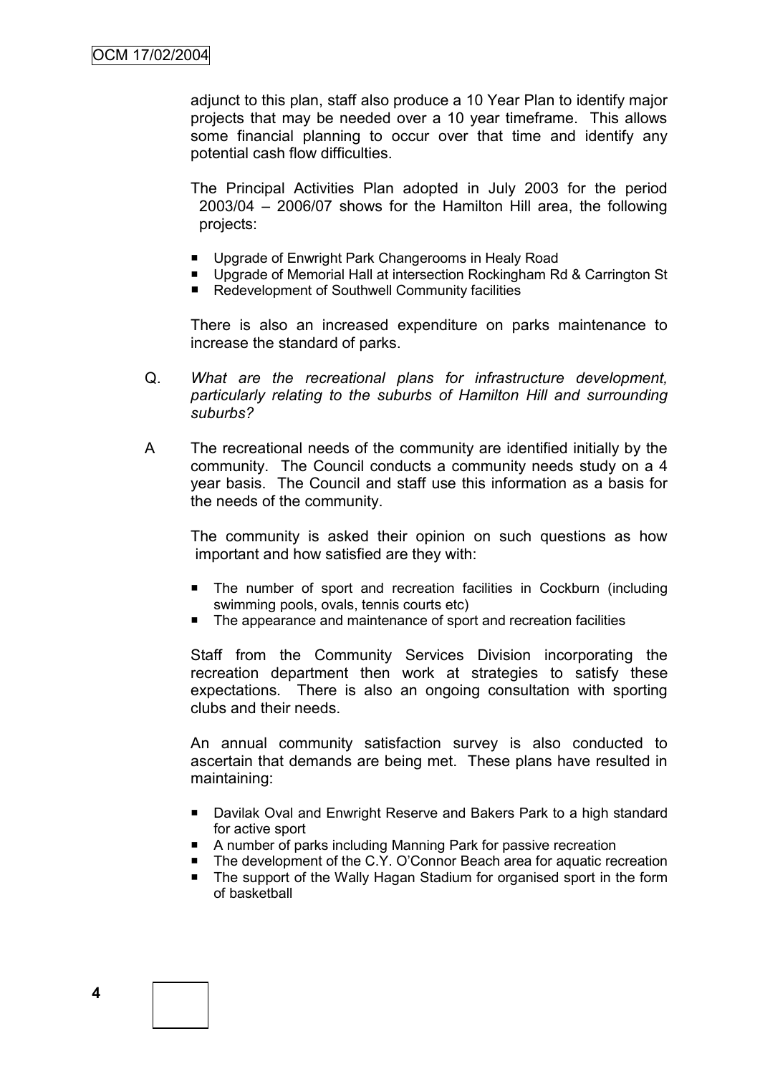adjunct to this plan, staff also produce a 10 Year Plan to identify major projects that may be needed over a 10 year timeframe. This allows some financial planning to occur over that time and identify any potential cash flow difficulties.

The Principal Activities Plan adopted in July 2003 for the period 2003/04 – 2006/07 shows for the Hamilton Hill area, the following projects:

- **Upgrade of Enwright Park Changerooms in Healy Road**
- Upgrade of Memorial Hall at intersection Rockingham Rd & Carrington St
- Redevelopment of Southwell Community facilities

There is also an increased expenditure on parks maintenance to increase the standard of parks.

- Q. *What are the recreational plans for infrastructure development, particularly relating to the suburbs of Hamilton Hill and surrounding suburbs?*
- A The recreational needs of the community are identified initially by the community. The Council conducts a community needs study on a 4 year basis. The Council and staff use this information as a basis for the needs of the community.

The community is asked their opinion on such questions as how important and how satisfied are they with:

- The number of sport and recreation facilities in Cockburn (including swimming pools, ovals, tennis courts etc)
- The appearance and maintenance of sport and recreation facilities

Staff from the Community Services Division incorporating the recreation department then work at strategies to satisfy these expectations. There is also an ongoing consultation with sporting clubs and their needs.

An annual community satisfaction survey is also conducted to ascertain that demands are being met. These plans have resulted in maintaining:

- Davilak Oval and Enwright Reserve and Bakers Park to a high standard for active sport
- A number of parks including Manning Park for passive recreation
- The development of the C.Y. O'Connor Beach area for aquatic recreation
- The support of the Wally Hagan Stadium for organised sport in the form of basketball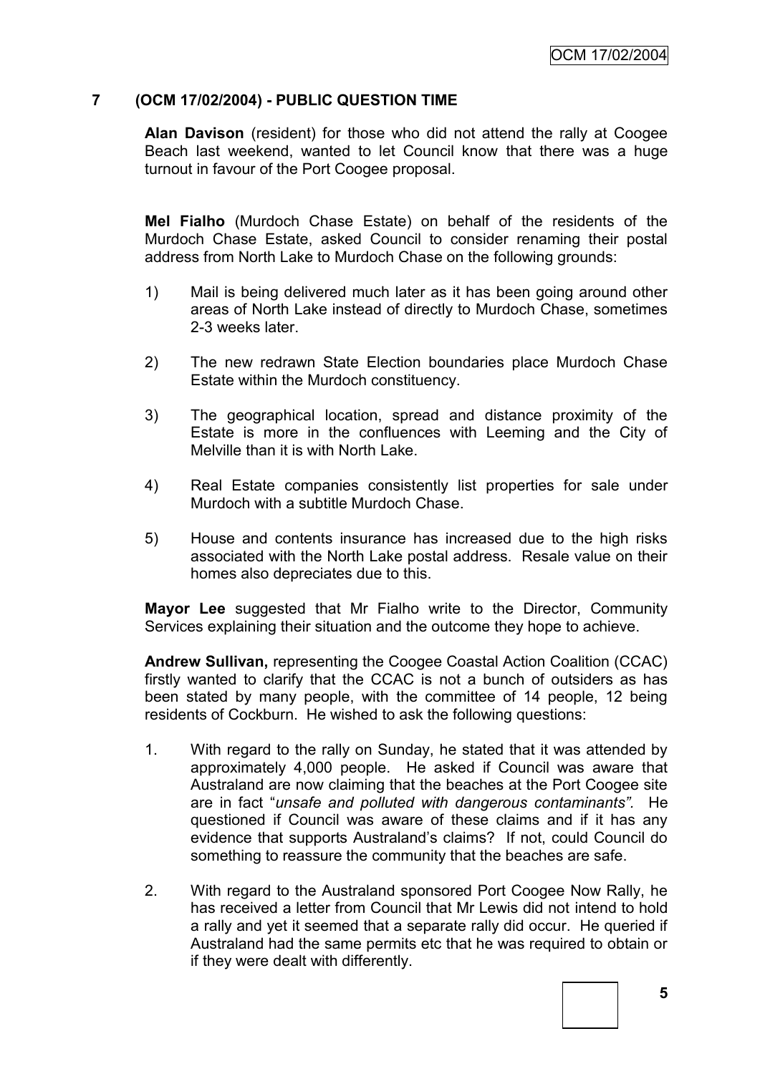# **7 (OCM 17/02/2004) - PUBLIC QUESTION TIME**

**Alan Davison** (resident) for those who did not attend the rally at Coogee Beach last weekend, wanted to let Council know that there was a huge turnout in favour of the Port Coogee proposal.

**Mel Fialho** (Murdoch Chase Estate) on behalf of the residents of the Murdoch Chase Estate, asked Council to consider renaming their postal address from North Lake to Murdoch Chase on the following grounds:

- 1) Mail is being delivered much later as it has been going around other areas of North Lake instead of directly to Murdoch Chase, sometimes 2-3 weeks later.
- 2) The new redrawn State Election boundaries place Murdoch Chase Estate within the Murdoch constituency.
- 3) The geographical location, spread and distance proximity of the Estate is more in the confluences with Leeming and the City of Melville than it is with North Lake.
- 4) Real Estate companies consistently list properties for sale under Murdoch with a subtitle Murdoch Chase.
- 5) House and contents insurance has increased due to the high risks associated with the North Lake postal address. Resale value on their homes also depreciates due to this.

**Mayor Lee** suggested that Mr Fialho write to the Director, Community Services explaining their situation and the outcome they hope to achieve.

**Andrew Sullivan,** representing the Coogee Coastal Action Coalition (CCAC) firstly wanted to clarify that the CCAC is not a bunch of outsiders as has been stated by many people, with the committee of 14 people, 12 being residents of Cockburn. He wished to ask the following questions:

- 1. With regard to the rally on Sunday, he stated that it was attended by approximately 4,000 people. He asked if Council was aware that Australand are now claiming that the beaches at the Port Coogee site are in fact "*unsafe and polluted with dangerous contaminants".* He questioned if Council was aware of these claims and if it has any evidence that supports Australand"s claims? If not, could Council do something to reassure the community that the beaches are safe.
- 2. With regard to the Australand sponsored Port Coogee Now Rally, he has received a letter from Council that Mr Lewis did not intend to hold a rally and yet it seemed that a separate rally did occur. He queried if Australand had the same permits etc that he was required to obtain or if they were dealt with differently.

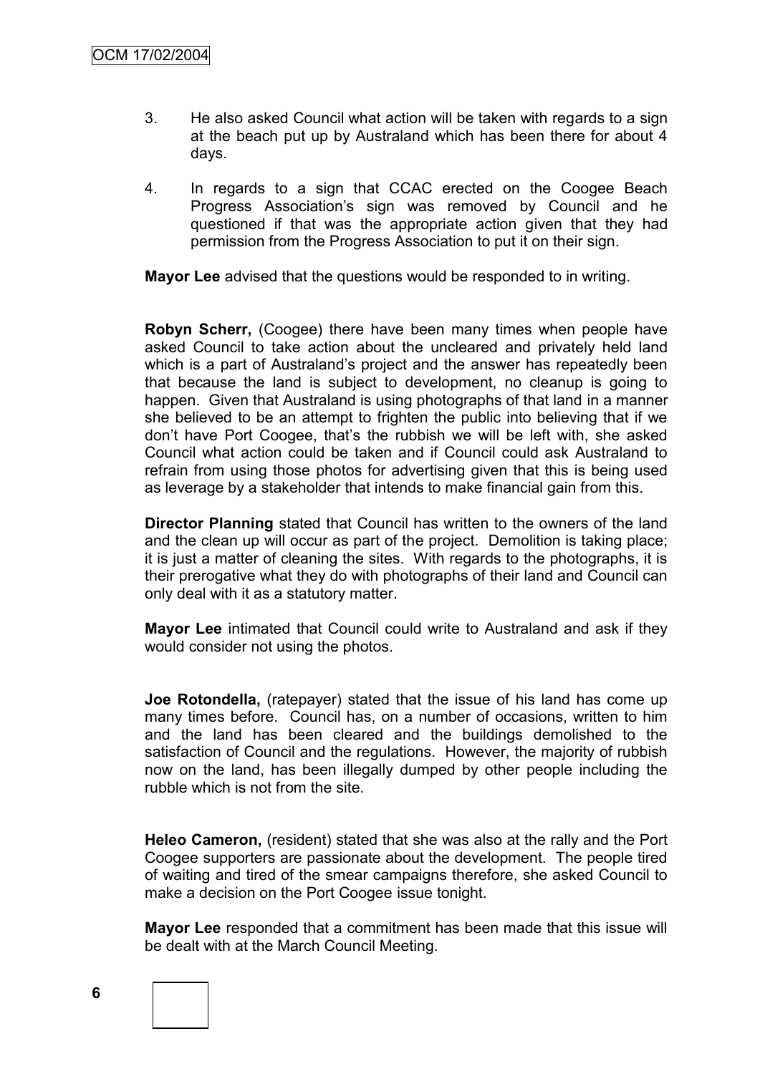- 3. He also asked Council what action will be taken with regards to a sign at the beach put up by Australand which has been there for about 4 days.
- 4. In regards to a sign that CCAC erected on the Coogee Beach Progress Association"s sign was removed by Council and he questioned if that was the appropriate action given that they had permission from the Progress Association to put it on their sign.

**Mayor Lee** advised that the questions would be responded to in writing.

**Robyn Scherr,** (Coogee) there have been many times when people have asked Council to take action about the uncleared and privately held land which is a part of Australand's project and the answer has repeatedly been that because the land is subject to development, no cleanup is going to happen. Given that Australand is using photographs of that land in a manner she believed to be an attempt to frighten the public into believing that if we don"t have Port Coogee, that"s the rubbish we will be left with, she asked Council what action could be taken and if Council could ask Australand to refrain from using those photos for advertising given that this is being used as leverage by a stakeholder that intends to make financial gain from this.

**Director Planning** stated that Council has written to the owners of the land and the clean up will occur as part of the project. Demolition is taking place; it is just a matter of cleaning the sites. With regards to the photographs, it is their prerogative what they do with photographs of their land and Council can only deal with it as a statutory matter.

**Mayor Lee** intimated that Council could write to Australand and ask if they would consider not using the photos.

**Joe Rotondella,** (ratepayer) stated that the issue of his land has come up many times before. Council has, on a number of occasions, written to him and the land has been cleared and the buildings demolished to the satisfaction of Council and the regulations. However, the majority of rubbish now on the land, has been illegally dumped by other people including the rubble which is not from the site.

**Heleo Cameron,** (resident) stated that she was also at the rally and the Port Coogee supporters are passionate about the development. The people tired of waiting and tired of the smear campaigns therefore, she asked Council to make a decision on the Port Coogee issue tonight.

**Mayor Lee** responded that a commitment has been made that this issue will be dealt with at the March Council Meeting.

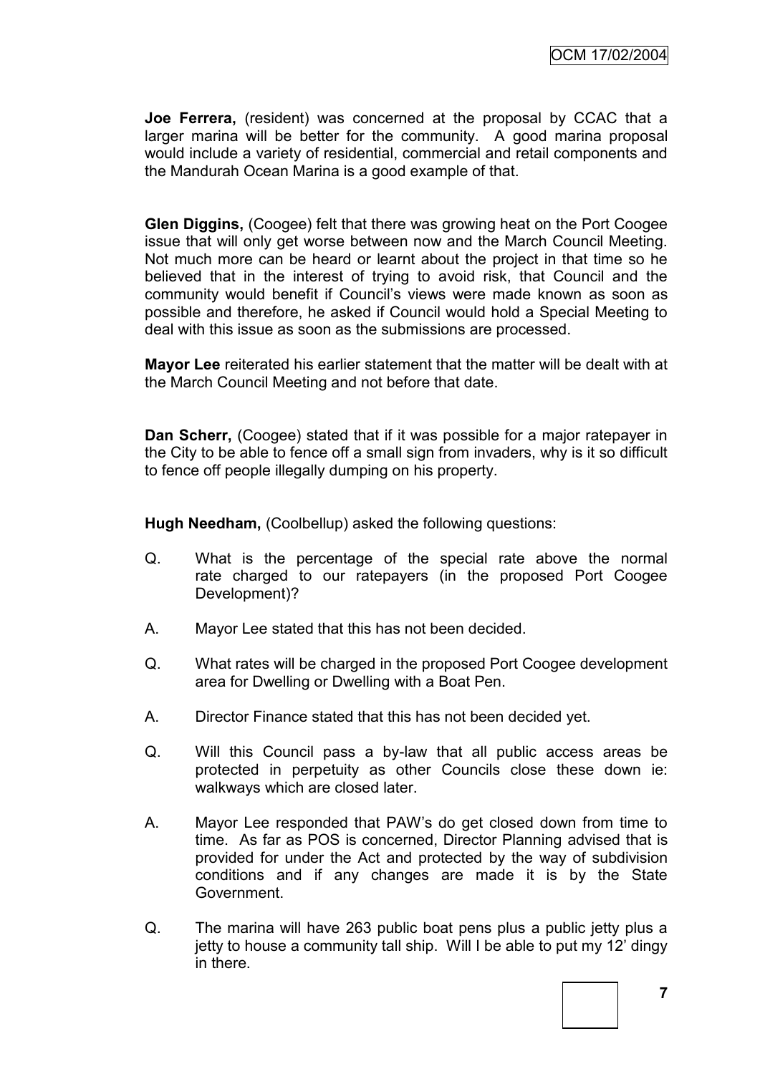**Joe Ferrera,** (resident) was concerned at the proposal by CCAC that a larger marina will be better for the community. A good marina proposal would include a variety of residential, commercial and retail components and the Mandurah Ocean Marina is a good example of that.

**Glen Diggins,** (Coogee) felt that there was growing heat on the Port Coogee issue that will only get worse between now and the March Council Meeting. Not much more can be heard or learnt about the project in that time so he believed that in the interest of trying to avoid risk, that Council and the community would benefit if Council"s views were made known as soon as possible and therefore, he asked if Council would hold a Special Meeting to deal with this issue as soon as the submissions are processed.

**Mayor Lee** reiterated his earlier statement that the matter will be dealt with at the March Council Meeting and not before that date.

**Dan Scherr,** (Coogee) stated that if it was possible for a major ratepayer in the City to be able to fence off a small sign from invaders, why is it so difficult to fence off people illegally dumping on his property.

**Hugh Needham,** (Coolbellup) asked the following questions:

- Q. What is the percentage of the special rate above the normal rate charged to our ratepayers (in the proposed Port Coogee Development)?
- A. Mayor Lee stated that this has not been decided.
- Q. What rates will be charged in the proposed Port Coogee development area for Dwelling or Dwelling with a Boat Pen.
- A. Director Finance stated that this has not been decided yet.
- Q. Will this Council pass a by-law that all public access areas be protected in perpetuity as other Councils close these down ie: walkways which are closed later.
- A. Mayor Lee responded that PAW"s do get closed down from time to time. As far as POS is concerned, Director Planning advised that is provided for under the Act and protected by the way of subdivision conditions and if any changes are made it is by the State Government.
- Q. The marina will have 263 public boat pens plus a public jetty plus a jetty to house a community tall ship. Will I be able to put my 12" dingy in there.



**7**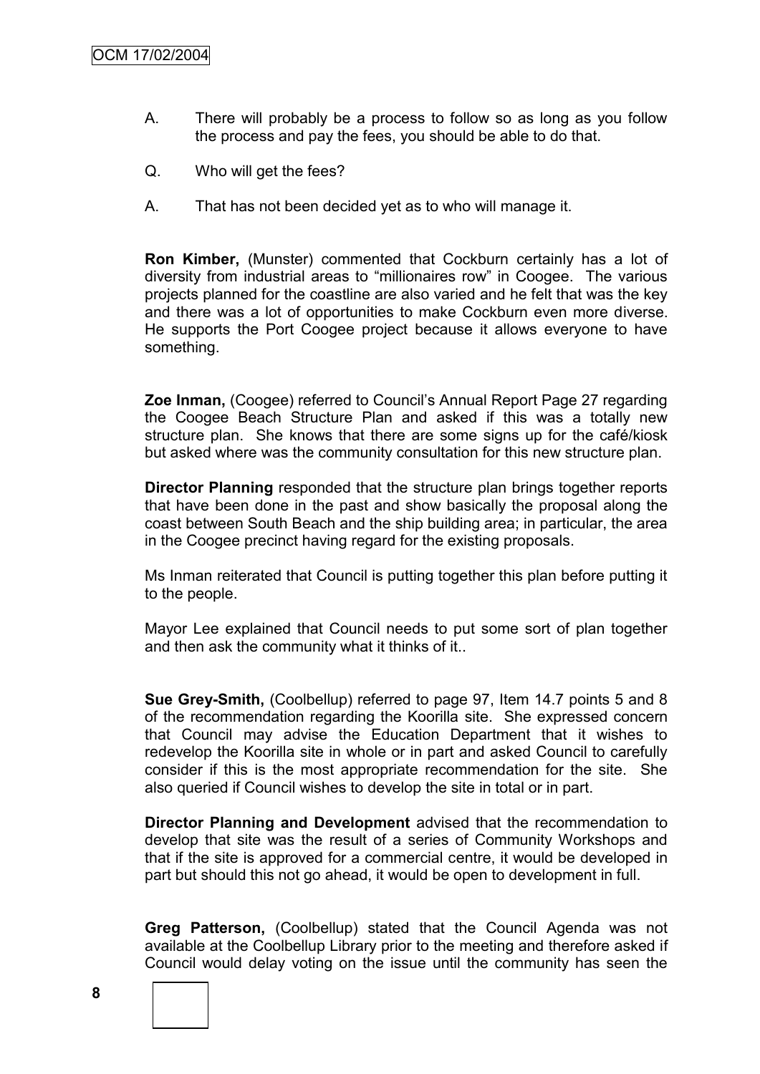- A. There will probably be a process to follow so as long as you follow the process and pay the fees, you should be able to do that.
- Q. Who will get the fees?
- A. That has not been decided yet as to who will manage it.

**Ron Kimber,** (Munster) commented that Cockburn certainly has a lot of diversity from industrial areas to "millionaires row" in Coogee. The various projects planned for the coastline are also varied and he felt that was the key and there was a lot of opportunities to make Cockburn even more diverse. He supports the Port Coogee project because it allows everyone to have something.

**Zoe Inman,** (Coogee) referred to Council"s Annual Report Page 27 regarding the Coogee Beach Structure Plan and asked if this was a totally new structure plan. She knows that there are some signs up for the café/kiosk but asked where was the community consultation for this new structure plan.

**Director Planning** responded that the structure plan brings together reports that have been done in the past and show basically the proposal along the coast between South Beach and the ship building area; in particular, the area in the Coogee precinct having regard for the existing proposals.

Ms Inman reiterated that Council is putting together this plan before putting it to the people.

Mayor Lee explained that Council needs to put some sort of plan together and then ask the community what it thinks of it..

**Sue Grey-Smith,** (Coolbellup) referred to page 97, Item 14.7 points 5 and 8 of the recommendation regarding the Koorilla site. She expressed concern that Council may advise the Education Department that it wishes to redevelop the Koorilla site in whole or in part and asked Council to carefully consider if this is the most appropriate recommendation for the site. She also queried if Council wishes to develop the site in total or in part.

**Director Planning and Development** advised that the recommendation to develop that site was the result of a series of Community Workshops and that if the site is approved for a commercial centre, it would be developed in part but should this not go ahead, it would be open to development in full.

**Greg Patterson,** (Coolbellup) stated that the Council Agenda was not available at the Coolbellup Library prior to the meeting and therefore asked if Council would delay voting on the issue until the community has seen the

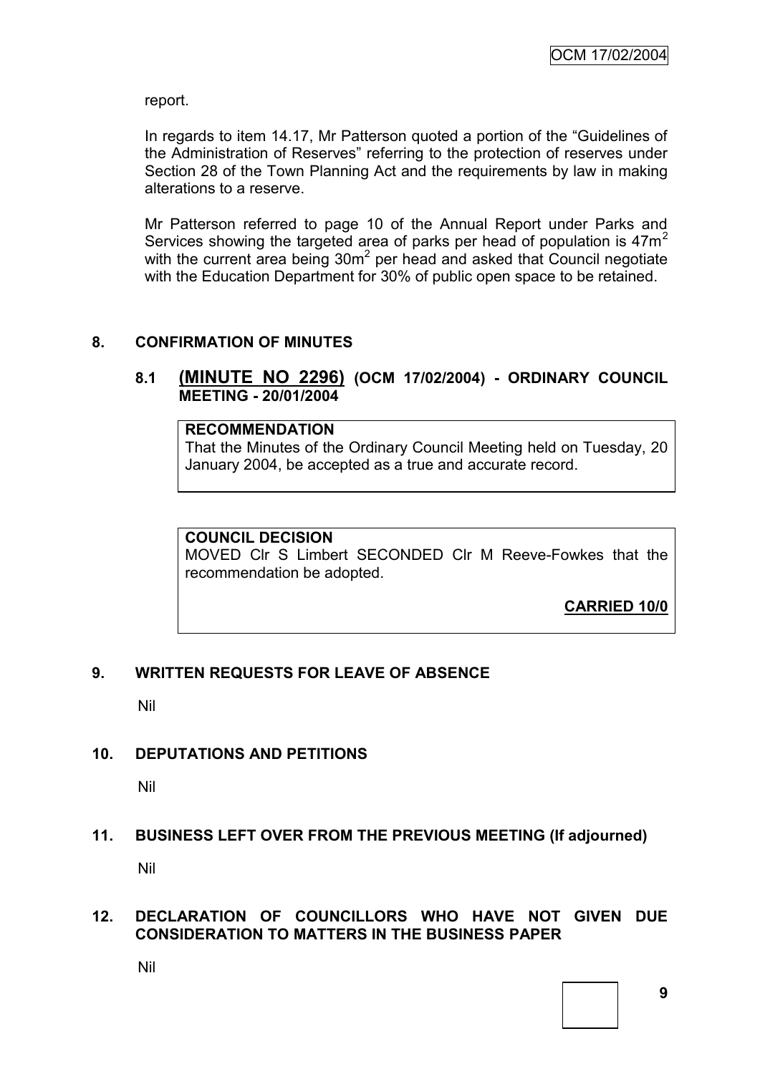report.

In regards to item 14.17, Mr Patterson quoted a portion of the "Guidelines of the Administration of Reserves" referring to the protection of reserves under Section 28 of the Town Planning Act and the requirements by law in making alterations to a reserve.

Mr Patterson referred to page 10 of the Annual Report under Parks and Services showing the targeted area of parks per head of population is  $47m<sup>2</sup>$ with the current area being  $30m^2$  per head and asked that Council negotiate with the Education Department for 30% of public open space to be retained.

#### **8. CONFIRMATION OF MINUTES**

# **8.1 (MINUTE NO 2296) (OCM 17/02/2004) - ORDINARY COUNCIL MEETING - 20/01/2004**

**RECOMMENDATION** That the Minutes of the Ordinary Council Meeting held on Tuesday, 20 January 2004, be accepted as a true and accurate record.

#### **COUNCIL DECISION**

MOVED Clr S Limbert SECONDED Clr M Reeve-Fowkes that the recommendation be adopted.

**CARRIED 10/0**

# **9. WRITTEN REQUESTS FOR LEAVE OF ABSENCE**

Nil

#### **10. DEPUTATIONS AND PETITIONS**

Nil

#### **11. BUSINESS LEFT OVER FROM THE PREVIOUS MEETING (If adjourned)**

Nil

#### **12. DECLARATION OF COUNCILLORS WHO HAVE NOT GIVEN DUE CONSIDERATION TO MATTERS IN THE BUSINESS PAPER**

Nil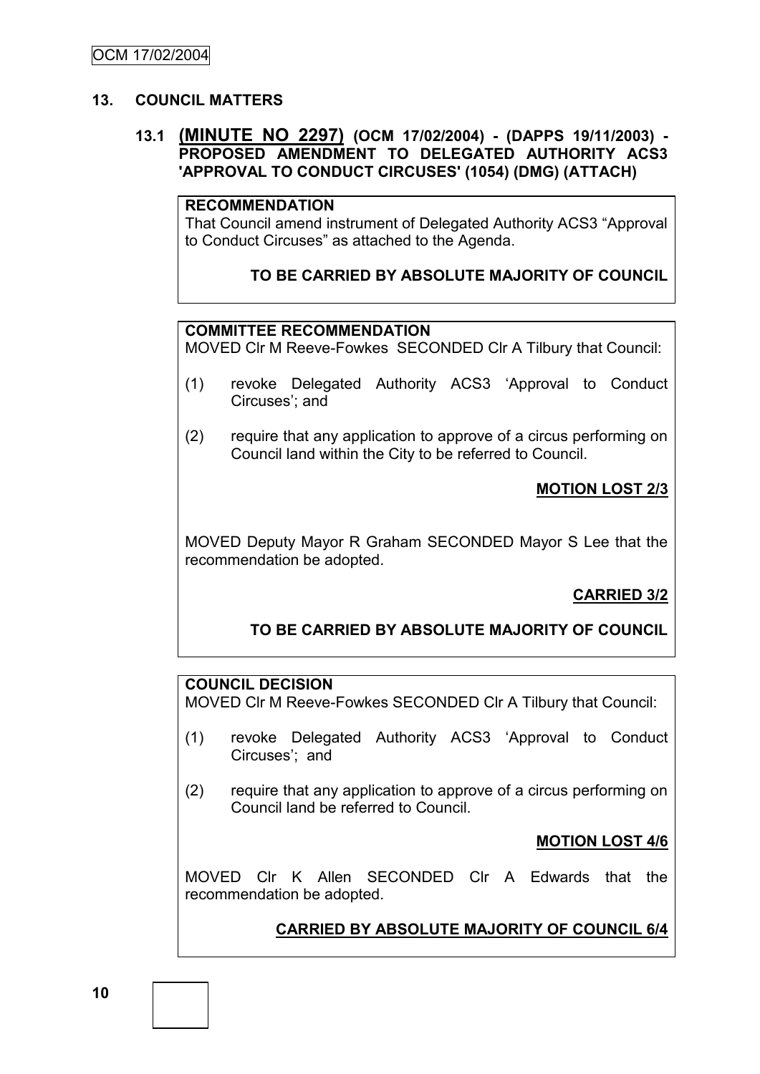# **13. COUNCIL MATTERS**

## **13.1 (MINUTE NO 2297) (OCM 17/02/2004) - (DAPPS 19/11/2003) - PROPOSED AMENDMENT TO DELEGATED AUTHORITY ACS3 'APPROVAL TO CONDUCT CIRCUSES' (1054) (DMG) (ATTACH)**

#### **RECOMMENDATION**

That Council amend instrument of Delegated Authority ACS3 "Approval to Conduct Circuses" as attached to the Agenda.

# **TO BE CARRIED BY ABSOLUTE MAJORITY OF COUNCIL**

# **COMMITTEE RECOMMENDATION**

MOVED Clr M Reeve-Fowkes SECONDED Clr A Tilbury that Council:

- (1) revoke Delegated Authority ACS3 "Approval to Conduct Circuses'; and
- (2) require that any application to approve of a circus performing on Council land within the City to be referred to Council.

# **MOTION LOST 2/3**

MOVED Deputy Mayor R Graham SECONDED Mayor S Lee that the recommendation be adopted.

# **CARRIED 3/2**

**TO BE CARRIED BY ABSOLUTE MAJORITY OF COUNCIL**

# **COUNCIL DECISION**

MOVED Clr M Reeve-Fowkes SECONDED Clr A Tilbury that Council:

- (1) revoke Delegated Authority ACS3 "Approval to Conduct Circuses'; and
- (2) require that any application to approve of a circus performing on Council land be referred to Council.

#### **MOTION LOST 4/6**

MOVED Clr K Allen SECONDED Clr A Edwards that the recommendation be adopted.

# **CARRIED BY ABSOLUTE MAJORITY OF COUNCIL 6/4**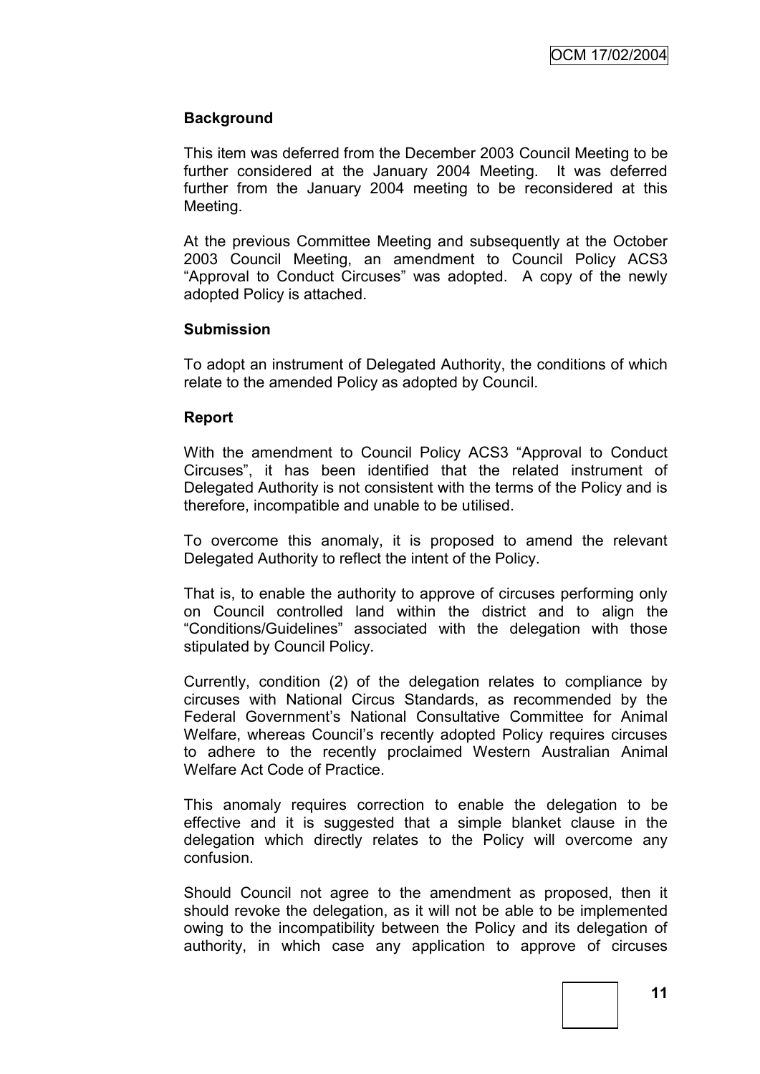#### **Background**

This item was deferred from the December 2003 Council Meeting to be further considered at the January 2004 Meeting. It was deferred further from the January 2004 meeting to be reconsidered at this Meeting.

At the previous Committee Meeting and subsequently at the October 2003 Council Meeting, an amendment to Council Policy ACS3 "Approval to Conduct Circuses" was adopted. A copy of the newly adopted Policy is attached.

#### **Submission**

To adopt an instrument of Delegated Authority, the conditions of which relate to the amended Policy as adopted by Council.

#### **Report**

With the amendment to Council Policy ACS3 "Approval to Conduct Circuses", it has been identified that the related instrument of Delegated Authority is not consistent with the terms of the Policy and is therefore, incompatible and unable to be utilised.

To overcome this anomaly, it is proposed to amend the relevant Delegated Authority to reflect the intent of the Policy.

That is, to enable the authority to approve of circuses performing only on Council controlled land within the district and to align the "Conditions/Guidelines" associated with the delegation with those stipulated by Council Policy.

Currently, condition (2) of the delegation relates to compliance by circuses with National Circus Standards, as recommended by the Federal Government"s National Consultative Committee for Animal Welfare, whereas Council's recently adopted Policy requires circuses to adhere to the recently proclaimed Western Australian Animal Welfare Act Code of Practice.

This anomaly requires correction to enable the delegation to be effective and it is suggested that a simple blanket clause in the delegation which directly relates to the Policy will overcome any confusion.

Should Council not agree to the amendment as proposed, then it should revoke the delegation, as it will not be able to be implemented owing to the incompatibility between the Policy and its delegation of authority, in which case any application to approve of circuses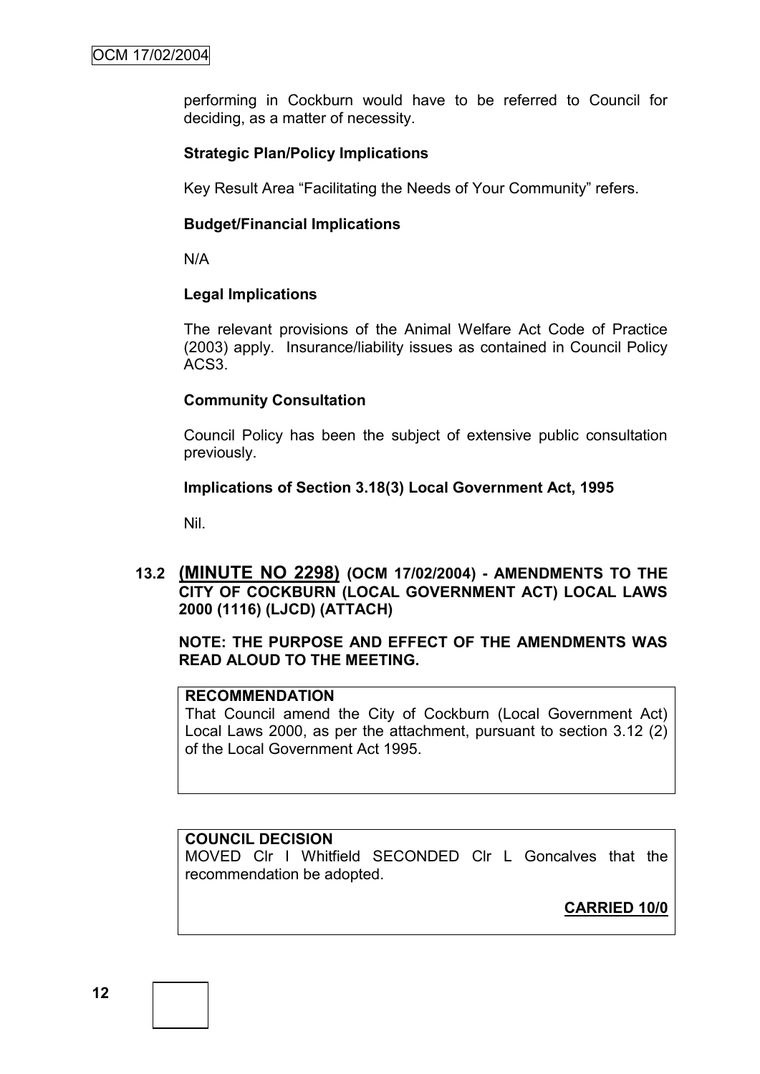performing in Cockburn would have to be referred to Council for deciding, as a matter of necessity.

# **Strategic Plan/Policy Implications**

Key Result Area "Facilitating the Needs of Your Community" refers.

# **Budget/Financial Implications**

N/A

#### **Legal Implications**

The relevant provisions of the Animal Welfare Act Code of Practice (2003) apply. Insurance/liability issues as contained in Council Policy ACS3.

# **Community Consultation**

Council Policy has been the subject of extensive public consultation previously.

# **Implications of Section 3.18(3) Local Government Act, 1995**

Nil.

**13.2 (MINUTE NO 2298) (OCM 17/02/2004) - AMENDMENTS TO THE CITY OF COCKBURN (LOCAL GOVERNMENT ACT) LOCAL LAWS 2000 (1116) (LJCD) (ATTACH)**

# **NOTE: THE PURPOSE AND EFFECT OF THE AMENDMENTS WAS READ ALOUD TO THE MEETING.**

# **RECOMMENDATION**

That Council amend the City of Cockburn (Local Government Act) Local Laws 2000, as per the attachment, pursuant to section 3.12 (2) of the Local Government Act 1995.

#### **COUNCIL DECISION**

MOVED Clr I Whitfield SECONDED Clr L Goncalves that the recommendation be adopted.

**CARRIED 10/0**

**12**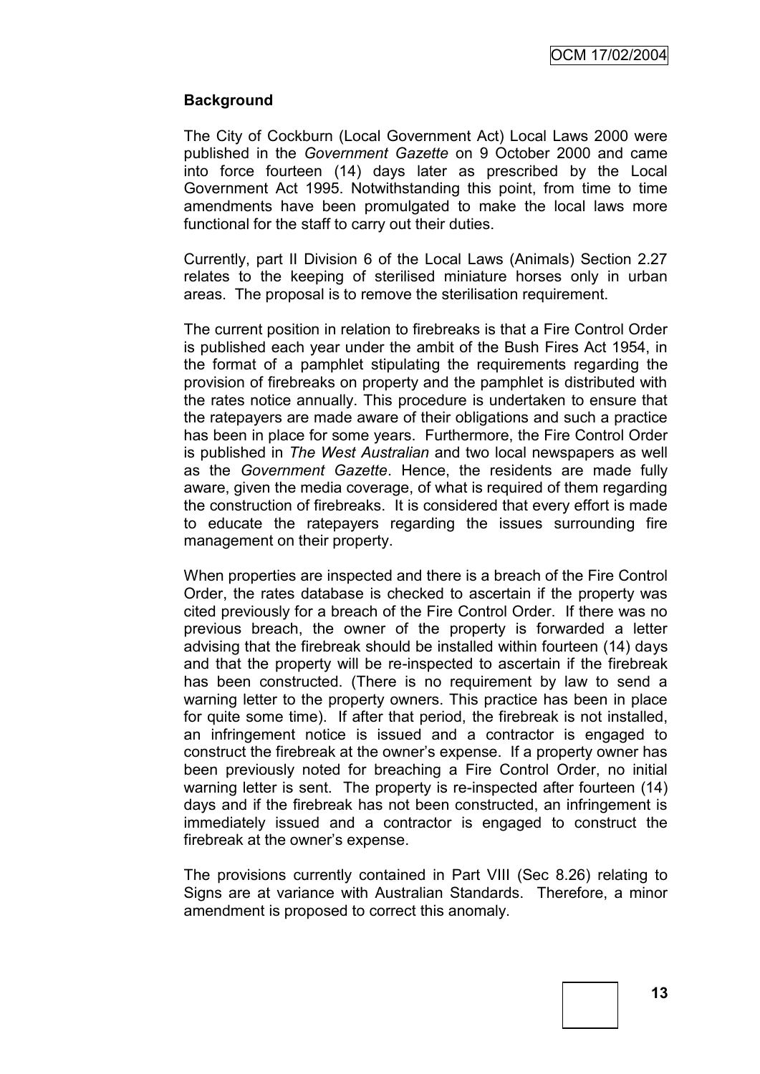#### **Background**

The City of Cockburn (Local Government Act) Local Laws 2000 were published in the *Government Gazette* on 9 October 2000 and came into force fourteen (14) days later as prescribed by the Local Government Act 1995. Notwithstanding this point, from time to time amendments have been promulgated to make the local laws more functional for the staff to carry out their duties.

Currently, part II Division 6 of the Local Laws (Animals) Section 2.27 relates to the keeping of sterilised miniature horses only in urban areas. The proposal is to remove the sterilisation requirement.

The current position in relation to firebreaks is that a Fire Control Order is published each year under the ambit of the Bush Fires Act 1954, in the format of a pamphlet stipulating the requirements regarding the provision of firebreaks on property and the pamphlet is distributed with the rates notice annually. This procedure is undertaken to ensure that the ratepayers are made aware of their obligations and such a practice has been in place for some years. Furthermore, the Fire Control Order is published in *The West Australian* and two local newspapers as well as the *Government Gazette*. Hence, the residents are made fully aware, given the media coverage, of what is required of them regarding the construction of firebreaks. It is considered that every effort is made to educate the ratepayers regarding the issues surrounding fire management on their property.

When properties are inspected and there is a breach of the Fire Control Order, the rates database is checked to ascertain if the property was cited previously for a breach of the Fire Control Order. If there was no previous breach, the owner of the property is forwarded a letter advising that the firebreak should be installed within fourteen (14) days and that the property will be re-inspected to ascertain if the firebreak has been constructed. (There is no requirement by law to send a warning letter to the property owners. This practice has been in place for quite some time). If after that period, the firebreak is not installed, an infringement notice is issued and a contractor is engaged to construct the firebreak at the owner"s expense. If a property owner has been previously noted for breaching a Fire Control Order, no initial warning letter is sent. The property is re-inspected after fourteen (14) days and if the firebreak has not been constructed, an infringement is immediately issued and a contractor is engaged to construct the firebreak at the owner's expense.

The provisions currently contained in Part VIII (Sec 8.26) relating to Signs are at variance with Australian Standards. Therefore, a minor amendment is proposed to correct this anomaly.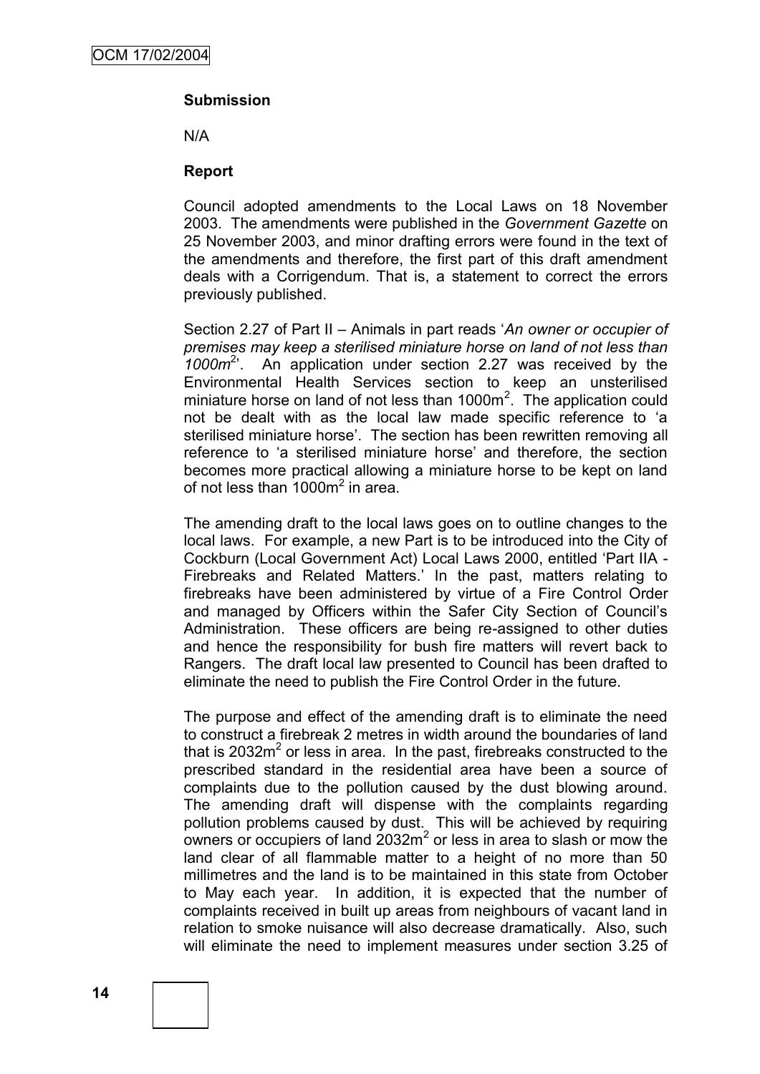# **Submission**

N/A

#### **Report**

Council adopted amendments to the Local Laws on 18 November 2003. The amendments were published in the *Government Gazette* on 25 November 2003, and minor drafting errors were found in the text of the amendments and therefore, the first part of this draft amendment deals with a Corrigendum. That is, a statement to correct the errors previously published.

Section 2.27 of Part II – Animals in part reads "*An owner or occupier of premises may keep a sterilised miniature horse on land of not less than*  1000m<sup>2</sup>. An application under section 2.27 was received by the Environmental Health Services section to keep an unsterilised miniature horse on land of not less than  $1000m^2$ . The application could not be dealt with as the local law made specific reference to "a sterilised miniature horse'. The section has been rewritten removing all reference to 'a sterilised miniature horse' and therefore, the section becomes more practical allowing a miniature horse to be kept on land of not less than 1000m<sup>2</sup> in area.

The amending draft to the local laws goes on to outline changes to the local laws. For example, a new Part is to be introduced into the City of Cockburn (Local Government Act) Local Laws 2000, entitled "Part IIA - Firebreaks and Related Matters." In the past, matters relating to firebreaks have been administered by virtue of a Fire Control Order and managed by Officers within the Safer City Section of Council"s Administration. These officers are being re-assigned to other duties and hence the responsibility for bush fire matters will revert back to Rangers. The draft local law presented to Council has been drafted to eliminate the need to publish the Fire Control Order in the future.

The purpose and effect of the amending draft is to eliminate the need to construct a firebreak 2 metres in width around the boundaries of land that is 2032 $m^2$  or less in area. In the past, firebreaks constructed to the prescribed standard in the residential area have been a source of complaints due to the pollution caused by the dust blowing around. The amending draft will dispense with the complaints regarding pollution problems caused by dust. This will be achieved by requiring owners or occupiers of land  $2032m^2$  or less in area to slash or mow the land clear of all flammable matter to a height of no more than 50 millimetres and the land is to be maintained in this state from October to May each year. In addition, it is expected that the number of complaints received in built up areas from neighbours of vacant land in relation to smoke nuisance will also decrease dramatically. Also, such will eliminate the need to implement measures under section 3.25 of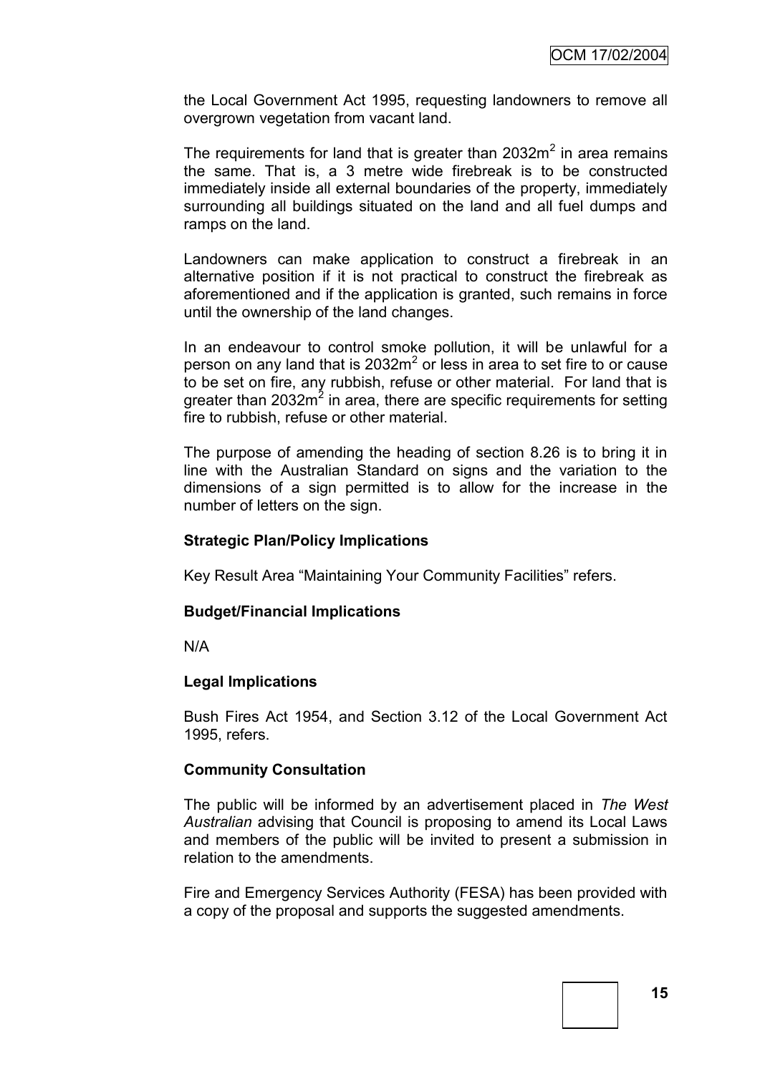the Local Government Act 1995, requesting landowners to remove all overgrown vegetation from vacant land.

The requirements for land that is greater than  $2032m^2$  in area remains the same. That is, a 3 metre wide firebreak is to be constructed immediately inside all external boundaries of the property, immediately surrounding all buildings situated on the land and all fuel dumps and ramps on the land.

Landowners can make application to construct a firebreak in an alternative position if it is not practical to construct the firebreak as aforementioned and if the application is granted, such remains in force until the ownership of the land changes.

In an endeavour to control smoke pollution, it will be unlawful for a person on any land that is 2032 $m^2$  or less in area to set fire to or cause to be set on fire, any rubbish, refuse or other material. For land that is greater than 2032m<sup>2</sup> in area, there are specific requirements for setting fire to rubbish, refuse or other material.

The purpose of amending the heading of section 8.26 is to bring it in line with the Australian Standard on signs and the variation to the dimensions of a sign permitted is to allow for the increase in the number of letters on the sign.

#### **Strategic Plan/Policy Implications**

Key Result Area "Maintaining Your Community Facilities" refers.

#### **Budget/Financial Implications**

N/A

#### **Legal Implications**

Bush Fires Act 1954, and Section 3.12 of the Local Government Act 1995, refers.

#### **Community Consultation**

The public will be informed by an advertisement placed in *The West Australian* advising that Council is proposing to amend its Local Laws and members of the public will be invited to present a submission in relation to the amendments.

Fire and Emergency Services Authority (FESA) has been provided with a copy of the proposal and supports the suggested amendments.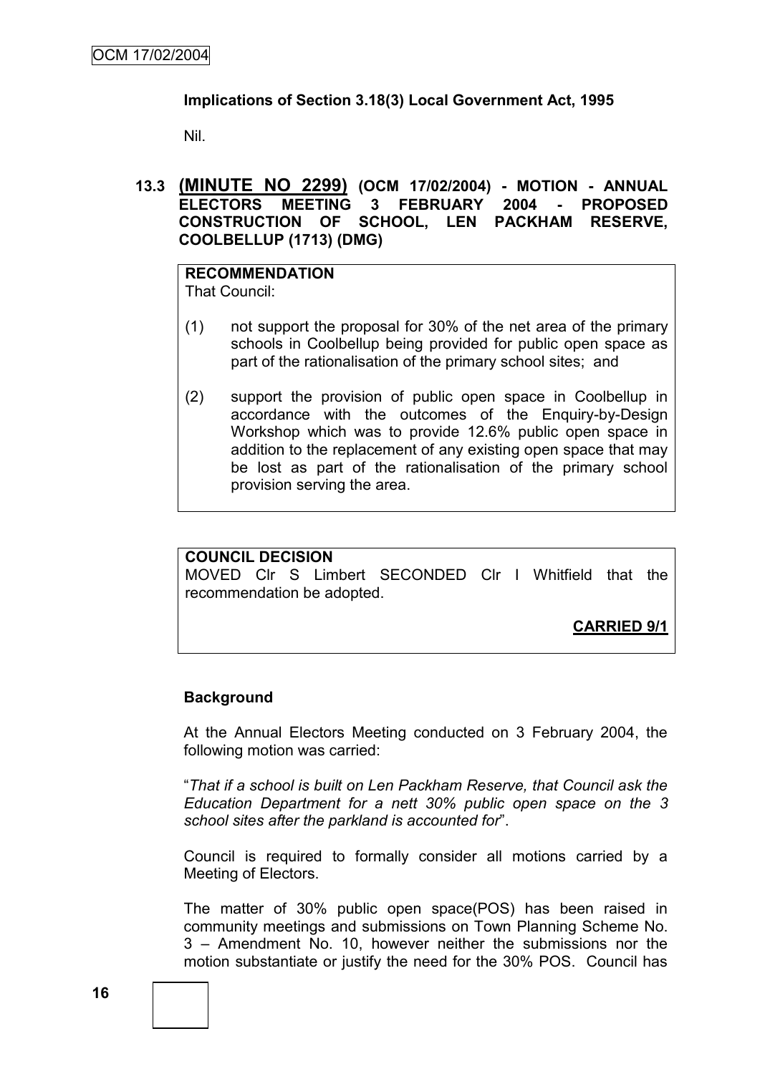## **Implications of Section 3.18(3) Local Government Act, 1995**

Nil.

## **13.3 (MINUTE NO 2299) (OCM 17/02/2004) - MOTION - ANNUAL ELECTORS MEETING 3 FEBRUARY 2004 - PROPOSED CONSTRUCTION OF SCHOOL, LEN PACKHAM RESERVE, COOLBELLUP (1713) (DMG)**

#### **RECOMMENDATION** That Council:

- (1) not support the proposal for 30% of the net area of the primary schools in Coolbellup being provided for public open space as part of the rationalisation of the primary school sites; and
- (2) support the provision of public open space in Coolbellup in accordance with the outcomes of the Enquiry-by-Design Workshop which was to provide 12.6% public open space in addition to the replacement of any existing open space that may be lost as part of the rationalisation of the primary school provision serving the area.

#### **COUNCIL DECISION**

MOVED Clr S Limbert SECONDED Clr I Whitfield that the recommendation be adopted.

**CARRIED 9/1**

# **Background**

At the Annual Electors Meeting conducted on 3 February 2004, the following motion was carried:

"*That if a school is built on Len Packham Reserve, that Council ask the Education Department for a nett 30% public open space on the 3 school sites after the parkland is accounted for*".

Council is required to formally consider all motions carried by a Meeting of Electors.

The matter of 30% public open space(POS) has been raised in community meetings and submissions on Town Planning Scheme No. 3 – Amendment No. 10, however neither the submissions nor the motion substantiate or justify the need for the 30% POS. Council has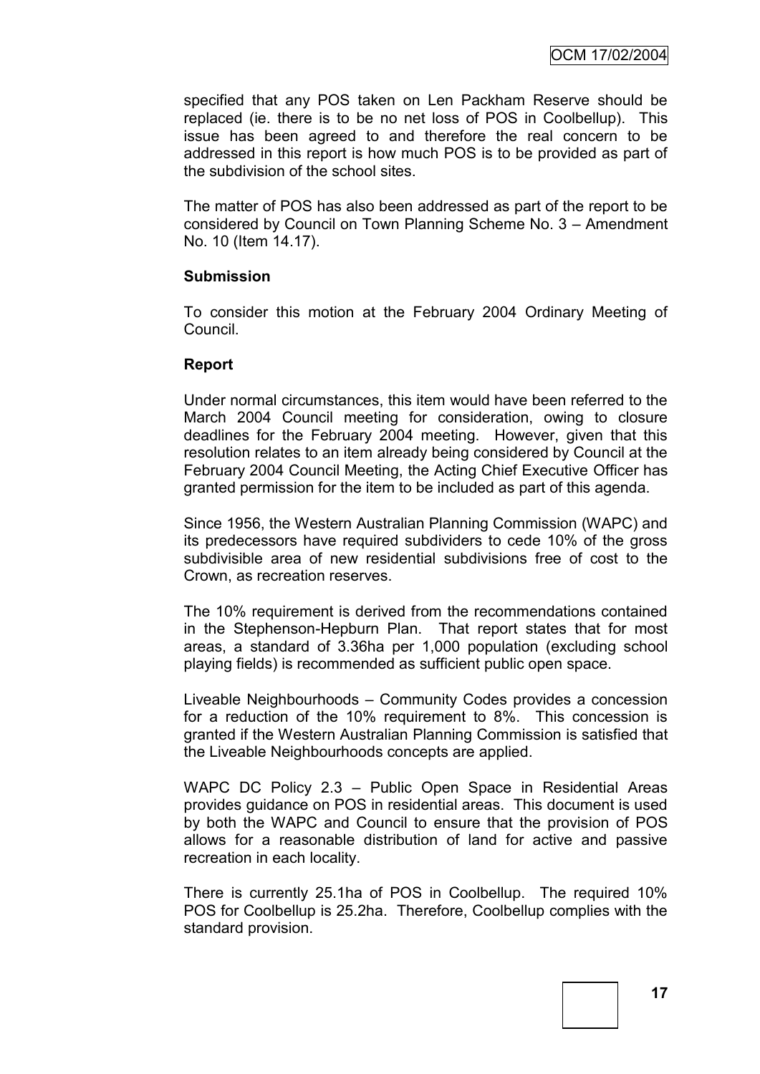specified that any POS taken on Len Packham Reserve should be replaced (ie. there is to be no net loss of POS in Coolbellup). This issue has been agreed to and therefore the real concern to be addressed in this report is how much POS is to be provided as part of the subdivision of the school sites.

The matter of POS has also been addressed as part of the report to be considered by Council on Town Planning Scheme No. 3 – Amendment No. 10 (Item 14.17).

#### **Submission**

To consider this motion at the February 2004 Ordinary Meeting of Council.

#### **Report**

Under normal circumstances, this item would have been referred to the March 2004 Council meeting for consideration, owing to closure deadlines for the February 2004 meeting. However, given that this resolution relates to an item already being considered by Council at the February 2004 Council Meeting, the Acting Chief Executive Officer has granted permission for the item to be included as part of this agenda.

Since 1956, the Western Australian Planning Commission (WAPC) and its predecessors have required subdividers to cede 10% of the gross subdivisible area of new residential subdivisions free of cost to the Crown, as recreation reserves.

The 10% requirement is derived from the recommendations contained in the Stephenson-Hepburn Plan. That report states that for most areas, a standard of 3.36ha per 1,000 population (excluding school playing fields) is recommended as sufficient public open space.

Liveable Neighbourhoods – Community Codes provides a concession for a reduction of the 10% requirement to 8%. This concession is granted if the Western Australian Planning Commission is satisfied that the Liveable Neighbourhoods concepts are applied.

WAPC DC Policy 2.3 – Public Open Space in Residential Areas provides guidance on POS in residential areas. This document is used by both the WAPC and Council to ensure that the provision of POS allows for a reasonable distribution of land for active and passive recreation in each locality.

There is currently 25.1ha of POS in Coolbellup. The required 10% POS for Coolbellup is 25.2ha. Therefore, Coolbellup complies with the standard provision.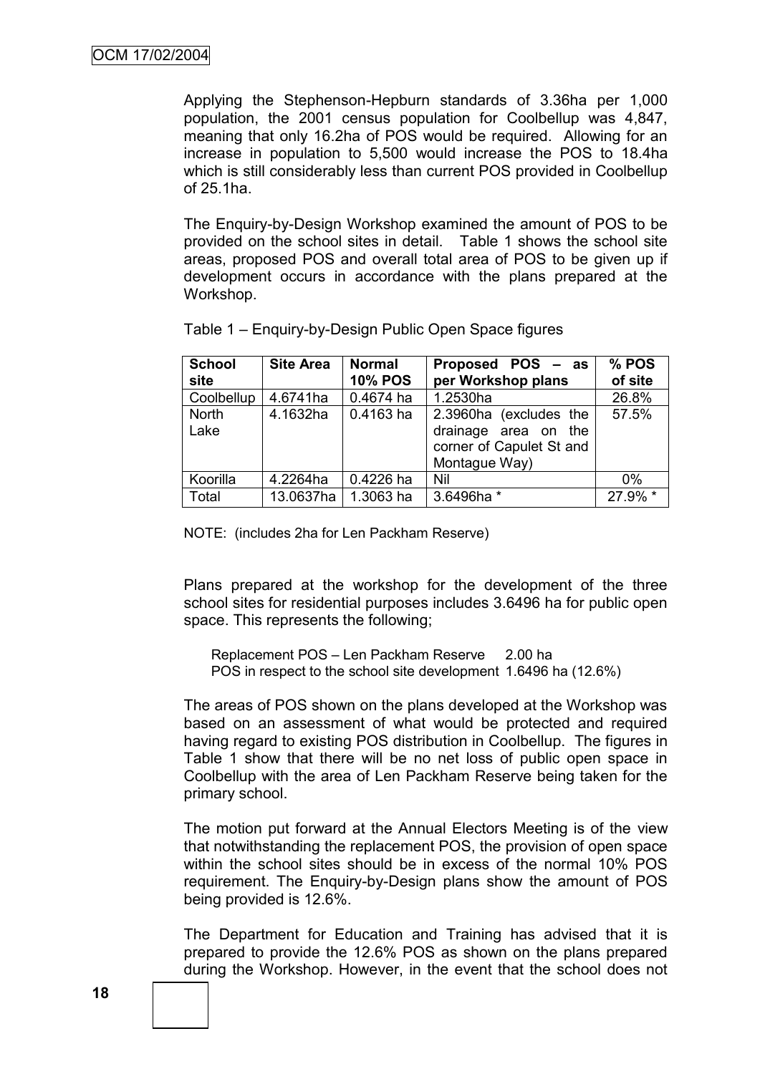Applying the Stephenson-Hepburn standards of 3.36ha per 1,000 population, the 2001 census population for Coolbellup was 4,847, meaning that only 16.2ha of POS would be required. Allowing for an increase in population to 5,500 would increase the POS to 18.4ha which is still considerably less than current POS provided in Coolbellup of 25.1ha.

The Enquiry-by-Design Workshop examined the amount of POS to be provided on the school sites in detail. Table 1 shows the school site areas, proposed POS and overall total area of POS to be given up if development occurs in accordance with the plans prepared at the Workshop.

| <b>School</b><br>site | <b>Site Area</b> | <b>Normal</b><br><b>10% POS</b> | Proposed POS – as<br>per Workshop plans                                                     | % POS<br>of site |
|-----------------------|------------------|---------------------------------|---------------------------------------------------------------------------------------------|------------------|
| Coolbellup            | 4.6741ha         | 0.4674 ha                       | 1.2530ha                                                                                    | 26.8%            |
| <b>North</b><br>Lake  | 4.1632ha         | 0.4163 ha                       | 2.3960ha (excludes the<br>drainage area on the<br>corner of Capulet St and<br>Montague Way) | 57.5%            |
| Koorilla              | 4.2264ha         | 0.4226 ha                       | Nil                                                                                         | $0\%$            |
| Total                 | 13.0637ha        | 1.3063 ha                       | 3.6496ha *                                                                                  | 27.9% *          |

Table 1 – Enquiry-by-Design Public Open Space figures

NOTE: (includes 2ha for Len Packham Reserve)

Plans prepared at the workshop for the development of the three school sites for residential purposes includes 3.6496 ha for public open space. This represents the following;

Replacement POS – Len Packham Reserve 2.00 ha POS in respect to the school site development 1.6496 ha (12.6%)

The areas of POS shown on the plans developed at the Workshop was based on an assessment of what would be protected and required having regard to existing POS distribution in Coolbellup. The figures in Table 1 show that there will be no net loss of public open space in Coolbellup with the area of Len Packham Reserve being taken for the primary school.

The motion put forward at the Annual Electors Meeting is of the view that notwithstanding the replacement POS, the provision of open space within the school sites should be in excess of the normal 10% POS requirement. The Enquiry-by-Design plans show the amount of POS being provided is 12.6%.

The Department for Education and Training has advised that it is prepared to provide the 12.6% POS as shown on the plans prepared during the Workshop. However, in the event that the school does not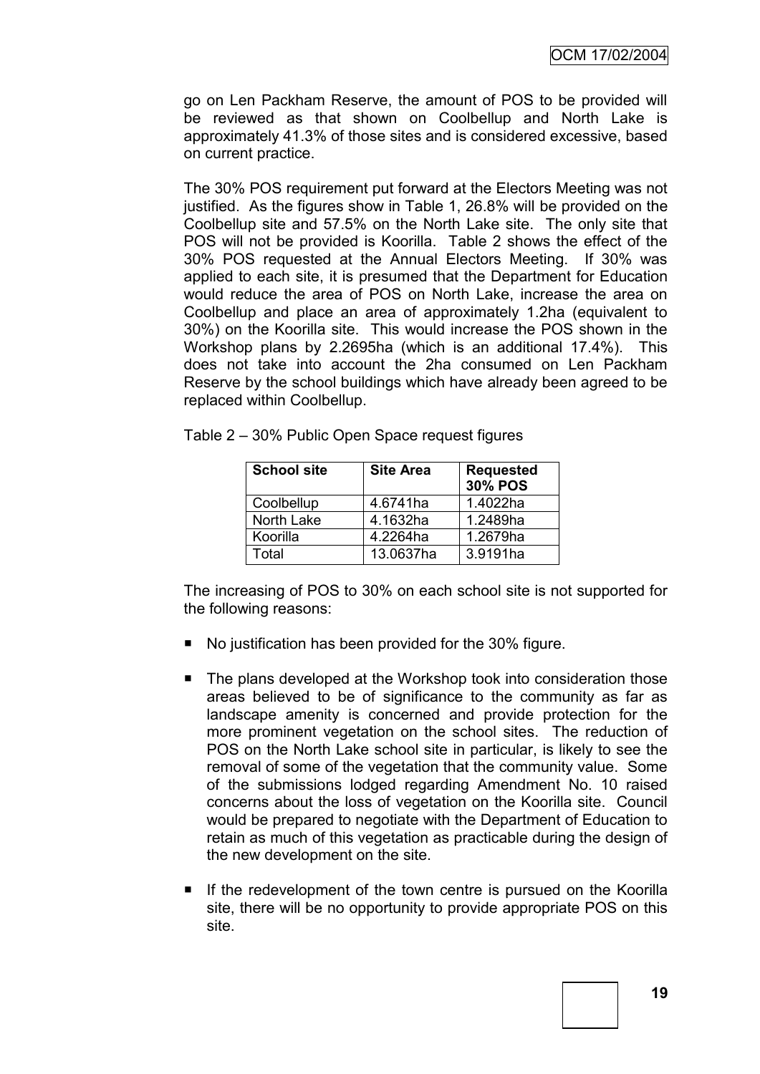go on Len Packham Reserve, the amount of POS to be provided will be reviewed as that shown on Coolbellup and North Lake is approximately 41.3% of those sites and is considered excessive, based on current practice.

The 30% POS requirement put forward at the Electors Meeting was not justified. As the figures show in Table 1, 26.8% will be provided on the Coolbellup site and 57.5% on the North Lake site. The only site that POS will not be provided is Koorilla. Table 2 shows the effect of the 30% POS requested at the Annual Electors Meeting. If 30% was applied to each site, it is presumed that the Department for Education would reduce the area of POS on North Lake, increase the area on Coolbellup and place an area of approximately 1.2ha (equivalent to 30%) on the Koorilla site. This would increase the POS shown in the Workshop plans by 2.2695ha (which is an additional 17.4%). This does not take into account the 2ha consumed on Len Packham Reserve by the school buildings which have already been agreed to be replaced within Coolbellup.

| <b>School site</b> | <b>Site Area</b> | <b>Requested</b><br><b>30% POS</b> |  |
|--------------------|------------------|------------------------------------|--|
| Coolbellup         | 4.6741ha         | 1.4022ha                           |  |
| North Lake         | 4.1632ha         | 1.2489ha                           |  |
| Koorilla           | 4.2264ha         | 1.2679ha                           |  |
| Total              | 13.0637ha        | 3.9191ha                           |  |

Table 2 – 30% Public Open Space request figures

The increasing of POS to 30% on each school site is not supported for the following reasons:

- No justification has been provided for the 30% figure.
- The plans developed at the Workshop took into consideration those areas believed to be of significance to the community as far as landscape amenity is concerned and provide protection for the more prominent vegetation on the school sites. The reduction of POS on the North Lake school site in particular, is likely to see the removal of some of the vegetation that the community value. Some of the submissions lodged regarding Amendment No. 10 raised concerns about the loss of vegetation on the Koorilla site. Council would be prepared to negotiate with the Department of Education to retain as much of this vegetation as practicable during the design of the new development on the site.
- If the redevelopment of the town centre is pursued on the Koorilla site, there will be no opportunity to provide appropriate POS on this site.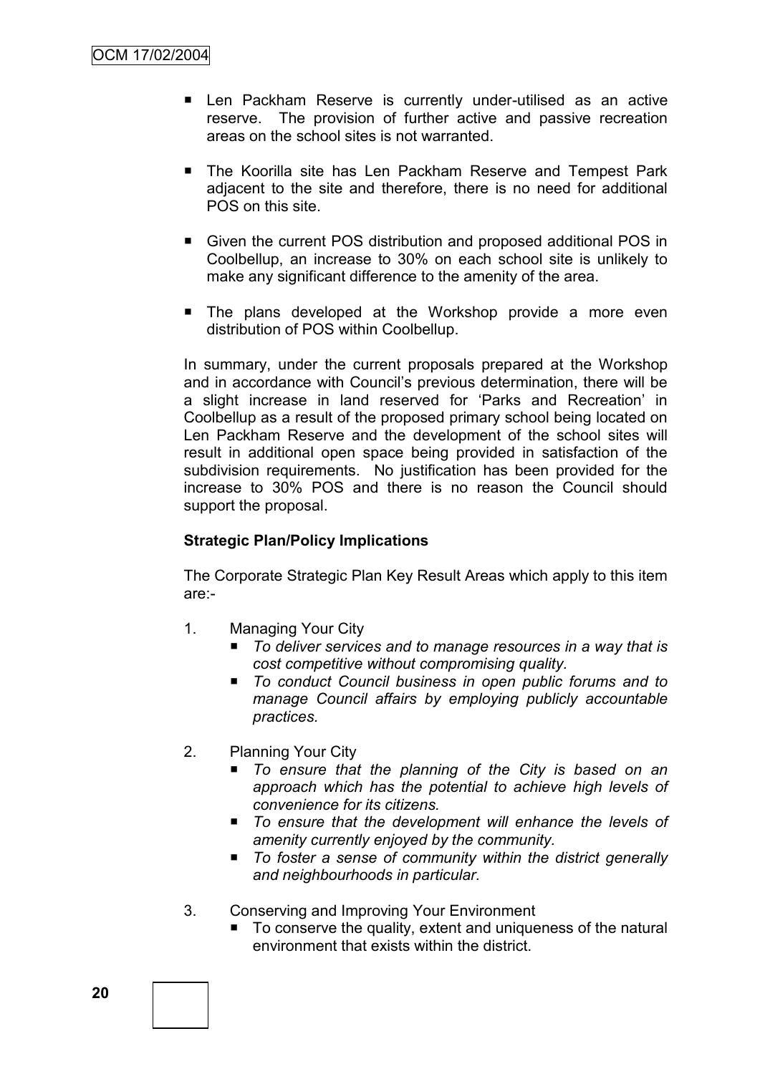- Len Packham Reserve is currently under-utilised as an active reserve. The provision of further active and passive recreation areas on the school sites is not warranted.
- The Koorilla site has Len Packham Reserve and Tempest Park adjacent to the site and therefore, there is no need for additional POS on this site.
- Given the current POS distribution and proposed additional POS in Coolbellup, an increase to 30% on each school site is unlikely to make any significant difference to the amenity of the area.
- **The plans developed at the Workshop provide a more even** distribution of POS within Coolbellup.

In summary, under the current proposals prepared at the Workshop and in accordance with Council"s previous determination, there will be a slight increase in land reserved for "Parks and Recreation" in Coolbellup as a result of the proposed primary school being located on Len Packham Reserve and the development of the school sites will result in additional open space being provided in satisfaction of the subdivision requirements. No justification has been provided for the increase to 30% POS and there is no reason the Council should support the proposal.

# **Strategic Plan/Policy Implications**

The Corporate Strategic Plan Key Result Areas which apply to this item are:-

- 1. Managing Your City
	- To deliver services and to manage resources in a way that is *cost competitive without compromising quality.*
	- *To conduct Council business in open public forums and to manage Council affairs by employing publicly accountable practices.*
- 2. Planning Your City
	- *To ensure that the planning of the City is based on an approach which has the potential to achieve high levels of convenience for its citizens.*
	- To ensure that the development will enhance the levels of *amenity currently enjoyed by the community.*
	- *To foster a sense of community within the district generally and neighbourhoods in particular.*
- 3. Conserving and Improving Your Environment
	- To conserve the quality, extent and uniqueness of the natural environment that exists within the district.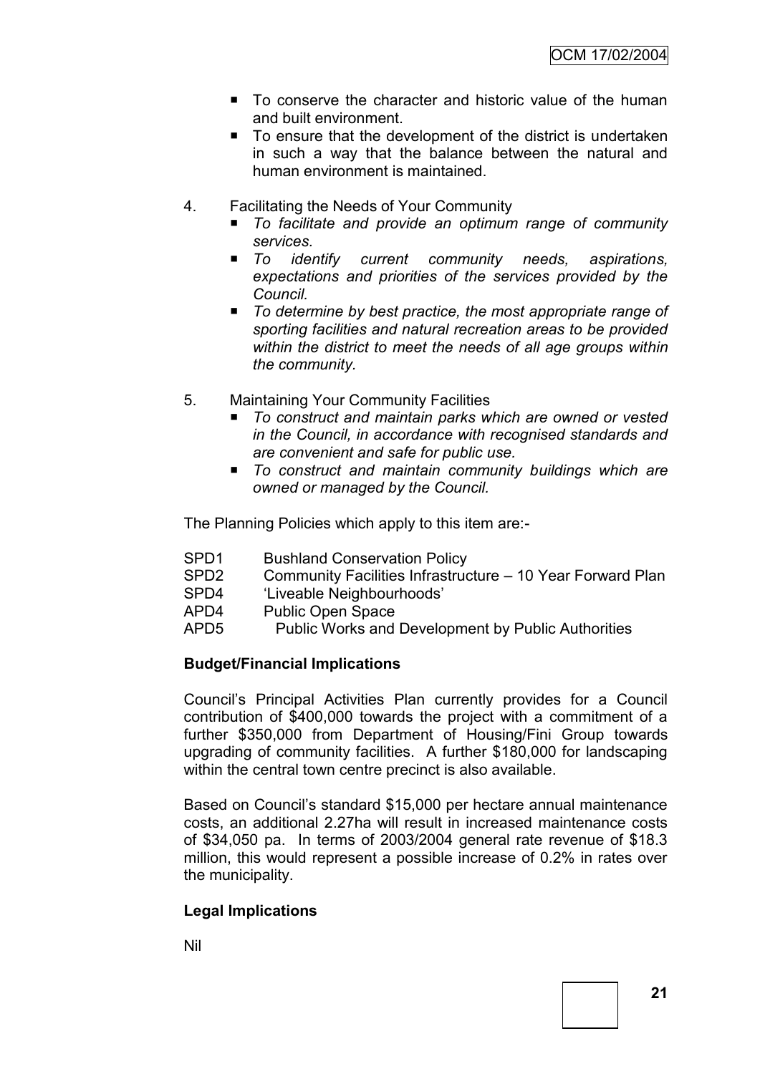- To conserve the character and historic value of the human and built environment.
- To ensure that the development of the district is undertaken in such a way that the balance between the natural and human environment is maintained.
- 4. Facilitating the Needs of Your Community
	- *To facilitate and provide an optimum range of community services.*
	- To identify current community needs, aspirations, *expectations and priorities of the services provided by the Council.*
	- *To determine by best practice, the most appropriate range of sporting facilities and natural recreation areas to be provided within the district to meet the needs of all age groups within the community.*
- 5. Maintaining Your Community Facilities
	- To construct and maintain parks which are owned or vested *in the Council, in accordance with recognised standards and are convenient and safe for public use.*
	- To construct and maintain community buildings which are *owned or managed by the Council.*

The Planning Policies which apply to this item are:-

- SPD1 Bushland Conservation Policy
- SPD2 Community Facilities Infrastructure 10 Year Forward Plan
- SPD4 "Liveable Neighbourhoods"
- APD4 Public Open Space
- APD5 Public Works and Development by Public Authorities

# **Budget/Financial Implications**

Council"s Principal Activities Plan currently provides for a Council contribution of \$400,000 towards the project with a commitment of a further \$350,000 from Department of Housing/Fini Group towards upgrading of community facilities. A further \$180,000 for landscaping within the central town centre precinct is also available.

Based on Council"s standard \$15,000 per hectare annual maintenance costs, an additional 2.27ha will result in increased maintenance costs of \$34,050 pa. In terms of 2003/2004 general rate revenue of \$18.3 million, this would represent a possible increase of 0.2% in rates over the municipality.

# **Legal Implications**

Nil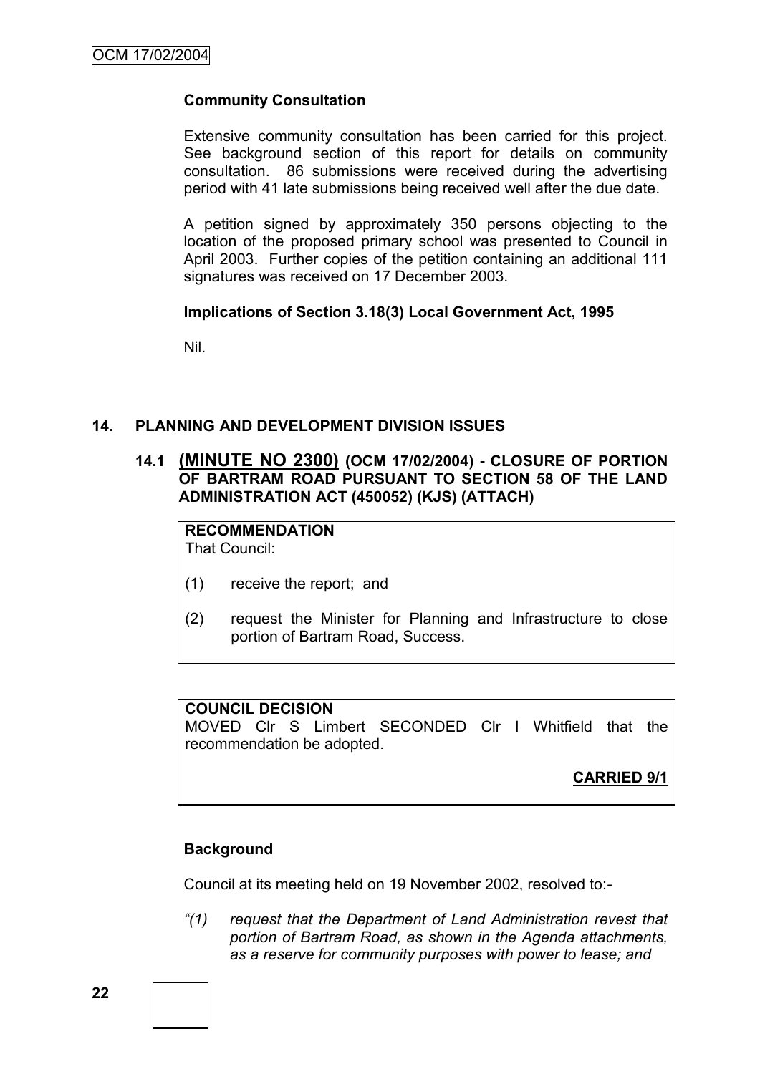# **Community Consultation**

Extensive community consultation has been carried for this project. See background section of this report for details on community consultation. 86 submissions were received during the advertising period with 41 late submissions being received well after the due date.

A petition signed by approximately 350 persons objecting to the location of the proposed primary school was presented to Council in April 2003. Further copies of the petition containing an additional 111 signatures was received on 17 December 2003.

#### **Implications of Section 3.18(3) Local Government Act, 1995**

Nil.

#### **14. PLANNING AND DEVELOPMENT DIVISION ISSUES**

# **14.1 (MINUTE NO 2300) (OCM 17/02/2004) - CLOSURE OF PORTION OF BARTRAM ROAD PURSUANT TO SECTION 58 OF THE LAND ADMINISTRATION ACT (450052) (KJS) (ATTACH)**

**RECOMMENDATION** That Council:

- (1) receive the report; and
- (2) request the Minister for Planning and Infrastructure to close portion of Bartram Road, Success.

# **COUNCIL DECISION**

MOVED Clr S Limbert SECONDED Clr I Whitfield that the recommendation be adopted.

**CARRIED 9/1**

#### **Background**

Council at its meeting held on 19 November 2002, resolved to:-

*"(1) request that the Department of Land Administration revest that portion of Bartram Road, as shown in the Agenda attachments, as a reserve for community purposes with power to lease; and*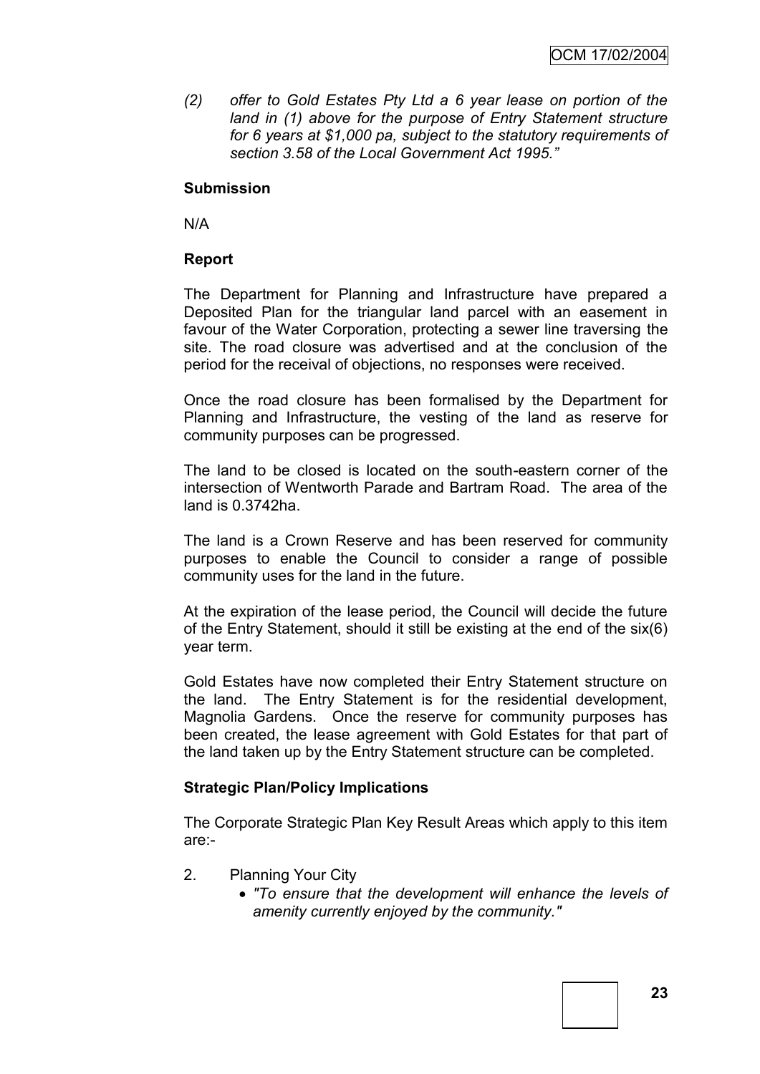*(2) offer to Gold Estates Pty Ltd a 6 year lease on portion of the land in (1) above for the purpose of Entry Statement structure for 6 years at \$1,000 pa, subject to the statutory requirements of section 3.58 of the Local Government Act 1995."*

# **Submission**

N/A

# **Report**

The Department for Planning and Infrastructure have prepared a Deposited Plan for the triangular land parcel with an easement in favour of the Water Corporation, protecting a sewer line traversing the site. The road closure was advertised and at the conclusion of the period for the receival of objections, no responses were received.

Once the road closure has been formalised by the Department for Planning and Infrastructure, the vesting of the land as reserve for community purposes can be progressed.

The land to be closed is located on the south-eastern corner of the intersection of Wentworth Parade and Bartram Road. The area of the land is 0.3742ha.

The land is a Crown Reserve and has been reserved for community purposes to enable the Council to consider a range of possible community uses for the land in the future.

At the expiration of the lease period, the Council will decide the future of the Entry Statement, should it still be existing at the end of the six(6) year term.

Gold Estates have now completed their Entry Statement structure on the land. The Entry Statement is for the residential development, Magnolia Gardens. Once the reserve for community purposes has been created, the lease agreement with Gold Estates for that part of the land taken up by the Entry Statement structure can be completed.

#### **Strategic Plan/Policy Implications**

The Corporate Strategic Plan Key Result Areas which apply to this item are:-

- 2. Planning Your City
	- *"To ensure that the development will enhance the levels of amenity currently enjoyed by the community."*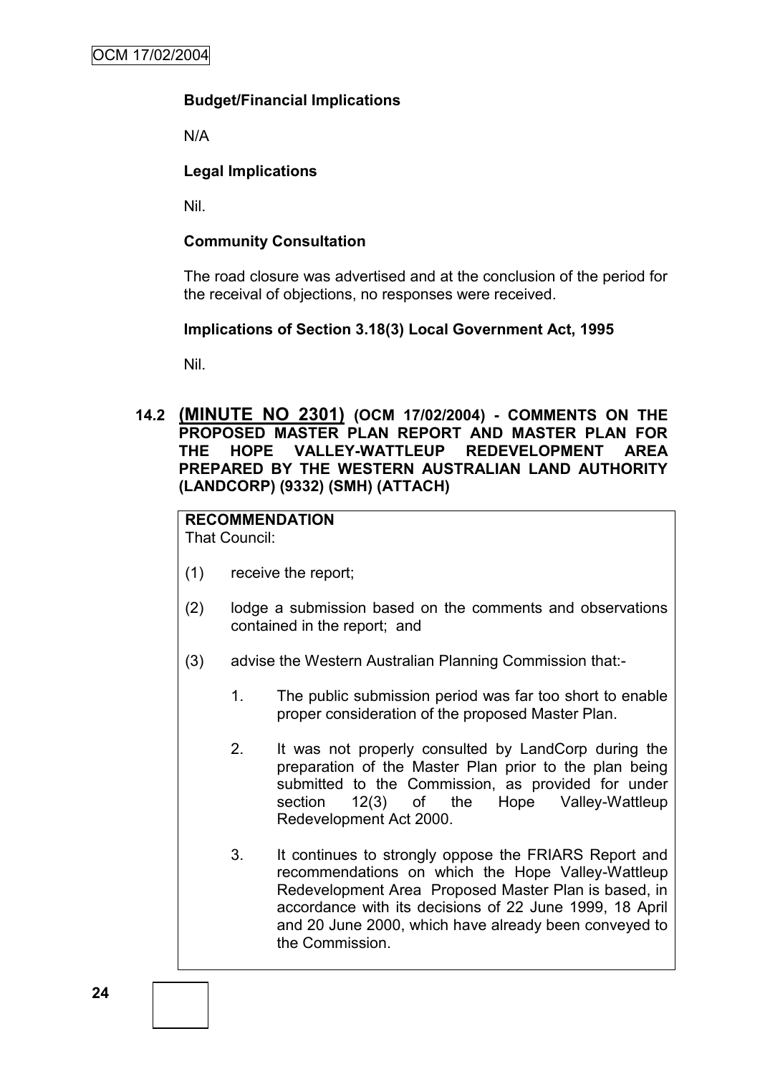# **Budget/Financial Implications**

N/A

# **Legal Implications**

Nil.

# **Community Consultation**

The road closure was advertised and at the conclusion of the period for the receival of objections, no responses were received.

# **Implications of Section 3.18(3) Local Government Act, 1995**

Nil.

## **14.2 (MINUTE NO 2301) (OCM 17/02/2004) - COMMENTS ON THE PROPOSED MASTER PLAN REPORT AND MASTER PLAN FOR THE HOPE VALLEY-WATTLEUP REDEVELOPMENT AREA PREPARED BY THE WESTERN AUSTRALIAN LAND AUTHORITY (LANDCORP) (9332) (SMH) (ATTACH)**

# **RECOMMENDATION**

That Council:

- (1) receive the report;
- (2) lodge a submission based on the comments and observations contained in the report; and
- (3) advise the Western Australian Planning Commission that:-
	- 1. The public submission period was far too short to enable proper consideration of the proposed Master Plan.
	- 2. It was not properly consulted by LandCorp during the preparation of the Master Plan prior to the plan being submitted to the Commission, as provided for under section 12(3) of the Hope Valley-Wattleup Redevelopment Act 2000.
	- 3. It continues to strongly oppose the FRIARS Report and recommendations on which the Hope Valley-Wattleup Redevelopment Area Proposed Master Plan is based, in accordance with its decisions of 22 June 1999, 18 April and 20 June 2000, which have already been conveyed to the Commission.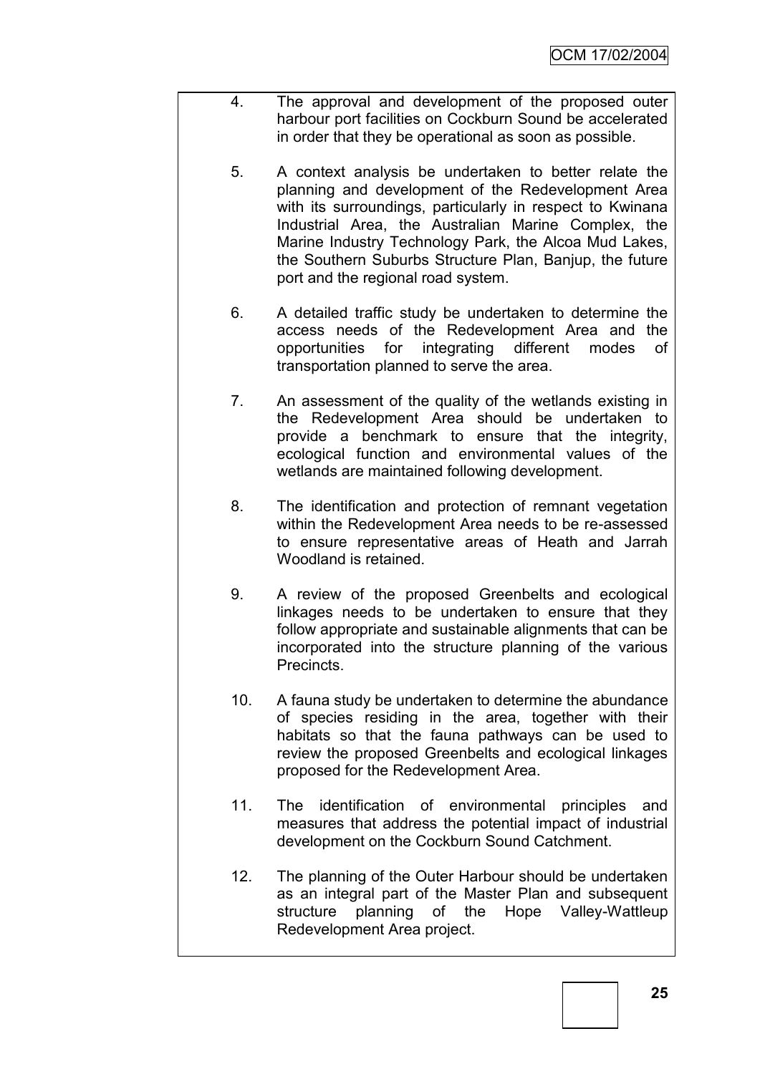- 4. The approval and development of the proposed outer harbour port facilities on Cockburn Sound be accelerated in order that they be operational as soon as possible.
	- 5. A context analysis be undertaken to better relate the planning and development of the Redevelopment Area with its surroundings, particularly in respect to Kwinana Industrial Area, the Australian Marine Complex, the Marine Industry Technology Park, the Alcoa Mud Lakes, the Southern Suburbs Structure Plan, Banjup, the future port and the regional road system.
	- 6. A detailed traffic study be undertaken to determine the access needs of the Redevelopment Area and the opportunities for integrating different modes of transportation planned to serve the area.
	- 7. An assessment of the quality of the wetlands existing in the Redevelopment Area should be undertaken to provide a benchmark to ensure that the integrity, ecological function and environmental values of the wetlands are maintained following development.
	- 8. The identification and protection of remnant vegetation within the Redevelopment Area needs to be re-assessed to ensure representative areas of Heath and Jarrah Woodland is retained.
	- 9. A review of the proposed Greenbelts and ecological linkages needs to be undertaken to ensure that they follow appropriate and sustainable alignments that can be incorporated into the structure planning of the various Precincts.
	- 10. A fauna study be undertaken to determine the abundance of species residing in the area, together with their habitats so that the fauna pathways can be used to review the proposed Greenbelts and ecological linkages proposed for the Redevelopment Area.
	- 11. The identification of environmental principles and measures that address the potential impact of industrial development on the Cockburn Sound Catchment.
	- 12. The planning of the Outer Harbour should be undertaken as an integral part of the Master Plan and subsequent structure planning of the Hope Valley-Wattleup Redevelopment Area project.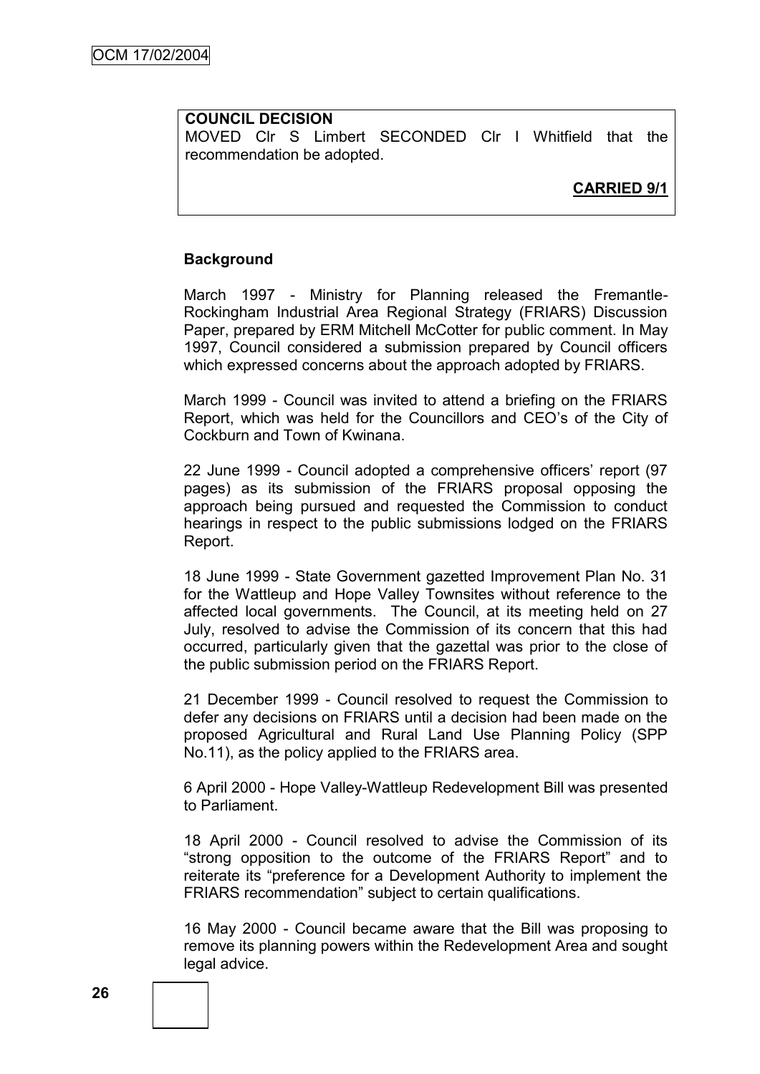#### **COUNCIL DECISION**

MOVED Clr S Limbert SECONDED Clr I Whitfield that the recommendation be adopted.

# **CARRIED 9/1**

#### **Background**

March 1997 - Ministry for Planning released the Fremantle-Rockingham Industrial Area Regional Strategy (FRIARS) Discussion Paper, prepared by ERM Mitchell McCotter for public comment. In May 1997, Council considered a submission prepared by Council officers which expressed concerns about the approach adopted by FRIARS.

March 1999 - Council was invited to attend a briefing on the FRIARS Report, which was held for the Councillors and CEO"s of the City of Cockburn and Town of Kwinana.

22 June 1999 - Council adopted a comprehensive officers' report (97 pages) as its submission of the FRIARS proposal opposing the approach being pursued and requested the Commission to conduct hearings in respect to the public submissions lodged on the FRIARS Report.

18 June 1999 - State Government gazetted Improvement Plan No. 31 for the Wattleup and Hope Valley Townsites without reference to the affected local governments. The Council, at its meeting held on 27 July, resolved to advise the Commission of its concern that this had occurred, particularly given that the gazettal was prior to the close of the public submission period on the FRIARS Report.

21 December 1999 - Council resolved to request the Commission to defer any decisions on FRIARS until a decision had been made on the proposed Agricultural and Rural Land Use Planning Policy (SPP No.11), as the policy applied to the FRIARS area.

6 April 2000 - Hope Valley-Wattleup Redevelopment Bill was presented to Parliament.

18 April 2000 - Council resolved to advise the Commission of its "strong opposition to the outcome of the FRIARS Report" and to reiterate its "preference for a Development Authority to implement the FRIARS recommendation" subject to certain qualifications.

16 May 2000 - Council became aware that the Bill was proposing to remove its planning powers within the Redevelopment Area and sought legal advice.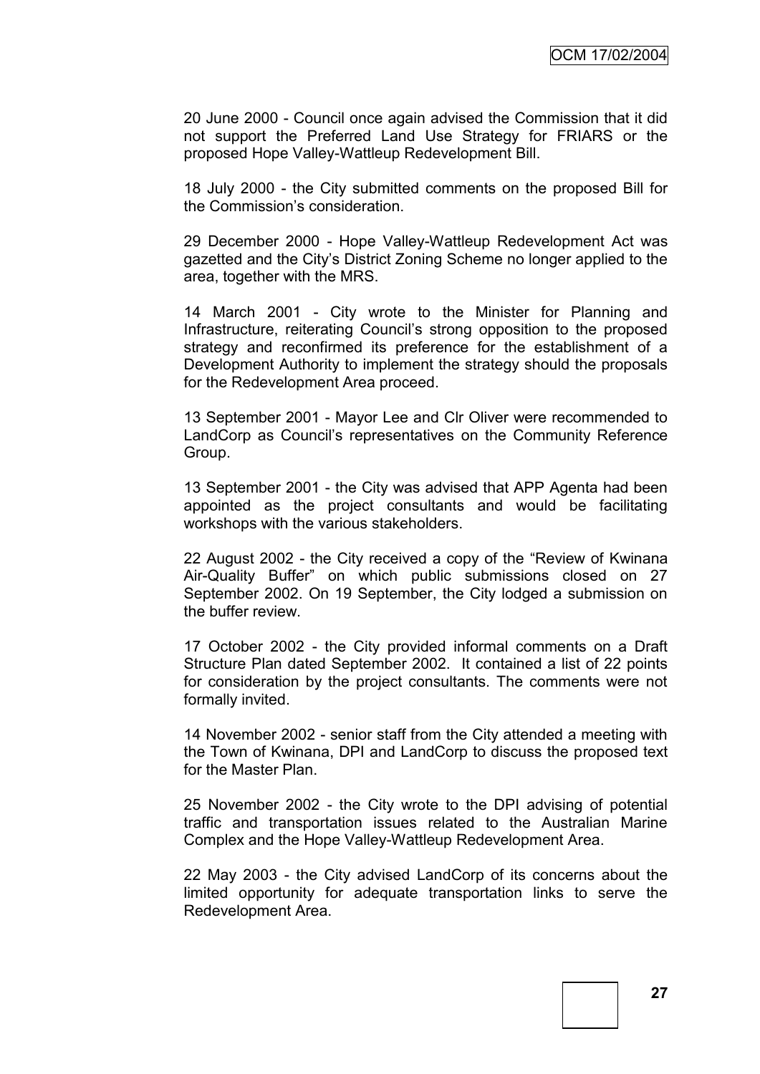20 June 2000 - Council once again advised the Commission that it did not support the Preferred Land Use Strategy for FRIARS or the proposed Hope Valley-Wattleup Redevelopment Bill.

18 July 2000 - the City submitted comments on the proposed Bill for the Commission"s consideration.

29 December 2000 - Hope Valley-Wattleup Redevelopment Act was gazetted and the City"s District Zoning Scheme no longer applied to the area, together with the MRS.

14 March 2001 - City wrote to the Minister for Planning and Infrastructure, reiterating Council's strong opposition to the proposed strategy and reconfirmed its preference for the establishment of a Development Authority to implement the strategy should the proposals for the Redevelopment Area proceed.

13 September 2001 - Mayor Lee and Clr Oliver were recommended to LandCorp as Council"s representatives on the Community Reference Group.

13 September 2001 - the City was advised that APP Agenta had been appointed as the project consultants and would be facilitating workshops with the various stakeholders.

22 August 2002 - the City received a copy of the "Review of Kwinana Air-Quality Buffer" on which public submissions closed on 27 September 2002. On 19 September, the City lodged a submission on the buffer review.

17 October 2002 - the City provided informal comments on a Draft Structure Plan dated September 2002. It contained a list of 22 points for consideration by the project consultants. The comments were not formally invited.

14 November 2002 - senior staff from the City attended a meeting with the Town of Kwinana, DPI and LandCorp to discuss the proposed text for the Master Plan.

25 November 2002 - the City wrote to the DPI advising of potential traffic and transportation issues related to the Australian Marine Complex and the Hope Valley-Wattleup Redevelopment Area.

22 May 2003 - the City advised LandCorp of its concerns about the limited opportunity for adequate transportation links to serve the Redevelopment Area.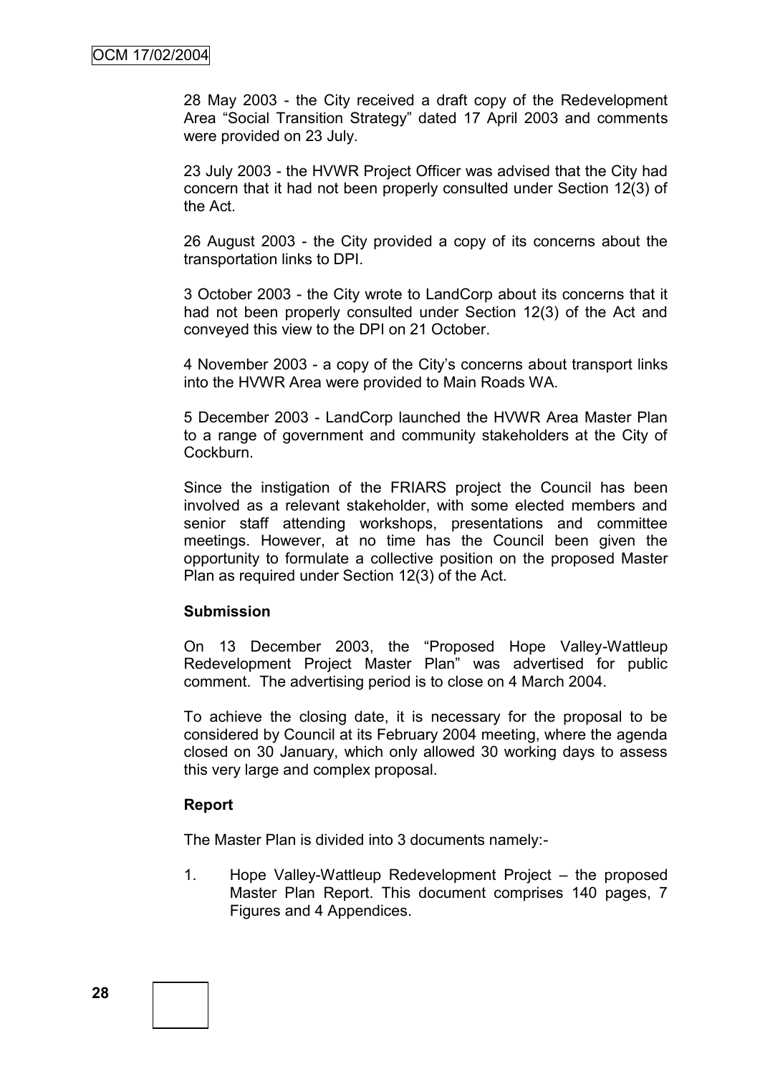28 May 2003 - the City received a draft copy of the Redevelopment Area "Social Transition Strategy" dated 17 April 2003 and comments were provided on 23 July.

23 July 2003 - the HVWR Project Officer was advised that the City had concern that it had not been properly consulted under Section 12(3) of the Act.

26 August 2003 - the City provided a copy of its concerns about the transportation links to DPI.

3 October 2003 - the City wrote to LandCorp about its concerns that it had not been properly consulted under Section 12(3) of the Act and conveyed this view to the DPI on 21 October.

4 November 2003 - a copy of the City"s concerns about transport links into the HVWR Area were provided to Main Roads WA.

5 December 2003 - LandCorp launched the HVWR Area Master Plan to a range of government and community stakeholders at the City of Cockburn.

Since the instigation of the FRIARS project the Council has been involved as a relevant stakeholder, with some elected members and senior staff attending workshops, presentations and committee meetings. However, at no time has the Council been given the opportunity to formulate a collective position on the proposed Master Plan as required under Section 12(3) of the Act.

#### **Submission**

On 13 December 2003, the "Proposed Hope Valley-Wattleup Redevelopment Project Master Plan" was advertised for public comment. The advertising period is to close on 4 March 2004.

To achieve the closing date, it is necessary for the proposal to be considered by Council at its February 2004 meeting, where the agenda closed on 30 January, which only allowed 30 working days to assess this very large and complex proposal.

#### **Report**

The Master Plan is divided into 3 documents namely:-

1. Hope Valley-Wattleup Redevelopment Project – the proposed Master Plan Report. This document comprises 140 pages, 7 Figures and 4 Appendices.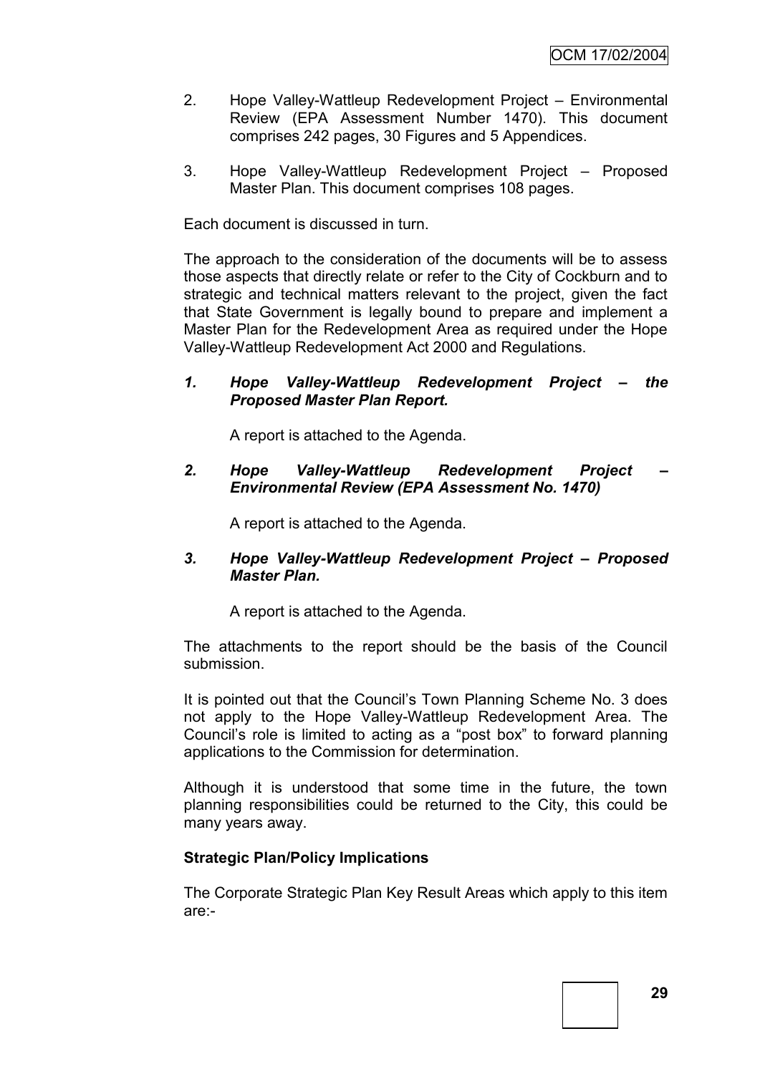- 2. Hope Valley-Wattleup Redevelopment Project Environmental Review (EPA Assessment Number 1470). This document comprises 242 pages, 30 Figures and 5 Appendices.
- 3. Hope Valley-Wattleup Redevelopment Project Proposed Master Plan. This document comprises 108 pages.

Each document is discussed in turn.

The approach to the consideration of the documents will be to assess those aspects that directly relate or refer to the City of Cockburn and to strategic and technical matters relevant to the project, given the fact that State Government is legally bound to prepare and implement a Master Plan for the Redevelopment Area as required under the Hope Valley-Wattleup Redevelopment Act 2000 and Regulations.

#### *1. Hope Valley-Wattleup Redevelopment Project – the Proposed Master Plan Report.*

A report is attached to the Agenda.

*2. Hope Valley-Wattleup Redevelopment Project – Environmental Review (EPA Assessment No. 1470)*

A report is attached to the Agenda.

#### *3. Hope Valley-Wattleup Redevelopment Project – Proposed Master Plan.*

A report is attached to the Agenda.

The attachments to the report should be the basis of the Council submission.

It is pointed out that the Council's Town Planning Scheme No. 3 does not apply to the Hope Valley-Wattleup Redevelopment Area. The Council"s role is limited to acting as a "post box" to forward planning applications to the Commission for determination.

Although it is understood that some time in the future, the town planning responsibilities could be returned to the City, this could be many years away.

#### **Strategic Plan/Policy Implications**

The Corporate Strategic Plan Key Result Areas which apply to this item are:-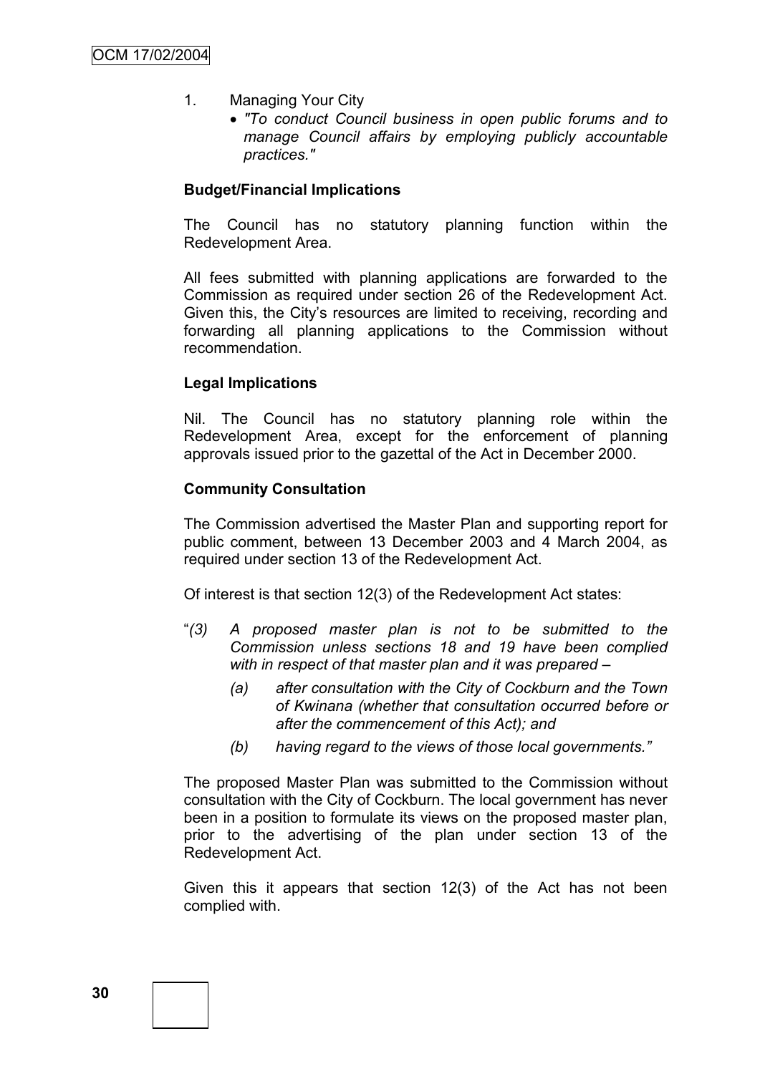- 1. Managing Your City
	- *"To conduct Council business in open public forums and to manage Council affairs by employing publicly accountable practices."*

#### **Budget/Financial Implications**

The Council has no statutory planning function within the Redevelopment Area.

All fees submitted with planning applications are forwarded to the Commission as required under section 26 of the Redevelopment Act. Given this, the City"s resources are limited to receiving, recording and forwarding all planning applications to the Commission without recommendation.

#### **Legal Implications**

Nil. The Council has no statutory planning role within the Redevelopment Area, except for the enforcement of planning approvals issued prior to the gazettal of the Act in December 2000.

#### **Community Consultation**

The Commission advertised the Master Plan and supporting report for public comment, between 13 December 2003 and 4 March 2004, as required under section 13 of the Redevelopment Act.

Of interest is that section 12(3) of the Redevelopment Act states:

- "*(3) A proposed master plan is not to be submitted to the Commission unless sections 18 and 19 have been complied with in respect of that master plan and it was prepared –*
	- *(a) after consultation with the City of Cockburn and the Town of Kwinana (whether that consultation occurred before or after the commencement of this Act); and*
	- *(b) having regard to the views of those local governments."*

The proposed Master Plan was submitted to the Commission without consultation with the City of Cockburn. The local government has never been in a position to formulate its views on the proposed master plan, prior to the advertising of the plan under section 13 of the Redevelopment Act.

Given this it appears that section 12(3) of the Act has not been complied with.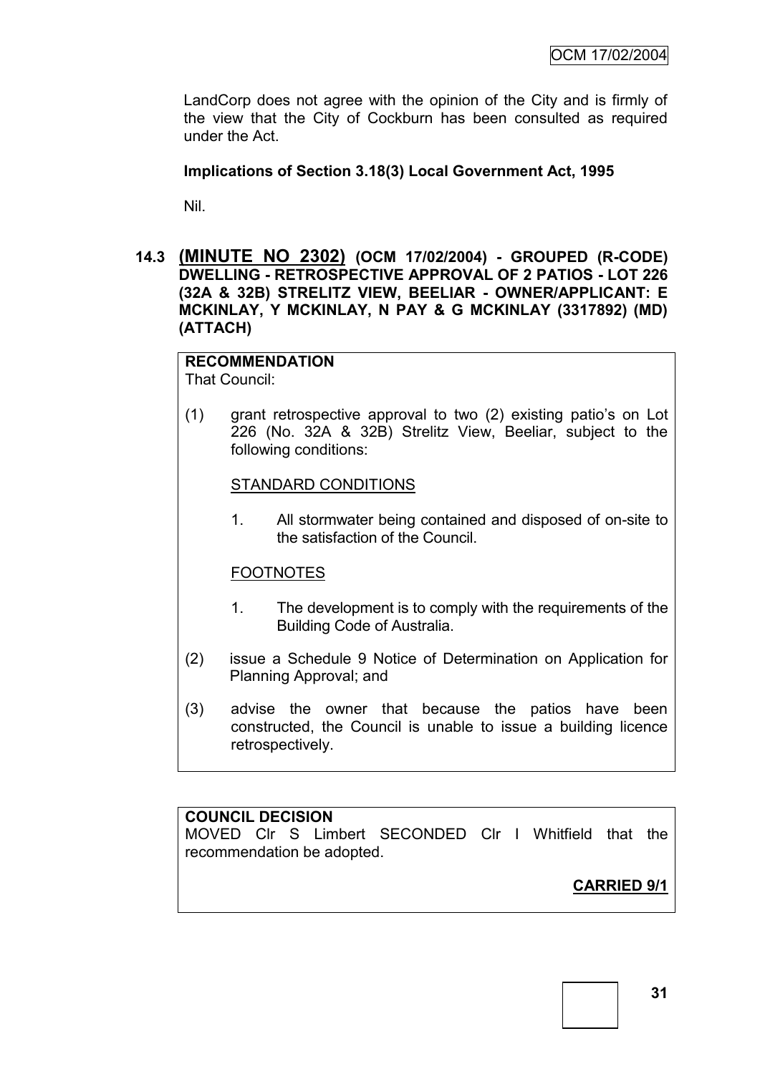LandCorp does not agree with the opinion of the City and is firmly of the view that the City of Cockburn has been consulted as required under the Act.

## **Implications of Section 3.18(3) Local Government Act, 1995**

Nil.

**14.3 (MINUTE NO 2302) (OCM 17/02/2004) - GROUPED (R-CODE) DWELLING - RETROSPECTIVE APPROVAL OF 2 PATIOS - LOT 226 (32A & 32B) STRELITZ VIEW, BEELIAR - OWNER/APPLICANT: E MCKINLAY, Y MCKINLAY, N PAY & G MCKINLAY (3317892) (MD) (ATTACH)**

#### **RECOMMENDATION** That Council:

(1) grant retrospective approval to two (2) existing patio"s on Lot 226 (No. 32A & 32B) Strelitz View, Beeliar, subject to the following conditions:

## STANDARD CONDITIONS

1. All stormwater being contained and disposed of on-site to the satisfaction of the Council.

## FOOTNOTES

- 1. The development is to comply with the requirements of the Building Code of Australia.
- (2) issue a Schedule 9 Notice of Determination on Application for Planning Approval; and
- (3) advise the owner that because the patios have been constructed, the Council is unable to issue a building licence retrospectively.

## **COUNCIL DECISION**

MOVED Clr S Limbert SECONDED Clr I Whitfield that the recommendation be adopted.

**CARRIED 9/1**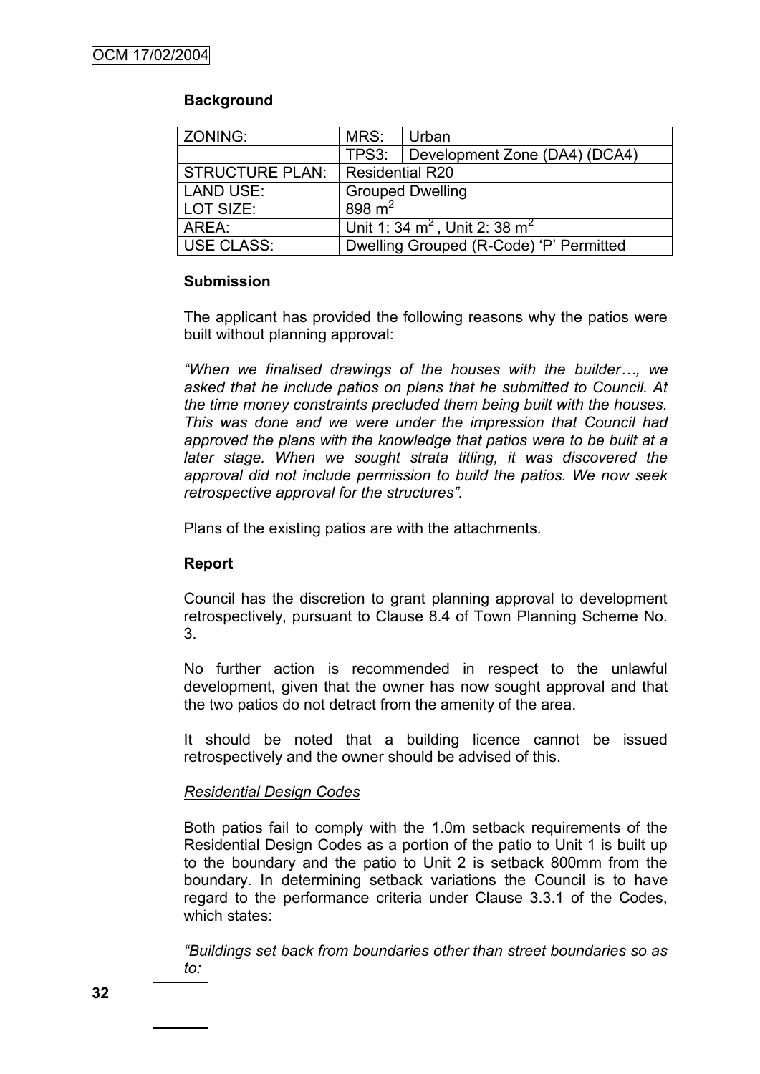# **Background**

| ZONING:         | MRS:                                    | Urban                               |
|-----------------|-----------------------------------------|-------------------------------------|
|                 |                                         | TPS3: Development Zone (DA4) (DCA4) |
| STRUCTURE PLAN: | Residential R20                         |                                     |
| LAND USE:       | <b>Grouped Dwelling</b>                 |                                     |
| LOT SIZE:       | 898 $m2$                                |                                     |
| AREA:           | Unit 1: 34 $m^2$ , Unit 2: 38 $m^2$     |                                     |
| USE CLASS:      | Dwelling Grouped (R-Code) 'P' Permitted |                                     |

## **Submission**

The applicant has provided the following reasons why the patios were built without planning approval:

*"When we finalised drawings of the houses with the builder…, we asked that he include patios on plans that he submitted to Council. At the time money constraints precluded them being built with the houses. This was done and we were under the impression that Council had approved the plans with the knowledge that patios were to be built at a*  later stage. When we sought strata titling, it was discovered the *approval did not include permission to build the patios. We now seek retrospective approval for the structures".*

Plans of the existing patios are with the attachments.

# **Report**

Council has the discretion to grant planning approval to development retrospectively, pursuant to Clause 8.4 of Town Planning Scheme No. 3.

No further action is recommended in respect to the unlawful development, given that the owner has now sought approval and that the two patios do not detract from the amenity of the area.

It should be noted that a building licence cannot be issued retrospectively and the owner should be advised of this.

## *Residential Design Codes*

Both patios fail to comply with the 1.0m setback requirements of the Residential Design Codes as a portion of the patio to Unit 1 is built up to the boundary and the patio to Unit 2 is setback 800mm from the boundary. In determining setback variations the Council is to have regard to the performance criteria under Clause 3.3.1 of the Codes, which states:

*"Buildings set back from boundaries other than street boundaries so as to:*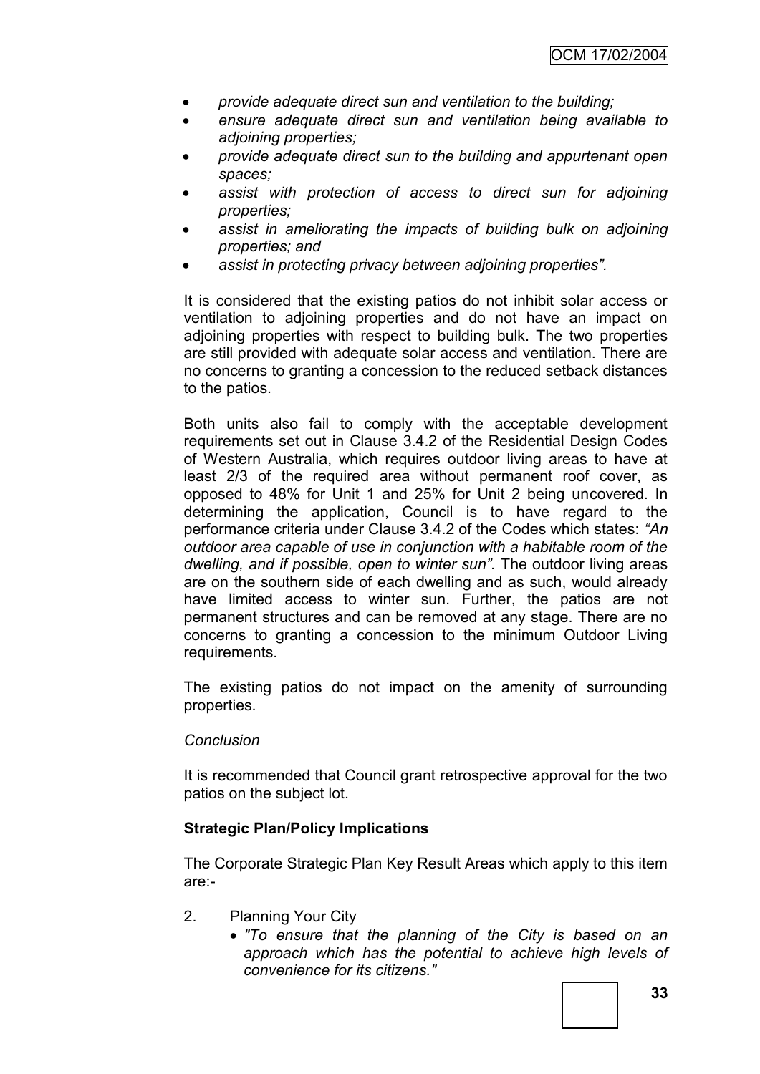- *provide adequate direct sun and ventilation to the building;*
- *ensure adequate direct sun and ventilation being available to adjoining properties;*
- *provide adequate direct sun to the building and appurtenant open spaces;*
- *assist with protection of access to direct sun for adjoining properties;*
- *assist in ameliorating the impacts of building bulk on adjoining properties; and*
- *assist in protecting privacy between adjoining properties".*

It is considered that the existing patios do not inhibit solar access or ventilation to adjoining properties and do not have an impact on adjoining properties with respect to building bulk. The two properties are still provided with adequate solar access and ventilation. There are no concerns to granting a concession to the reduced setback distances to the patios.

Both units also fail to comply with the acceptable development requirements set out in Clause 3.4.2 of the Residential Design Codes of Western Australia, which requires outdoor living areas to have at least 2/3 of the required area without permanent roof cover, as opposed to 48% for Unit 1 and 25% for Unit 2 being uncovered. In determining the application, Council is to have regard to the performance criteria under Clause 3.4.2 of the Codes which states: *"An outdoor area capable of use in conjunction with a habitable room of the dwelling, and if possible, open to winter sun".* The outdoor living areas are on the southern side of each dwelling and as such, would already have limited access to winter sun*.* Further, the patios are not permanent structures and can be removed at any stage. There are no concerns to granting a concession to the minimum Outdoor Living requirements.

The existing patios do not impact on the amenity of surrounding properties.

## *Conclusion*

It is recommended that Council grant retrospective approval for the two patios on the subject lot.

## **Strategic Plan/Policy Implications**

The Corporate Strategic Plan Key Result Areas which apply to this item are:-

- 2. Planning Your City
	- *"To ensure that the planning of the City is based on an approach which has the potential to achieve high levels of convenience for its citizens."*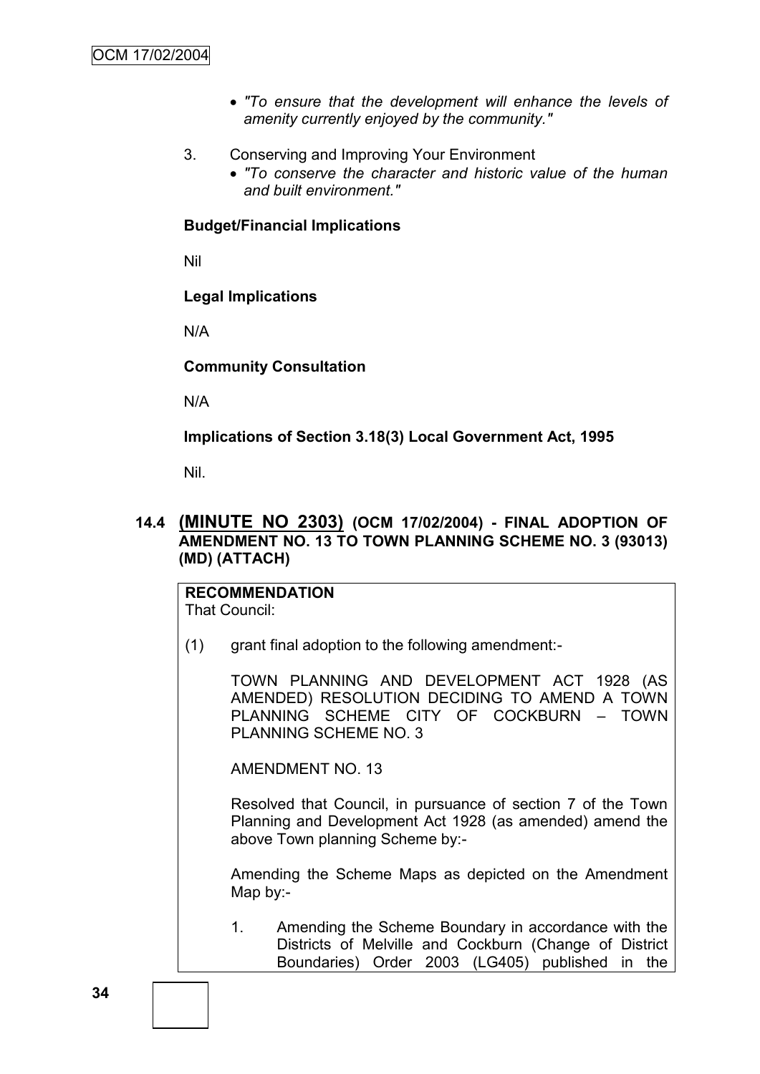- *"To ensure that the development will enhance the levels of amenity currently enjoyed by the community."*
- 3. Conserving and Improving Your Environment
	- *"To conserve the character and historic value of the human and built environment."*

#### **Budget/Financial Implications**

Nil

#### **Legal Implications**

N/A

**Community Consultation**

N/A

#### **Implications of Section 3.18(3) Local Government Act, 1995**

Nil.

# **14.4 (MINUTE NO 2303) (OCM 17/02/2004) - FINAL ADOPTION OF AMENDMENT NO. 13 TO TOWN PLANNING SCHEME NO. 3 (93013) (MD) (ATTACH)**

#### **RECOMMENDATION** That Council:

(1) grant final adoption to the following amendment:-

TOWN PLANNING AND DEVELOPMENT ACT 1928 (AS AMENDED) RESOLUTION DECIDING TO AMEND A TOWN PLANNING SCHEME CITY OF COCKBURN – TOWN PLANNING SCHEME NO. 3

AMENDMENT NO. 13

Resolved that Council, in pursuance of section 7 of the Town Planning and Development Act 1928 (as amended) amend the above Town planning Scheme by:-

Amending the Scheme Maps as depicted on the Amendment Map by:-

1. Amending the Scheme Boundary in accordance with the Districts of Melville and Cockburn (Change of District Boundaries) Order 2003 (LG405) published in the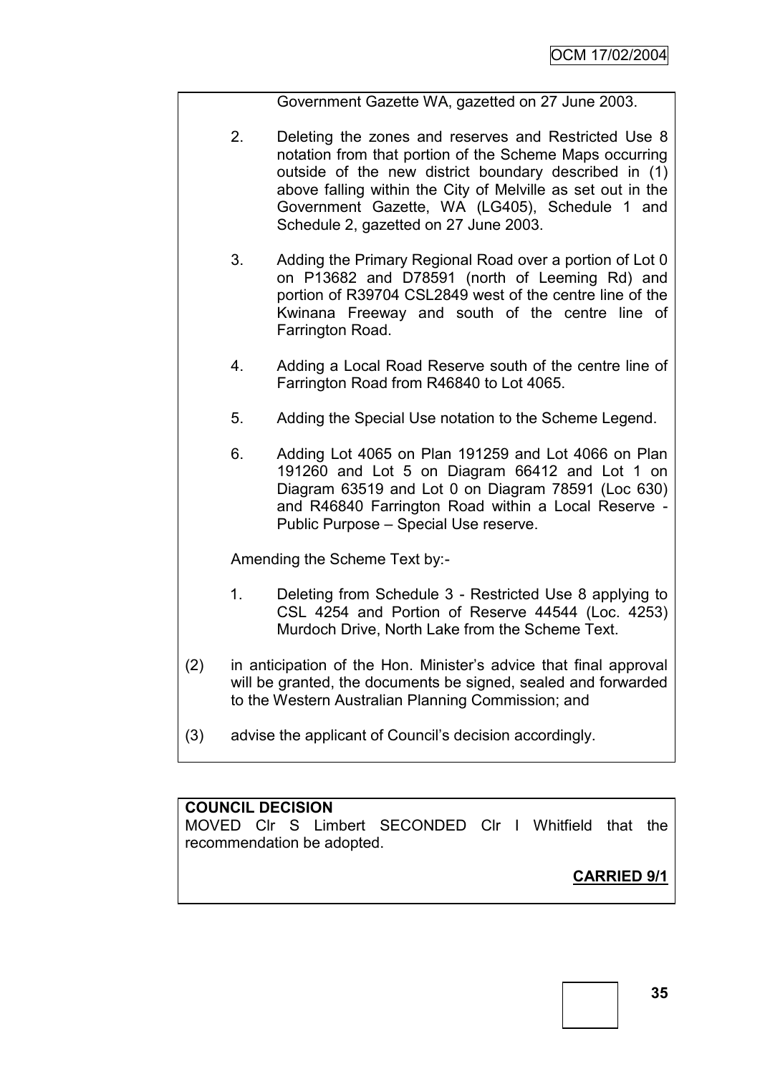Government Gazette WA, gazetted on 27 June 2003.

- 2. Deleting the zones and reserves and Restricted Use 8 notation from that portion of the Scheme Maps occurring outside of the new district boundary described in (1) above falling within the City of Melville as set out in the Government Gazette, WA (LG405), Schedule 1 and Schedule 2, gazetted on 27 June 2003.
- 3. Adding the Primary Regional Road over a portion of Lot 0 on P13682 and D78591 (north of Leeming Rd) and portion of R39704 CSL2849 west of the centre line of the Kwinana Freeway and south of the centre line of Farrington Road.
- 4. Adding a Local Road Reserve south of the centre line of Farrington Road from R46840 to Lot 4065.
- 5. Adding the Special Use notation to the Scheme Legend.
- 6. Adding Lot 4065 on Plan 191259 and Lot 4066 on Plan 191260 and Lot 5 on Diagram 66412 and Lot 1 on Diagram 63519 and Lot 0 on Diagram 78591 (Loc 630) and R46840 Farrington Road within a Local Reserve - Public Purpose – Special Use reserve.

Amending the Scheme Text by:-

- 1. Deleting from Schedule 3 Restricted Use 8 applying to CSL 4254 and Portion of Reserve 44544 (Loc. 4253) Murdoch Drive, North Lake from the Scheme Text.
- (2) in anticipation of the Hon. Minister"s advice that final approval will be granted, the documents be signed, sealed and forwarded to the Western Australian Planning Commission; and
- (3) advise the applicant of Council"s decision accordingly.

## **COUNCIL DECISION**

MOVED Clr S Limbert SECONDED Clr I Whitfield that the recommendation be adopted.

# **CARRIED 9/1**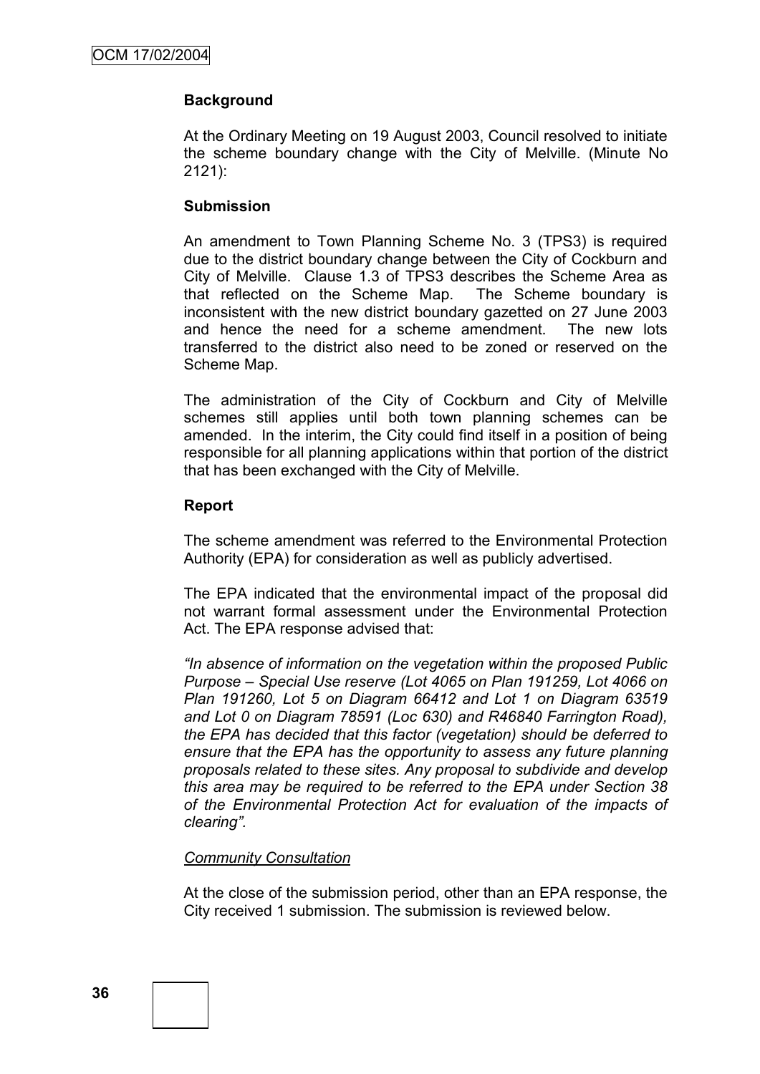## **Background**

At the Ordinary Meeting on 19 August 2003, Council resolved to initiate the scheme boundary change with the City of Melville. (Minute No 2121):

#### **Submission**

An amendment to Town Planning Scheme No. 3 (TPS3) is required due to the district boundary change between the City of Cockburn and City of Melville. Clause 1.3 of TPS3 describes the Scheme Area as that reflected on the Scheme Map. The Scheme boundary is inconsistent with the new district boundary gazetted on 27 June 2003 and hence the need for a scheme amendment. The new lots transferred to the district also need to be zoned or reserved on the Scheme Map.

The administration of the City of Cockburn and City of Melville schemes still applies until both town planning schemes can be amended. In the interim, the City could find itself in a position of being responsible for all planning applications within that portion of the district that has been exchanged with the City of Melville.

#### **Report**

The scheme amendment was referred to the Environmental Protection Authority (EPA) for consideration as well as publicly advertised.

The EPA indicated that the environmental impact of the proposal did not warrant formal assessment under the Environmental Protection Act. The EPA response advised that:

*"In absence of information on the vegetation within the proposed Public Purpose – Special Use reserve (Lot 4065 on Plan 191259, Lot 4066 on Plan 191260, Lot 5 on Diagram 66412 and Lot 1 on Diagram 63519 and Lot 0 on Diagram 78591 (Loc 630) and R46840 Farrington Road), the EPA has decided that this factor (vegetation) should be deferred to ensure that the EPA has the opportunity to assess any future planning proposals related to these sites. Any proposal to subdivide and develop this area may be required to be referred to the EPA under Section 38 of the Environmental Protection Act for evaluation of the impacts of clearing".*

## *Community Consultation*

At the close of the submission period, other than an EPA response, the City received 1 submission. The submission is reviewed below.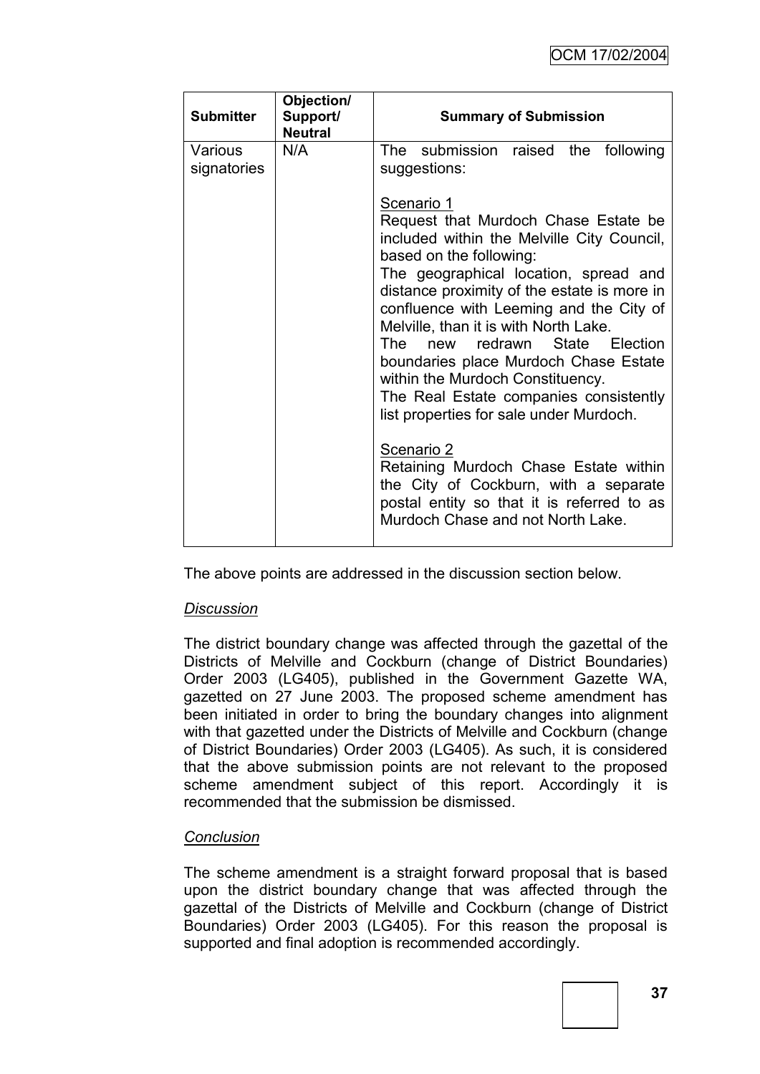| <b>Submitter</b>       | Objection/<br>Support/<br><b>Neutral</b> | <b>Summary of Submission</b>                                                                                                                                                                                                                                                                                                                                                                                                                                                                                                                                                                                                                                                                      |
|------------------------|------------------------------------------|---------------------------------------------------------------------------------------------------------------------------------------------------------------------------------------------------------------------------------------------------------------------------------------------------------------------------------------------------------------------------------------------------------------------------------------------------------------------------------------------------------------------------------------------------------------------------------------------------------------------------------------------------------------------------------------------------|
| Various<br>signatories | N/A                                      | The submission raised the following<br>suggestions:                                                                                                                                                                                                                                                                                                                                                                                                                                                                                                                                                                                                                                               |
|                        |                                          | Scenario 1<br>Request that Murdoch Chase Estate be<br>included within the Melville City Council,<br>based on the following:<br>The geographical location, spread and<br>distance proximity of the estate is more in<br>confluence with Leeming and the City of<br>Melville, than it is with North Lake.<br>new redrawn State Election<br>The<br>boundaries place Murdoch Chase Estate<br>within the Murdoch Constituency.<br>The Real Estate companies consistently<br>list properties for sale under Murdoch.<br>Scenario 2<br>Retaining Murdoch Chase Estate within<br>the City of Cockburn, with a separate<br>postal entity so that it is referred to as<br>Murdoch Chase and not North Lake. |

The above points are addressed in the discussion section below.

## *Discussion*

The district boundary change was affected through the gazettal of the Districts of Melville and Cockburn (change of District Boundaries) Order 2003 (LG405), published in the Government Gazette WA, gazetted on 27 June 2003. The proposed scheme amendment has been initiated in order to bring the boundary changes into alignment with that gazetted under the Districts of Melville and Cockburn (change of District Boundaries) Order 2003 (LG405). As such, it is considered that the above submission points are not relevant to the proposed scheme amendment subject of this report. Accordingly it is recommended that the submission be dismissed.

## *Conclusion*

The scheme amendment is a straight forward proposal that is based upon the district boundary change that was affected through the gazettal of the Districts of Melville and Cockburn (change of District Boundaries) Order 2003 (LG405). For this reason the proposal is supported and final adoption is recommended accordingly.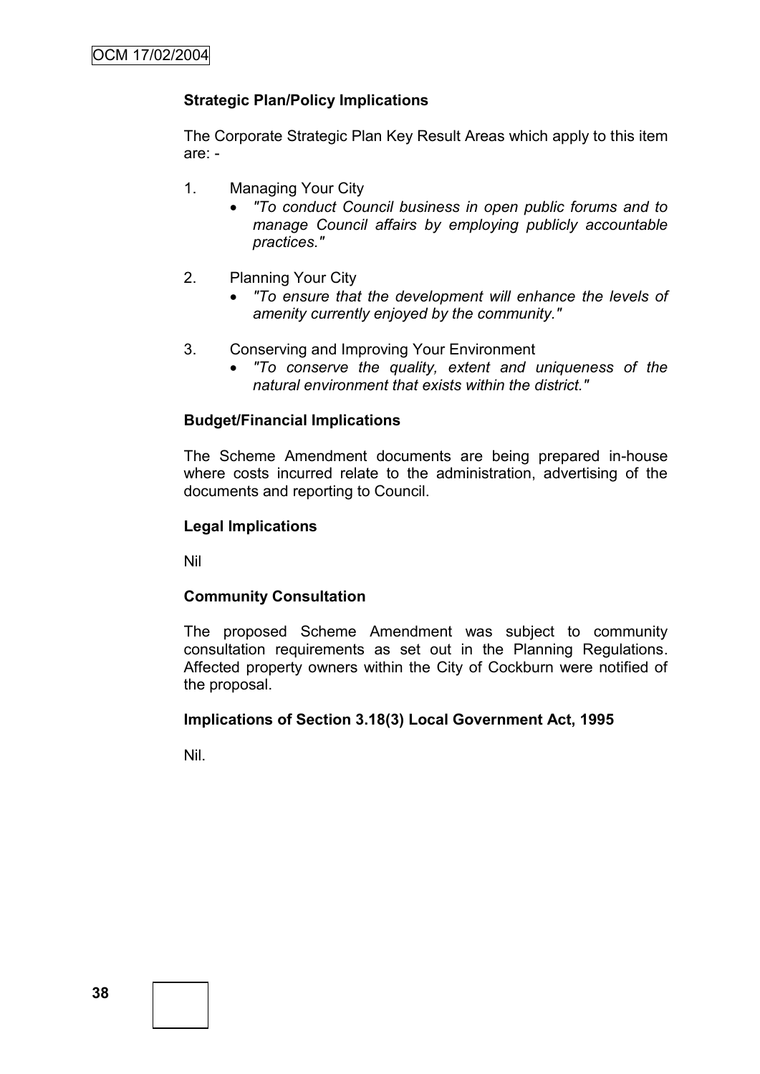# **Strategic Plan/Policy Implications**

The Corporate Strategic Plan Key Result Areas which apply to this item are: -

- 1. Managing Your City
	- *"To conduct Council business in open public forums and to manage Council affairs by employing publicly accountable practices."*
- 2. Planning Your City
	- *"To ensure that the development will enhance the levels of amenity currently enjoyed by the community."*
- 3. Conserving and Improving Your Environment
	- *"To conserve the quality, extent and uniqueness of the natural environment that exists within the district."*

#### **Budget/Financial Implications**

The Scheme Amendment documents are being prepared in-house where costs incurred relate to the administration, advertising of the documents and reporting to Council.

#### **Legal Implications**

Nil

#### **Community Consultation**

The proposed Scheme Amendment was subject to community consultation requirements as set out in the Planning Regulations. Affected property owners within the City of Cockburn were notified of the proposal.

#### **Implications of Section 3.18(3) Local Government Act, 1995**

Nil.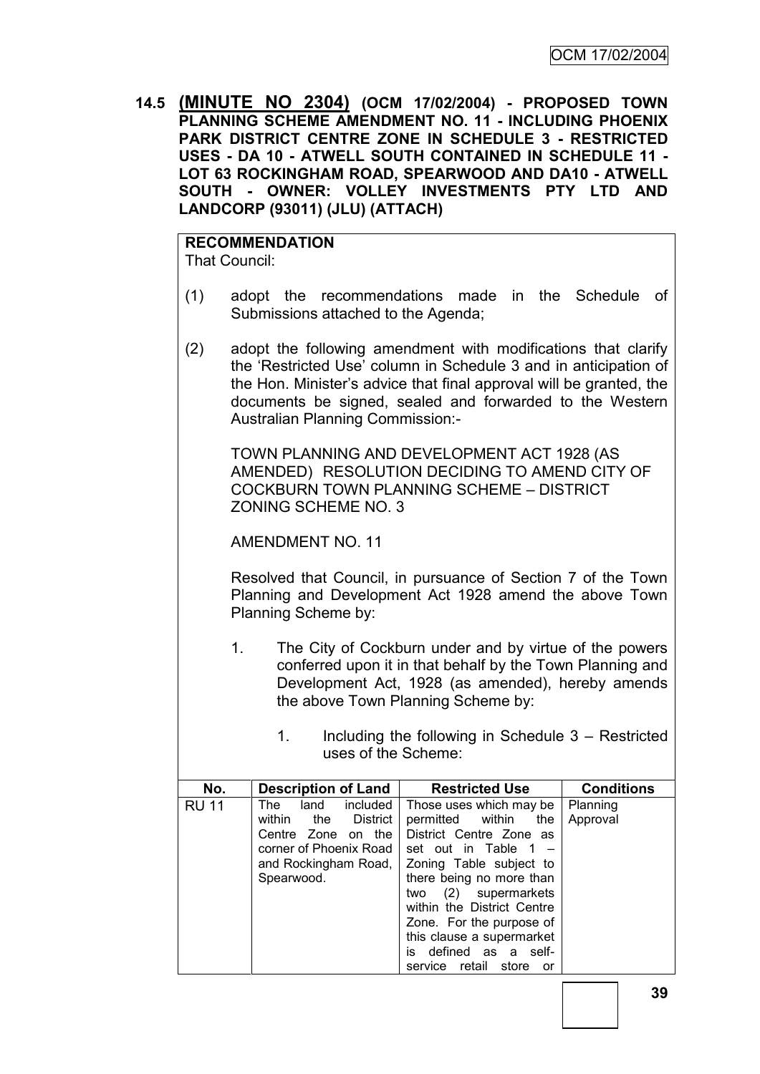**14.5 (MINUTE NO 2304) (OCM 17/02/2004) - PROPOSED TOWN PLANNING SCHEME AMENDMENT NO. 11 - INCLUDING PHOENIX PARK DISTRICT CENTRE ZONE IN SCHEDULE 3 - RESTRICTED USES - DA 10 - ATWELL SOUTH CONTAINED IN SCHEDULE 11 - LOT 63 ROCKINGHAM ROAD, SPEARWOOD AND DA10 - ATWELL SOUTH - OWNER: VOLLEY INVESTMENTS PTY LTD AND LANDCORP (93011) (JLU) (ATTACH)**

# **RECOMMENDATION**

That Council:

- (1) adopt the recommendations made in the Schedule of Submissions attached to the Agenda;
- (2) adopt the following amendment with modifications that clarify the "Restricted Use" column in Schedule 3 and in anticipation of the Hon. Minister"s advice that final approval will be granted, the documents be signed, sealed and forwarded to the Western Australian Planning Commission:-

TOWN PLANNING AND DEVELOPMENT ACT 1928 (AS AMENDED) RESOLUTION DECIDING TO AMEND CITY OF COCKBURN TOWN PLANNING SCHEME – DISTRICT ZONING SCHEME NO. 3

AMENDMENT NO. 11

Resolved that Council, in pursuance of Section 7 of the Town Planning and Development Act 1928 amend the above Town Planning Scheme by:

- 1. The City of Cockburn under and by virtue of the powers conferred upon it in that behalf by the Town Planning and Development Act, 1928 (as amended), hereby amends the above Town Planning Scheme by:
	- 1. Including the following in Schedule 3 Restricted uses of the Scheme:

| No.          | <b>Description of Land</b>                                                                                                                      | <b>Restricted Use</b>                                                                                                                                                                                                                                                                                     | <b>Conditions</b>    |
|--------------|-------------------------------------------------------------------------------------------------------------------------------------------------|-----------------------------------------------------------------------------------------------------------------------------------------------------------------------------------------------------------------------------------------------------------------------------------------------------------|----------------------|
| <b>RU 11</b> | included<br>The<br>land<br>District<br>within<br>the<br>Centre Zone<br>on the<br>corner of Phoenix Road I<br>and Rockingham Road,<br>Spearwood. | Those uses which may be<br>permitted within<br>the<br>District Centre Zone as<br>set out in Table 1<br>Zoning Table subject to<br>there being no more than<br>(2) supermarkets<br>two<br>within the District Centre<br>Zone. For the purpose of<br>this clause a supermarket<br>defined as a self-<br>İS. | Planning<br>Approval |
|              |                                                                                                                                                 | service retail store<br>or                                                                                                                                                                                                                                                                                |                      |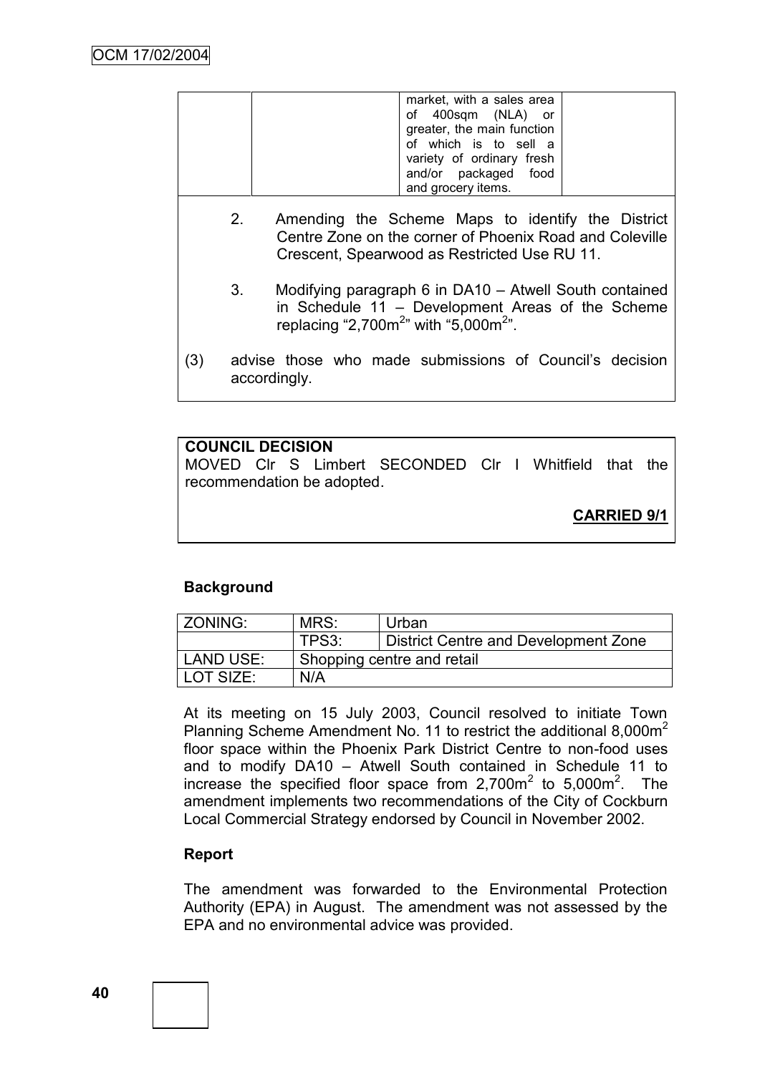| market, with a sales area<br>of 400sqm (NLA) or<br>greater, the main function                    |  |
|--------------------------------------------------------------------------------------------------|--|
| of which is to sell a<br>variety of ordinary fresh<br>and/or packaged food<br>and grocery items. |  |

- 2. Amending the Scheme Maps to identify the District Centre Zone on the corner of Phoenix Road and Coleville Crescent, Spearwood as Restricted Use RU 11.
- 3. Modifying paragraph 6 in DA10 Atwell South contained in Schedule 11 – Development Areas of the Scheme replacing "2,700 $m^{2}$ " with "5,000 $m^{2}$ ".
- (3) advise those who made submissions of Council"s decision accordingly.

# **COUNCIL DECISION** MOVED Clr S Limbert SECONDED Clr I Whitfield that the recommendation be adopted.

**CARRIED 9/1**

# **Background**

| ZONING:   | MRS:                       | Urban                                |
|-----------|----------------------------|--------------------------------------|
|           | TPS3:                      | District Centre and Development Zone |
| LAND USE: | Shopping centre and retail |                                      |
| LOT SIZE: | N/A                        |                                      |

At its meeting on 15 July 2003, Council resolved to initiate Town Planning Scheme Amendment No. 11 to restrict the additional 8,000m<sup>2</sup> floor space within the Phoenix Park District Centre to non-food uses and to modify DA10 – Atwell South contained in Schedule 11 to increase the specified floor space from  $2,700m^2$  to  $5,000m^2$ . The amendment implements two recommendations of the City of Cockburn Local Commercial Strategy endorsed by Council in November 2002.

## **Report**

The amendment was forwarded to the Environmental Protection Authority (EPA) in August. The amendment was not assessed by the EPA and no environmental advice was provided.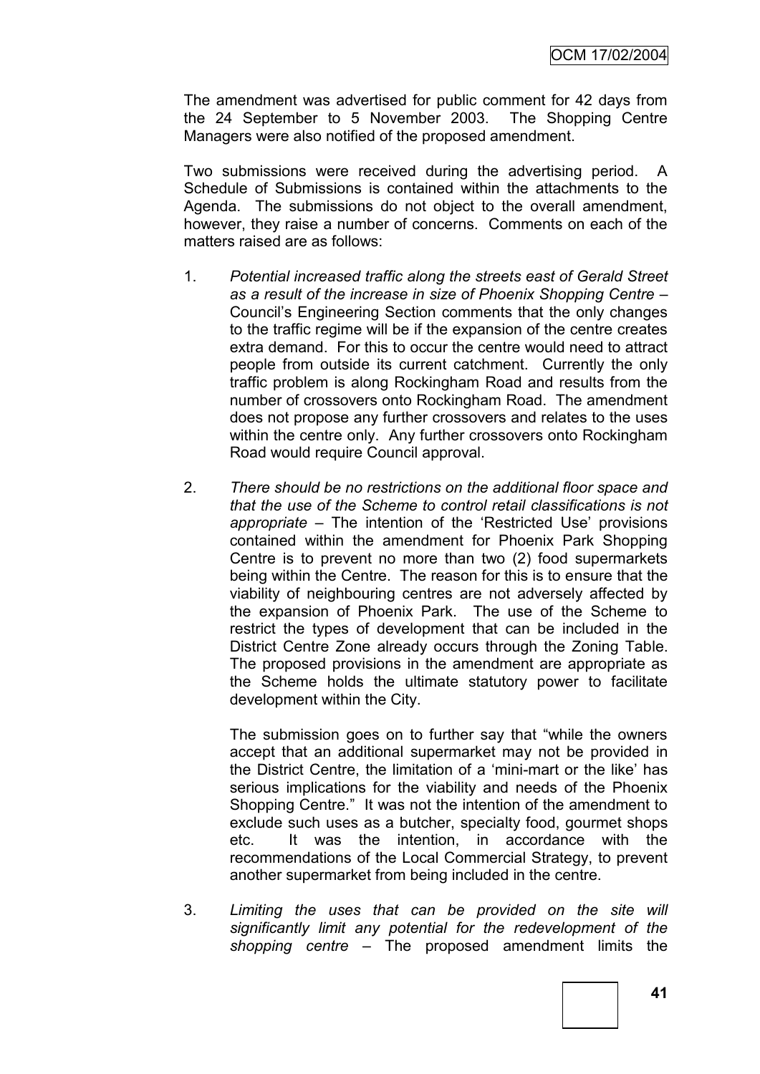The amendment was advertised for public comment for 42 days from the 24 September to 5 November 2003. The Shopping Centre Managers were also notified of the proposed amendment.

Two submissions were received during the advertising period. A Schedule of Submissions is contained within the attachments to the Agenda. The submissions do not object to the overall amendment, however, they raise a number of concerns. Comments on each of the matters raised are as follows:

- 1. *Potential increased traffic along the streets east of Gerald Street as a result of the increase in size of Phoenix Shopping Centre* – Council"s Engineering Section comments that the only changes to the traffic regime will be if the expansion of the centre creates extra demand. For this to occur the centre would need to attract people from outside its current catchment. Currently the only traffic problem is along Rockingham Road and results from the number of crossovers onto Rockingham Road. The amendment does not propose any further crossovers and relates to the uses within the centre only. Any further crossovers onto Rockingham Road would require Council approval.
- 2. *There should be no restrictions on the additional floor space and that the use of the Scheme to control retail classifications is not appropriate* – The intention of the "Restricted Use" provisions contained within the amendment for Phoenix Park Shopping Centre is to prevent no more than two (2) food supermarkets being within the Centre. The reason for this is to ensure that the viability of neighbouring centres are not adversely affected by the expansion of Phoenix Park. The use of the Scheme to restrict the types of development that can be included in the District Centre Zone already occurs through the Zoning Table. The proposed provisions in the amendment are appropriate as the Scheme holds the ultimate statutory power to facilitate development within the City.

The submission goes on to further say that "while the owners accept that an additional supermarket may not be provided in the District Centre, the limitation of a "mini-mart or the like" has serious implications for the viability and needs of the Phoenix Shopping Centre." It was not the intention of the amendment to exclude such uses as a butcher, specialty food, gourmet shops etc. It was the intention, in accordance with the recommendations of the Local Commercial Strategy, to prevent another supermarket from being included in the centre.

3. *Limiting the uses that can be provided on the site will significantly limit any potential for the redevelopment of the shopping centre* – The proposed amendment limits the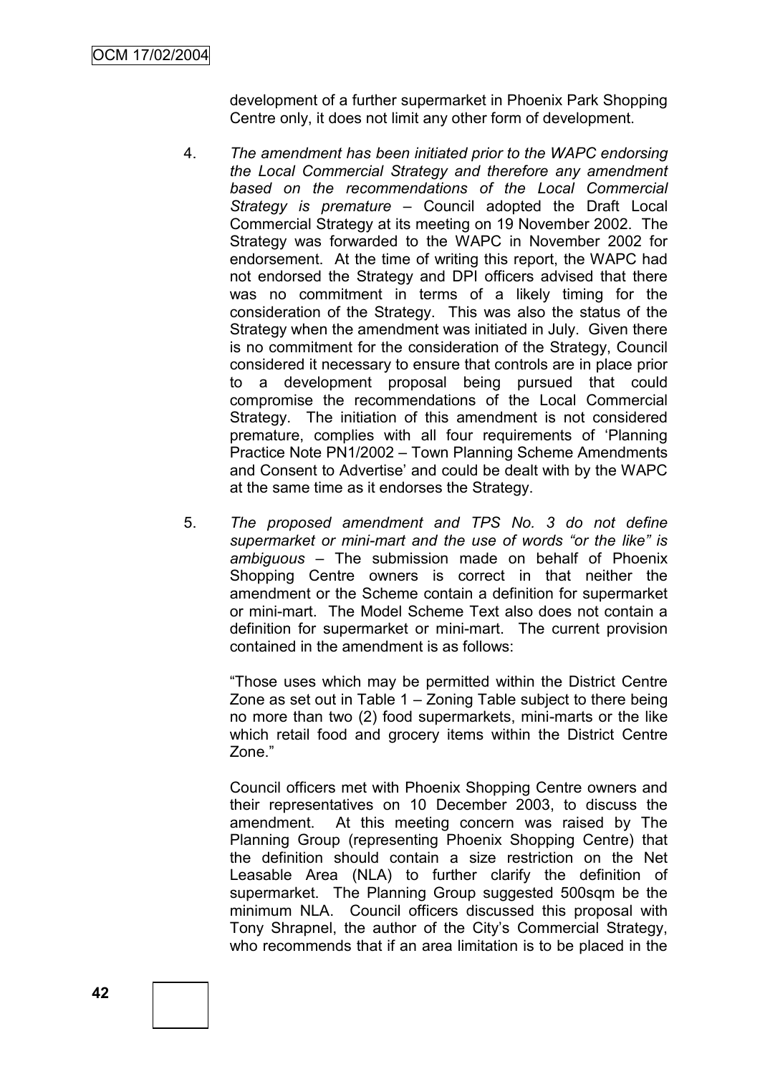development of a further supermarket in Phoenix Park Shopping Centre only, it does not limit any other form of development.

- 4. *The amendment has been initiated prior to the WAPC endorsing the Local Commercial Strategy and therefore any amendment based on the recommendations of the Local Commercial Strategy is premature* – Council adopted the Draft Local Commercial Strategy at its meeting on 19 November 2002. The Strategy was forwarded to the WAPC in November 2002 for endorsement. At the time of writing this report, the WAPC had not endorsed the Strategy and DPI officers advised that there was no commitment in terms of a likely timing for the consideration of the Strategy. This was also the status of the Strategy when the amendment was initiated in July. Given there is no commitment for the consideration of the Strategy, Council considered it necessary to ensure that controls are in place prior to a development proposal being pursued that could compromise the recommendations of the Local Commercial Strategy. The initiation of this amendment is not considered premature, complies with all four requirements of "Planning Practice Note PN1/2002 – Town Planning Scheme Amendments and Consent to Advertise' and could be dealt with by the WAPC at the same time as it endorses the Strategy.
- 5. *The proposed amendment and TPS No. 3 do not define supermarket or mini-mart and the use of words "or the like" is ambiguous* – The submission made on behalf of Phoenix Shopping Centre owners is correct in that neither the amendment or the Scheme contain a definition for supermarket or mini-mart. The Model Scheme Text also does not contain a definition for supermarket or mini-mart. The current provision contained in the amendment is as follows:

"Those uses which may be permitted within the District Centre Zone as set out in Table 1 – Zoning Table subject to there being no more than two (2) food supermarkets, mini-marts or the like which retail food and grocery items within the District Centre Zone."

Council officers met with Phoenix Shopping Centre owners and their representatives on 10 December 2003, to discuss the amendment. At this meeting concern was raised by The Planning Group (representing Phoenix Shopping Centre) that the definition should contain a size restriction on the Net Leasable Area (NLA) to further clarify the definition of supermarket. The Planning Group suggested 500sqm be the minimum NLA. Council officers discussed this proposal with Tony Shrapnel, the author of the City"s Commercial Strategy, who recommends that if an area limitation is to be placed in the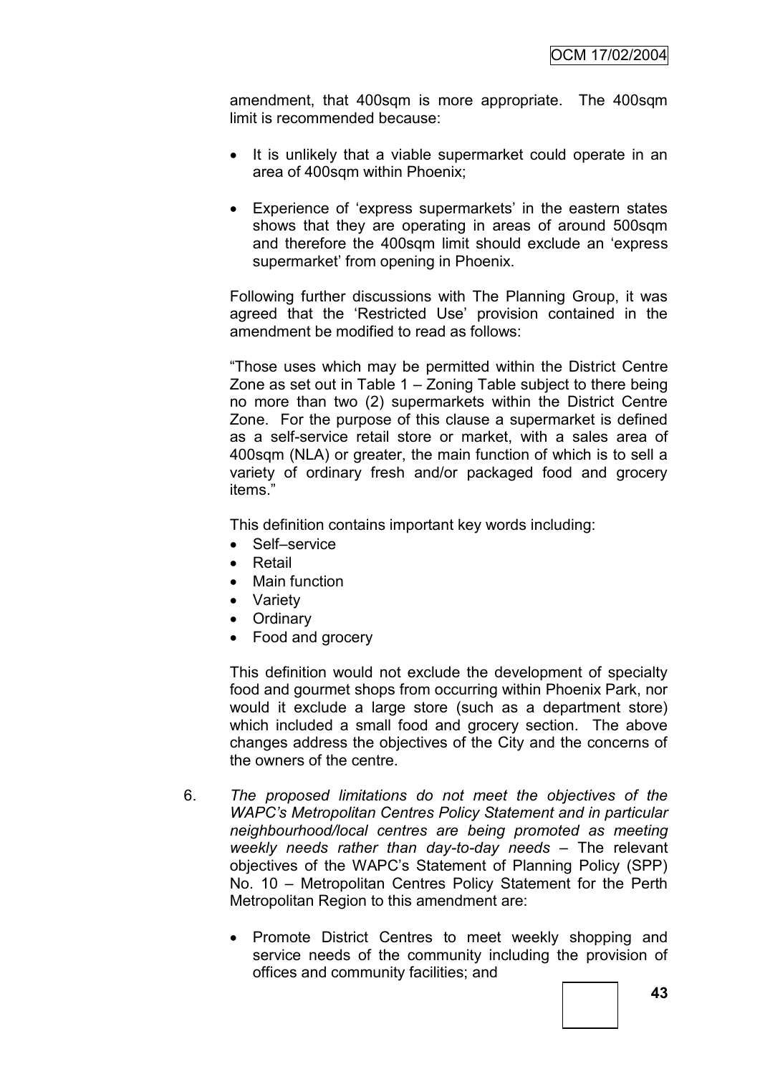amendment, that 400sqm is more appropriate. The 400sqm limit is recommended because:

- It is unlikely that a viable supermarket could operate in an area of 400sqm within Phoenix;
- Experience of 'express supermarkets' in the eastern states shows that they are operating in areas of around 500sqm and therefore the 400sqm limit should exclude an "express supermarket' from opening in Phoenix.

Following further discussions with The Planning Group, it was agreed that the "Restricted Use" provision contained in the amendment be modified to read as follows:

"Those uses which may be permitted within the District Centre Zone as set out in Table 1 – Zoning Table subject to there being no more than two (2) supermarkets within the District Centre Zone. For the purpose of this clause a supermarket is defined as a self-service retail store or market, with a sales area of 400sqm (NLA) or greater, the main function of which is to sell a variety of ordinary fresh and/or packaged food and grocery items."

This definition contains important key words including:

- Self–service
- Retail
- Main function
- Variety
- Ordinary
- Food and grocery

This definition would not exclude the development of specialty food and gourmet shops from occurring within Phoenix Park, nor would it exclude a large store (such as a department store) which included a small food and grocery section. The above changes address the objectives of the City and the concerns of the owners of the centre.

- 6. *The proposed limitations do not meet the objectives of the WAPC's Metropolitan Centres Policy Statement and in particular neighbourhood/local centres are being promoted as meeting weekly needs rather than day-to-day needs* – The relevant objectives of the WAPC"s Statement of Planning Policy (SPP) No. 10 – Metropolitan Centres Policy Statement for the Perth Metropolitan Region to this amendment are:
	- Promote District Centres to meet weekly shopping and service needs of the community including the provision of offices and community facilities; and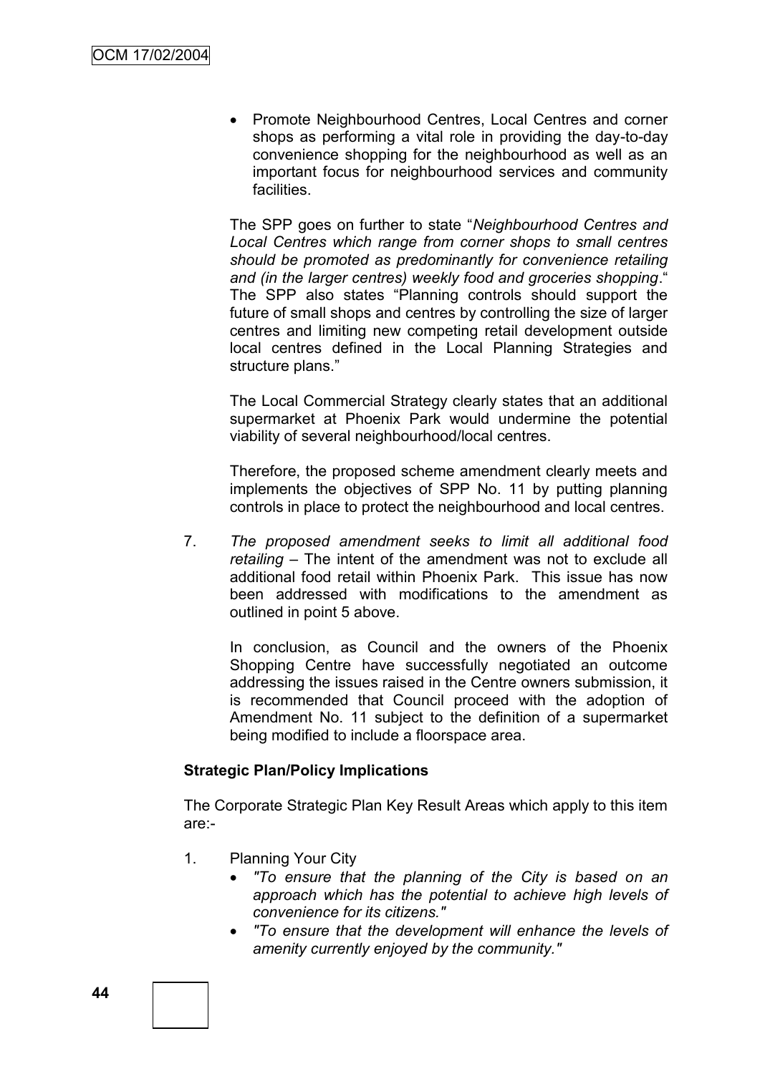• Promote Neighbourhood Centres, Local Centres and corner shops as performing a vital role in providing the day-to-day convenience shopping for the neighbourhood as well as an important focus for neighbourhood services and community facilities.

The SPP goes on further to state "*Neighbourhood Centres and Local Centres which range from corner shops to small centres should be promoted as predominantly for convenience retailing and (in the larger centres) weekly food and groceries shopping*." The SPP also states "Planning controls should support the future of small shops and centres by controlling the size of larger centres and limiting new competing retail development outside local centres defined in the Local Planning Strategies and structure plans."

The Local Commercial Strategy clearly states that an additional supermarket at Phoenix Park would undermine the potential viability of several neighbourhood/local centres.

Therefore, the proposed scheme amendment clearly meets and implements the objectives of SPP No. 11 by putting planning controls in place to protect the neighbourhood and local centres.

7. *The proposed amendment seeks to limit all additional food retailing* – The intent of the amendment was not to exclude all additional food retail within Phoenix Park. This issue has now been addressed with modifications to the amendment as outlined in point 5 above.

In conclusion, as Council and the owners of the Phoenix Shopping Centre have successfully negotiated an outcome addressing the issues raised in the Centre owners submission, it is recommended that Council proceed with the adoption of Amendment No. 11 subject to the definition of a supermarket being modified to include a floorspace area.

## **Strategic Plan/Policy Implications**

The Corporate Strategic Plan Key Result Areas which apply to this item are:-

- 1. Planning Your City
	- *"To ensure that the planning of the City is based on an approach which has the potential to achieve high levels of convenience for its citizens."*
	- *"To ensure that the development will enhance the levels of amenity currently enjoyed by the community."*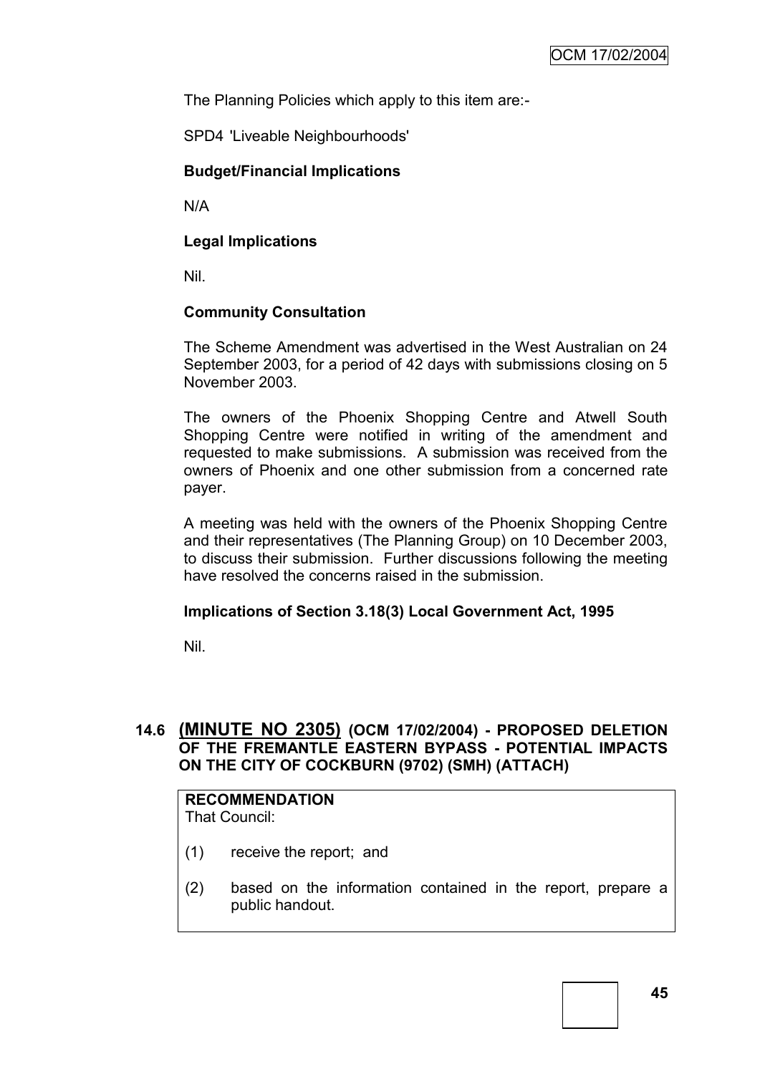The Planning Policies which apply to this item are:-

SPD4 'Liveable Neighbourhoods'

## **Budget/Financial Implications**

N/A

## **Legal Implications**

Nil.

# **Community Consultation**

The Scheme Amendment was advertised in the West Australian on 24 September 2003, for a period of 42 days with submissions closing on 5 November 2003.

The owners of the Phoenix Shopping Centre and Atwell South Shopping Centre were notified in writing of the amendment and requested to make submissions. A submission was received from the owners of Phoenix and one other submission from a concerned rate payer.

A meeting was held with the owners of the Phoenix Shopping Centre and their representatives (The Planning Group) on 10 December 2003, to discuss their submission. Further discussions following the meeting have resolved the concerns raised in the submission.

## **Implications of Section 3.18(3) Local Government Act, 1995**

Nil.

# **14.6 (MINUTE NO 2305) (OCM 17/02/2004) - PROPOSED DELETION OF THE FREMANTLE EASTERN BYPASS - POTENTIAL IMPACTS ON THE CITY OF COCKBURN (9702) (SMH) (ATTACH)**

# **RECOMMENDATION**

That Council:

- (1) receive the report; and
- (2) based on the information contained in the report, prepare a public handout.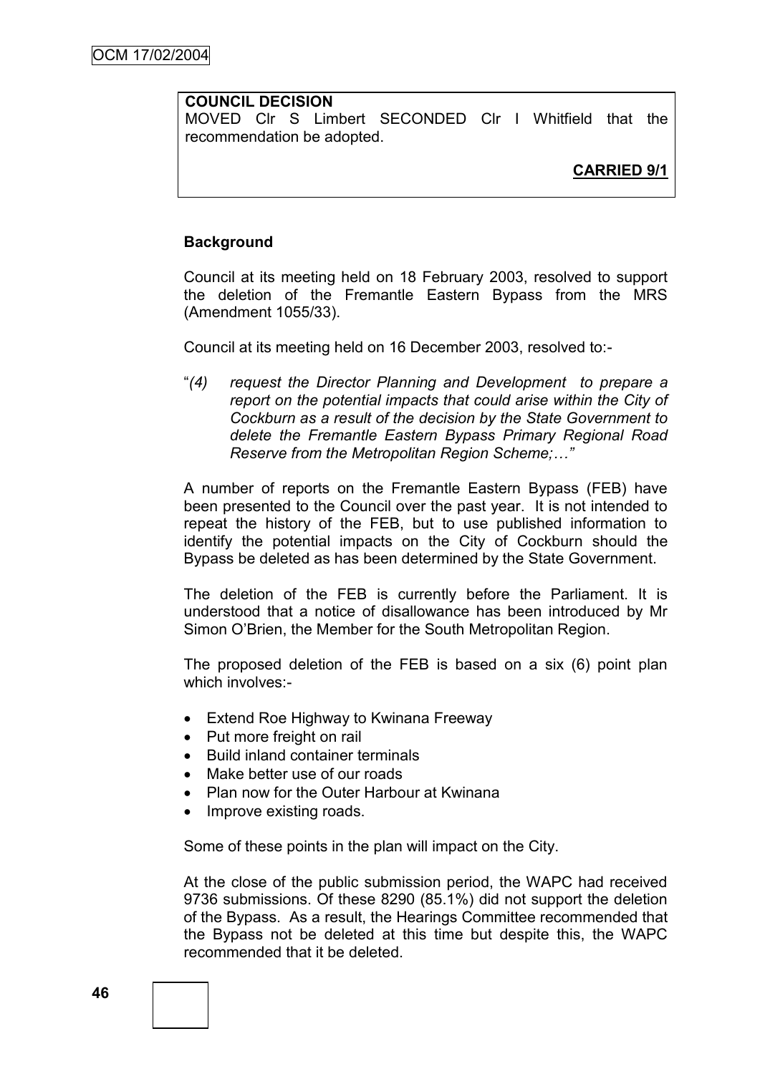## **COUNCIL DECISION**

MOVED Clr S Limbert SECONDED Clr I Whitfield that the recommendation be adopted.

## **Background**

Council at its meeting held on 18 February 2003, resolved to support the deletion of the Fremantle Eastern Bypass from the MRS (Amendment 1055/33).

Council at its meeting held on 16 December 2003, resolved to:-

"*(4) request the Director Planning and Development to prepare a report on the potential impacts that could arise within the City of Cockburn as a result of the decision by the State Government to delete the Fremantle Eastern Bypass Primary Regional Road Reserve from the Metropolitan Region Scheme;…"*

A number of reports on the Fremantle Eastern Bypass (FEB) have been presented to the Council over the past year. It is not intended to repeat the history of the FEB, but to use published information to identify the potential impacts on the City of Cockburn should the Bypass be deleted as has been determined by the State Government.

The deletion of the FEB is currently before the Parliament. It is understood that a notice of disallowance has been introduced by Mr Simon O"Brien, the Member for the South Metropolitan Region.

The proposed deletion of the FEB is based on a six (6) point plan which involves -

- Extend Roe Highway to Kwinana Freeway
- Put more freight on rail
- Build inland container terminals
- Make better use of our roads
- Plan now for the Outer Harbour at Kwinana
- Improve existing roads.

Some of these points in the plan will impact on the City.

At the close of the public submission period, the WAPC had received 9736 submissions. Of these 8290 (85.1%) did not support the deletion of the Bypass. As a result, the Hearings Committee recommended that the Bypass not be deleted at this time but despite this, the WAPC recommended that it be deleted.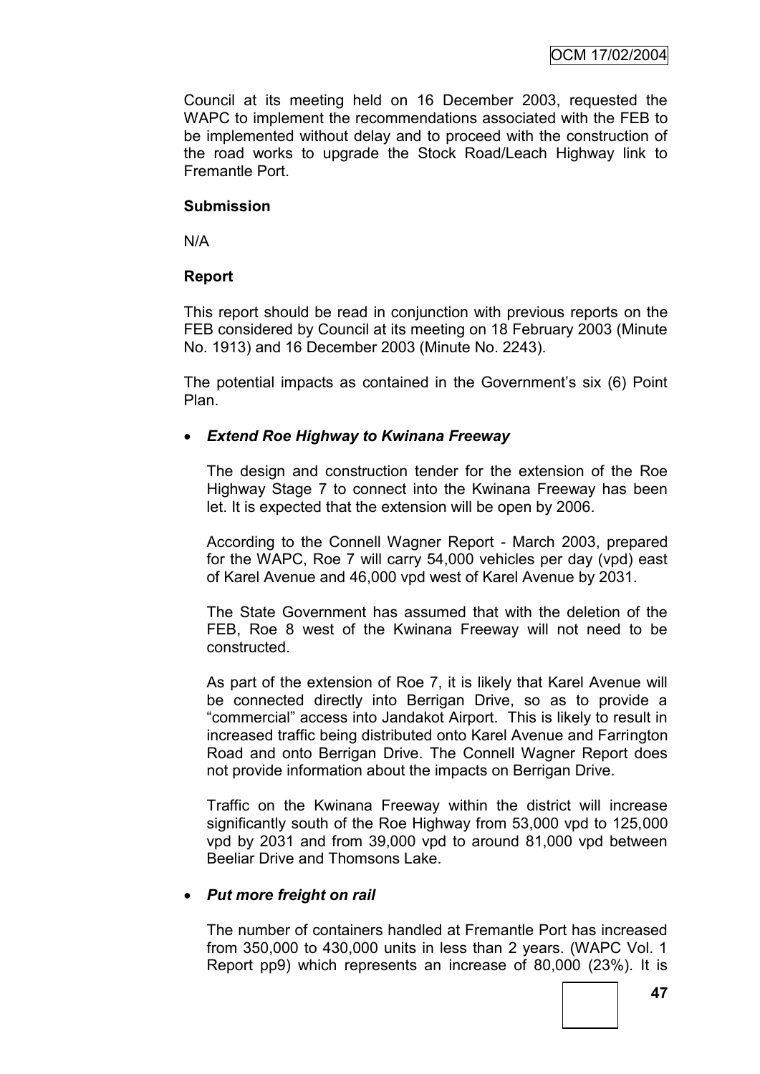Council at its meeting held on 16 December 2003, requested the WAPC to implement the recommendations associated with the FEB to be implemented without delay and to proceed with the construction of the road works to upgrade the Stock Road/Leach Highway link to Fremantle Port.

#### **Submission**

N/A

## **Report**

This report should be read in conjunction with previous reports on the FEB considered by Council at its meeting on 18 February 2003 (Minute No. 1913) and 16 December 2003 (Minute No. 2243).

The potential impacts as contained in the Government's six (6) Point Plan.

## *Extend Roe Highway to Kwinana Freeway*

The design and construction tender for the extension of the Roe Highway Stage 7 to connect into the Kwinana Freeway has been let. It is expected that the extension will be open by 2006.

According to the Connell Wagner Report - March 2003, prepared for the WAPC, Roe 7 will carry 54,000 vehicles per day (vpd) east of Karel Avenue and 46,000 vpd west of Karel Avenue by 2031.

The State Government has assumed that with the deletion of the FEB, Roe 8 west of the Kwinana Freeway will not need to be constructed.

As part of the extension of Roe 7, it is likely that Karel Avenue will be connected directly into Berrigan Drive, so as to provide a "commercial" access into Jandakot Airport. This is likely to result in increased traffic being distributed onto Karel Avenue and Farrington Road and onto Berrigan Drive. The Connell Wagner Report does not provide information about the impacts on Berrigan Drive.

Traffic on the Kwinana Freeway within the district will increase significantly south of the Roe Highway from 53,000 vpd to 125,000 vpd by 2031 and from 39,000 vpd to around 81,000 vpd between Beeliar Drive and Thomsons Lake.

## *Put more freight on rail*

The number of containers handled at Fremantle Port has increased from 350,000 to 430,000 units in less than 2 years. (WAPC Vol. 1 Report pp9) which represents an increase of 80,000 (23%). It is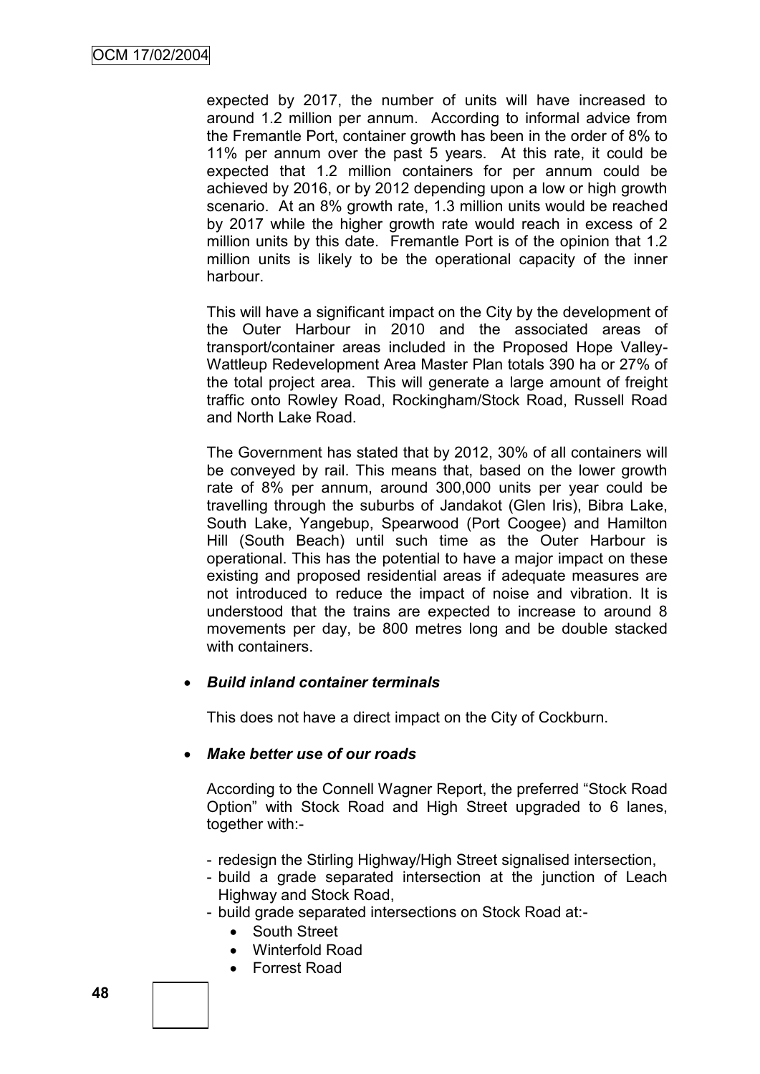expected by 2017, the number of units will have increased to around 1.2 million per annum. According to informal advice from the Fremantle Port, container growth has been in the order of 8% to 11% per annum over the past 5 years. At this rate, it could be expected that 1.2 million containers for per annum could be achieved by 2016, or by 2012 depending upon a low or high growth scenario. At an 8% growth rate, 1.3 million units would be reached by 2017 while the higher growth rate would reach in excess of 2 million units by this date. Fremantle Port is of the opinion that 1.2 million units is likely to be the operational capacity of the inner harbour.

This will have a significant impact on the City by the development of the Outer Harbour in 2010 and the associated areas of transport/container areas included in the Proposed Hope Valley-Wattleup Redevelopment Area Master Plan totals 390 ha or 27% of the total project area. This will generate a large amount of freight traffic onto Rowley Road, Rockingham/Stock Road, Russell Road and North Lake Road.

The Government has stated that by 2012, 30% of all containers will be conveyed by rail. This means that, based on the lower growth rate of 8% per annum, around 300,000 units per year could be travelling through the suburbs of Jandakot (Glen Iris), Bibra Lake, South Lake, Yangebup, Spearwood (Port Coogee) and Hamilton Hill (South Beach) until such time as the Outer Harbour is operational. This has the potential to have a major impact on these existing and proposed residential areas if adequate measures are not introduced to reduce the impact of noise and vibration. It is understood that the trains are expected to increase to around 8 movements per day, be 800 metres long and be double stacked with containers.

## *Build inland container terminals*

This does not have a direct impact on the City of Cockburn.

## *Make better use of our roads*

According to the Connell Wagner Report, the preferred "Stock Road Option" with Stock Road and High Street upgraded to 6 lanes, together with:-

- redesign the Stirling Highway/High Street signalised intersection,
- build a grade separated intersection at the junction of Leach Highway and Stock Road,
- build grade separated intersections on Stock Road at:-
	- South Street
	- Winterfold Road
	- Forrest Road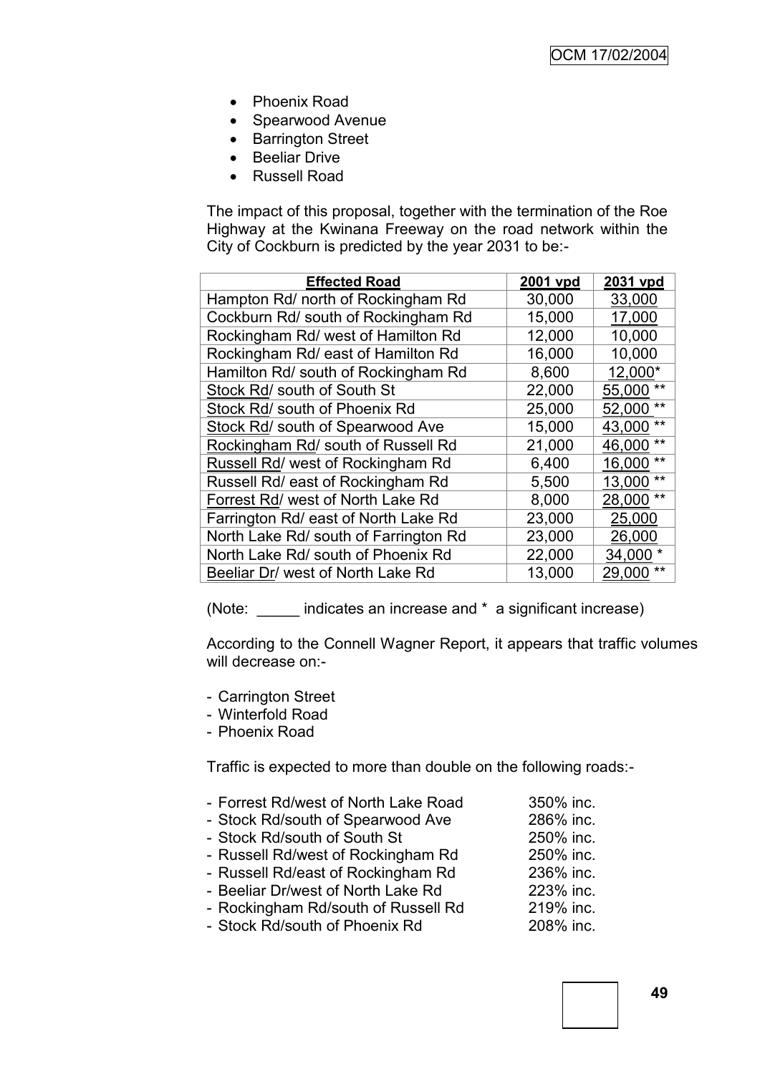- Phoenix Road
- Spearwood Avenue
- Barrington Street
- **•** Beeliar Drive
- Russell Road

The impact of this proposal, together with the termination of the Roe Highway at the Kwinana Freeway on the road network within the City of Cockburn is predicted by the year 2031 to be:-

| <b>Effected Road</b>                  | 2001 vpd | 2031 vpd        |
|---------------------------------------|----------|-----------------|
| Hampton Rd/ north of Rockingham Rd    | 30,000   | 33,000          |
| Cockburn Rd/ south of Rockingham Rd   | 15,000   | 17,000          |
| Rockingham Rd/ west of Hamilton Rd    | 12,000   | 10,000          |
| Rockingham Rd/ east of Hamilton Rd    | 16,000   | 10,000          |
| Hamilton Rd/ south of Rockingham Rd   | 8,600    | 12,000*         |
| Stock Rd/ south of South St           | 22,000   | 55,000          |
| Stock Rd/ south of Phoenix Rd         | 25,000   | $***$<br>52,000 |
| Stock Rd/ south of Spearwood Ave      | 15,000   | $**$<br>43,000  |
| Rockingham Rd/ south of Russell Rd    | 21,000   | $***$<br>46,000 |
| Russell Rd/ west of Rockingham Rd     | 6,400    | $***$<br>16,000 |
| Russell Rd/ east of Rockingham Rd     | 5,500    | $***$<br>13,000 |
| Forrest Rd/ west of North Lake Rd     | 8,000    | $***$<br>28,000 |
| Farrington Rd/ east of North Lake Rd  | 23,000   | 25,000          |
| North Lake Rd/ south of Farrington Rd | 23,000   | 26,000          |
| North Lake Rd/ south of Phoenix Rd    | 22,000   | 34,000 *        |
| Beeliar Dr/ west of North Lake Rd     | 13,000   | 29,000          |

(Note: \_\_\_\_\_ indicates an increase and \* a significant increase)

According to the Connell Wagner Report, it appears that traffic volumes will decrease on:-

- Carrington Street
- Winterfold Road
- Phoenix Road

Traffic is expected to more than double on the following roads:-

- Forrest Rd/west of North Lake Road 350% inc.
- Stock Rd/south of Spearwood Ave 286% inc.
- Stock Rd/south of South St 250% inc.
- Russell Rd/west of Rockingham Rd 250% inc.
- Russell Rd/east of Rockingham Rd 236% inc.
- Beeliar Dr/west of North Lake Rd 223% inc.
- Rockingham Rd/south of Russell Rd 219% inc.
- Stock Rd/south of Phoenix Rd 208% inc.
- 
-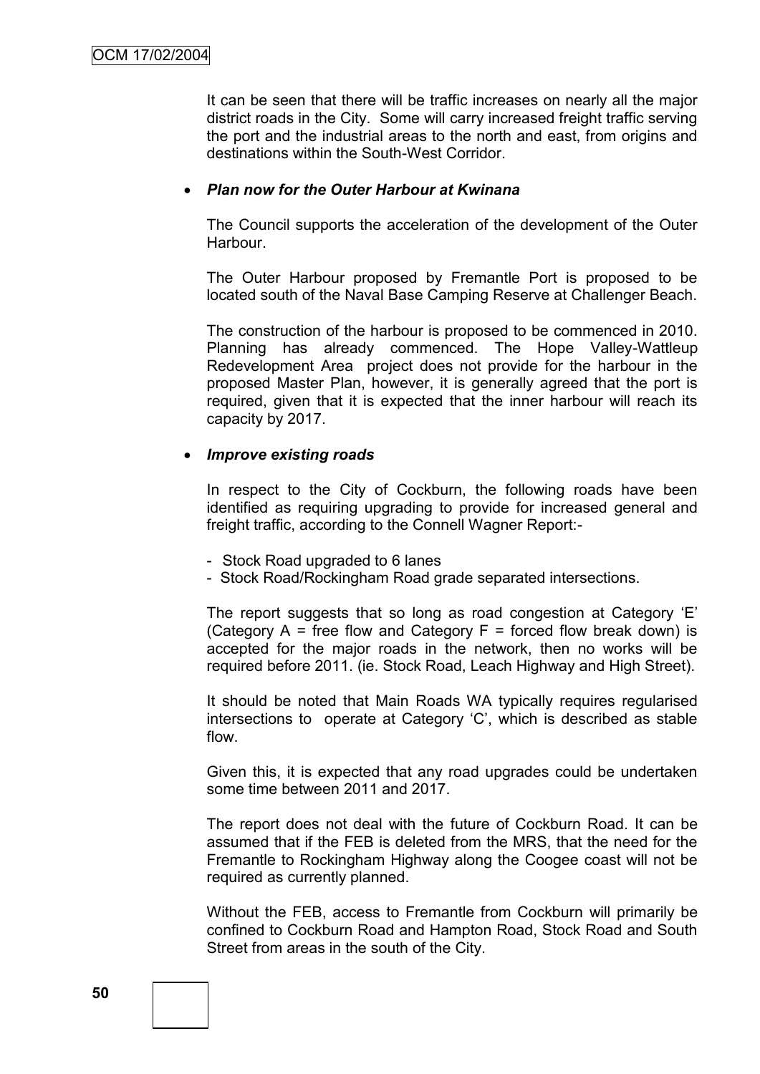It can be seen that there will be traffic increases on nearly all the major district roads in the City. Some will carry increased freight traffic serving the port and the industrial areas to the north and east, from origins and destinations within the South-West Corridor.

#### *Plan now for the Outer Harbour at Kwinana*

The Council supports the acceleration of the development of the Outer Harbour.

The Outer Harbour proposed by Fremantle Port is proposed to be located south of the Naval Base Camping Reserve at Challenger Beach.

The construction of the harbour is proposed to be commenced in 2010. Planning has already commenced. The Hope Valley-Wattleup Redevelopment Area project does not provide for the harbour in the proposed Master Plan, however, it is generally agreed that the port is required, given that it is expected that the inner harbour will reach its capacity by 2017.

#### *Improve existing roads*

In respect to the City of Cockburn, the following roads have been identified as requiring upgrading to provide for increased general and freight traffic, according to the Connell Wagner Report:-

- Stock Road upgraded to 6 lanes
- Stock Road/Rockingham Road grade separated intersections.

The report suggests that so long as road congestion at Category "E" (Category  $A =$  free flow and Category  $F =$  forced flow break down) is accepted for the major roads in the network, then no works will be required before 2011. (ie. Stock Road, Leach Highway and High Street).

It should be noted that Main Roads WA typically requires regularised intersections to operate at Category "C", which is described as stable flow.

Given this, it is expected that any road upgrades could be undertaken some time between 2011 and 2017.

The report does not deal with the future of Cockburn Road. It can be assumed that if the FEB is deleted from the MRS, that the need for the Fremantle to Rockingham Highway along the Coogee coast will not be required as currently planned.

Without the FEB, access to Fremantle from Cockburn will primarily be confined to Cockburn Road and Hampton Road, Stock Road and South Street from areas in the south of the City.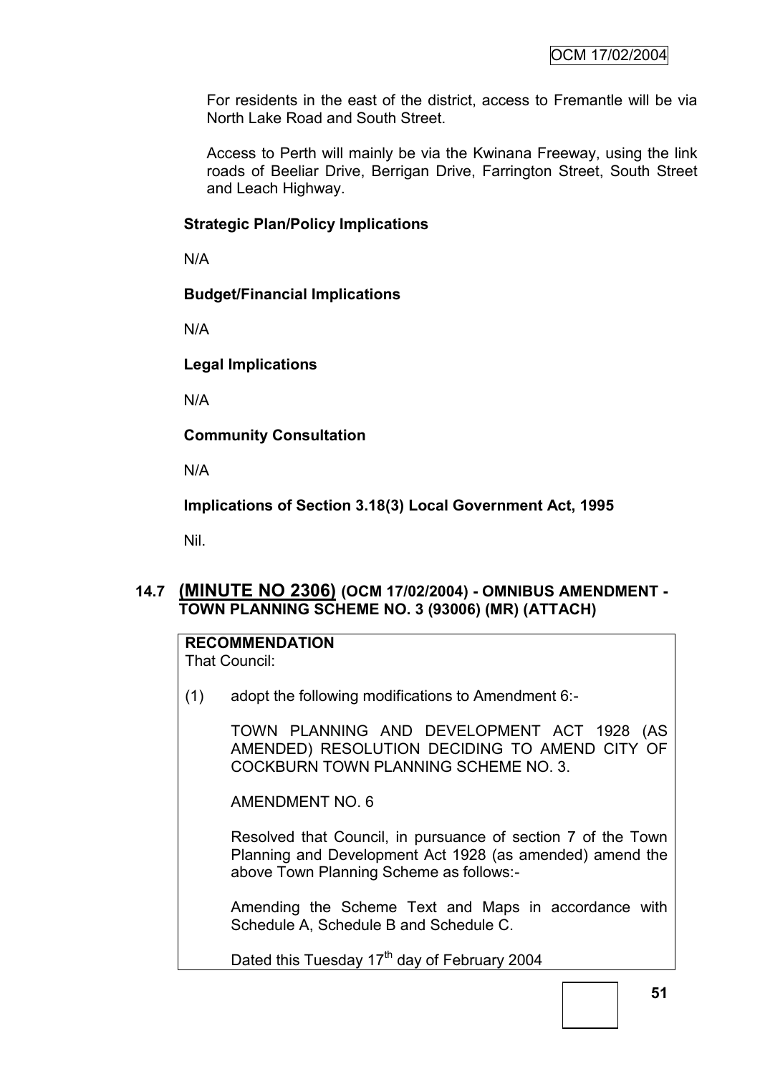For residents in the east of the district, access to Fremantle will be via North Lake Road and South Street.

Access to Perth will mainly be via the Kwinana Freeway, using the link roads of Beeliar Drive, Berrigan Drive, Farrington Street, South Street and Leach Highway.

#### **Strategic Plan/Policy Implications**

N/A

## **Budget/Financial Implications**

N/A

## **Legal Implications**

N/A

**Community Consultation**

N/A

**Implications of Section 3.18(3) Local Government Act, 1995**

Nil.

# **14.7 (MINUTE NO 2306) (OCM 17/02/2004) - OMNIBUS AMENDMENT - TOWN PLANNING SCHEME NO. 3 (93006) (MR) (ATTACH)**

# **RECOMMENDATION**

That Council:

(1) adopt the following modifications to Amendment 6:-

TOWN PLANNING AND DEVELOPMENT ACT 1928 (AS AMENDED) RESOLUTION DECIDING TO AMEND CITY OF COCKBURN TOWN PLANNING SCHEME NO. 3.

AMENDMENT NO. 6

Resolved that Council, in pursuance of section 7 of the Town Planning and Development Act 1928 (as amended) amend the above Town Planning Scheme as follows:-

Amending the Scheme Text and Maps in accordance with Schedule A, Schedule B and Schedule C.

Dated this Tuesday 17<sup>th</sup> day of February 2004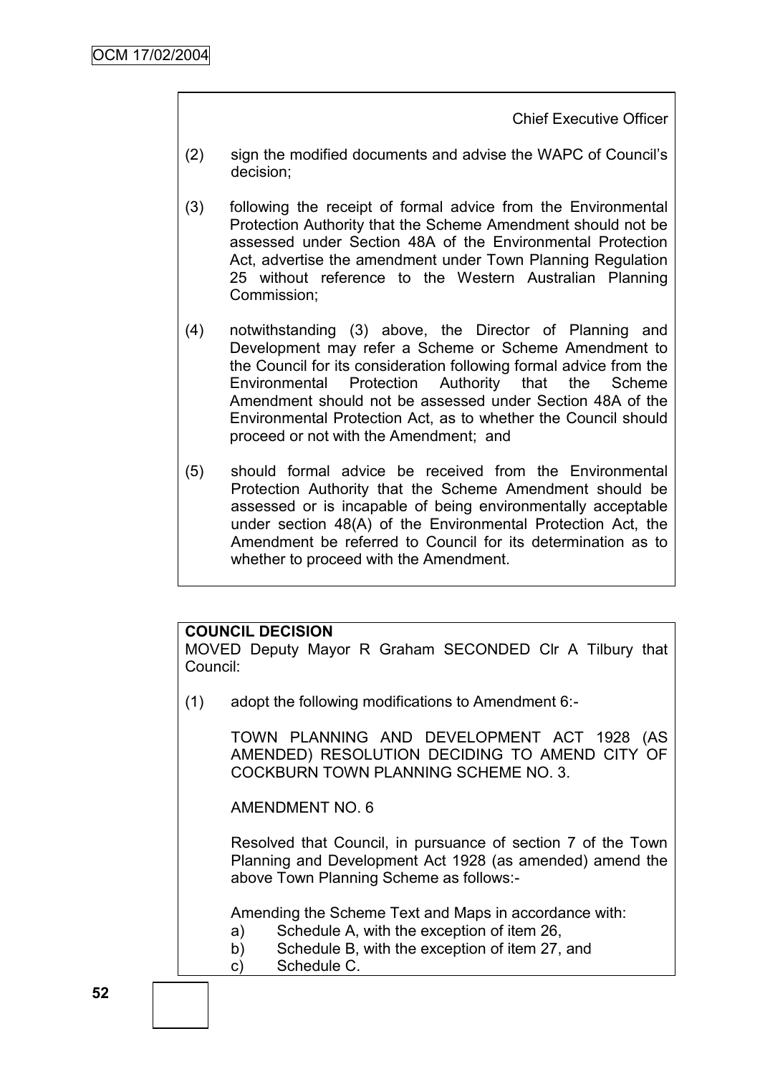Chief Executive Officer

- (2) sign the modified documents and advise the WAPC of Council"s decision;
- (3) following the receipt of formal advice from the Environmental Protection Authority that the Scheme Amendment should not be assessed under Section 48A of the Environmental Protection Act, advertise the amendment under Town Planning Regulation 25 without reference to the Western Australian Planning Commission;
- (4) notwithstanding (3) above, the Director of Planning and Development may refer a Scheme or Scheme Amendment to the Council for its consideration following formal advice from the Environmental Protection Authority that the Scheme Amendment should not be assessed under Section 48A of the Environmental Protection Act, as to whether the Council should proceed or not with the Amendment; and
- (5) should formal advice be received from the Environmental Protection Authority that the Scheme Amendment should be assessed or is incapable of being environmentally acceptable under section 48(A) of the Environmental Protection Act, the Amendment be referred to Council for its determination as to whether to proceed with the Amendment.

## **COUNCIL DECISION**

MOVED Deputy Mayor R Graham SECONDED Clr A Tilbury that Council:

(1) adopt the following modifications to Amendment 6:-

TOWN PLANNING AND DEVELOPMENT ACT 1928 (AS AMENDED) RESOLUTION DECIDING TO AMEND CITY OF COCKBURN TOWN PLANNING SCHEME NO. 3.

AMENDMENT NO. 6

Resolved that Council, in pursuance of section 7 of the Town Planning and Development Act 1928 (as amended) amend the above Town Planning Scheme as follows:-

Amending the Scheme Text and Maps in accordance with:

- a) Schedule A, with the exception of item 26,
- b) Schedule B, with the exception of item 27, and
- c) Schedule C.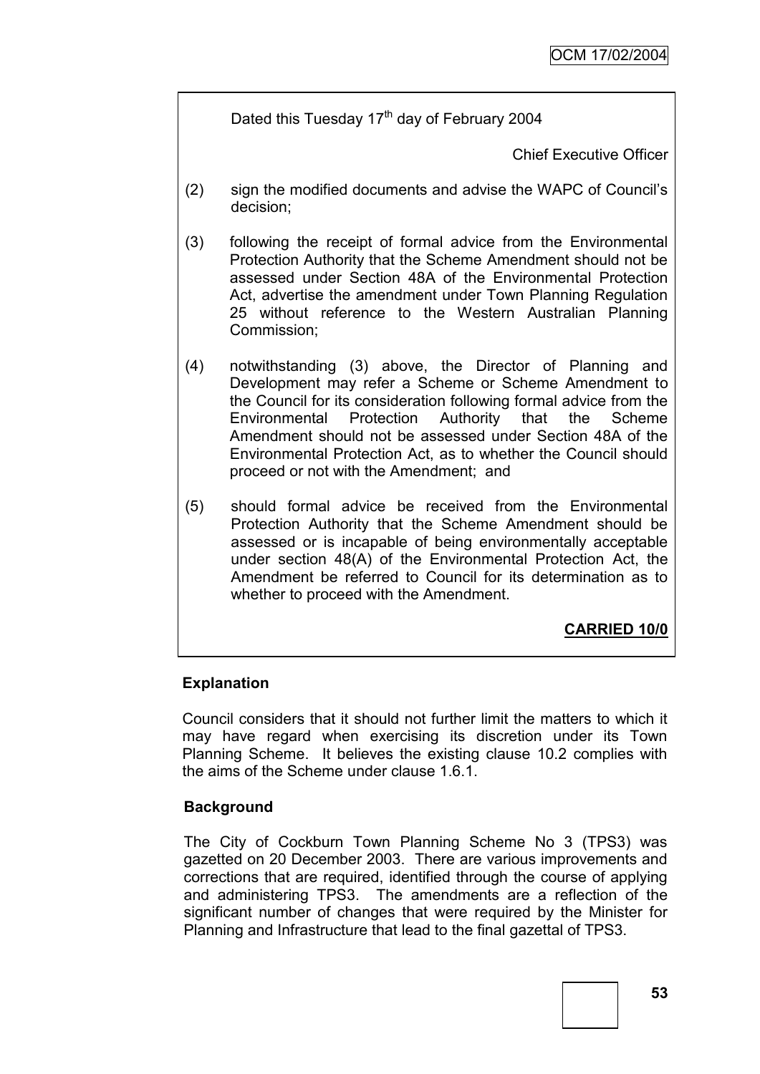Dated this Tuesday  $17<sup>th</sup>$  day of February 2004

Chief Executive Officer

- (2) sign the modified documents and advise the WAPC of Council"s decision;
- (3) following the receipt of formal advice from the Environmental Protection Authority that the Scheme Amendment should not be assessed under Section 48A of the Environmental Protection Act, advertise the amendment under Town Planning Regulation 25 without reference to the Western Australian Planning Commission;
- (4) notwithstanding (3) above, the Director of Planning and Development may refer a Scheme or Scheme Amendment to the Council for its consideration following formal advice from the Environmental Protection Authority that the Scheme Amendment should not be assessed under Section 48A of the Environmental Protection Act, as to whether the Council should proceed or not with the Amendment; and
- (5) should formal advice be received from the Environmental Protection Authority that the Scheme Amendment should be assessed or is incapable of being environmentally acceptable under section 48(A) of the Environmental Protection Act, the Amendment be referred to Council for its determination as to whether to proceed with the Amendment.

**CARRIED 10/0**

# **Explanation**

Council considers that it should not further limit the matters to which it may have regard when exercising its discretion under its Town Planning Scheme. It believes the existing clause 10.2 complies with the aims of the Scheme under clause 1.6.1.

## **Background**

The City of Cockburn Town Planning Scheme No 3 (TPS3) was gazetted on 20 December 2003. There are various improvements and corrections that are required, identified through the course of applying and administering TPS3. The amendments are a reflection of the significant number of changes that were required by the Minister for Planning and Infrastructure that lead to the final gazettal of TPS3.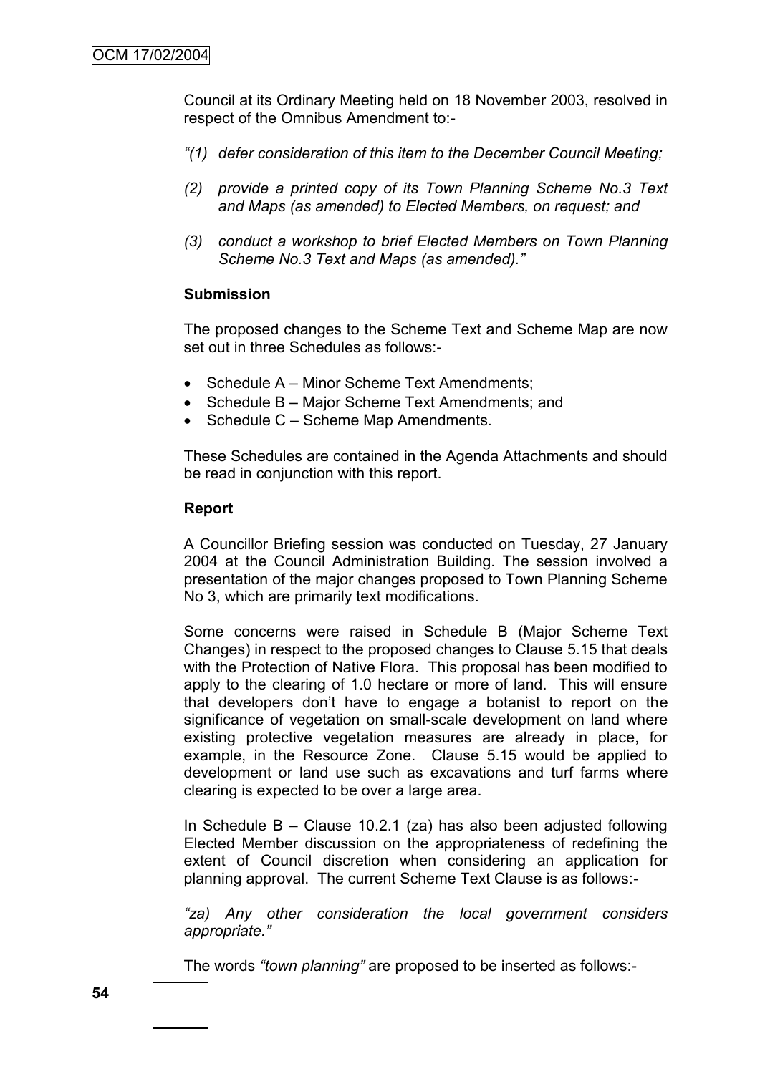Council at its Ordinary Meeting held on 18 November 2003, resolved in respect of the Omnibus Amendment to:-

- *"(1) defer consideration of this item to the December Council Meeting;*
- *(2) provide a printed copy of its Town Planning Scheme No.3 Text and Maps (as amended) to Elected Members, on request; and*
- *(3) conduct a workshop to brief Elected Members on Town Planning Scheme No.3 Text and Maps (as amended)."*

#### **Submission**

The proposed changes to the Scheme Text and Scheme Map are now set out in three Schedules as follows:-

- Schedule A Minor Scheme Text Amendments:
- Schedule B Major Scheme Text Amendments; and
- Schedule C Scheme Map Amendments.

These Schedules are contained in the Agenda Attachments and should be read in conjunction with this report.

#### **Report**

A Councillor Briefing session was conducted on Tuesday, 27 January 2004 at the Council Administration Building. The session involved a presentation of the major changes proposed to Town Planning Scheme No 3, which are primarily text modifications.

Some concerns were raised in Schedule B (Major Scheme Text Changes) in respect to the proposed changes to Clause 5.15 that deals with the Protection of Native Flora. This proposal has been modified to apply to the clearing of 1.0 hectare or more of land. This will ensure that developers don"t have to engage a botanist to report on the significance of vegetation on small-scale development on land where existing protective vegetation measures are already in place, for example, in the Resource Zone. Clause 5.15 would be applied to development or land use such as excavations and turf farms where clearing is expected to be over a large area.

In Schedule B – Clause 10.2.1 (za) has also been adjusted following Elected Member discussion on the appropriateness of redefining the extent of Council discretion when considering an application for planning approval. The current Scheme Text Clause is as follows:-

*"za) Any other consideration the local government considers appropriate."* 

The words *"town planning"* are proposed to be inserted as follows:-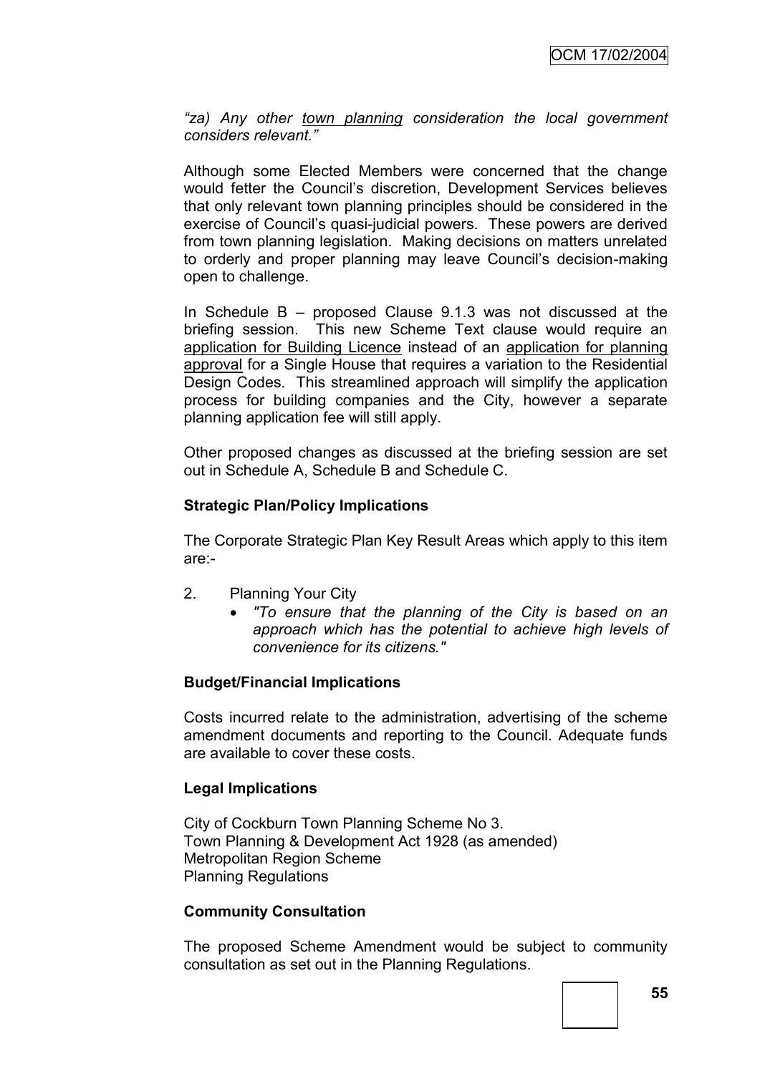*"za) Any other town planning consideration the local government considers relevant."*

Although some Elected Members were concerned that the change would fetter the Council"s discretion, Development Services believes that only relevant town planning principles should be considered in the exercise of Council"s quasi-judicial powers. These powers are derived from town planning legislation. Making decisions on matters unrelated to orderly and proper planning may leave Council"s decision-making open to challenge.

In Schedule B – proposed Clause 9.1.3 was not discussed at the briefing session. This new Scheme Text clause would require an application for Building Licence instead of an application for planning approval for a Single House that requires a variation to the Residential Design Codes. This streamlined approach will simplify the application process for building companies and the City, however a separate planning application fee will still apply.

Other proposed changes as discussed at the briefing session are set out in Schedule A, Schedule B and Schedule C.

## **Strategic Plan/Policy Implications**

The Corporate Strategic Plan Key Result Areas which apply to this item are:-

- 2. Planning Your City
	- *"To ensure that the planning of the City is based on an approach which has the potential to achieve high levels of convenience for its citizens."*

## **Budget/Financial Implications**

Costs incurred relate to the administration, advertising of the scheme amendment documents and reporting to the Council. Adequate funds are available to cover these costs.

## **Legal Implications**

City of Cockburn Town Planning Scheme No 3. Town Planning & Development Act 1928 (as amended) Metropolitan Region Scheme Planning Regulations

#### **Community Consultation**

The proposed Scheme Amendment would be subject to community consultation as set out in the Planning Regulations.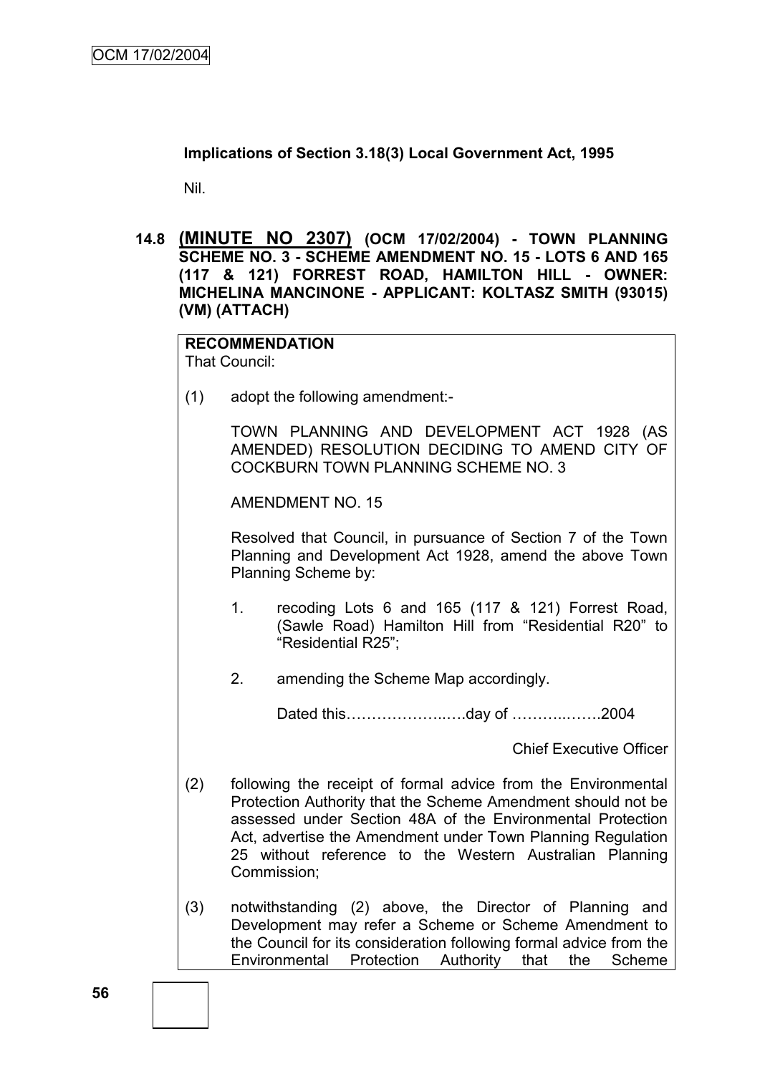**Implications of Section 3.18(3) Local Government Act, 1995**

Nil.

**14.8 (MINUTE NO 2307) (OCM 17/02/2004) - TOWN PLANNING SCHEME NO. 3 - SCHEME AMENDMENT NO. 15 - LOTS 6 AND 165 (117 & 121) FORREST ROAD, HAMILTON HILL - OWNER: MICHELINA MANCINONE - APPLICANT: KOLTASZ SMITH (93015) (VM) (ATTACH)**

**RECOMMENDATION** That Council:

(1) adopt the following amendment:-

TOWN PLANNING AND DEVELOPMENT ACT 1928 (AS AMENDED) RESOLUTION DECIDING TO AMEND CITY OF COCKBURN TOWN PLANNING SCHEME NO. 3

AMENDMENT NO. 15

Resolved that Council, in pursuance of Section 7 of the Town Planning and Development Act 1928, amend the above Town Planning Scheme by:

- 1. recoding Lots 6 and 165 (117 & 121) Forrest Road, (Sawle Road) Hamilton Hill from "Residential R20" to "Residential R25";
- 2. amending the Scheme Map accordingly.

Dated this………………..….day of ………..…….2004

Chief Executive Officer

- (2) following the receipt of formal advice from the Environmental Protection Authority that the Scheme Amendment should not be assessed under Section 48A of the Environmental Protection Act, advertise the Amendment under Town Planning Regulation 25 without reference to the Western Australian Planning Commission;
- (3) notwithstanding (2) above, the Director of Planning and Development may refer a Scheme or Scheme Amendment to the Council for its consideration following formal advice from the Environmental Protection Authority that the Scheme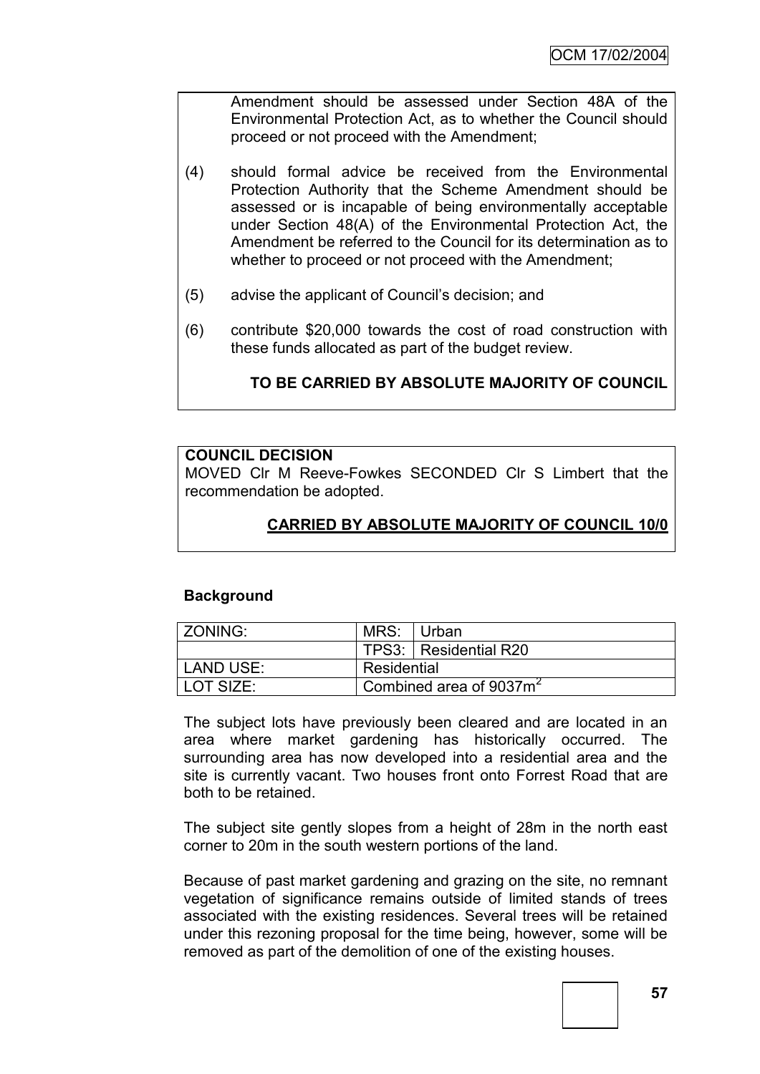Amendment should be assessed under Section 48A of the Environmental Protection Act, as to whether the Council should proceed or not proceed with the Amendment;

- (4) should formal advice be received from the Environmental Protection Authority that the Scheme Amendment should be assessed or is incapable of being environmentally acceptable under Section 48(A) of the Environmental Protection Act, the Amendment be referred to the Council for its determination as to whether to proceed or not proceed with the Amendment;
- (5) advise the applicant of Council"s decision; and
- (6) contribute \$20,000 towards the cost of road construction with these funds allocated as part of the budget review.

# **TO BE CARRIED BY ABSOLUTE MAJORITY OF COUNCIL**

## **COUNCIL DECISION**

MOVED Clr M Reeve-Fowkes SECONDED Clr S Limbert that the recommendation be adopted.

# **CARRIED BY ABSOLUTE MAJORITY OF COUNCIL 10/0**

## **Background**

| ZONING: I | MRS: Urban                          |                         |
|-----------|-------------------------------------|-------------------------|
|           |                                     | TPS3:   Residential R20 |
| LAND USE: | Residential                         |                         |
| LOT SIZE: | Combined area of 9037m <sup>2</sup> |                         |

The subject lots have previously been cleared and are located in an area where market gardening has historically occurred. The surrounding area has now developed into a residential area and the site is currently vacant. Two houses front onto Forrest Road that are both to be retained.

The subject site gently slopes from a height of 28m in the north east corner to 20m in the south western portions of the land.

Because of past market gardening and grazing on the site, no remnant vegetation of significance remains outside of limited stands of trees associated with the existing residences. Several trees will be retained under this rezoning proposal for the time being, however, some will be removed as part of the demolition of one of the existing houses.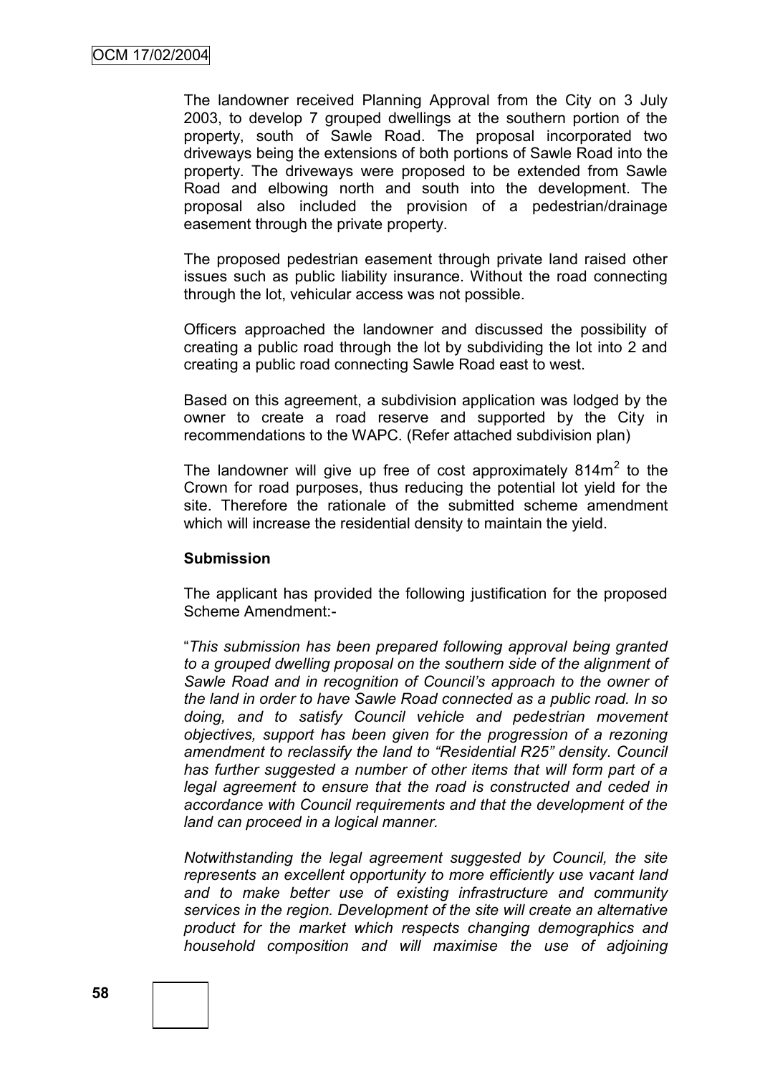The landowner received Planning Approval from the City on 3 July 2003, to develop 7 grouped dwellings at the southern portion of the property, south of Sawle Road. The proposal incorporated two driveways being the extensions of both portions of Sawle Road into the property. The driveways were proposed to be extended from Sawle Road and elbowing north and south into the development. The proposal also included the provision of a pedestrian/drainage easement through the private property.

The proposed pedestrian easement through private land raised other issues such as public liability insurance. Without the road connecting through the lot, vehicular access was not possible.

Officers approached the landowner and discussed the possibility of creating a public road through the lot by subdividing the lot into 2 and creating a public road connecting Sawle Road east to west.

Based on this agreement, a subdivision application was lodged by the owner to create a road reserve and supported by the City in recommendations to the WAPC. (Refer attached subdivision plan)

The landowner will give up free of cost approximately 814 $m<sup>2</sup>$  to the Crown for road purposes, thus reducing the potential lot yield for the site. Therefore the rationale of the submitted scheme amendment which will increase the residential density to maintain the yield.

#### **Submission**

The applicant has provided the following justification for the proposed Scheme Amendment:-

"*This submission has been prepared following approval being granted to a grouped dwelling proposal on the southern side of the alignment of Sawle Road and in recognition of Council's approach to the owner of the land in order to have Sawle Road connected as a public road. In so doing, and to satisfy Council vehicle and pedestrian movement objectives, support has been given for the progression of a rezoning amendment to reclassify the land to "Residential R25" density. Council has further suggested a number of other items that will form part of a legal agreement to ensure that the road is constructed and ceded in accordance with Council requirements and that the development of the land can proceed in a logical manner.*

*Notwithstanding the legal agreement suggested by Council, the site represents an excellent opportunity to more efficiently use vacant land and to make better use of existing infrastructure and community services in the region. Development of the site will create an alternative product for the market which respects changing demographics and household composition and will maximise the use of adjoining*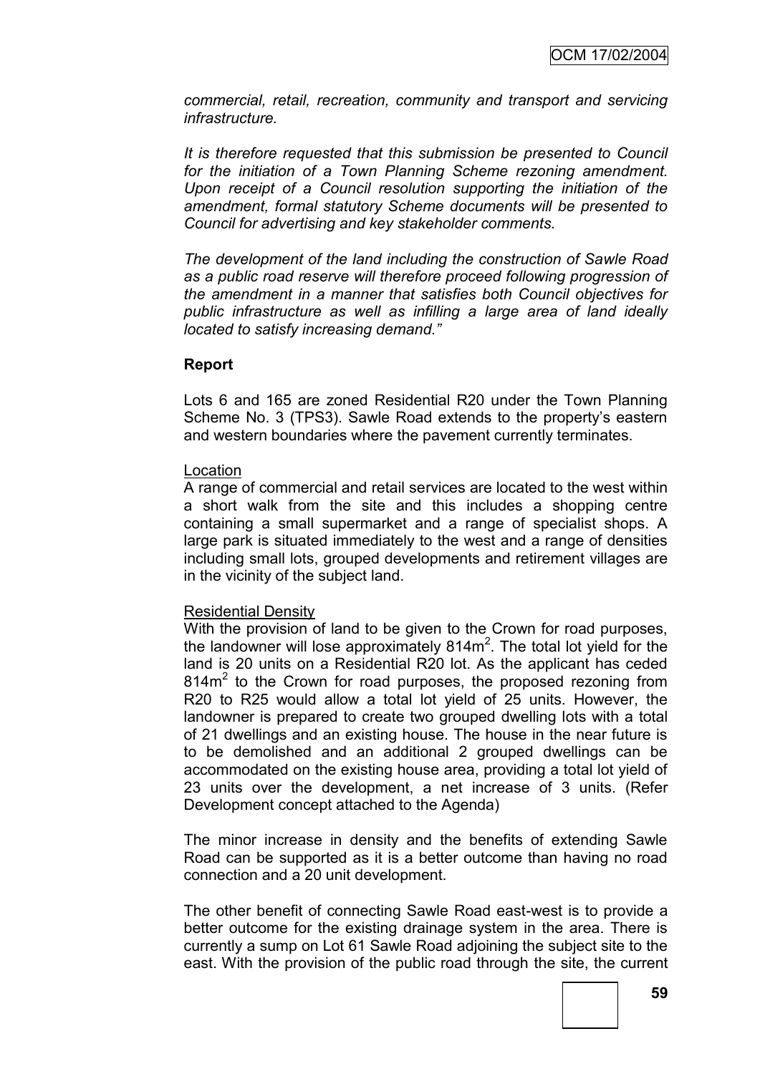*commercial, retail, recreation, community and transport and servicing infrastructure.*

*It is therefore requested that this submission be presented to Council for the initiation of a Town Planning Scheme rezoning amendment. Upon receipt of a Council resolution supporting the initiation of the amendment, formal statutory Scheme documents will be presented to Council for advertising and key stakeholder comments.*

*The development of the land including the construction of Sawle Road as a public road reserve will therefore proceed following progression of the amendment in a manner that satisfies both Council objectives for public infrastructure as well as infilling a large area of land ideally located to satisfy increasing demand."*

#### **Report**

Lots 6 and 165 are zoned Residential R20 under the Town Planning Scheme No. 3 (TPS3). Sawle Road extends to the property's eastern and western boundaries where the pavement currently terminates.

#### Location

A range of commercial and retail services are located to the west within a short walk from the site and this includes a shopping centre containing a small supermarket and a range of specialist shops. A large park is situated immediately to the west and a range of densities including small lots, grouped developments and retirement villages are in the vicinity of the subject land.

#### Residential Density

With the provision of land to be given to the Crown for road purposes, the landowner will lose approximately  $814m^2$ . The total lot yield for the land is 20 units on a Residential R20 lot. As the applicant has ceded 814m<sup>2</sup> to the Crown for road purposes, the proposed rezoning from R20 to R25 would allow a total lot yield of 25 units. However, the landowner is prepared to create two grouped dwelling lots with a total of 21 dwellings and an existing house. The house in the near future is to be demolished and an additional 2 grouped dwellings can be accommodated on the existing house area, providing a total lot yield of 23 units over the development, a net increase of 3 units. (Refer Development concept attached to the Agenda)

The minor increase in density and the benefits of extending Sawle Road can be supported as it is a better outcome than having no road connection and a 20 unit development.

The other benefit of connecting Sawle Road east-west is to provide a better outcome for the existing drainage system in the area. There is currently a sump on Lot 61 Sawle Road adjoining the subject site to the east. With the provision of the public road through the site, the current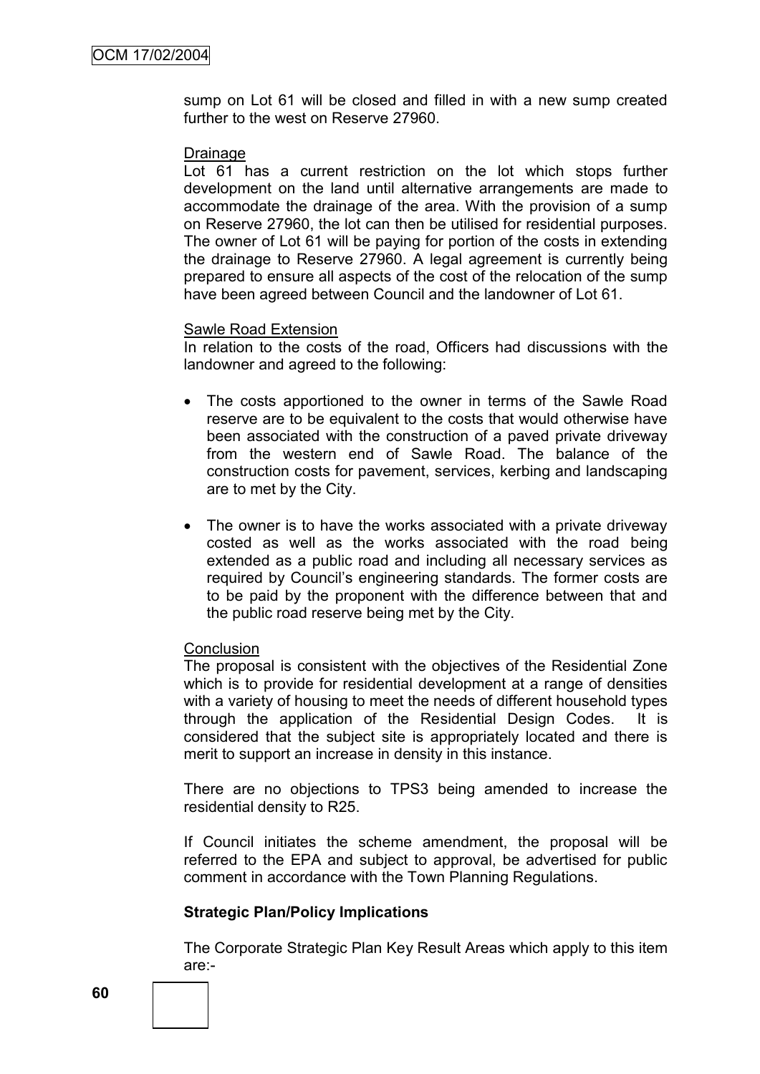sump on Lot 61 will be closed and filled in with a new sump created further to the west on Reserve 27960.

#### Drainage

Lot 61 has a current restriction on the lot which stops further development on the land until alternative arrangements are made to accommodate the drainage of the area. With the provision of a sump on Reserve 27960, the lot can then be utilised for residential purposes. The owner of Lot 61 will be paying for portion of the costs in extending the drainage to Reserve 27960. A legal agreement is currently being prepared to ensure all aspects of the cost of the relocation of the sump have been agreed between Council and the landowner of Lot 61.

#### Sawle Road Extension

In relation to the costs of the road, Officers had discussions with the landowner and agreed to the following:

- The costs apportioned to the owner in terms of the Sawle Road reserve are to be equivalent to the costs that would otherwise have been associated with the construction of a paved private driveway from the western end of Sawle Road. The balance of the construction costs for pavement, services, kerbing and landscaping are to met by the City.
- The owner is to have the works associated with a private driveway costed as well as the works associated with the road being extended as a public road and including all necessary services as required by Council"s engineering standards. The former costs are to be paid by the proponent with the difference between that and the public road reserve being met by the City.

#### **Conclusion**

The proposal is consistent with the objectives of the Residential Zone which is to provide for residential development at a range of densities with a variety of housing to meet the needs of different household types through the application of the Residential Design Codes. It is considered that the subject site is appropriately located and there is merit to support an increase in density in this instance.

There are no objections to TPS3 being amended to increase the residential density to R25.

If Council initiates the scheme amendment, the proposal will be referred to the EPA and subject to approval, be advertised for public comment in accordance with the Town Planning Regulations.

#### **Strategic Plan/Policy Implications**

The Corporate Strategic Plan Key Result Areas which apply to this item are:-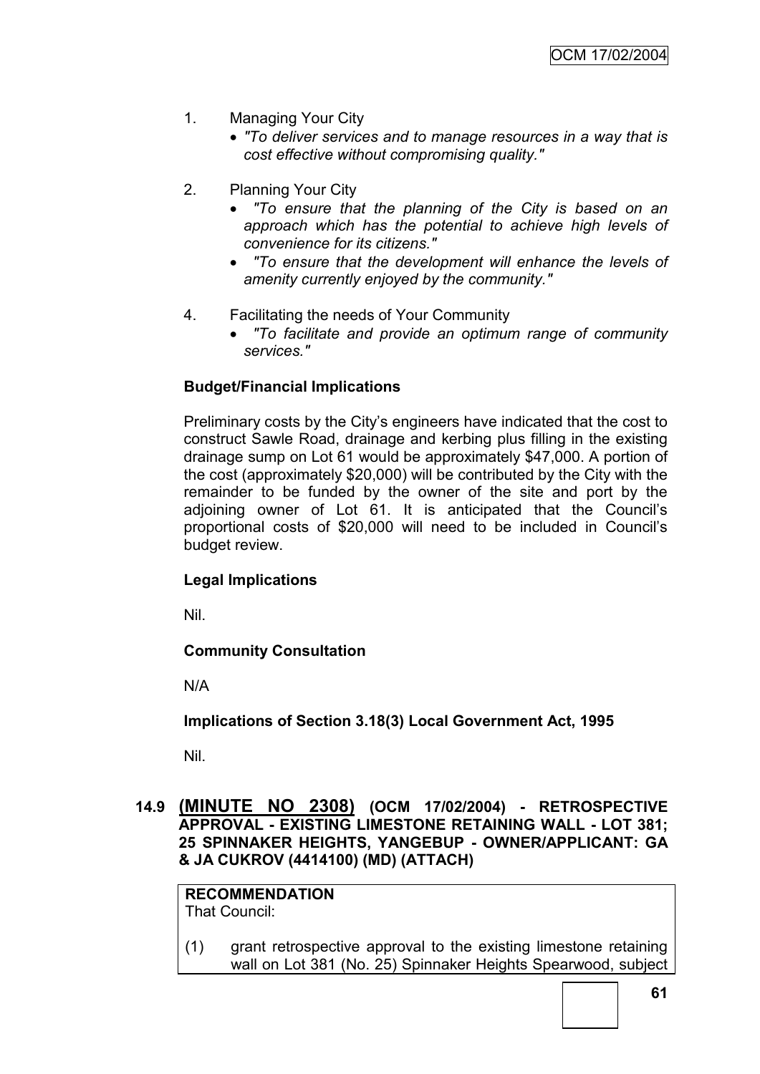- 1. Managing Your City
	- *"To deliver services and to manage resources in a way that is cost effective without compromising quality."*
- 2. Planning Your City
	- *"To ensure that the planning of the City is based on an approach which has the potential to achieve high levels of convenience for its citizens."*
	- *"To ensure that the development will enhance the levels of amenity currently enjoyed by the community."*
- 4. Facilitating the needs of Your Community
	- *"To facilitate and provide an optimum range of community services."*

# **Budget/Financial Implications**

Preliminary costs by the City"s engineers have indicated that the cost to construct Sawle Road, drainage and kerbing plus filling in the existing drainage sump on Lot 61 would be approximately \$47,000. A portion of the cost (approximately \$20,000) will be contributed by the City with the remainder to be funded by the owner of the site and port by the adjoining owner of Lot 61. It is anticipated that the Council"s proportional costs of \$20,000 will need to be included in Council"s budget review.

## **Legal Implications**

Nil.

## **Community Consultation**

N/A

**Implications of Section 3.18(3) Local Government Act, 1995**

Nil.

**14.9 (MINUTE NO 2308) (OCM 17/02/2004) - RETROSPECTIVE APPROVAL - EXISTING LIMESTONE RETAINING WALL - LOT 381; 25 SPINNAKER HEIGHTS, YANGEBUP - OWNER/APPLICANT: GA & JA CUKROV (4414100) (MD) (ATTACH)**

**RECOMMENDATION** That Council:

(1) grant retrospective approval to the existing limestone retaining wall on Lot 381 (No. 25) Spinnaker Heights Spearwood, subject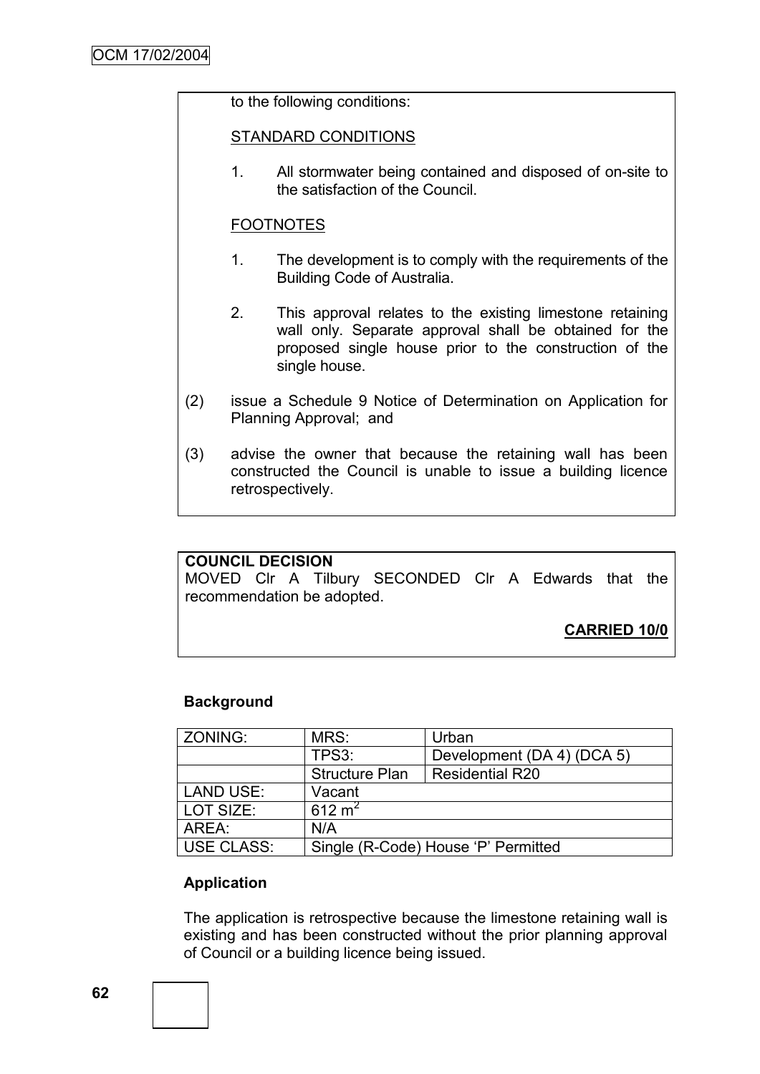## to the following conditions:

#### STANDARD CONDITIONS

1. All stormwater being contained and disposed of on-site to the satisfaction of the Council.

## FOOTNOTES

- 1. The development is to comply with the requirements of the Building Code of Australia.
- 2. This approval relates to the existing limestone retaining wall only. Separate approval shall be obtained for the proposed single house prior to the construction of the single house.
- (2) issue a Schedule 9 Notice of Determination on Application for Planning Approval; and
- (3) advise the owner that because the retaining wall has been constructed the Council is unable to issue a building licence retrospectively.

## **COUNCIL DECISION**

MOVED Clr A Tilbury SECONDED Clr A Edwards that the recommendation be adopted.

**CARRIED 10/0**

## **Background**

| ZONING:    | MRS:                                | Urban                      |  |
|------------|-------------------------------------|----------------------------|--|
|            | TPS3:                               | Development (DA 4) (DCA 5) |  |
|            | <b>Structure Plan</b>               | <b>Residential R20</b>     |  |
| LAND USE:  | Vacant                              |                            |  |
| LOT SIZE:  | 612 $m^2$                           |                            |  |
| AREA:      | N/A                                 |                            |  |
| USE CLASS: | Single (R-Code) House 'P' Permitted |                            |  |

## **Application**

The application is retrospective because the limestone retaining wall is existing and has been constructed without the prior planning approval of Council or a building licence being issued.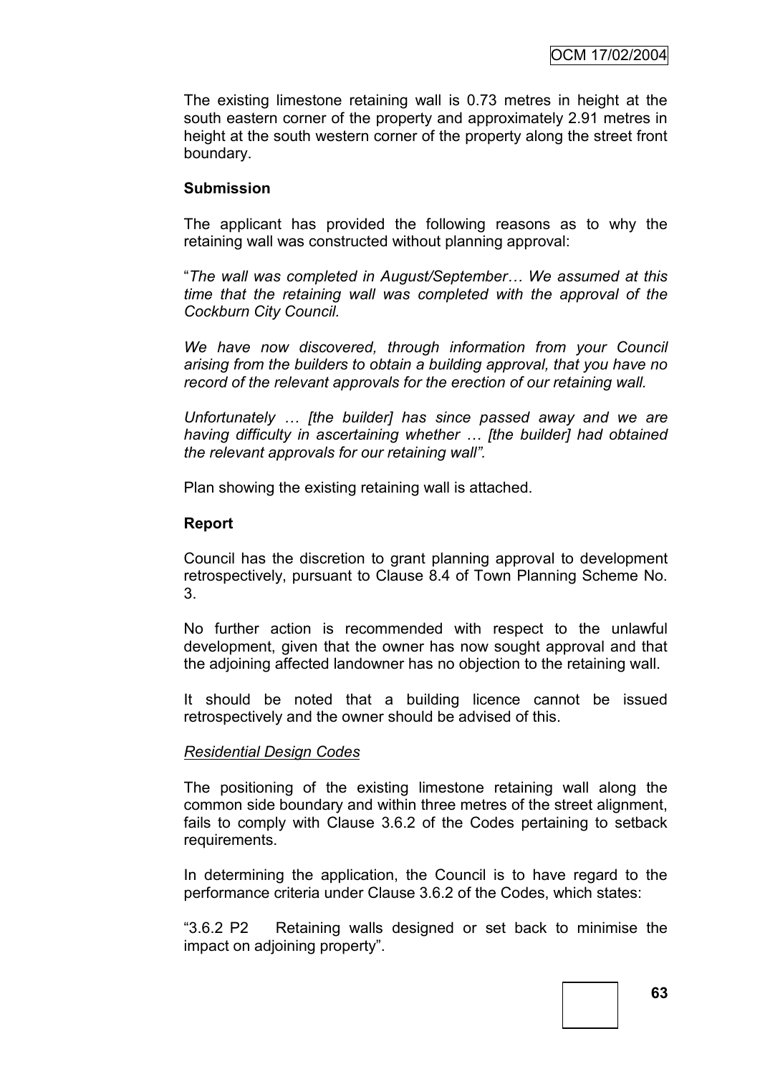The existing limestone retaining wall is 0.73 metres in height at the south eastern corner of the property and approximately 2.91 metres in height at the south western corner of the property along the street front boundary.

## **Submission**

The applicant has provided the following reasons as to why the retaining wall was constructed without planning approval:

"*The wall was completed in August/September… We assumed at this time that the retaining wall was completed with the approval of the Cockburn City Council.*

*We have now discovered, through information from your Council arising from the builders to obtain a building approval, that you have no record of the relevant approvals for the erection of our retaining wall.*

*Unfortunately … [the builder] has since passed away and we are having difficulty in ascertaining whether … [the builder] had obtained the relevant approvals for our retaining wall".*

Plan showing the existing retaining wall is attached.

## **Report**

Council has the discretion to grant planning approval to development retrospectively, pursuant to Clause 8.4 of Town Planning Scheme No. 3.

No further action is recommended with respect to the unlawful development, given that the owner has now sought approval and that the adjoining affected landowner has no objection to the retaining wall.

It should be noted that a building licence cannot be issued retrospectively and the owner should be advised of this.

## *Residential Design Codes*

The positioning of the existing limestone retaining wall along the common side boundary and within three metres of the street alignment, fails to comply with Clause 3.6.2 of the Codes pertaining to setback requirements.

In determining the application, the Council is to have regard to the performance criteria under Clause 3.6.2 of the Codes, which states:

"3.6.2 P2 Retaining walls designed or set back to minimise the impact on adjoining property".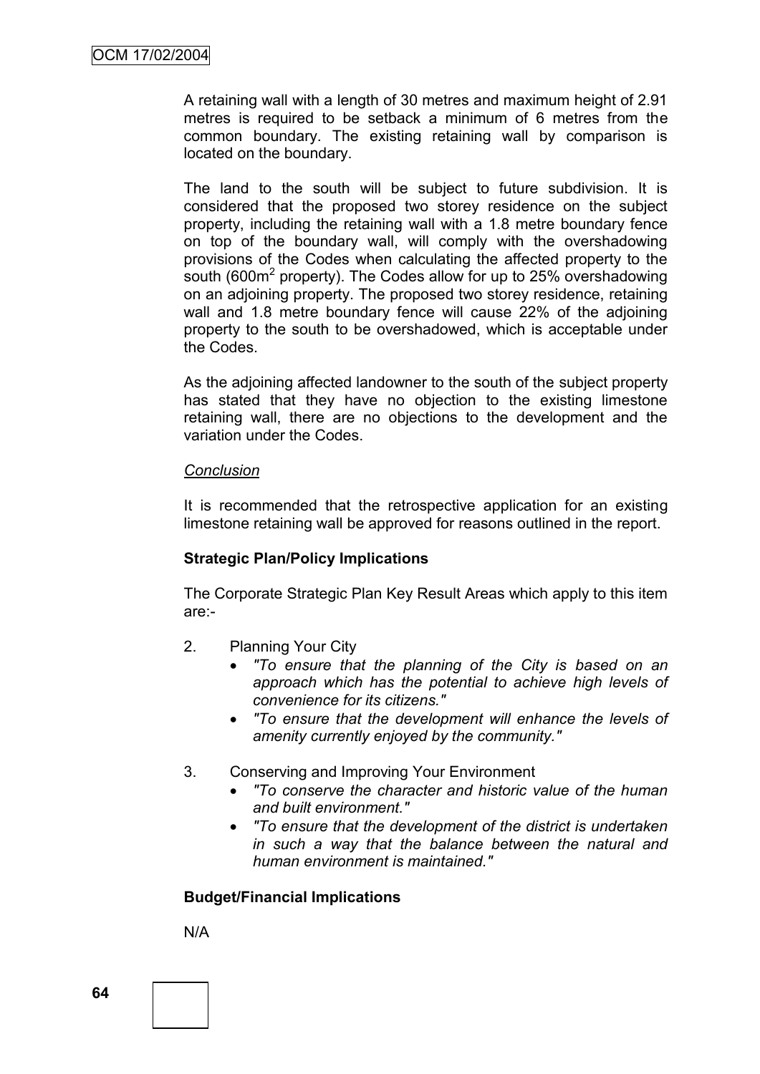A retaining wall with a length of 30 metres and maximum height of 2.91 metres is required to be setback a minimum of 6 metres from the common boundary. The existing retaining wall by comparison is located on the boundary.

The land to the south will be subject to future subdivision. It is considered that the proposed two storey residence on the subject property, including the retaining wall with a 1.8 metre boundary fence on top of the boundary wall, will comply with the overshadowing provisions of the Codes when calculating the affected property to the south (600 $m^2$  property). The Codes allow for up to 25% overshadowing on an adjoining property. The proposed two storey residence, retaining wall and 1.8 metre boundary fence will cause 22% of the adjoining property to the south to be overshadowed, which is acceptable under the Codes.

As the adjoining affected landowner to the south of the subject property has stated that they have no objection to the existing limestone retaining wall, there are no objections to the development and the variation under the Codes.

#### *Conclusion*

It is recommended that the retrospective application for an existing limestone retaining wall be approved for reasons outlined in the report.

## **Strategic Plan/Policy Implications**

The Corporate Strategic Plan Key Result Areas which apply to this item are:-

- 2. Planning Your City
	- *"To ensure that the planning of the City is based on an approach which has the potential to achieve high levels of convenience for its citizens."*
	- *"To ensure that the development will enhance the levels of amenity currently enjoyed by the community."*
- 3. Conserving and Improving Your Environment
	- *"To conserve the character and historic value of the human and built environment."*
	- *"To ensure that the development of the district is undertaken in such a way that the balance between the natural and human environment is maintained."*

## **Budget/Financial Implications**

N/A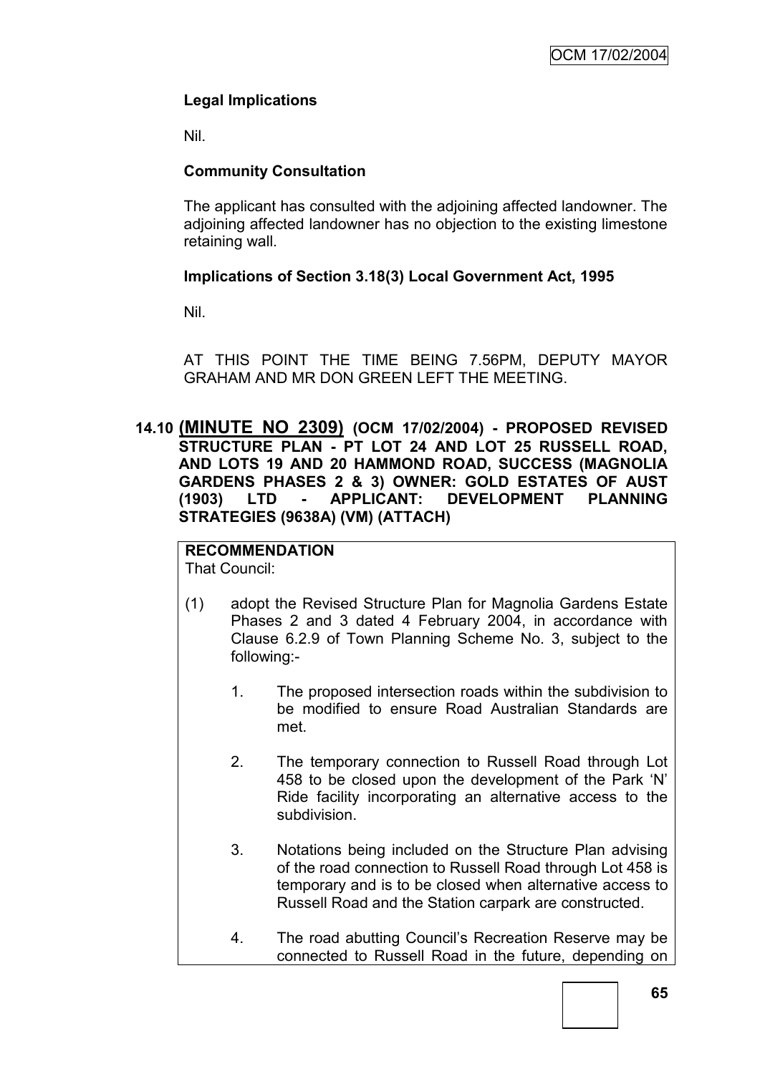# **Legal Implications**

Nil.

# **Community Consultation**

The applicant has consulted with the adjoining affected landowner. The adjoining affected landowner has no objection to the existing limestone retaining wall.

# **Implications of Section 3.18(3) Local Government Act, 1995**

Nil.

AT THIS POINT THE TIME BEING 7.56PM, DEPUTY MAYOR GRAHAM AND MR DON GREEN LEFT THE MEETING.

**14.10 (MINUTE NO 2309) (OCM 17/02/2004) - PROPOSED REVISED STRUCTURE PLAN - PT LOT 24 AND LOT 25 RUSSELL ROAD, AND LOTS 19 AND 20 HAMMOND ROAD, SUCCESS (MAGNOLIA GARDENS PHASES 2 & 3) OWNER: GOLD ESTATES OF AUST (1903) LTD - APPLICANT: DEVELOPMENT PLANNING STRATEGIES (9638A) (VM) (ATTACH)**

# **RECOMMENDATION**

That Council:

- (1) adopt the Revised Structure Plan for Magnolia Gardens Estate Phases 2 and 3 dated 4 February 2004, in accordance with Clause 6.2.9 of Town Planning Scheme No. 3, subject to the following:-
	- 1. The proposed intersection roads within the subdivision to be modified to ensure Road Australian Standards are met.
	- 2. The temporary connection to Russell Road through Lot 458 to be closed upon the development of the Park "N" Ride facility incorporating an alternative access to the subdivision.
	- 3. Notations being included on the Structure Plan advising of the road connection to Russell Road through Lot 458 is temporary and is to be closed when alternative access to Russell Road and the Station carpark are constructed.
	- 4. The road abutting Council"s Recreation Reserve may be connected to Russell Road in the future, depending on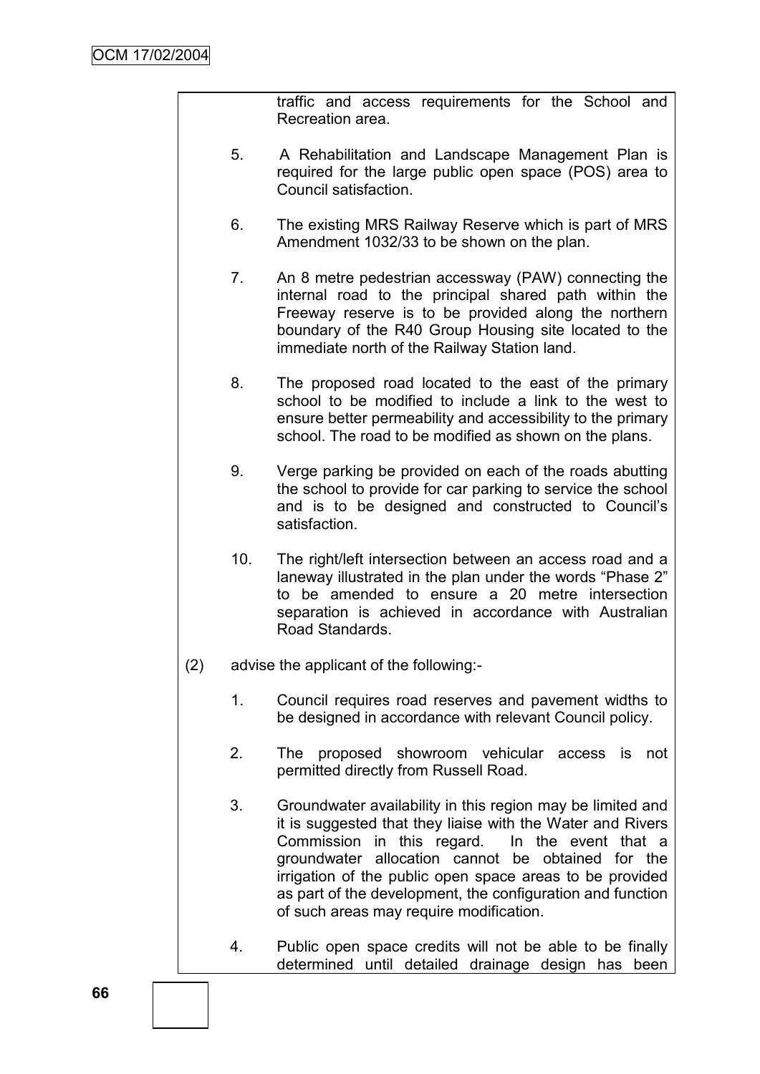traffic and access requirements for the School and Recreation area.

- 5. A Rehabilitation and Landscape Management Plan is required for the large public open space (POS) area to Council satisfaction.
- 6. The existing MRS Railway Reserve which is part of MRS Amendment 1032/33 to be shown on the plan.
- 7. An 8 metre pedestrian accessway (PAW) connecting the internal road to the principal shared path within the Freeway reserve is to be provided along the northern boundary of the R40 Group Housing site located to the immediate north of the Railway Station land.
- 8. The proposed road located to the east of the primary school to be modified to include a link to the west to ensure better permeability and accessibility to the primary school. The road to be modified as shown on the plans.
- 9. Verge parking be provided on each of the roads abutting the school to provide for car parking to service the school and is to be designed and constructed to Council"s satisfaction.
- 10. The right/left intersection between an access road and a laneway illustrated in the plan under the words "Phase 2" to be amended to ensure a 20 metre intersection separation is achieved in accordance with Australian Road Standards.
- (2) advise the applicant of the following:-
	- 1. Council requires road reserves and pavement widths to be designed in accordance with relevant Council policy.
	- 2. The proposed showroom vehicular access is not permitted directly from Russell Road.
	- 3. Groundwater availability in this region may be limited and it is suggested that they liaise with the Water and Rivers Commission in this regard. In the event that a groundwater allocation cannot be obtained for the irrigation of the public open space areas to be provided as part of the development, the configuration and function of such areas may require modification.
	- 4. Public open space credits will not be able to be finally determined until detailed drainage design has been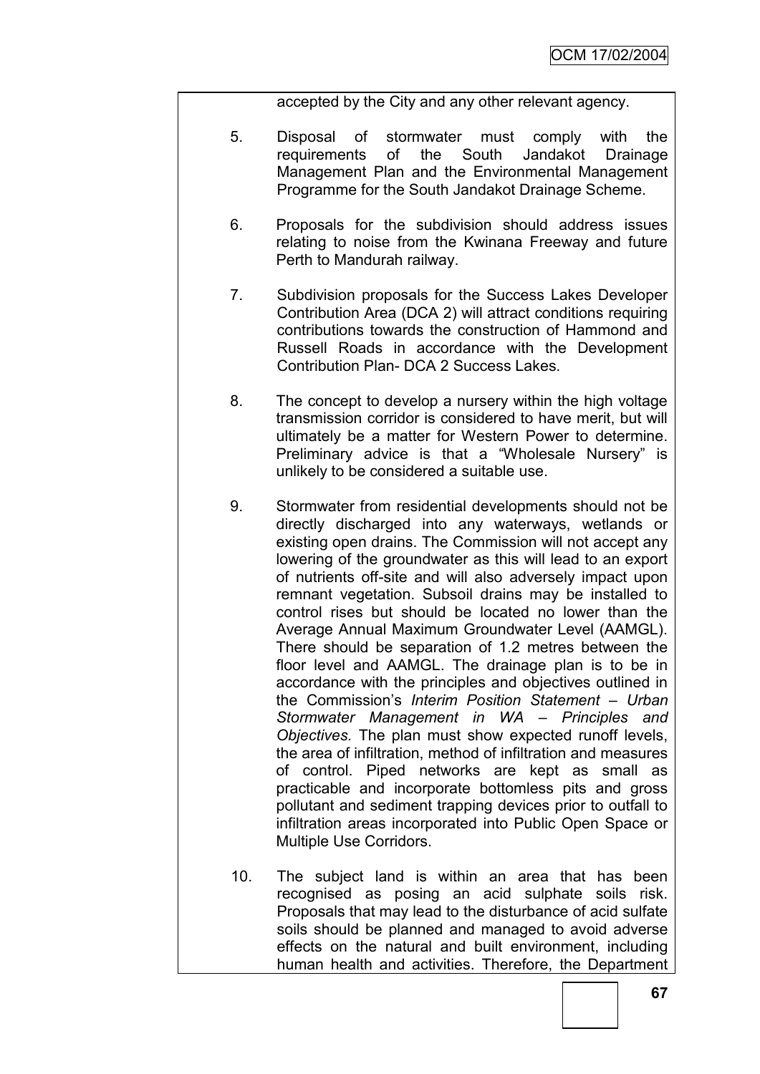accepted by the City and any other relevant agency.

- 5. Disposal of stormwater must comply with the requirements of the South Jandakot Drainage Management Plan and the Environmental Management Programme for the South Jandakot Drainage Scheme.
- 6. Proposals for the subdivision should address issues relating to noise from the Kwinana Freeway and future Perth to Mandurah railway.
- 7. Subdivision proposals for the Success Lakes Developer Contribution Area (DCA 2) will attract conditions requiring contributions towards the construction of Hammond and Russell Roads in accordance with the Development Contribution Plan- DCA 2 Success Lakes.
- 8. The concept to develop a nursery within the high voltage transmission corridor is considered to have merit, but will ultimately be a matter for Western Power to determine. Preliminary advice is that a "Wholesale Nursery" is unlikely to be considered a suitable use.
- 9. Stormwater from residential developments should not be directly discharged into any waterways, wetlands or existing open drains. The Commission will not accept any lowering of the groundwater as this will lead to an export of nutrients off-site and will also adversely impact upon remnant vegetation. Subsoil drains may be installed to control rises but should be located no lower than the Average Annual Maximum Groundwater Level (AAMGL). There should be separation of 1.2 metres between the floor level and AAMGL. The drainage plan is to be in accordance with the principles and objectives outlined in the Commission"s *Interim Position Statement – Urban Stormwater Management in WA – Principles and Objectives.* The plan must show expected runoff levels, the area of infiltration, method of infiltration and measures of control. Piped networks are kept as small as practicable and incorporate bottomless pits and gross pollutant and sediment trapping devices prior to outfall to infiltration areas incorporated into Public Open Space or Multiple Use Corridors.
- 10. The subject land is within an area that has been recognised as posing an acid sulphate soils risk. Proposals that may lead to the disturbance of acid sulfate soils should be planned and managed to avoid adverse effects on the natural and built environment, including human health and activities. Therefore, the Department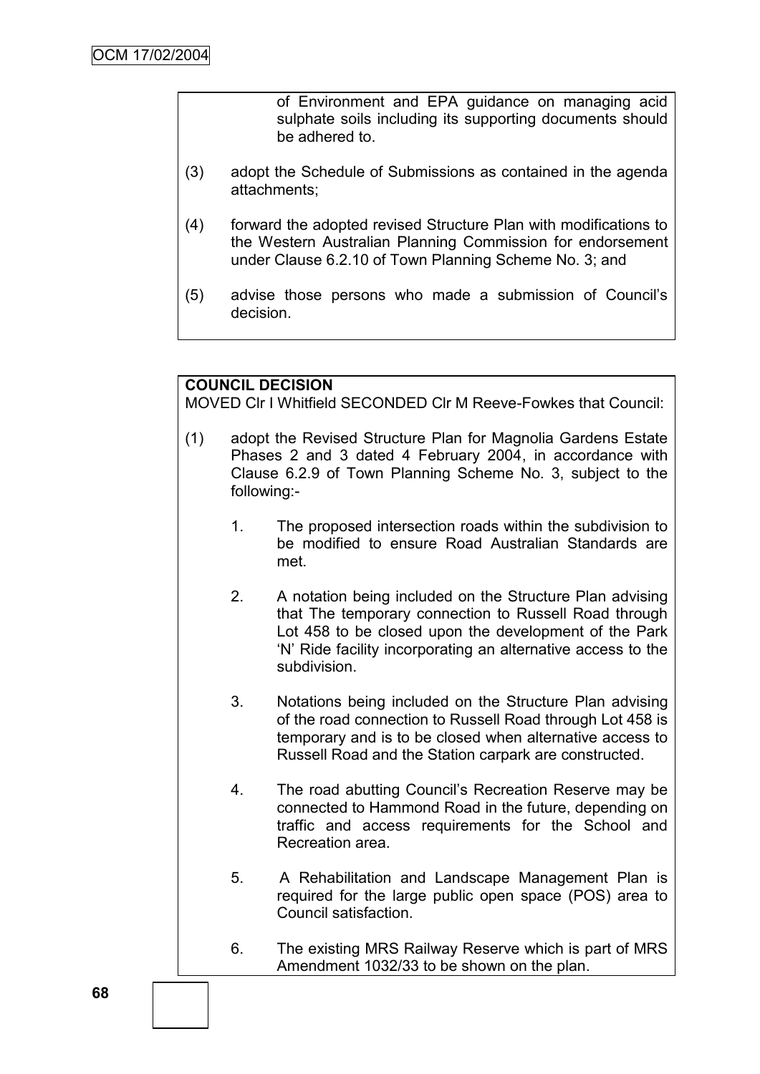of Environment and EPA guidance on managing acid sulphate soils including its supporting documents should be adhered to.

- (3) adopt the Schedule of Submissions as contained in the agenda attachments;
- (4) forward the adopted revised Structure Plan with modifications to the Western Australian Planning Commission for endorsement under Clause 6.2.10 of Town Planning Scheme No. 3; and
- (5) advise those persons who made a submission of Council"s decision.

### **COUNCIL DECISION**

MOVED Clr I Whitfield SECONDED Clr M Reeve-Fowkes that Council:

- (1) adopt the Revised Structure Plan for Magnolia Gardens Estate Phases 2 and 3 dated 4 February 2004, in accordance with Clause 6.2.9 of Town Planning Scheme No. 3, subject to the following:-
	- 1. The proposed intersection roads within the subdivision to be modified to ensure Road Australian Standards are met.
	- 2. A notation being included on the Structure Plan advising that The temporary connection to Russell Road through Lot 458 to be closed upon the development of the Park "N" Ride facility incorporating an alternative access to the subdivision.
	- 3. Notations being included on the Structure Plan advising of the road connection to Russell Road through Lot 458 is temporary and is to be closed when alternative access to Russell Road and the Station carpark are constructed.
	- 4. The road abutting Council"s Recreation Reserve may be connected to Hammond Road in the future, depending on traffic and access requirements for the School and Recreation area.
	- 5. A Rehabilitation and Landscape Management Plan is required for the large public open space (POS) area to Council satisfaction.
	- 6. The existing MRS Railway Reserve which is part of MRS Amendment 1032/33 to be shown on the plan.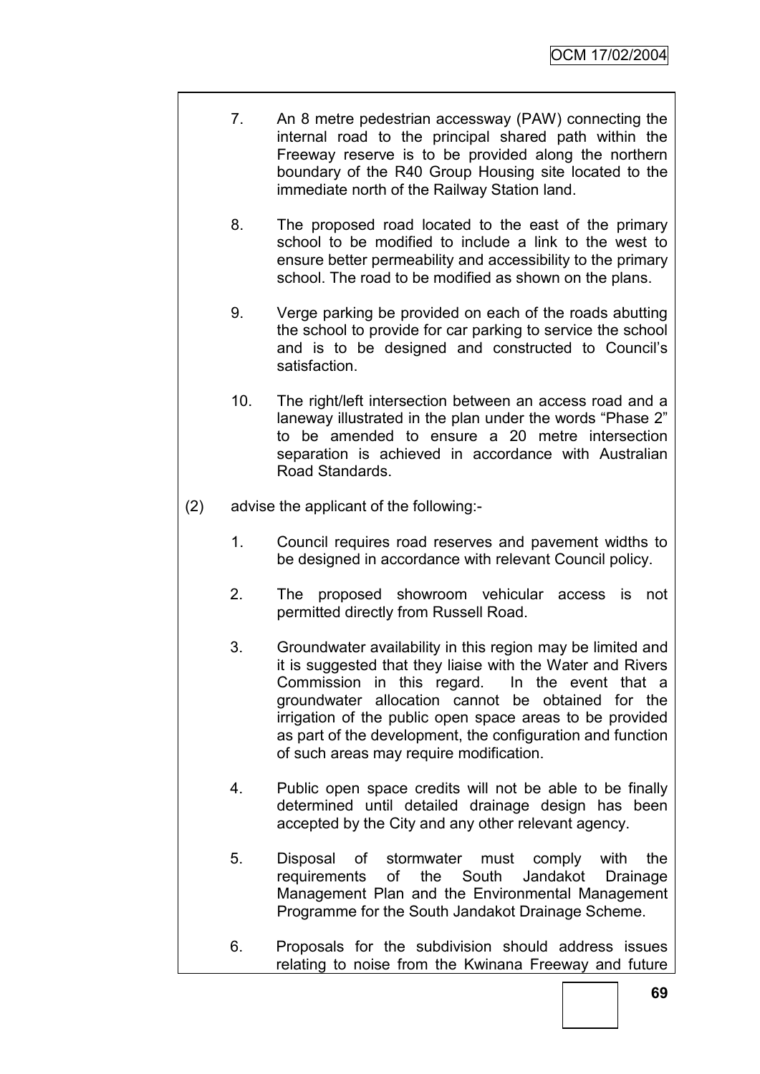- 7. An 8 metre pedestrian accessway (PAW) connecting the internal road to the principal shared path within the Freeway reserve is to be provided along the northern boundary of the R40 Group Housing site located to the immediate north of the Railway Station land.
- 8. The proposed road located to the east of the primary school to be modified to include a link to the west to ensure better permeability and accessibility to the primary school. The road to be modified as shown on the plans.
- 9. Verge parking be provided on each of the roads abutting the school to provide for car parking to service the school and is to be designed and constructed to Council"s satisfaction.
- 10. The right/left intersection between an access road and a laneway illustrated in the plan under the words "Phase 2" to be amended to ensure a 20 metre intersection separation is achieved in accordance with Australian Road Standards.
- (2) advise the applicant of the following:-
	- 1. Council requires road reserves and pavement widths to be designed in accordance with relevant Council policy.
	- 2. The proposed showroom vehicular access is not permitted directly from Russell Road.
	- 3. Groundwater availability in this region may be limited and it is suggested that they liaise with the Water and Rivers Commission in this regard. In the event that a groundwater allocation cannot be obtained for the irrigation of the public open space areas to be provided as part of the development, the configuration and function of such areas may require modification.
	- 4. Public open space credits will not be able to be finally determined until detailed drainage design has been accepted by the City and any other relevant agency.
	- 5. Disposal of stormwater must comply with the requirements of the South Jandakot Drainage Management Plan and the Environmental Management Programme for the South Jandakot Drainage Scheme.
	- 6. Proposals for the subdivision should address issues relating to noise from the Kwinana Freeway and future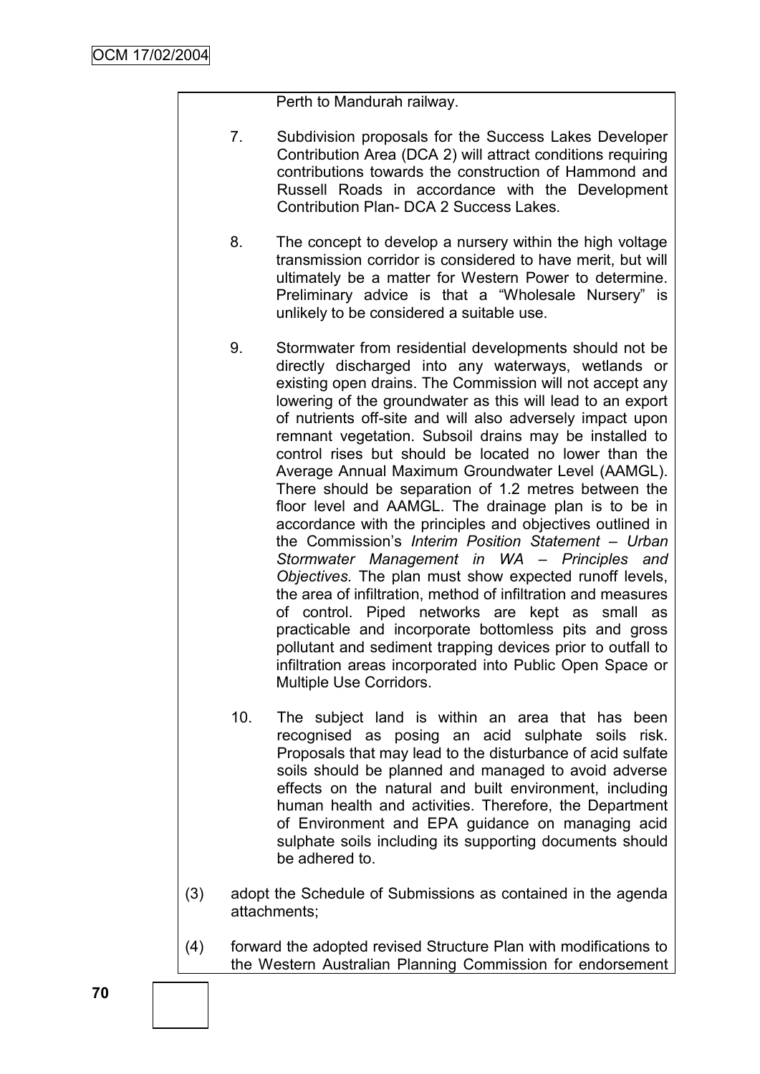Perth to Mandurah railway.

- 7. Subdivision proposals for the Success Lakes Developer Contribution Area (DCA 2) will attract conditions requiring contributions towards the construction of Hammond and Russell Roads in accordance with the Development Contribution Plan- DCA 2 Success Lakes.
- 8. The concept to develop a nursery within the high voltage transmission corridor is considered to have merit, but will ultimately be a matter for Western Power to determine. Preliminary advice is that a "Wholesale Nursery" is unlikely to be considered a suitable use.
- 9. Stormwater from residential developments should not be directly discharged into any waterways, wetlands or existing open drains. The Commission will not accept any lowering of the groundwater as this will lead to an export of nutrients off-site and will also adversely impact upon remnant vegetation. Subsoil drains may be installed to control rises but should be located no lower than the Average Annual Maximum Groundwater Level (AAMGL). There should be separation of 1.2 metres between the floor level and AAMGL. The drainage plan is to be in accordance with the principles and objectives outlined in the Commission"s *Interim Position Statement – Urban Stormwater Management in WA – Principles and Objectives.* The plan must show expected runoff levels, the area of infiltration, method of infiltration and measures of control. Piped networks are kept as small as practicable and incorporate bottomless pits and gross pollutant and sediment trapping devices prior to outfall to infiltration areas incorporated into Public Open Space or Multiple Use Corridors.
- 10. The subject land is within an area that has been recognised as posing an acid sulphate soils risk. Proposals that may lead to the disturbance of acid sulfate soils should be planned and managed to avoid adverse effects on the natural and built environment, including human health and activities. Therefore, the Department of Environment and EPA guidance on managing acid sulphate soils including its supporting documents should be adhered to.
- (3) adopt the Schedule of Submissions as contained in the agenda attachments;
- (4) forward the adopted revised Structure Plan with modifications to the Western Australian Planning Commission for endorsement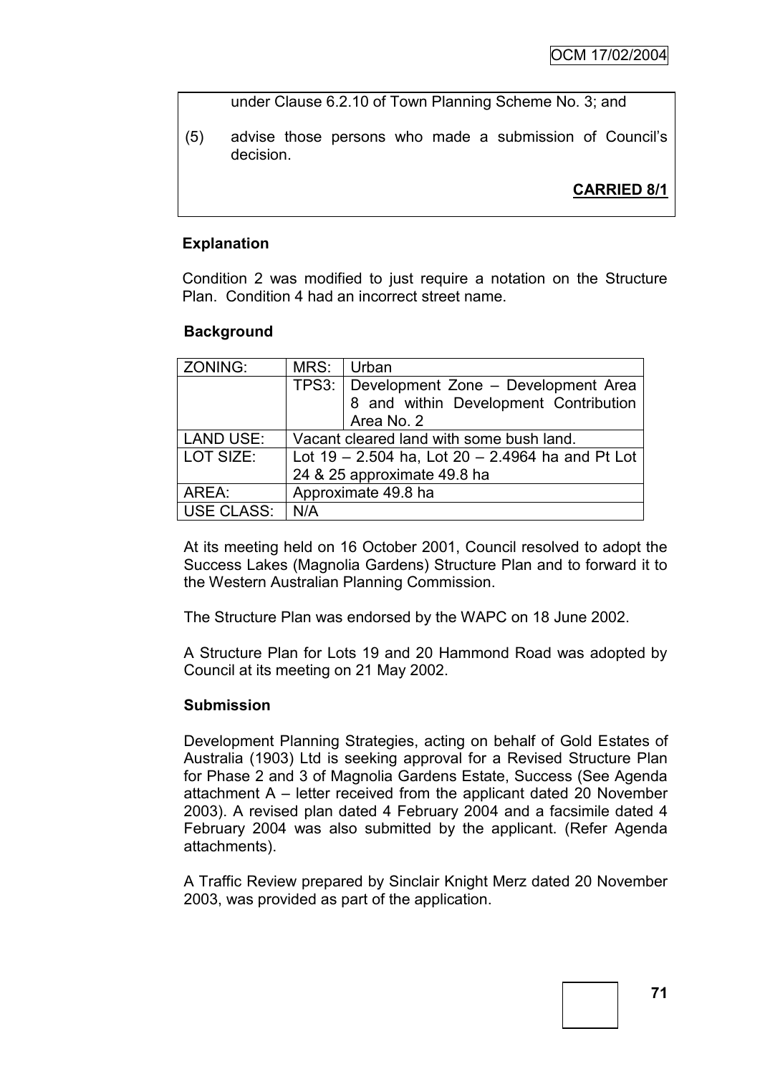under Clause 6.2.10 of Town Planning Scheme No. 3; and

(5) advise those persons who made a submission of Council"s decision.

# **CARRIED 8/1**

# **Explanation**

Condition 2 was modified to just require a notation on the Structure Plan. Condition 4 had an incorrect street name.

# **Background**

| ZONING:           | MRS:                                                 | Urban                                       |  |
|-------------------|------------------------------------------------------|---------------------------------------------|--|
|                   |                                                      | TPS3:   Development Zone - Development Area |  |
|                   |                                                      | 8 and within Development Contribution       |  |
|                   |                                                      | Area No. 2                                  |  |
| <b>LAND USE:</b>  | Vacant cleared land with some bush land.             |                                             |  |
| LOT SIZE:         | Lot $19 - 2.504$ ha, Lot $20 - 2.4964$ ha and Pt Lot |                                             |  |
|                   | 24 & 25 approximate 49.8 ha                          |                                             |  |
| AREA:             | Approximate 49.8 ha                                  |                                             |  |
| <b>USE CLASS:</b> | N/A                                                  |                                             |  |

At its meeting held on 16 October 2001, Council resolved to adopt the Success Lakes (Magnolia Gardens) Structure Plan and to forward it to the Western Australian Planning Commission.

The Structure Plan was endorsed by the WAPC on 18 June 2002.

A Structure Plan for Lots 19 and 20 Hammond Road was adopted by Council at its meeting on 21 May 2002.

### **Submission**

Development Planning Strategies, acting on behalf of Gold Estates of Australia (1903) Ltd is seeking approval for a Revised Structure Plan for Phase 2 and 3 of Magnolia Gardens Estate, Success (See Agenda attachment A – letter received from the applicant dated 20 November 2003). A revised plan dated 4 February 2004 and a facsimile dated 4 February 2004 was also submitted by the applicant. (Refer Agenda attachments).

A Traffic Review prepared by Sinclair Knight Merz dated 20 November 2003, was provided as part of the application.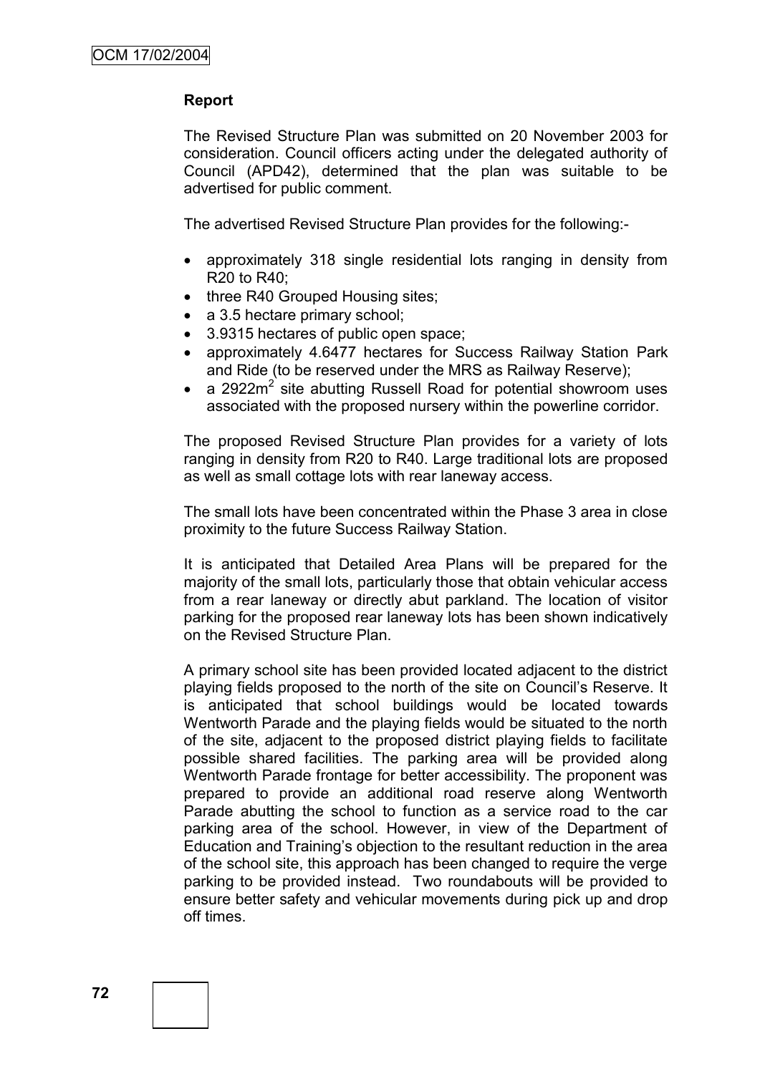### **Report**

The Revised Structure Plan was submitted on 20 November 2003 for consideration. Council officers acting under the delegated authority of Council (APD42), determined that the plan was suitable to be advertised for public comment.

The advertised Revised Structure Plan provides for the following:-

- approximately 318 single residential lots ranging in density from R20 to R40;
- three R40 Grouped Housing sites;
- a 3.5 hectare primary school;
- 3.9315 hectares of public open space:
- approximately 4.6477 hectares for Success Railway Station Park and Ride (to be reserved under the MRS as Railway Reserve);
- a 2922 $m^2$  site abutting Russell Road for potential showroom uses associated with the proposed nursery within the powerline corridor.

The proposed Revised Structure Plan provides for a variety of lots ranging in density from R20 to R40. Large traditional lots are proposed as well as small cottage lots with rear laneway access.

The small lots have been concentrated within the Phase 3 area in close proximity to the future Success Railway Station.

It is anticipated that Detailed Area Plans will be prepared for the majority of the small lots, particularly those that obtain vehicular access from a rear laneway or directly abut parkland. The location of visitor parking for the proposed rear laneway lots has been shown indicatively on the Revised Structure Plan.

A primary school site has been provided located adjacent to the district playing fields proposed to the north of the site on Council"s Reserve. It is anticipated that school buildings would be located towards Wentworth Parade and the playing fields would be situated to the north of the site, adjacent to the proposed district playing fields to facilitate possible shared facilities. The parking area will be provided along Wentworth Parade frontage for better accessibility. The proponent was prepared to provide an additional road reserve along Wentworth Parade abutting the school to function as a service road to the car parking area of the school. However, in view of the Department of Education and Training"s objection to the resultant reduction in the area of the school site, this approach has been changed to require the verge parking to be provided instead. Two roundabouts will be provided to ensure better safety and vehicular movements during pick up and drop off times.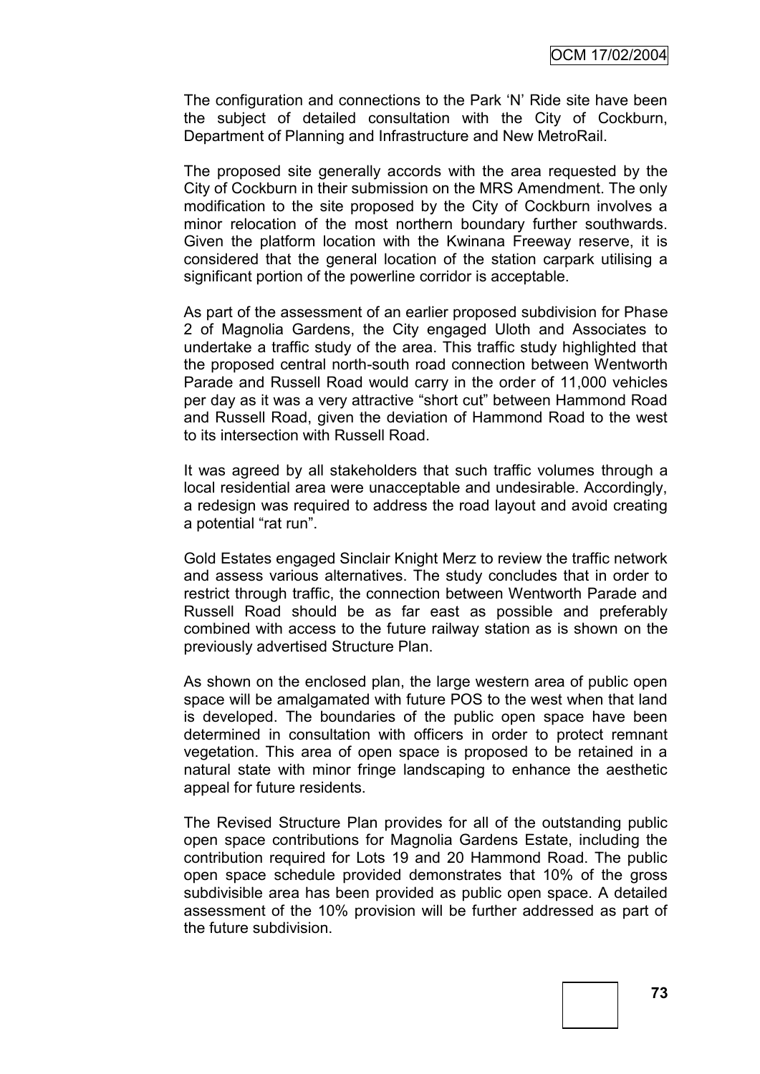The configuration and connections to the Park "N" Ride site have been the subject of detailed consultation with the City of Cockburn, Department of Planning and Infrastructure and New MetroRail.

The proposed site generally accords with the area requested by the City of Cockburn in their submission on the MRS Amendment. The only modification to the site proposed by the City of Cockburn involves a minor relocation of the most northern boundary further southwards. Given the platform location with the Kwinana Freeway reserve, it is considered that the general location of the station carpark utilising a significant portion of the powerline corridor is acceptable.

As part of the assessment of an earlier proposed subdivision for Phase 2 of Magnolia Gardens, the City engaged Uloth and Associates to undertake a traffic study of the area. This traffic study highlighted that the proposed central north-south road connection between Wentworth Parade and Russell Road would carry in the order of 11,000 vehicles per day as it was a very attractive "short cut" between Hammond Road and Russell Road, given the deviation of Hammond Road to the west to its intersection with Russell Road.

It was agreed by all stakeholders that such traffic volumes through a local residential area were unacceptable and undesirable. Accordingly, a redesign was required to address the road layout and avoid creating a potential "rat run".

Gold Estates engaged Sinclair Knight Merz to review the traffic network and assess various alternatives. The study concludes that in order to restrict through traffic, the connection between Wentworth Parade and Russell Road should be as far east as possible and preferably combined with access to the future railway station as is shown on the previously advertised Structure Plan.

As shown on the enclosed plan, the large western area of public open space will be amalgamated with future POS to the west when that land is developed. The boundaries of the public open space have been determined in consultation with officers in order to protect remnant vegetation. This area of open space is proposed to be retained in a natural state with minor fringe landscaping to enhance the aesthetic appeal for future residents.

The Revised Structure Plan provides for all of the outstanding public open space contributions for Magnolia Gardens Estate, including the contribution required for Lots 19 and 20 Hammond Road. The public open space schedule provided demonstrates that 10% of the gross subdivisible area has been provided as public open space. A detailed assessment of the 10% provision will be further addressed as part of the future subdivision.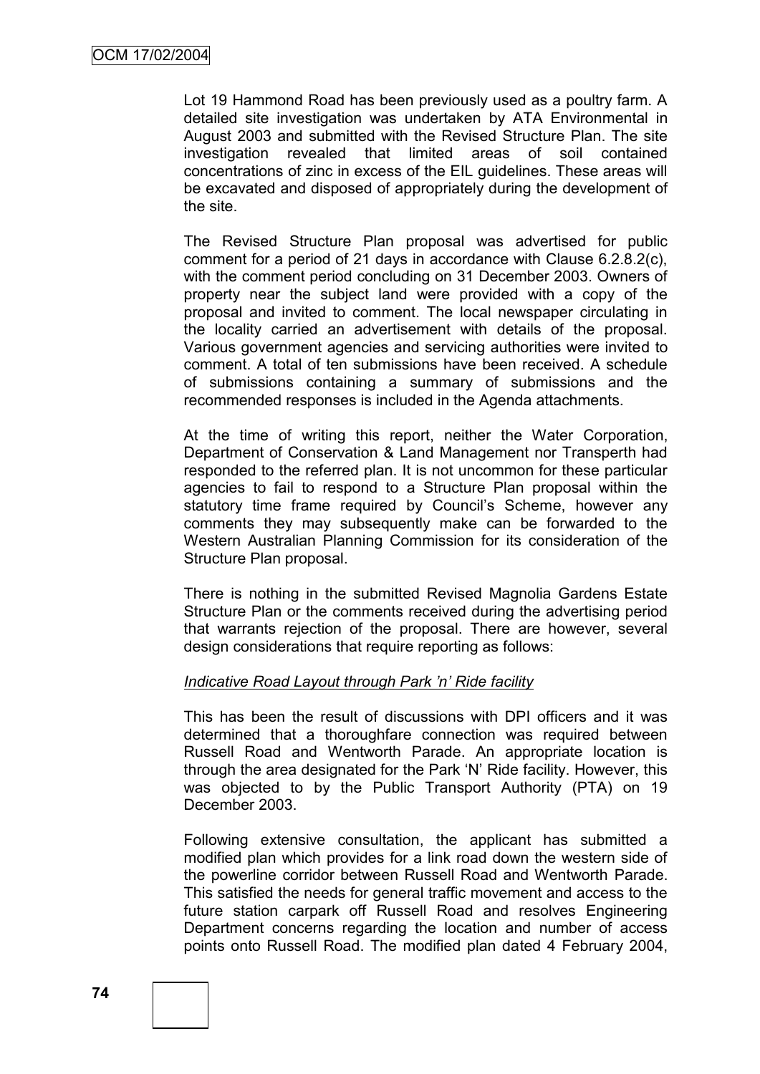Lot 19 Hammond Road has been previously used as a poultry farm. A detailed site investigation was undertaken by ATA Environmental in August 2003 and submitted with the Revised Structure Plan. The site investigation revealed that limited areas of soil contained concentrations of zinc in excess of the EIL guidelines. These areas will be excavated and disposed of appropriately during the development of the site.

The Revised Structure Plan proposal was advertised for public comment for a period of 21 days in accordance with Clause 6.2.8.2(c), with the comment period concluding on 31 December 2003. Owners of property near the subject land were provided with a copy of the proposal and invited to comment. The local newspaper circulating in the locality carried an advertisement with details of the proposal. Various government agencies and servicing authorities were invited to comment. A total of ten submissions have been received. A schedule of submissions containing a summary of submissions and the recommended responses is included in the Agenda attachments.

At the time of writing this report, neither the Water Corporation, Department of Conservation & Land Management nor Transperth had responded to the referred plan. It is not uncommon for these particular agencies to fail to respond to a Structure Plan proposal within the statutory time frame required by Council's Scheme, however any comments they may subsequently make can be forwarded to the Western Australian Planning Commission for its consideration of the Structure Plan proposal.

There is nothing in the submitted Revised Magnolia Gardens Estate Structure Plan or the comments received during the advertising period that warrants rejection of the proposal. There are however, several design considerations that require reporting as follows:

### *Indicative Road Layout through Park 'n' Ride facility*

This has been the result of discussions with DPI officers and it was determined that a thoroughfare connection was required between Russell Road and Wentworth Parade. An appropriate location is through the area designated for the Park "N" Ride facility. However, this was objected to by the Public Transport Authority (PTA) on 19 December 2003.

Following extensive consultation, the applicant has submitted a modified plan which provides for a link road down the western side of the powerline corridor between Russell Road and Wentworth Parade. This satisfied the needs for general traffic movement and access to the future station carpark off Russell Road and resolves Engineering Department concerns regarding the location and number of access points onto Russell Road. The modified plan dated 4 February 2004,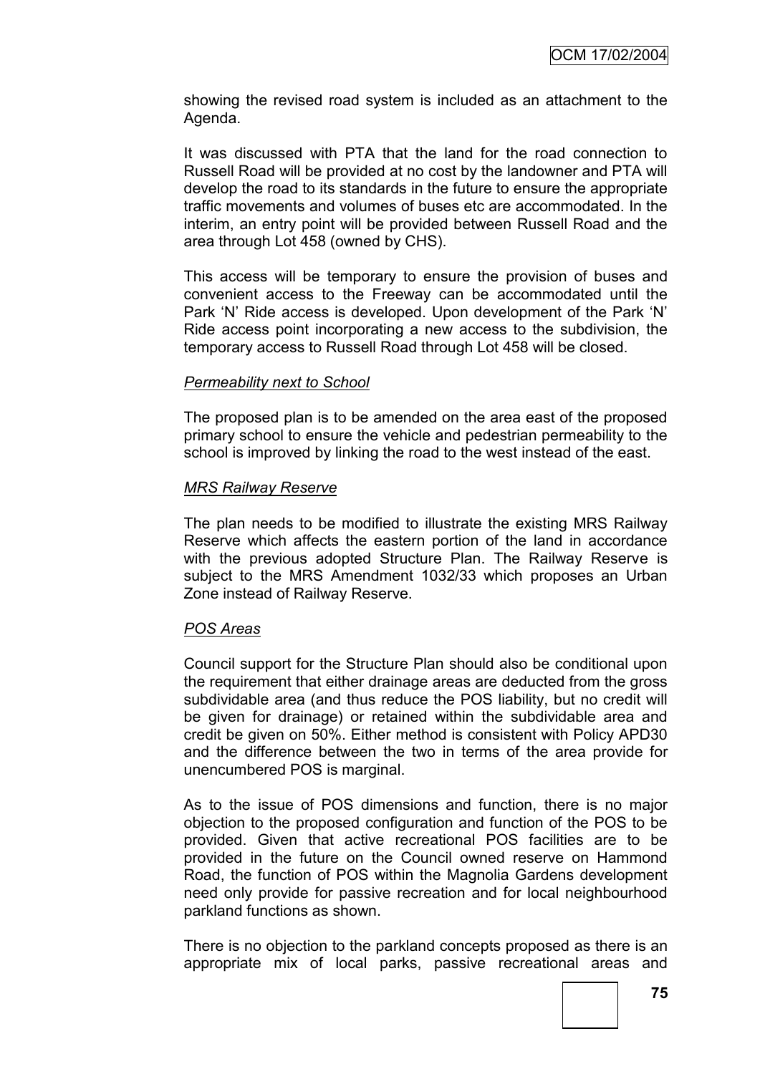showing the revised road system is included as an attachment to the Agenda.

It was discussed with PTA that the land for the road connection to Russell Road will be provided at no cost by the landowner and PTA will develop the road to its standards in the future to ensure the appropriate traffic movements and volumes of buses etc are accommodated. In the interim, an entry point will be provided between Russell Road and the area through Lot 458 (owned by CHS).

This access will be temporary to ensure the provision of buses and convenient access to the Freeway can be accommodated until the Park 'N' Ride access is developed. Upon development of the Park 'N' Ride access point incorporating a new access to the subdivision, the temporary access to Russell Road through Lot 458 will be closed.

### *Permeability next to School*

The proposed plan is to be amended on the area east of the proposed primary school to ensure the vehicle and pedestrian permeability to the school is improved by linking the road to the west instead of the east.

### *MRS Railway Reserve*

The plan needs to be modified to illustrate the existing MRS Railway Reserve which affects the eastern portion of the land in accordance with the previous adopted Structure Plan. The Railway Reserve is subject to the MRS Amendment 1032/33 which proposes an Urban Zone instead of Railway Reserve.

#### *POS Areas*

Council support for the Structure Plan should also be conditional upon the requirement that either drainage areas are deducted from the gross subdividable area (and thus reduce the POS liability, but no credit will be given for drainage) or retained within the subdividable area and credit be given on 50%. Either method is consistent with Policy APD30 and the difference between the two in terms of the area provide for unencumbered POS is marginal.

As to the issue of POS dimensions and function, there is no major objection to the proposed configuration and function of the POS to be provided. Given that active recreational POS facilities are to be provided in the future on the Council owned reserve on Hammond Road, the function of POS within the Magnolia Gardens development need only provide for passive recreation and for local neighbourhood parkland functions as shown.

There is no objection to the parkland concepts proposed as there is an appropriate mix of local parks, passive recreational areas and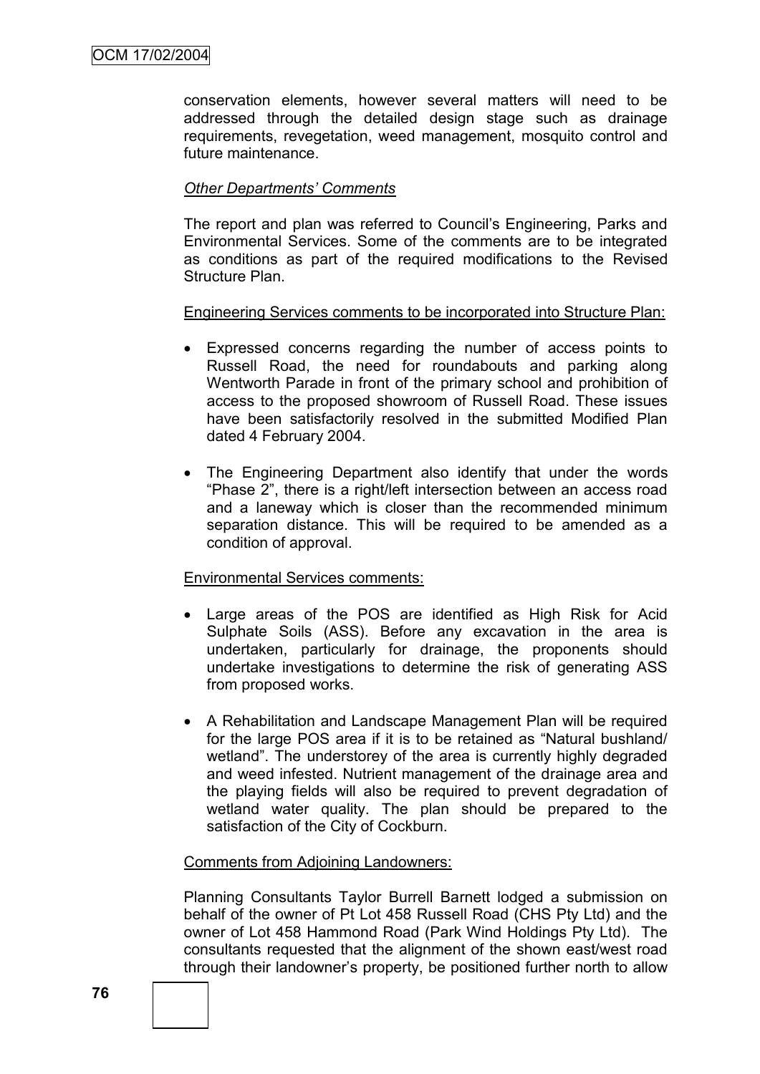conservation elements, however several matters will need to be addressed through the detailed design stage such as drainage requirements, revegetation, weed management, mosquito control and future maintenance.

# *Other Departments' Comments*

The report and plan was referred to Council"s Engineering, Parks and Environmental Services. Some of the comments are to be integrated as conditions as part of the required modifications to the Revised Structure Plan.

### Engineering Services comments to be incorporated into Structure Plan:

- Expressed concerns regarding the number of access points to Russell Road, the need for roundabouts and parking along Wentworth Parade in front of the primary school and prohibition of access to the proposed showroom of Russell Road. These issues have been satisfactorily resolved in the submitted Modified Plan dated 4 February 2004.
- The Engineering Department also identify that under the words "Phase 2", there is a right/left intersection between an access road and a laneway which is closer than the recommended minimum separation distance. This will be required to be amended as a condition of approval.

### Environmental Services comments:

- Large areas of the POS are identified as High Risk for Acid Sulphate Soils (ASS). Before any excavation in the area is undertaken, particularly for drainage, the proponents should undertake investigations to determine the risk of generating ASS from proposed works.
- A Rehabilitation and Landscape Management Plan will be required for the large POS area if it is to be retained as "Natural bushland/ wetland". The understorey of the area is currently highly degraded and weed infested. Nutrient management of the drainage area and the playing fields will also be required to prevent degradation of wetland water quality. The plan should be prepared to the satisfaction of the City of Cockburn.

#### Comments from Adjoining Landowners:

Planning Consultants Taylor Burrell Barnett lodged a submission on behalf of the owner of Pt Lot 458 Russell Road (CHS Pty Ltd) and the owner of Lot 458 Hammond Road (Park Wind Holdings Pty Ltd). The consultants requested that the alignment of the shown east/west road through their landowner"s property, be positioned further north to allow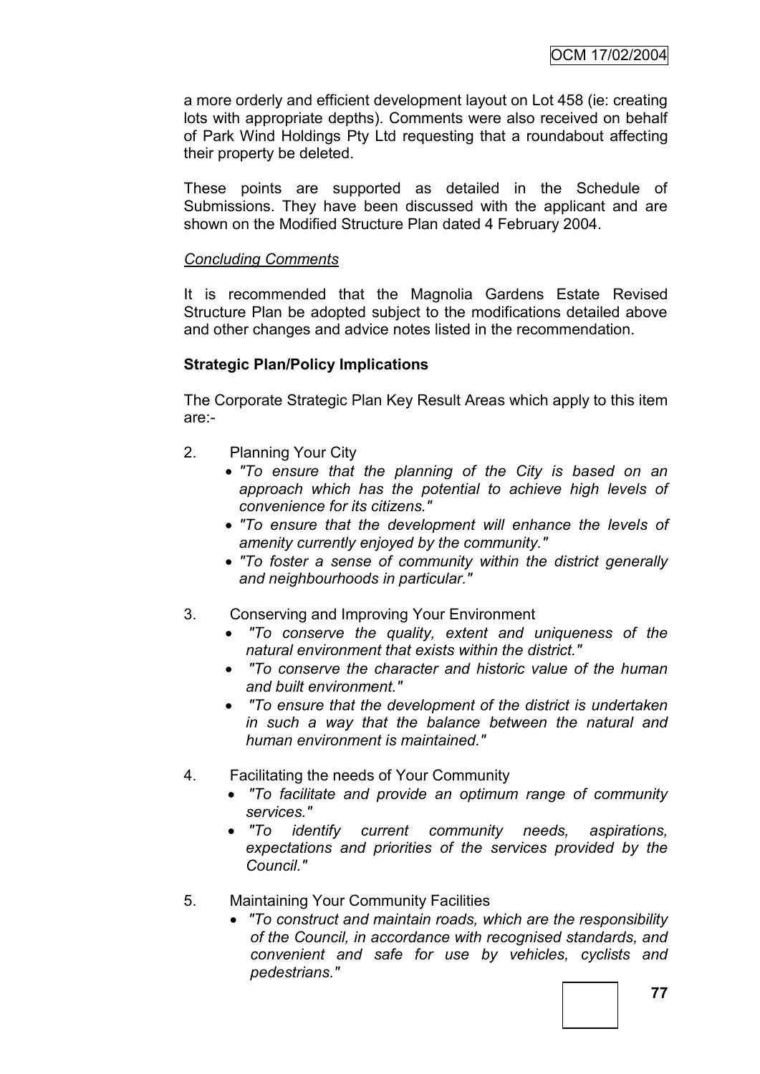a more orderly and efficient development layout on Lot 458 (ie: creating lots with appropriate depths). Comments were also received on behalf of Park Wind Holdings Pty Ltd requesting that a roundabout affecting their property be deleted.

These points are supported as detailed in the Schedule of Submissions. They have been discussed with the applicant and are shown on the Modified Structure Plan dated 4 February 2004.

# *Concluding Comments*

It is recommended that the Magnolia Gardens Estate Revised Structure Plan be adopted subject to the modifications detailed above and other changes and advice notes listed in the recommendation.

# **Strategic Plan/Policy Implications**

The Corporate Strategic Plan Key Result Areas which apply to this item are:-

- 2. Planning Your City
	- *"To ensure that the planning of the City is based on an approach which has the potential to achieve high levels of convenience for its citizens."*
	- *"To ensure that the development will enhance the levels of amenity currently enjoyed by the community."*
	- *"To foster a sense of community within the district generally and neighbourhoods in particular."*
- 3. Conserving and Improving Your Environment
	- *"To conserve the quality, extent and uniqueness of the natural environment that exists within the district."*
	- *"To conserve the character and historic value of the human and built environment."*
	- *"To ensure that the development of the district is undertaken in such a way that the balance between the natural and human environment is maintained."*
- 4. Facilitating the needs of Your Community
	- *"To facilitate and provide an optimum range of community services."*
	- *"To identify current community needs, aspirations, expectations and priorities of the services provided by the Council."*
- 5. Maintaining Your Community Facilities
	- *"To construct and maintain roads, which are the responsibility of the Council, in accordance with recognised standards, and convenient and safe for use by vehicles, cyclists and pedestrians."*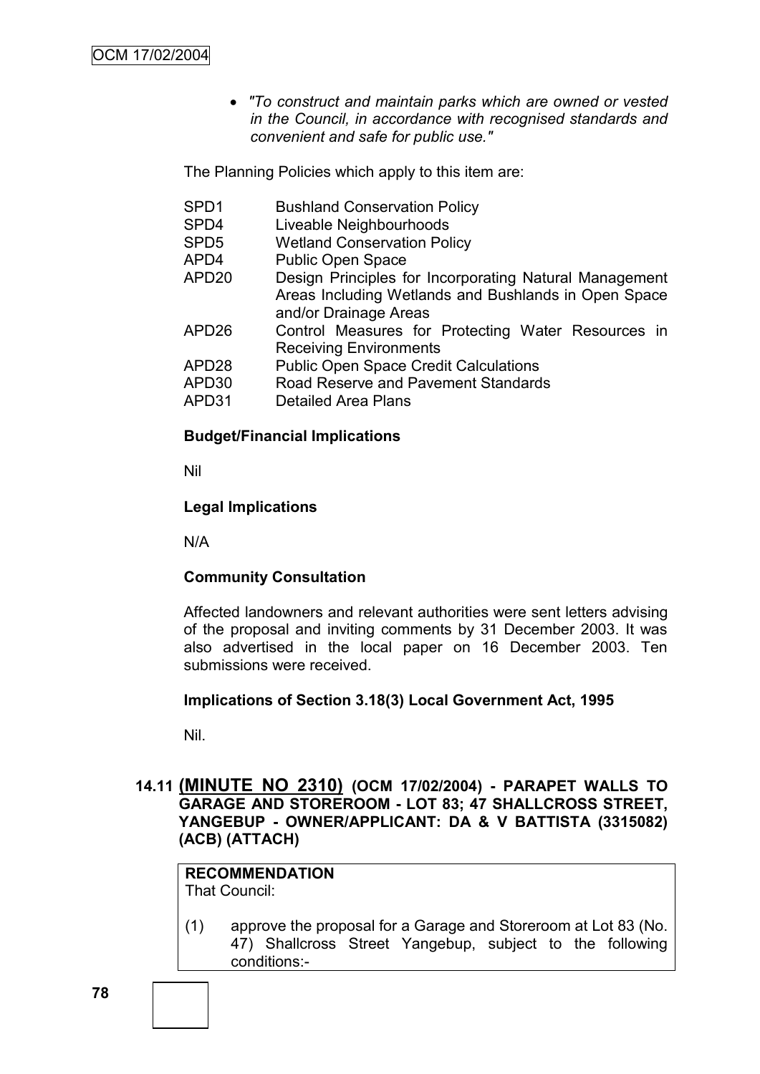*"To construct and maintain parks which are owned or vested in the Council, in accordance with recognised standards and convenient and safe for public use."*

The Planning Policies which apply to this item are:

SPD1 Bushland Conservation Policy SPD4 Liveable Neighbourhoods SPD5 Wetland Conservation Policy APD4 Public Open Space APD20 Design Principles for Incorporating Natural Management Areas Including Wetlands and Bushlands in Open Space and/or Drainage Areas APD26 Control Measures for Protecting Water Resources in Receiving Environments APD28 Public Open Space Credit Calculations APD30 Road Reserve and Pavement Standards APD31 Detailed Area Plans

### **Budget/Financial Implications**

Nil

### **Legal Implications**

N/A

### **Community Consultation**

Affected landowners and relevant authorities were sent letters advising of the proposal and inviting comments by 31 December 2003. It was also advertised in the local paper on 16 December 2003. Ten submissions were received.

### **Implications of Section 3.18(3) Local Government Act, 1995**

Nil.

### **14.11 (MINUTE NO 2310) (OCM 17/02/2004) - PARAPET WALLS TO GARAGE AND STOREROOM - LOT 83; 47 SHALLCROSS STREET, YANGEBUP - OWNER/APPLICANT: DA & V BATTISTA (3315082) (ACB) (ATTACH)**

#### **RECOMMENDATION** That Council:

(1) approve the proposal for a Garage and Storeroom at Lot 83 (No. 47) Shallcross Street Yangebup, subject to the following conditions:-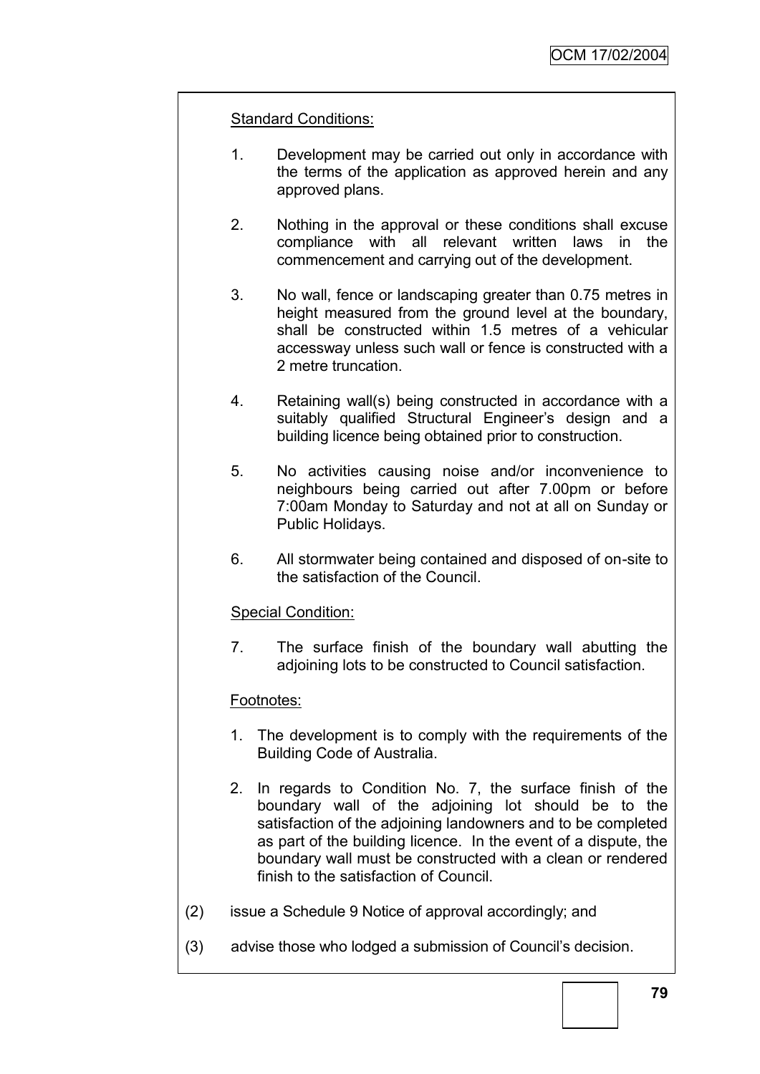### Standard Conditions:

- 1. Development may be carried out only in accordance with the terms of the application as approved herein and any approved plans.
- 2. Nothing in the approval or these conditions shall excuse compliance with all relevant written laws in the commencement and carrying out of the development.
- 3. No wall, fence or landscaping greater than 0.75 metres in height measured from the ground level at the boundary, shall be constructed within 1.5 metres of a vehicular accessway unless such wall or fence is constructed with a 2 metre truncation.
- 4. Retaining wall(s) being constructed in accordance with a suitably qualified Structural Engineer's design and a building licence being obtained prior to construction.
- 5. No activities causing noise and/or inconvenience to neighbours being carried out after 7.00pm or before 7:00am Monday to Saturday and not at all on Sunday or Public Holidays.
- 6. All stormwater being contained and disposed of on-site to the satisfaction of the Council.

### Special Condition:

7. The surface finish of the boundary wall abutting the adjoining lots to be constructed to Council satisfaction.

### Footnotes:

- 1. The development is to comply with the requirements of the Building Code of Australia.
- 2. In regards to Condition No. 7, the surface finish of the boundary wall of the adjoining lot should be to the satisfaction of the adjoining landowners and to be completed as part of the building licence. In the event of a dispute, the boundary wall must be constructed with a clean or rendered finish to the satisfaction of Council.
- (2) issue a Schedule 9 Notice of approval accordingly; and
- (3) advise those who lodged a submission of Council"s decision.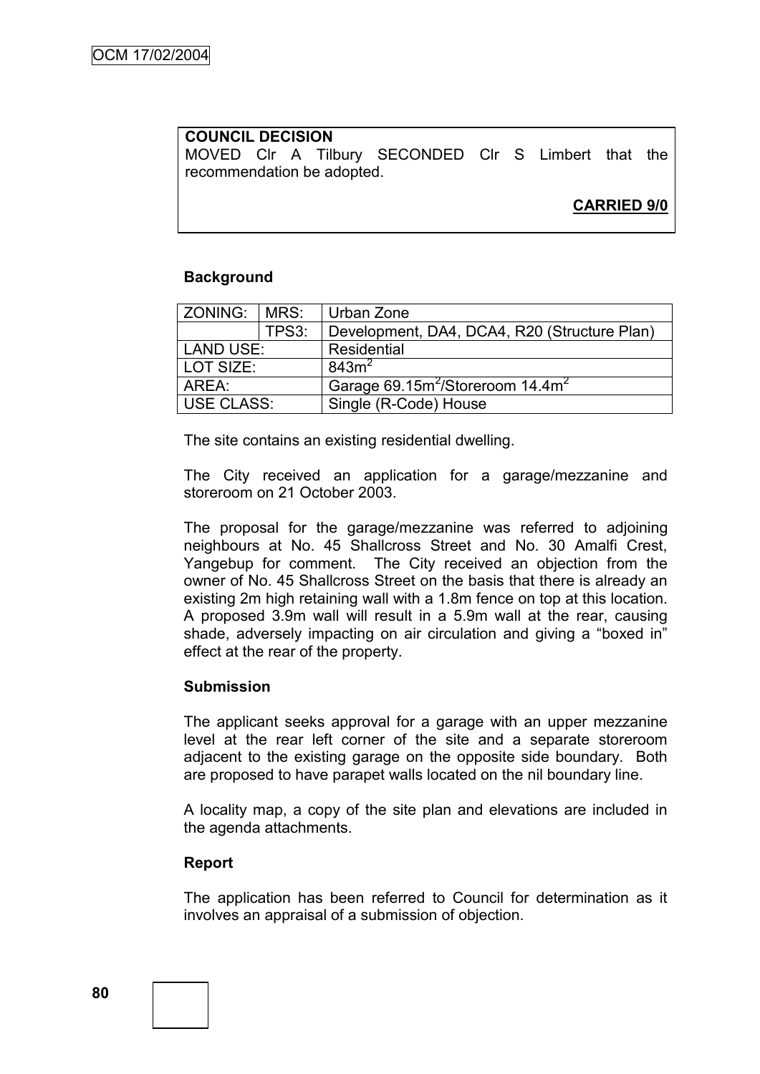### **COUNCIL DECISION** MOVED Clr A Tilbury SECONDED Clr S Limbert that the recommendation be adopted.

# **CARRIED 9/0**

### **Background**

| ZONING:   MRS: |       | Urban Zone                                               |  |  |
|----------------|-------|----------------------------------------------------------|--|--|
|                | TPS3: | Development, DA4, DCA4, R20 (Structure Plan)             |  |  |
| LAND USE:      |       | Residential                                              |  |  |
| LOT SIZE:      |       | 843m <sup>2</sup>                                        |  |  |
| AREA:          |       | Garage 69.15m <sup>2</sup> /Storeroom 14.4m <sup>2</sup> |  |  |
| USE CLASS:     |       | Single (R-Code) House                                    |  |  |

The site contains an existing residential dwelling.

The City received an application for a garage/mezzanine and storeroom on 21 October 2003.

The proposal for the garage/mezzanine was referred to adjoining neighbours at No. 45 Shallcross Street and No. 30 Amalfi Crest, Yangebup for comment. The City received an objection from the owner of No. 45 Shallcross Street on the basis that there is already an existing 2m high retaining wall with a 1.8m fence on top at this location. A proposed 3.9m wall will result in a 5.9m wall at the rear, causing shade, adversely impacting on air circulation and giving a "boxed in" effect at the rear of the property.

### **Submission**

The applicant seeks approval for a garage with an upper mezzanine level at the rear left corner of the site and a separate storeroom adjacent to the existing garage on the opposite side boundary. Both are proposed to have parapet walls located on the nil boundary line.

A locality map, a copy of the site plan and elevations are included in the agenda attachments.

### **Report**

The application has been referred to Council for determination as it involves an appraisal of a submission of objection.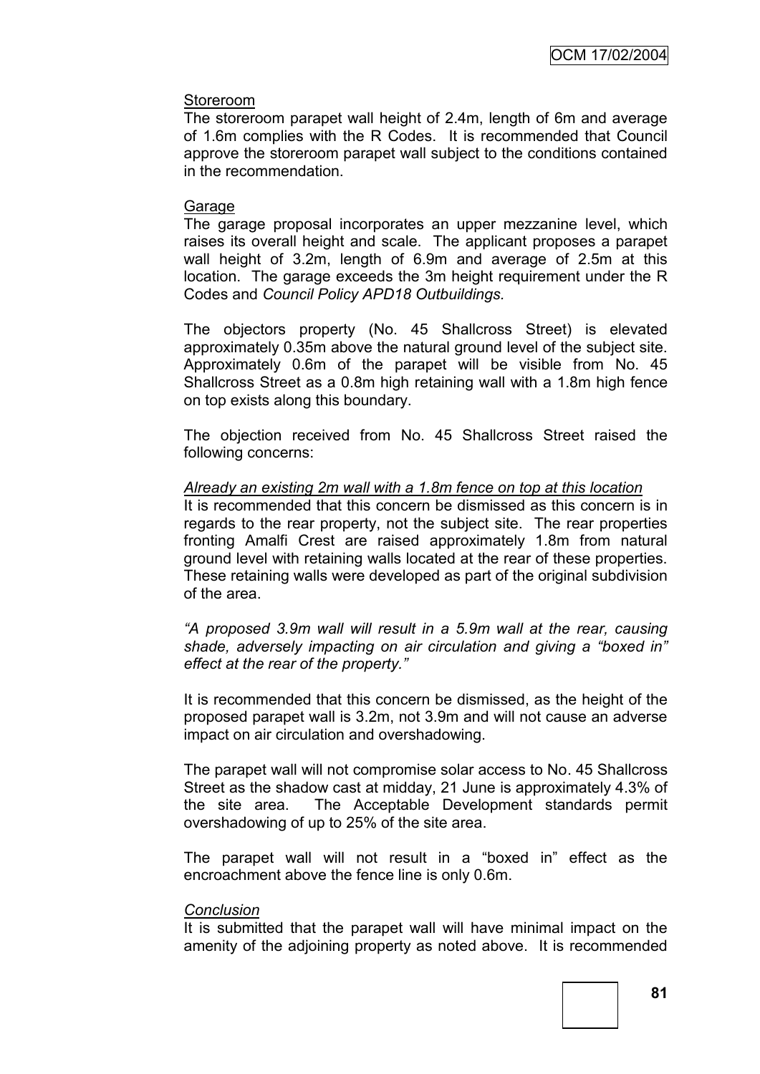### Storeroom

The storeroom parapet wall height of 2.4m, length of 6m and average of 1.6m complies with the R Codes. It is recommended that Council approve the storeroom parapet wall subject to the conditions contained in the recommendation.

### Garage

The garage proposal incorporates an upper mezzanine level, which raises its overall height and scale. The applicant proposes a parapet wall height of 3.2m, length of 6.9m and average of 2.5m at this location. The garage exceeds the 3m height requirement under the R Codes and *Council Policy APD18 Outbuildings.* 

The objectors property (No. 45 Shallcross Street) is elevated approximately 0.35m above the natural ground level of the subject site. Approximately 0.6m of the parapet will be visible from No. 45 Shallcross Street as a 0.8m high retaining wall with a 1.8m high fence on top exists along this boundary.

The objection received from No. 45 Shallcross Street raised the following concerns:

### *Already an existing 2m wall with a 1.8m fence on top at this location*

It is recommended that this concern be dismissed as this concern is in regards to the rear property, not the subject site. The rear properties fronting Amalfi Crest are raised approximately 1.8m from natural ground level with retaining walls located at the rear of these properties. These retaining walls were developed as part of the original subdivision of the area.

*"A proposed 3.9m wall will result in a 5.9m wall at the rear, causing shade, adversely impacting on air circulation and giving a "boxed in" effect at the rear of the property."*

It is recommended that this concern be dismissed, as the height of the proposed parapet wall is 3.2m, not 3.9m and will not cause an adverse impact on air circulation and overshadowing.

The parapet wall will not compromise solar access to No. 45 Shallcross Street as the shadow cast at midday, 21 June is approximately 4.3% of the site area. The Acceptable Development standards permit overshadowing of up to 25% of the site area.

The parapet wall will not result in a "boxed in" effect as the encroachment above the fence line is only 0.6m.

#### *Conclusion*

It is submitted that the parapet wall will have minimal impact on the amenity of the adjoining property as noted above. It is recommended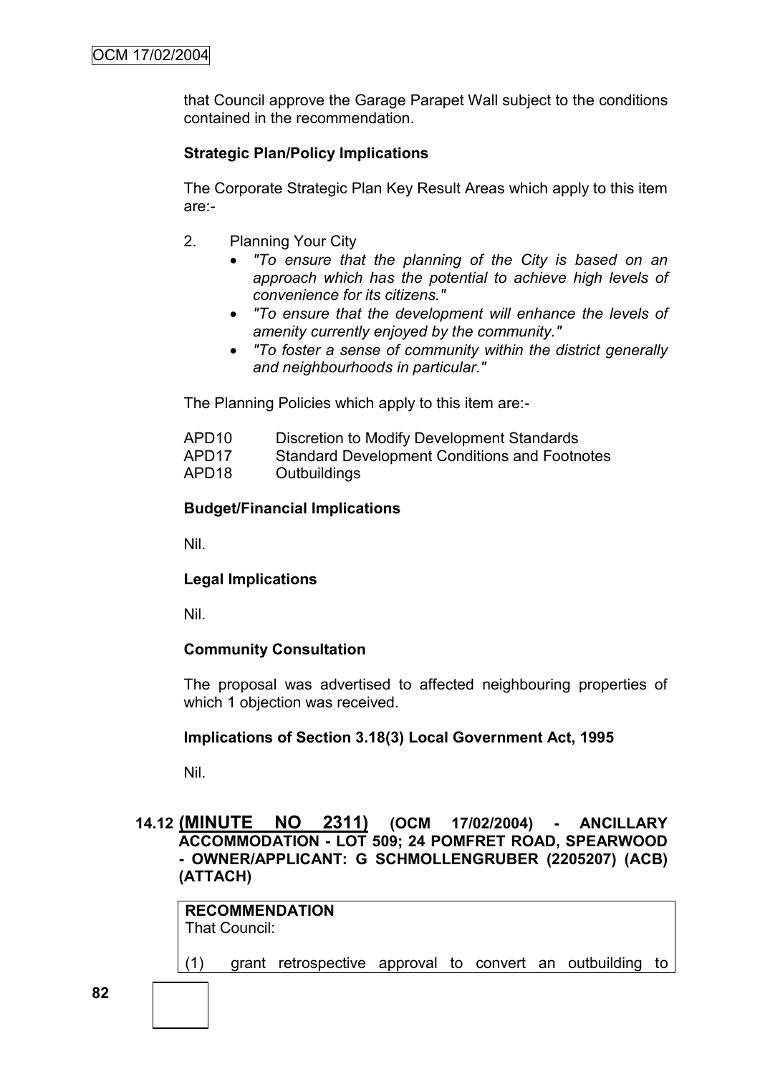that Council approve the Garage Parapet Wall subject to the conditions contained in the recommendation.

# **Strategic Plan/Policy Implications**

The Corporate Strategic Plan Key Result Areas which apply to this item are:-

- 2. Planning Your City
	- *"To ensure that the planning of the City is based on an approach which has the potential to achieve high levels of convenience for its citizens."*
	- *"To ensure that the development will enhance the levels of amenity currently enjoyed by the community."*
	- *"To foster a sense of community within the district generally and neighbourhoods in particular."*

The Planning Policies which apply to this item are:-

- APD10 Discretion to Modify Development Standards
- APD17 Standard Development Conditions and Footnotes
- APD18 Outbuildings

### **Budget/Financial Implications**

Nil.

### **Legal Implications**

Nil.

### **Community Consultation**

The proposal was advertised to affected neighbouring properties of which 1 objection was received.

#### **Implications of Section 3.18(3) Local Government Act, 1995**

Nil.

### **14.12 (MINUTE NO 2311) (OCM 17/02/2004) - ANCILLARY ACCOMMODATION - LOT 509; 24 POMFRET ROAD, SPEARWOOD - OWNER/APPLICANT: G SCHMOLLENGRUBER (2205207) (ACB) (ATTACH)**

**RECOMMENDATION** That Council:

(1) grant retrospective approval to convert an outbuilding to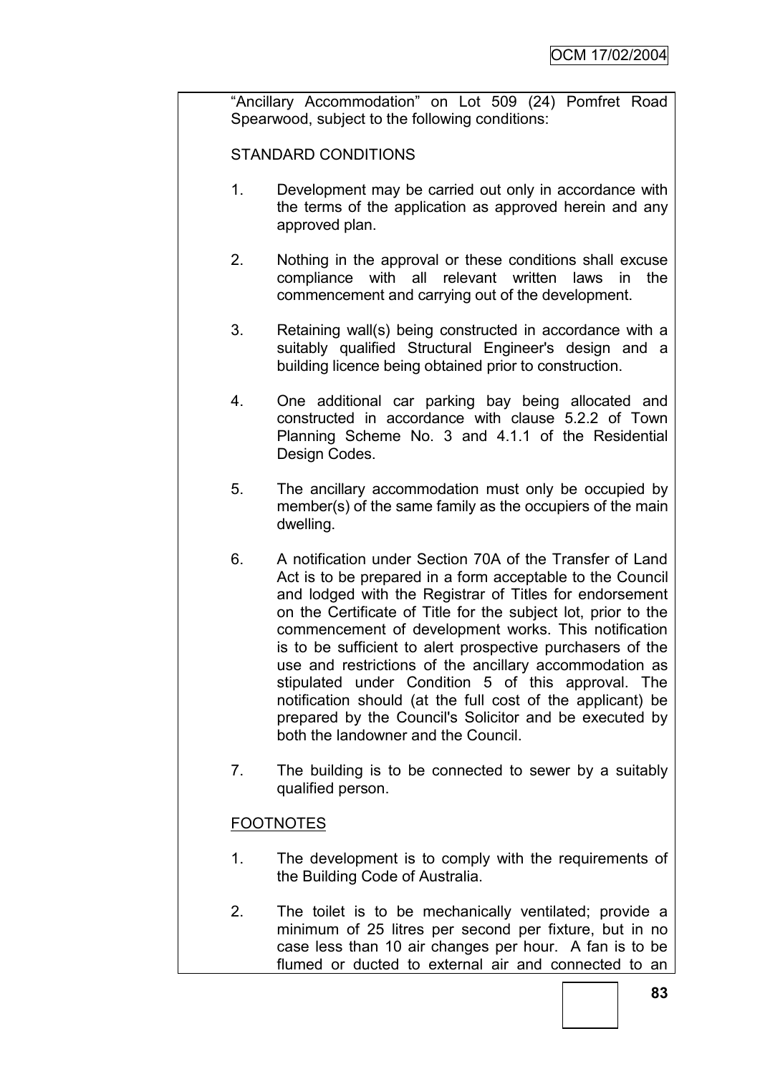"Ancillary Accommodation" on Lot 509 (24) Pomfret Road Spearwood, subject to the following conditions:

STANDARD CONDITIONS

- 1. Development may be carried out only in accordance with the terms of the application as approved herein and any approved plan.
- 2. Nothing in the approval or these conditions shall excuse compliance with all relevant written laws in the commencement and carrying out of the development.
- 3. Retaining wall(s) being constructed in accordance with a suitably qualified Structural Engineer's design and a building licence being obtained prior to construction.
- 4. One additional car parking bay being allocated and constructed in accordance with clause 5.2.2 of Town Planning Scheme No. 3 and 4.1.1 of the Residential Design Codes.
- 5. The ancillary accommodation must only be occupied by member(s) of the same family as the occupiers of the main dwelling.
- 6. A notification under Section 70A of the Transfer of Land Act is to be prepared in a form acceptable to the Council and lodged with the Registrar of Titles for endorsement on the Certificate of Title for the subject lot, prior to the commencement of development works. This notification is to be sufficient to alert prospective purchasers of the use and restrictions of the ancillary accommodation as stipulated under Condition 5 of this approval. The notification should (at the full cost of the applicant) be prepared by the Council's Solicitor and be executed by both the landowner and the Council.
- 7. The building is to be connected to sewer by a suitably qualified person.

# **FOOTNOTES**

- 1. The development is to comply with the requirements of the Building Code of Australia.
- 2. The toilet is to be mechanically ventilated; provide a minimum of 25 litres per second per fixture, but in no case less than 10 air changes per hour. A fan is to be flumed or ducted to external air and connected to an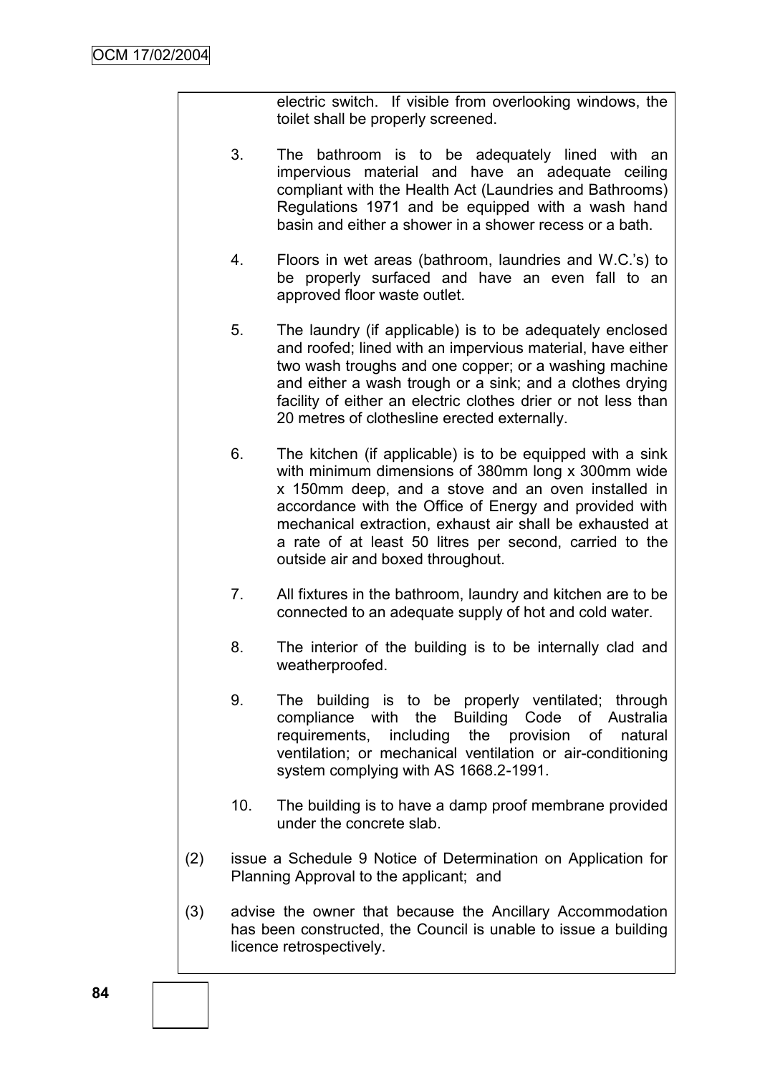electric switch. If visible from overlooking windows, the toilet shall be properly screened.

- 3. The bathroom is to be adequately lined with an impervious material and have an adequate ceiling compliant with the Health Act (Laundries and Bathrooms) Regulations 1971 and be equipped with a wash hand basin and either a shower in a shower recess or a bath.
- 4. Floors in wet areas (bathroom, laundries and W.C."s) to be properly surfaced and have an even fall to an approved floor waste outlet.
- 5. The laundry (if applicable) is to be adequately enclosed and roofed; lined with an impervious material, have either two wash troughs and one copper; or a washing machine and either a wash trough or a sink; and a clothes drying facility of either an electric clothes drier or not less than 20 metres of clothesline erected externally.
- 6. The kitchen (if applicable) is to be equipped with a sink with minimum dimensions of 380mm long x 300mm wide x 150mm deep, and a stove and an oven installed in accordance with the Office of Energy and provided with mechanical extraction, exhaust air shall be exhausted at a rate of at least 50 litres per second, carried to the outside air and boxed throughout.
- 7. All fixtures in the bathroom, laundry and kitchen are to be connected to an adequate supply of hot and cold water.
- 8. The interior of the building is to be internally clad and weatherproofed.
- 9. The building is to be properly ventilated; through compliance with the Building Code of Australia requirements, including the provision of natural ventilation; or mechanical ventilation or air-conditioning system complying with AS 1668.2-1991.
- 10. The building is to have a damp proof membrane provided under the concrete slab.
- (2) issue a Schedule 9 Notice of Determination on Application for Planning Approval to the applicant; and
- (3) advise the owner that because the Ancillary Accommodation has been constructed, the Council is unable to issue a building licence retrospectively.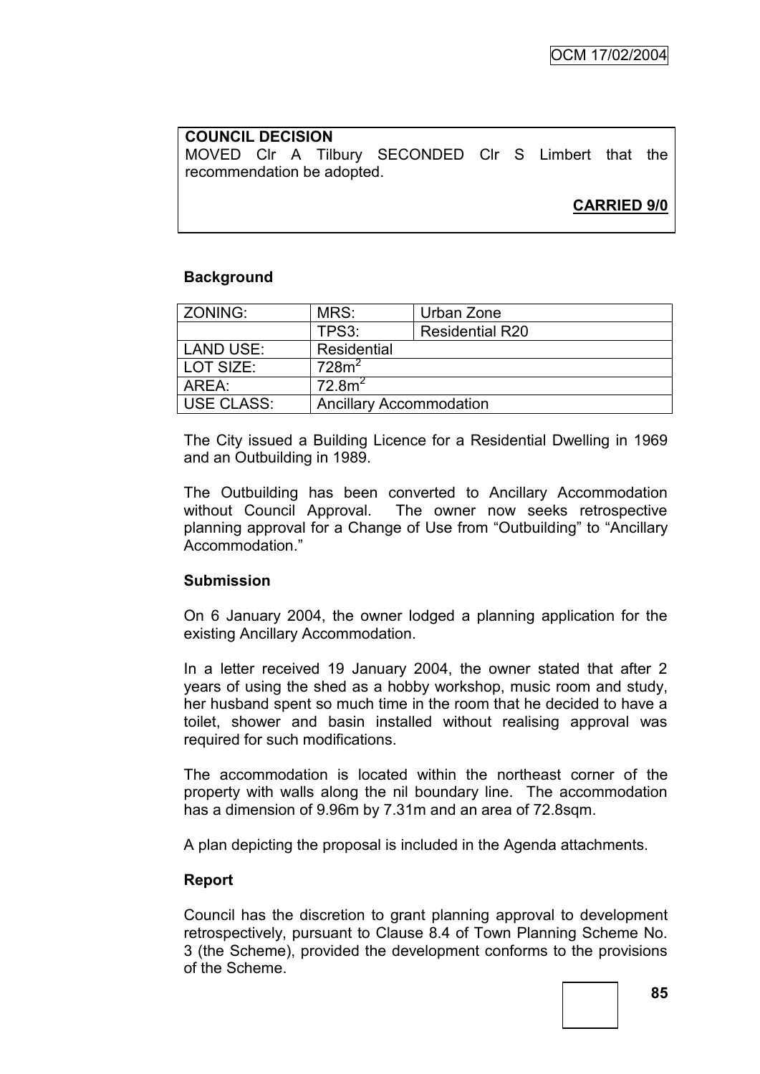### **COUNCIL DECISION** MOVED Clr A Tilbury SECONDED Clr S Limbert that the recommendation be adopted.

# **CARRIED 9/0**

# **Background**

| ZONING:           | MRS:                           | Urban Zone             |
|-------------------|--------------------------------|------------------------|
|                   | TPS3:                          | <b>Residential R20</b> |
| <b>LAND USE:</b>  | Residential                    |                        |
| LOT SIZE:         | 728m <sup>2</sup>              |                        |
| AREA:             | 72.8 <sup>2</sup>              |                        |
| <b>USE CLASS:</b> | <b>Ancillary Accommodation</b> |                        |

The City issued a Building Licence for a Residential Dwelling in 1969 and an Outbuilding in 1989.

The Outbuilding has been converted to Ancillary Accommodation without Council Approval. The owner now seeks retrospective planning approval for a Change of Use from "Outbuilding" to "Ancillary Accommodation."

### **Submission**

On 6 January 2004, the owner lodged a planning application for the existing Ancillary Accommodation.

In a letter received 19 January 2004, the owner stated that after 2 years of using the shed as a hobby workshop, music room and study, her husband spent so much time in the room that he decided to have a toilet, shower and basin installed without realising approval was required for such modifications.

The accommodation is located within the northeast corner of the property with walls along the nil boundary line. The accommodation has a dimension of 9.96m by 7.31m and an area of 72.8sqm.

A plan depicting the proposal is included in the Agenda attachments.

### **Report**

Council has the discretion to grant planning approval to development retrospectively, pursuant to Clause 8.4 of Town Planning Scheme No. 3 (the Scheme), provided the development conforms to the provisions of the Scheme.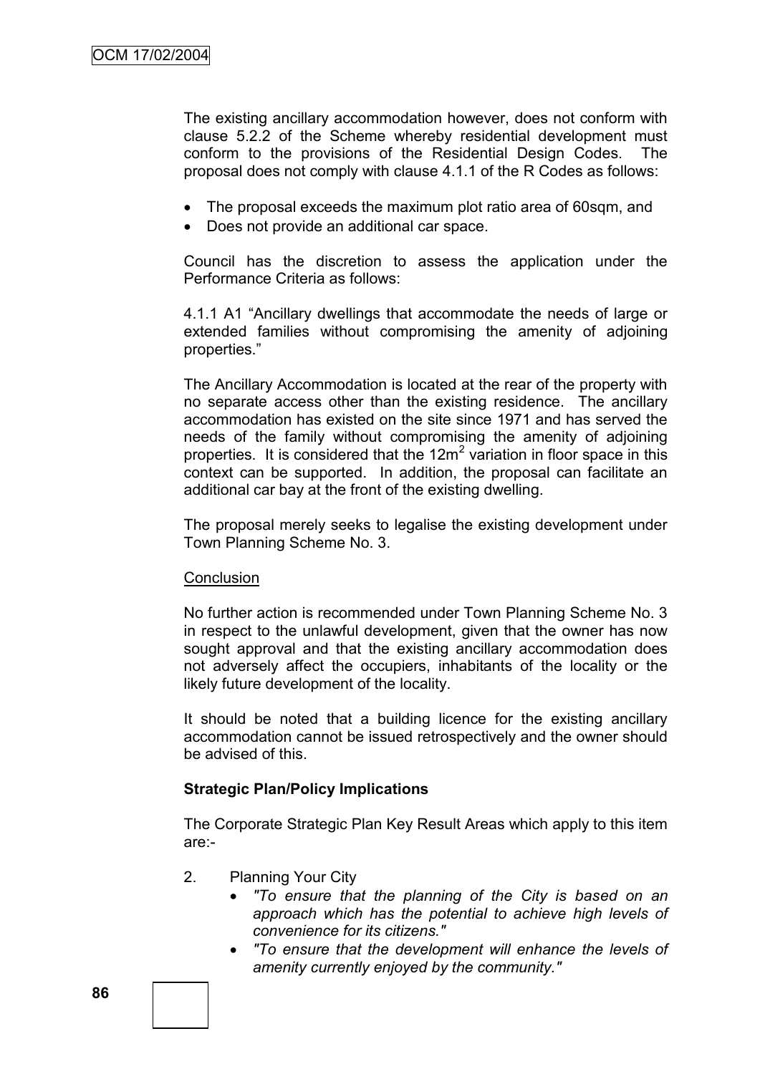The existing ancillary accommodation however, does not conform with clause 5.2.2 of the Scheme whereby residential development must conform to the provisions of the Residential Design Codes. The proposal does not comply with clause 4.1.1 of the R Codes as follows:

- The proposal exceeds the maximum plot ratio area of 60sqm, and
- Does not provide an additional car space.

Council has the discretion to assess the application under the Performance Criteria as follows:

4.1.1 A1 "Ancillary dwellings that accommodate the needs of large or extended families without compromising the amenity of adjoining properties."

The Ancillary Accommodation is located at the rear of the property with no separate access other than the existing residence. The ancillary accommodation has existed on the site since 1971 and has served the needs of the family without compromising the amenity of adjoining properties. It is considered that the  $12m^2$  variation in floor space in this context can be supported. In addition, the proposal can facilitate an additional car bay at the front of the existing dwelling.

The proposal merely seeks to legalise the existing development under Town Planning Scheme No. 3.

#### **Conclusion**

No further action is recommended under Town Planning Scheme No. 3 in respect to the unlawful development, given that the owner has now sought approval and that the existing ancillary accommodation does not adversely affect the occupiers, inhabitants of the locality or the likely future development of the locality.

It should be noted that a building licence for the existing ancillary accommodation cannot be issued retrospectively and the owner should be advised of this.

### **Strategic Plan/Policy Implications**

The Corporate Strategic Plan Key Result Areas which apply to this item are:-

- 2. Planning Your City
	- *"To ensure that the planning of the City is based on an approach which has the potential to achieve high levels of convenience for its citizens."*
	- *"To ensure that the development will enhance the levels of amenity currently enjoyed by the community."*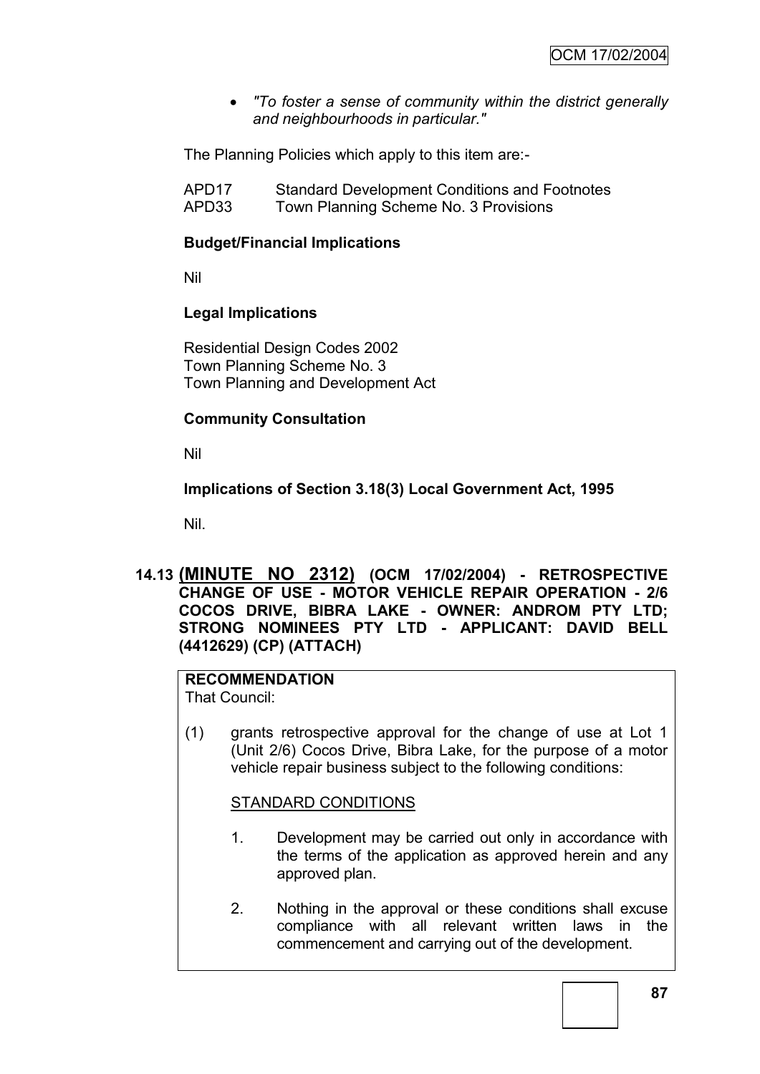*"To foster a sense of community within the district generally and neighbourhoods in particular."*

The Planning Policies which apply to this item are:-

| APD <sub>17</sub> | <b>Standard Development Conditions and Footnotes</b> |
|-------------------|------------------------------------------------------|
| APD33             | Town Planning Scheme No. 3 Provisions                |

### **Budget/Financial Implications**

Nil

### **Legal Implications**

Residential Design Codes 2002 Town Planning Scheme No. 3 Town Planning and Development Act

### **Community Consultation**

Nil

# **Implications of Section 3.18(3) Local Government Act, 1995**

Nil.

**14.13 (MINUTE NO 2312) (OCM 17/02/2004) - RETROSPECTIVE CHANGE OF USE - MOTOR VEHICLE REPAIR OPERATION - 2/6 COCOS DRIVE, BIBRA LAKE - OWNER: ANDROM PTY LTD; STRONG NOMINEES PTY LTD - APPLICANT: DAVID BELL (4412629) (CP) (ATTACH)**

# **RECOMMENDATION**

That Council:

(1) grants retrospective approval for the change of use at Lot 1 (Unit 2/6) Cocos Drive, Bibra Lake, for the purpose of a motor vehicle repair business subject to the following conditions:

#### STANDARD CONDITIONS

- 1. Development may be carried out only in accordance with the terms of the application as approved herein and any approved plan.
- 2. Nothing in the approval or these conditions shall excuse compliance with all relevant written laws in the commencement and carrying out of the development.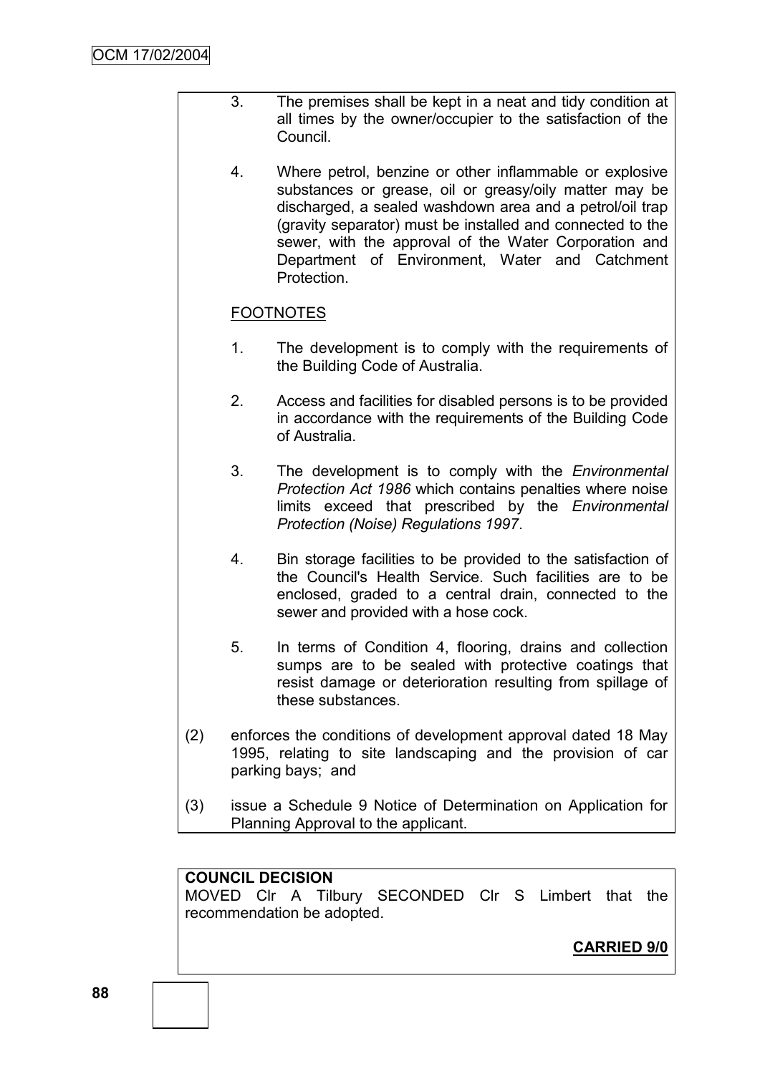- 3. The premises shall be kept in a neat and tidy condition at all times by the owner/occupier to the satisfaction of the Council.
	- 4. Where petrol, benzine or other inflammable or explosive substances or grease, oil or greasy/oily matter may be discharged, a sealed washdown area and a petrol/oil trap (gravity separator) must be installed and connected to the sewer, with the approval of the Water Corporation and Department of Environment, Water and Catchment Protection.

# FOOTNOTES

- 1. The development is to comply with the requirements of the Building Code of Australia.
- 2. Access and facilities for disabled persons is to be provided in accordance with the requirements of the Building Code of Australia.
- 3. The development is to comply with the *Environmental Protection Act 1986* which contains penalties where noise limits exceed that prescribed by the *Environmental Protection (Noise) Regulations 1997*.
- 4. Bin storage facilities to be provided to the satisfaction of the Council's Health Service. Such facilities are to be enclosed, graded to a central drain, connected to the sewer and provided with a hose cock.
- 5. In terms of Condition 4, flooring, drains and collection sumps are to be sealed with protective coatings that resist damage or deterioration resulting from spillage of these substances.
- (2) enforces the conditions of development approval dated 18 May 1995, relating to site landscaping and the provision of car parking bays; and
- (3) issue a Schedule 9 Notice of Determination on Application for Planning Approval to the applicant.

### **COUNCIL DECISION**

MOVED Clr A Tilbury SECONDED Clr S Limbert that the recommendation be adopted.

**CARRIED 9/0**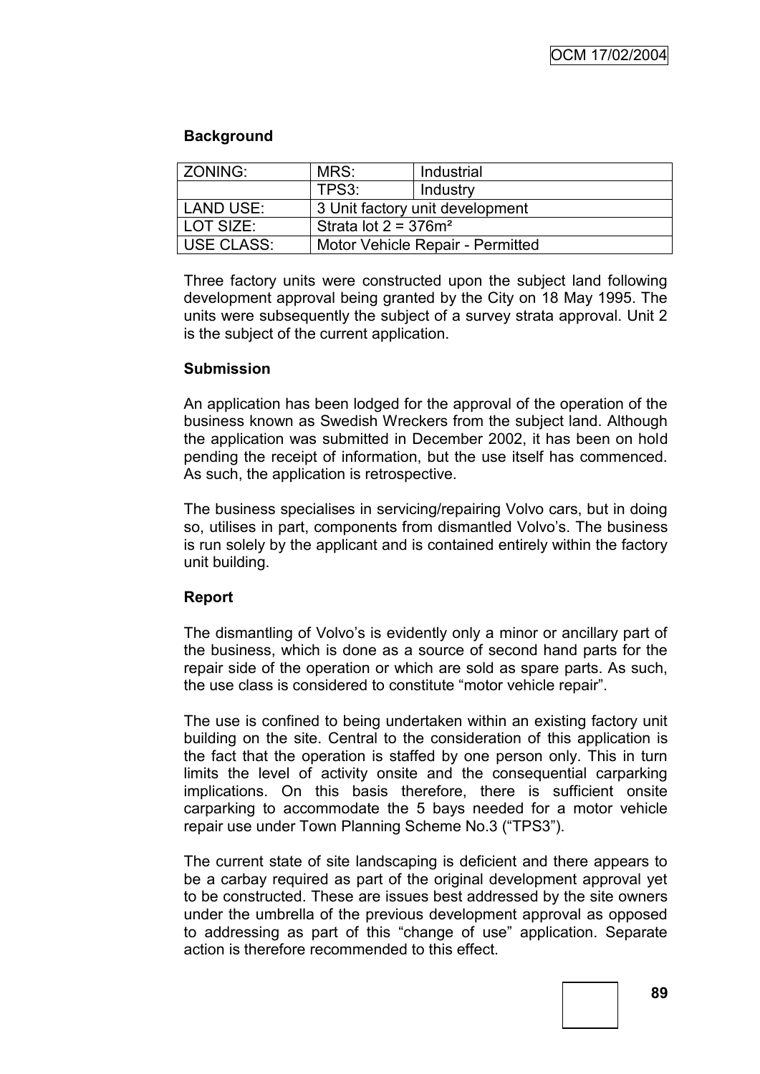### **Background**

| ZONING:           | MRS:                                | Industrial |  |
|-------------------|-------------------------------------|------------|--|
|                   | TPS3:                               | Industry   |  |
| LAND USE:         | 3 Unit factory unit development     |            |  |
| LOT SIZE:         | Strata lot $2 = 376$ m <sup>2</sup> |            |  |
| <b>USE CLASS:</b> | Motor Vehicle Repair - Permitted    |            |  |

Three factory units were constructed upon the subject land following development approval being granted by the City on 18 May 1995. The units were subsequently the subject of a survey strata approval. Unit 2 is the subject of the current application.

### **Submission**

An application has been lodged for the approval of the operation of the business known as Swedish Wreckers from the subject land. Although the application was submitted in December 2002, it has been on hold pending the receipt of information, but the use itself has commenced. As such, the application is retrospective.

The business specialises in servicing/repairing Volvo cars, but in doing so, utilises in part, components from dismantled Volvo"s. The business is run solely by the applicant and is contained entirely within the factory unit building.

### **Report**

The dismantling of Volvo"s is evidently only a minor or ancillary part of the business, which is done as a source of second hand parts for the repair side of the operation or which are sold as spare parts. As such, the use class is considered to constitute "motor vehicle repair".

The use is confined to being undertaken within an existing factory unit building on the site. Central to the consideration of this application is the fact that the operation is staffed by one person only. This in turn limits the level of activity onsite and the consequential carparking implications. On this basis therefore, there is sufficient onsite carparking to accommodate the 5 bays needed for a motor vehicle repair use under Town Planning Scheme No.3 ("TPS3").

The current state of site landscaping is deficient and there appears to be a carbay required as part of the original development approval yet to be constructed. These are issues best addressed by the site owners under the umbrella of the previous development approval as opposed to addressing as part of this "change of use" application. Separate action is therefore recommended to this effect.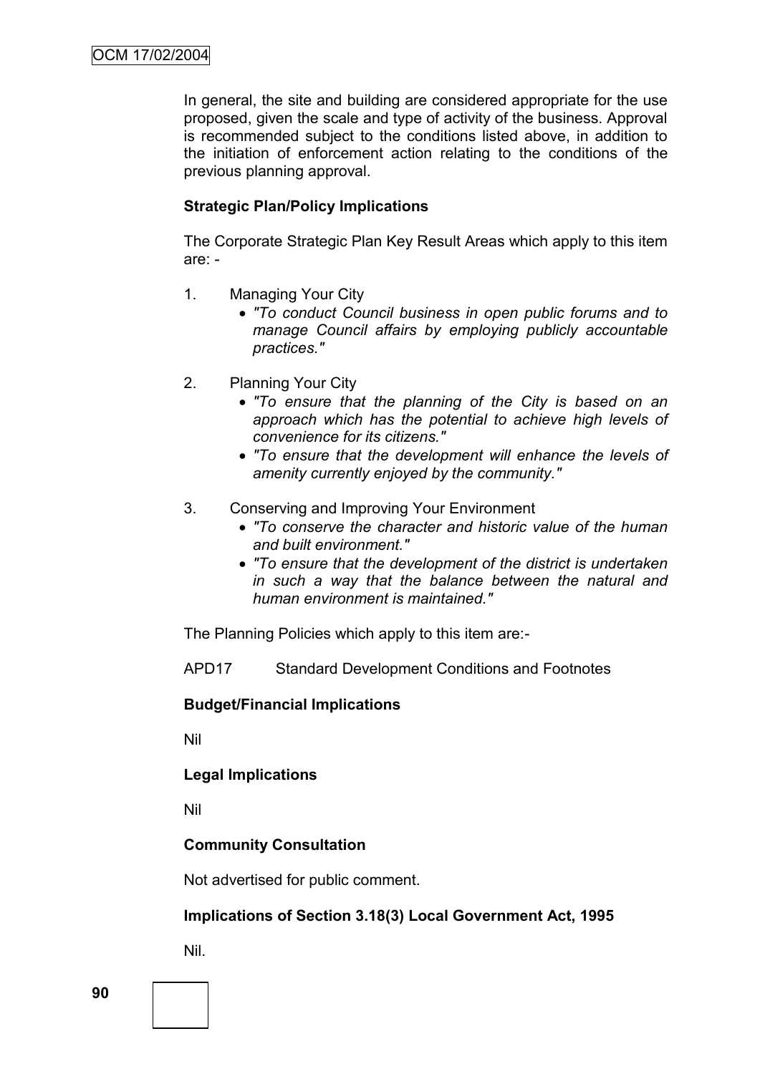In general, the site and building are considered appropriate for the use proposed, given the scale and type of activity of the business. Approval is recommended subject to the conditions listed above, in addition to the initiation of enforcement action relating to the conditions of the previous planning approval.

### **Strategic Plan/Policy Implications**

The Corporate Strategic Plan Key Result Areas which apply to this item are: -

- 1. Managing Your City
	- *"To conduct Council business in open public forums and to manage Council affairs by employing publicly accountable practices."*
- 2. Planning Your City
	- *"To ensure that the planning of the City is based on an approach which has the potential to achieve high levels of convenience for its citizens."*
	- *"To ensure that the development will enhance the levels of amenity currently enjoyed by the community."*
- 3. Conserving and Improving Your Environment
	- *"To conserve the character and historic value of the human and built environment."*
	- *"To ensure that the development of the district is undertaken in such a way that the balance between the natural and human environment is maintained."*

The Planning Policies which apply to this item are:-

APD17 Standard Development Conditions and Footnotes

### **Budget/Financial Implications**

Nil

### **Legal Implications**

Nil

### **Community Consultation**

Not advertised for public comment.

### **Implications of Section 3.18(3) Local Government Act, 1995**

Nil.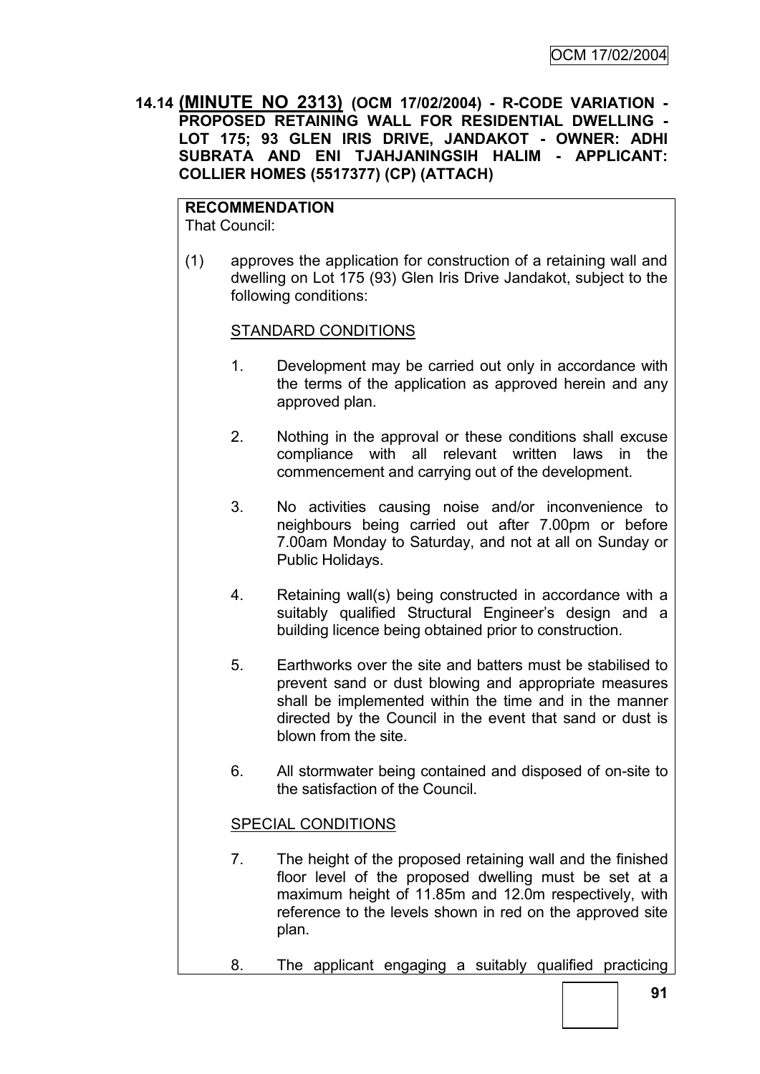**14.14 (MINUTE NO 2313) (OCM 17/02/2004) - R-CODE VARIATION - PROPOSED RETAINING WALL FOR RESIDENTIAL DWELLING - LOT 175; 93 GLEN IRIS DRIVE, JANDAKOT - OWNER: ADHI SUBRATA AND ENI TJAHJANINGSIH HALIM - APPLICANT: COLLIER HOMES (5517377) (CP) (ATTACH)**

**RECOMMENDATION** That Council:

(1) approves the application for construction of a retaining wall and dwelling on Lot 175 (93) Glen Iris Drive Jandakot, subject to the following conditions:

### STANDARD CONDITIONS

- 1. Development may be carried out only in accordance with the terms of the application as approved herein and any approved plan.
- 2. Nothing in the approval or these conditions shall excuse compliance with all relevant written laws in the commencement and carrying out of the development.
- 3. No activities causing noise and/or inconvenience to neighbours being carried out after 7.00pm or before 7.00am Monday to Saturday, and not at all on Sunday or Public Holidays.
- 4. Retaining wall(s) being constructed in accordance with a suitably qualified Structural Engineer's design and a building licence being obtained prior to construction.
- 5. Earthworks over the site and batters must be stabilised to prevent sand or dust blowing and appropriate measures shall be implemented within the time and in the manner directed by the Council in the event that sand or dust is blown from the site.
- 6. All stormwater being contained and disposed of on-site to the satisfaction of the Council.

### SPECIAL CONDITIONS

- 7. The height of the proposed retaining wall and the finished floor level of the proposed dwelling must be set at a maximum height of 11.85m and 12.0m respectively, with reference to the levels shown in red on the approved site plan.
- 8. The applicant engaging a suitably qualified practicing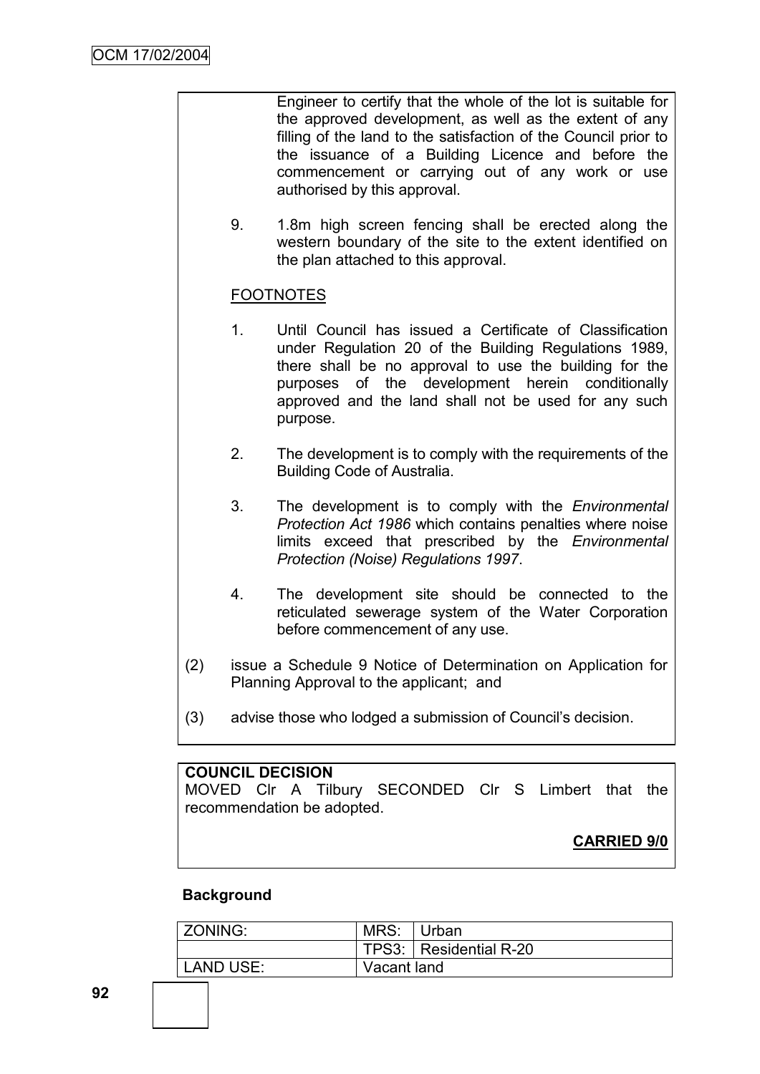Engineer to certify that the whole of the lot is suitable for the approved development, as well as the extent of any filling of the land to the satisfaction of the Council prior to the issuance of a Building Licence and before the commencement or carrying out of any work or use authorised by this approval.

9. 1.8m high screen fencing shall be erected along the western boundary of the site to the extent identified on the plan attached to this approval.

# **FOOTNOTES**

- 1. Until Council has issued a Certificate of Classification under Regulation 20 of the Building Regulations 1989, there shall be no approval to use the building for the purposes of the development herein conditionally approved and the land shall not be used for any such purpose.
- 2. The development is to comply with the requirements of the Building Code of Australia.
- 3. The development is to comply with the *Environmental Protection Act 1986* which contains penalties where noise limits exceed that prescribed by the *Environmental Protection (Noise) Regulations 1997*.
- 4. The development site should be connected to the reticulated sewerage system of the Water Corporation before commencement of any use.
- (2) issue a Schedule 9 Notice of Determination on Application for Planning Approval to the applicant; and
- (3) advise those who lodged a submission of Council"s decision.

### **COUNCIL DECISION**

MOVED Clr A Tilbury SECONDED Clr S Limbert that the recommendation be adopted.

### **CARRIED 9/0**

#### **Background**

| ZONING:   | MRS:        | ∣Urban                 |
|-----------|-------------|------------------------|
|           |             | TPS3: Residential R-20 |
| LAND USE: | Vacant land |                        |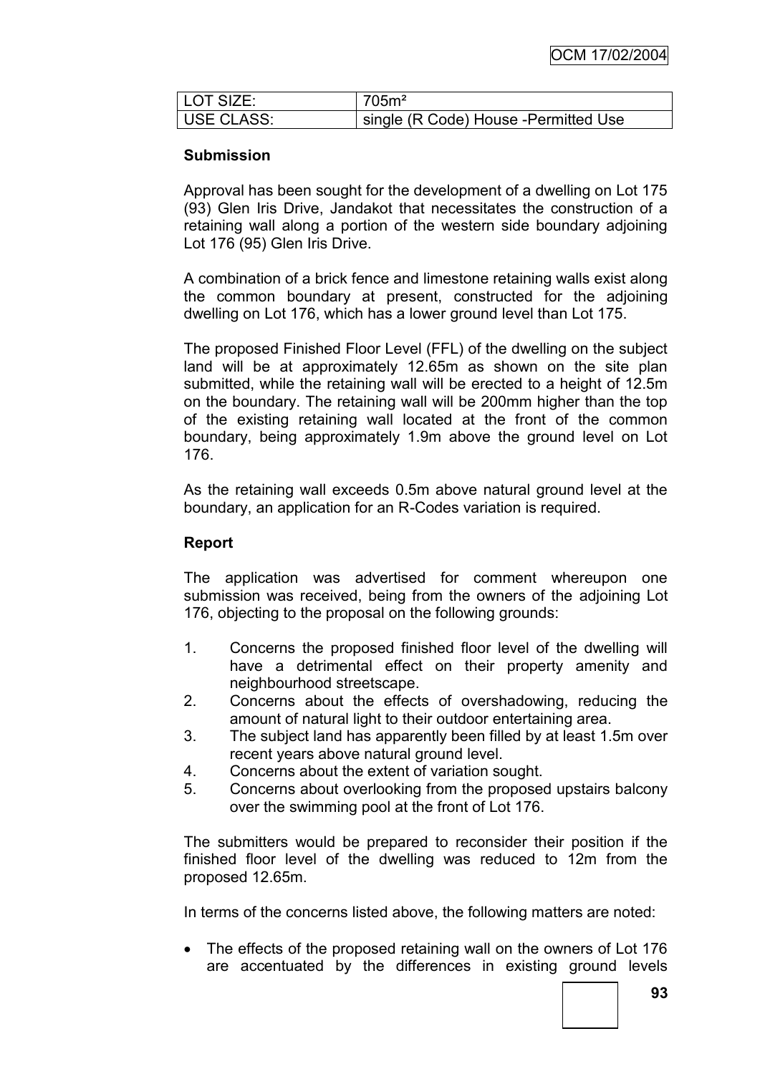| I LOT SIZE: | 705m <sup>2</sup>                      |
|-------------|----------------------------------------|
| USE CLASS:  | I single (R Code) House -Permitted Use |

# **Submission**

Approval has been sought for the development of a dwelling on Lot 175 (93) Glen Iris Drive, Jandakot that necessitates the construction of a retaining wall along a portion of the western side boundary adjoining Lot 176 (95) Glen Iris Drive.

A combination of a brick fence and limestone retaining walls exist along the common boundary at present, constructed for the adjoining dwelling on Lot 176, which has a lower ground level than Lot 175.

The proposed Finished Floor Level (FFL) of the dwelling on the subject land will be at approximately 12.65m as shown on the site plan submitted, while the retaining wall will be erected to a height of 12.5m on the boundary. The retaining wall will be 200mm higher than the top of the existing retaining wall located at the front of the common boundary, being approximately 1.9m above the ground level on Lot 176.

As the retaining wall exceeds 0.5m above natural ground level at the boundary, an application for an R-Codes variation is required.

# **Report**

The application was advertised for comment whereupon one submission was received, being from the owners of the adjoining Lot 176, objecting to the proposal on the following grounds:

- 1. Concerns the proposed finished floor level of the dwelling will have a detrimental effect on their property amenity and neighbourhood streetscape.
- 2. Concerns about the effects of overshadowing, reducing the amount of natural light to their outdoor entertaining area.
- 3. The subject land has apparently been filled by at least 1.5m over recent years above natural ground level.
- 4. Concerns about the extent of variation sought.
- 5. Concerns about overlooking from the proposed upstairs balcony over the swimming pool at the front of Lot 176.

The submitters would be prepared to reconsider their position if the finished floor level of the dwelling was reduced to 12m from the proposed 12.65m.

In terms of the concerns listed above, the following matters are noted:

• The effects of the proposed retaining wall on the owners of Lot 176 are accentuated by the differences in existing ground levels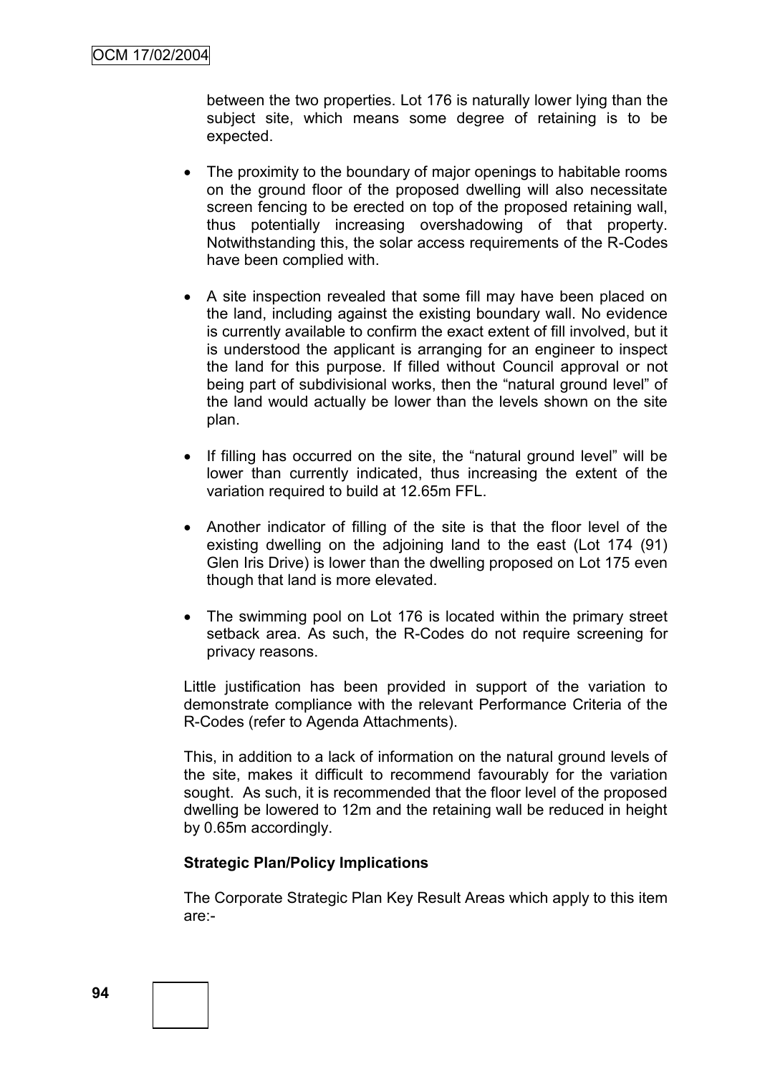between the two properties. Lot 176 is naturally lower lying than the subject site, which means some degree of retaining is to be expected.

- The proximity to the boundary of major openings to habitable rooms on the ground floor of the proposed dwelling will also necessitate screen fencing to be erected on top of the proposed retaining wall, thus potentially increasing overshadowing of that property. Notwithstanding this, the solar access requirements of the R-Codes have been complied with.
- A site inspection revealed that some fill may have been placed on the land, including against the existing boundary wall. No evidence is currently available to confirm the exact extent of fill involved, but it is understood the applicant is arranging for an engineer to inspect the land for this purpose. If filled without Council approval or not being part of subdivisional works, then the "natural ground level" of the land would actually be lower than the levels shown on the site plan.
- If filling has occurred on the site, the "natural ground level" will be lower than currently indicated, thus increasing the extent of the variation required to build at 12.65m FFL.
- Another indicator of filling of the site is that the floor level of the existing dwelling on the adjoining land to the east (Lot 174 (91) Glen Iris Drive) is lower than the dwelling proposed on Lot 175 even though that land is more elevated.
- The swimming pool on Lot 176 is located within the primary street setback area. As such, the R-Codes do not require screening for privacy reasons.

Little justification has been provided in support of the variation to demonstrate compliance with the relevant Performance Criteria of the R-Codes (refer to Agenda Attachments).

This, in addition to a lack of information on the natural ground levels of the site, makes it difficult to recommend favourably for the variation sought. As such, it is recommended that the floor level of the proposed dwelling be lowered to 12m and the retaining wall be reduced in height by 0.65m accordingly.

### **Strategic Plan/Policy Implications**

The Corporate Strategic Plan Key Result Areas which apply to this item are:-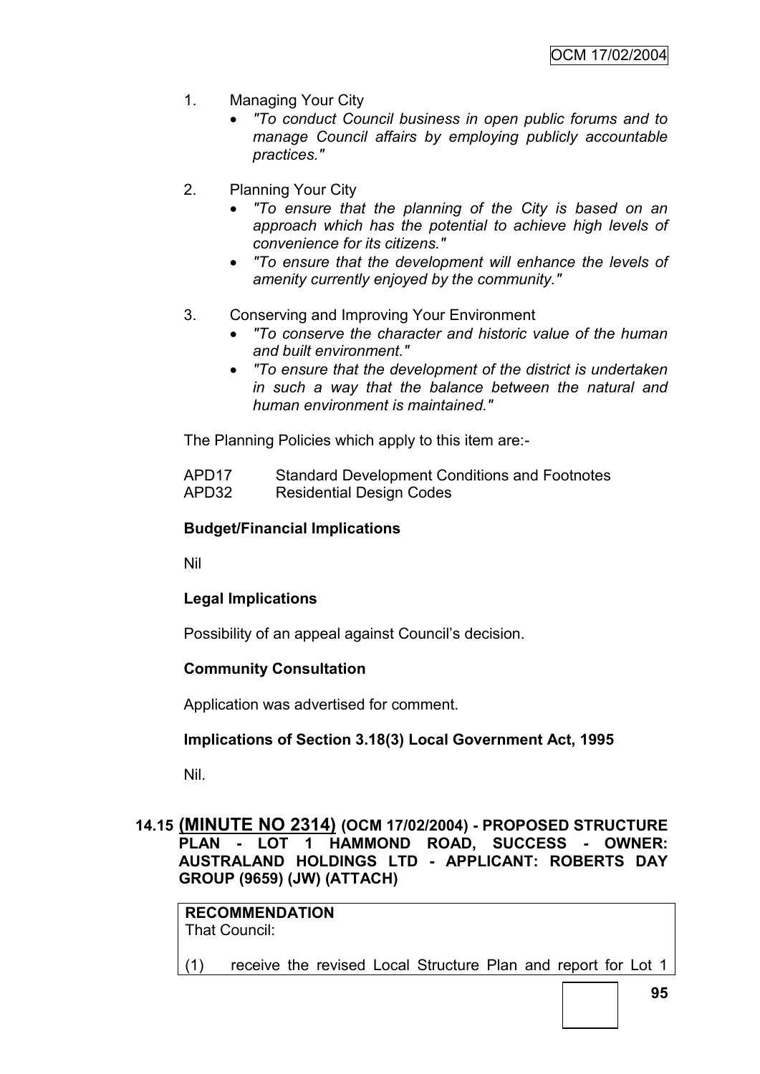- 1. Managing Your City
	- *"To conduct Council business in open public forums and to manage Council affairs by employing publicly accountable practices."*
- 2. Planning Your City
	- *"To ensure that the planning of the City is based on an approach which has the potential to achieve high levels of convenience for its citizens."*
	- *"To ensure that the development will enhance the levels of amenity currently enjoyed by the community."*
- 3. Conserving and Improving Your Environment
	- *"To conserve the character and historic value of the human and built environment."*
	- *"To ensure that the development of the district is undertaken in such a way that the balance between the natural and human environment is maintained."*

The Planning Policies which apply to this item are:-

APD17 Standard Development Conditions and Footnotes APD32 Residential Design Codes

### **Budget/Financial Implications**

Nil

### **Legal Implications**

Possibility of an appeal against Council's decision.

### **Community Consultation**

Application was advertised for comment.

### **Implications of Section 3.18(3) Local Government Act, 1995**

Nil.

### **14.15 (MINUTE NO 2314) (OCM 17/02/2004) - PROPOSED STRUCTURE PLAN - LOT 1 HAMMOND ROAD, SUCCESS - OWNER: AUSTRALAND HOLDINGS LTD - APPLICANT: ROBERTS DAY GROUP (9659) (JW) (ATTACH)**

**RECOMMENDATION** That Council:

(1) receive the revised Local Structure Plan and report for Lot 1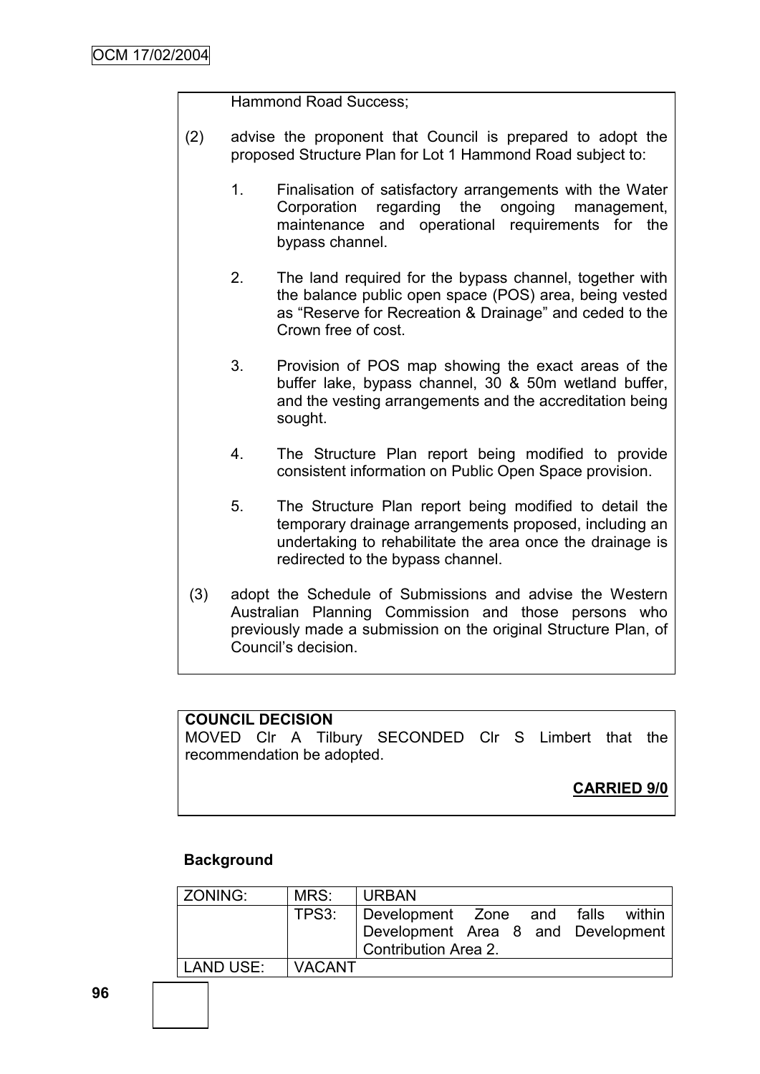Hammond Road Success;

- (2) advise the proponent that Council is prepared to adopt the proposed Structure Plan for Lot 1 Hammond Road subject to:
	- 1. Finalisation of satisfactory arrangements with the Water Corporation regarding the ongoing management, maintenance and operational requirements for the bypass channel.
	- 2. The land required for the bypass channel, together with the balance public open space (POS) area, being vested as "Reserve for Recreation & Drainage" and ceded to the Crown free of cost.
	- 3. Provision of POS map showing the exact areas of the buffer lake, bypass channel, 30 & 50m wetland buffer, and the vesting arrangements and the accreditation being sought.
	- 4. The Structure Plan report being modified to provide consistent information on Public Open Space provision.
	- 5. The Structure Plan report being modified to detail the temporary drainage arrangements proposed, including an undertaking to rehabilitate the area once the drainage is redirected to the bypass channel.
- (3) adopt the Schedule of Submissions and advise the Western Australian Planning Commission and those persons who previously made a submission on the original Structure Plan, of Council"s decision.

### **COUNCIL DECISION**

MOVED Clr A Tilbury SECONDED Clr S Limbert that the recommendation be adopted.

**CARRIED 9/0**

### **Background**

| ZONING:   | MRS:          | <b>URBAN</b>                       |  |  |
|-----------|---------------|------------------------------------|--|--|
|           | TPS3:         | Development Zone and falls within  |  |  |
|           |               | Development Area 8 and Development |  |  |
|           |               | Contribution Area 2.               |  |  |
| LAND USE: | <b>VACANT</b> |                                    |  |  |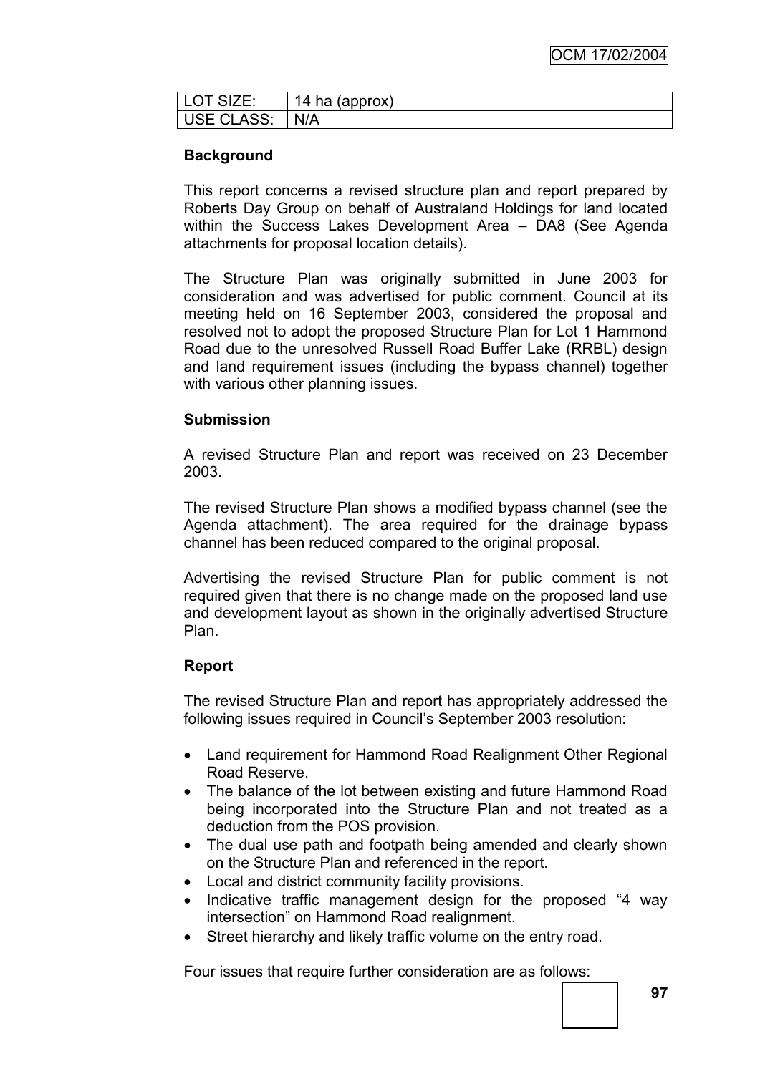| LOT SIZE:      | 14 ha (approx) |
|----------------|----------------|
| USE CLASS: N/A |                |

# **Background**

This report concerns a revised structure plan and report prepared by Roberts Day Group on behalf of Australand Holdings for land located within the Success Lakes Development Area – DA8 (See Agenda attachments for proposal location details).

The Structure Plan was originally submitted in June 2003 for consideration and was advertised for public comment. Council at its meeting held on 16 September 2003, considered the proposal and resolved not to adopt the proposed Structure Plan for Lot 1 Hammond Road due to the unresolved Russell Road Buffer Lake (RRBL) design and land requirement issues (including the bypass channel) together with various other planning issues.

### **Submission**

A revised Structure Plan and report was received on 23 December 2003.

The revised Structure Plan shows a modified bypass channel (see the Agenda attachment). The area required for the drainage bypass channel has been reduced compared to the original proposal.

Advertising the revised Structure Plan for public comment is not required given that there is no change made on the proposed land use and development layout as shown in the originally advertised Structure Plan.

### **Report**

The revised Structure Plan and report has appropriately addressed the following issues required in Council's September 2003 resolution:

- Land requirement for Hammond Road Realignment Other Regional Road Reserve.
- The balance of the lot between existing and future Hammond Road being incorporated into the Structure Plan and not treated as a deduction from the POS provision.
- The dual use path and footpath being amended and clearly shown on the Structure Plan and referenced in the report.
- Local and district community facility provisions.
- Indicative traffic management design for the proposed "4 way intersection" on Hammond Road realignment.
- Street hierarchy and likely traffic volume on the entry road.

Four issues that require further consideration are as follows: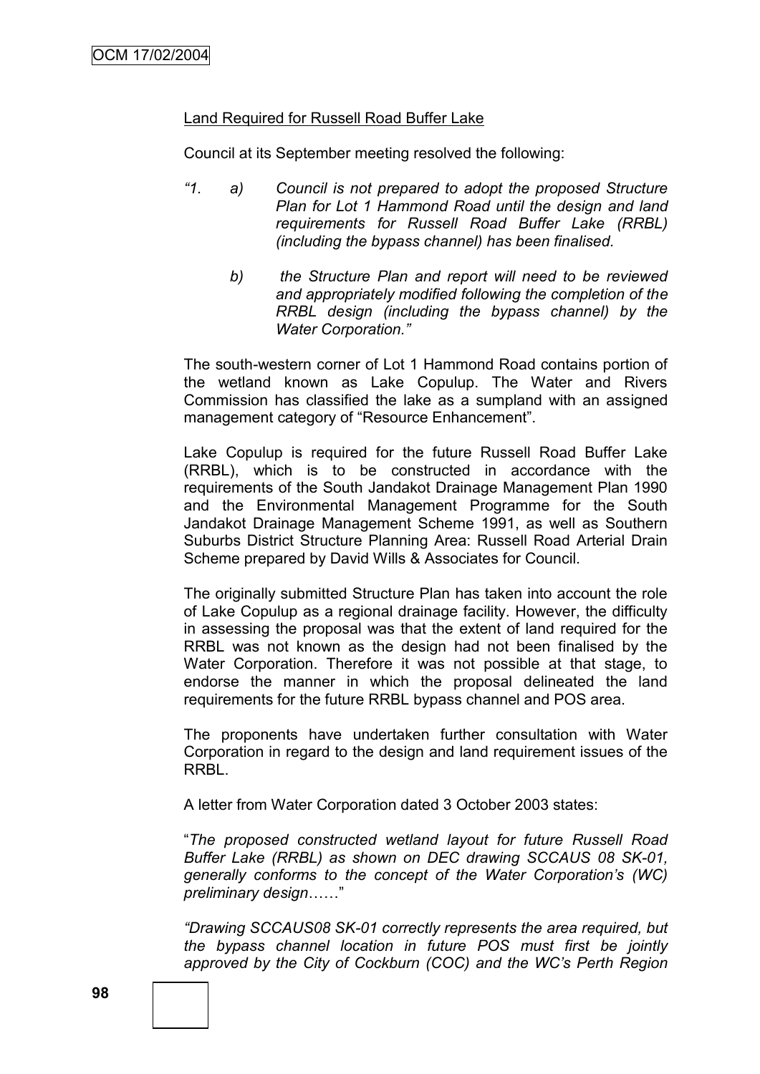### Land Required for Russell Road Buffer Lake

Council at its September meeting resolved the following:

- *"1. a) Council is not prepared to adopt the proposed Structure Plan for Lot 1 Hammond Road until the design and land requirements for Russell Road Buffer Lake (RRBL) (including the bypass channel) has been finalised.* 
	- *b) the Structure Plan and report will need to be reviewed and appropriately modified following the completion of the RRBL design (including the bypass channel) by the Water Corporation."*

The south-western corner of Lot 1 Hammond Road contains portion of the wetland known as Lake Copulup. The Water and Rivers Commission has classified the lake as a sumpland with an assigned management category of "Resource Enhancement".

Lake Copulup is required for the future Russell Road Buffer Lake (RRBL), which is to be constructed in accordance with the requirements of the South Jandakot Drainage Management Plan 1990 and the Environmental Management Programme for the South Jandakot Drainage Management Scheme 1991, as well as Southern Suburbs District Structure Planning Area: Russell Road Arterial Drain Scheme prepared by David Wills & Associates for Council.

The originally submitted Structure Plan has taken into account the role of Lake Copulup as a regional drainage facility. However, the difficulty in assessing the proposal was that the extent of land required for the RRBL was not known as the design had not been finalised by the Water Corporation. Therefore it was not possible at that stage, to endorse the manner in which the proposal delineated the land requirements for the future RRBL bypass channel and POS area.

The proponents have undertaken further consultation with Water Corporation in regard to the design and land requirement issues of the RRBL.

A letter from Water Corporation dated 3 October 2003 states:

"*The proposed constructed wetland layout for future Russell Road Buffer Lake (RRBL) as shown on DEC drawing SCCAUS 08 SK-01, generally conforms to the concept of the Water Corporation's (WC) preliminary design*……"

*"Drawing SCCAUS08 SK-01 correctly represents the area required, but the bypass channel location in future POS must first be jointly approved by the City of Cockburn (COC) and the WC's Perth Region*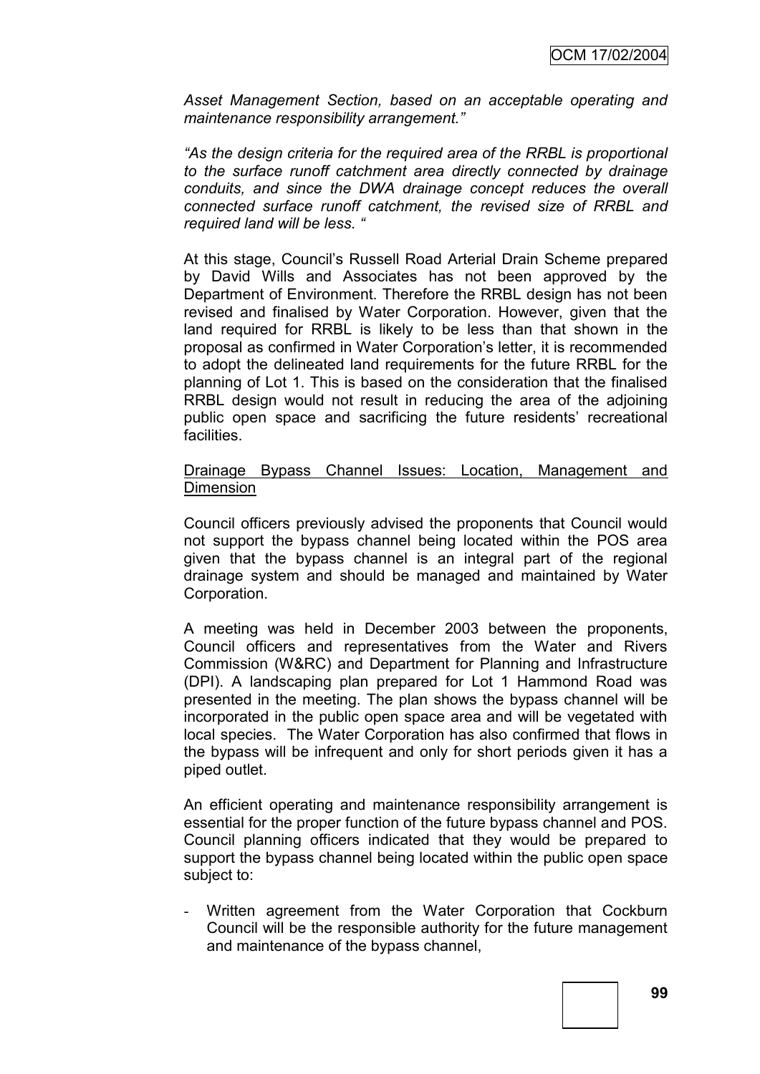*Asset Management Section, based on an acceptable operating and maintenance responsibility arrangement."*

*"As the design criteria for the required area of the RRBL is proportional to the surface runoff catchment area directly connected by drainage conduits, and since the DWA drainage concept reduces the overall connected surface runoff catchment, the revised size of RRBL and required land will be less. "*

At this stage, Council"s Russell Road Arterial Drain Scheme prepared by David Wills and Associates has not been approved by the Department of Environment. Therefore the RRBL design has not been revised and finalised by Water Corporation. However, given that the land required for RRBL is likely to be less than that shown in the proposal as confirmed in Water Corporation"s letter, it is recommended to adopt the delineated land requirements for the future RRBL for the planning of Lot 1. This is based on the consideration that the finalised RRBL design would not result in reducing the area of the adjoining public open space and sacrificing the future residents' recreational facilities.

### Drainage Bypass Channel Issues: Location, Management and Dimension

Council officers previously advised the proponents that Council would not support the bypass channel being located within the POS area given that the bypass channel is an integral part of the regional drainage system and should be managed and maintained by Water Corporation.

A meeting was held in December 2003 between the proponents, Council officers and representatives from the Water and Rivers Commission (W&RC) and Department for Planning and Infrastructure (DPI). A landscaping plan prepared for Lot 1 Hammond Road was presented in the meeting. The plan shows the bypass channel will be incorporated in the public open space area and will be vegetated with local species. The Water Corporation has also confirmed that flows in the bypass will be infrequent and only for short periods given it has a piped outlet.

An efficient operating and maintenance responsibility arrangement is essential for the proper function of the future bypass channel and POS. Council planning officers indicated that they would be prepared to support the bypass channel being located within the public open space subject to:

- Written agreement from the Water Corporation that Cockburn Council will be the responsible authority for the future management and maintenance of the bypass channel,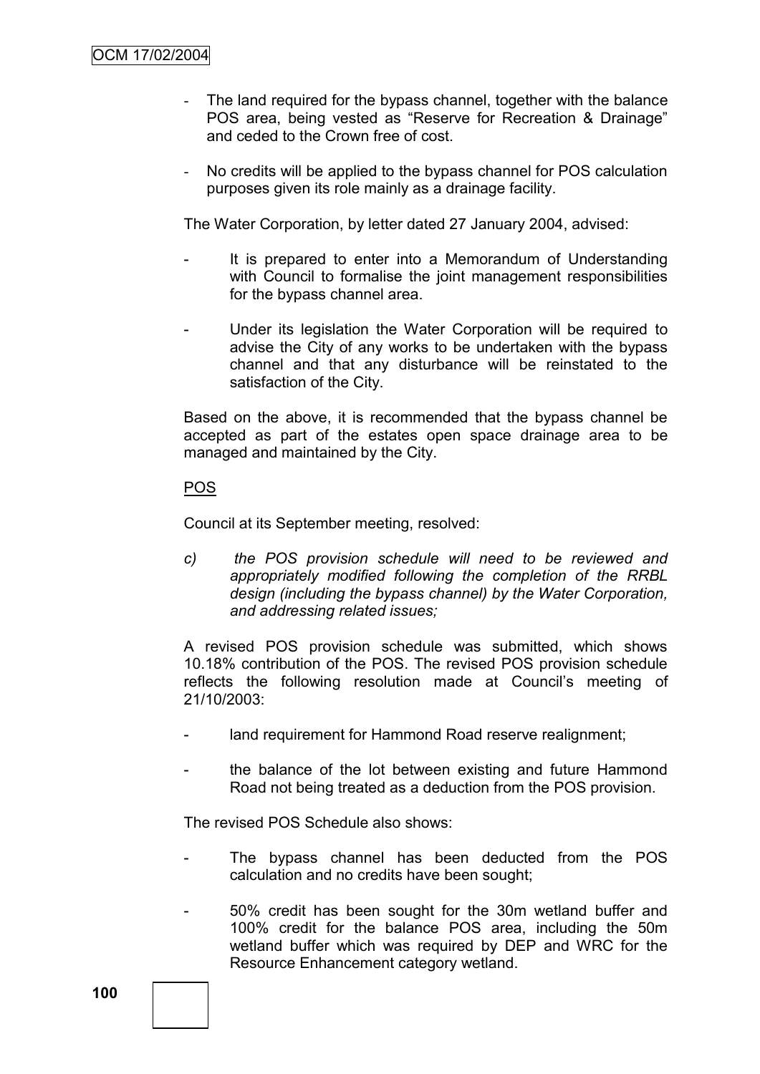- The land required for the bypass channel, together with the balance POS area, being vested as "Reserve for Recreation & Drainage" and ceded to the Crown free of cost.
- No credits will be applied to the bypass channel for POS calculation purposes given its role mainly as a drainage facility.

The Water Corporation, by letter dated 27 January 2004, advised:

- It is prepared to enter into a Memorandum of Understanding with Council to formalise the joint management responsibilities for the bypass channel area.
- Under its legislation the Water Corporation will be required to advise the City of any works to be undertaken with the bypass channel and that any disturbance will be reinstated to the satisfaction of the City.

Based on the above, it is recommended that the bypass channel be accepted as part of the estates open space drainage area to be managed and maintained by the City.

### POS

Council at its September meeting, resolved:

*c) the POS provision schedule will need to be reviewed and appropriately modified following the completion of the RRBL design (including the bypass channel) by the Water Corporation, and addressing related issues;*

A revised POS provision schedule was submitted, which shows 10.18% contribution of the POS. The revised POS provision schedule reflects the following resolution made at Council"s meeting of 21/10/2003:

- land requirement for Hammond Road reserve realignment;
- the balance of the lot between existing and future Hammond Road not being treated as a deduction from the POS provision.

The revised POS Schedule also shows:

- The bypass channel has been deducted from the POS calculation and no credits have been sought;
- 50% credit has been sought for the 30m wetland buffer and 100% credit for the balance POS area, including the 50m wetland buffer which was required by DEP and WRC for the Resource Enhancement category wetland.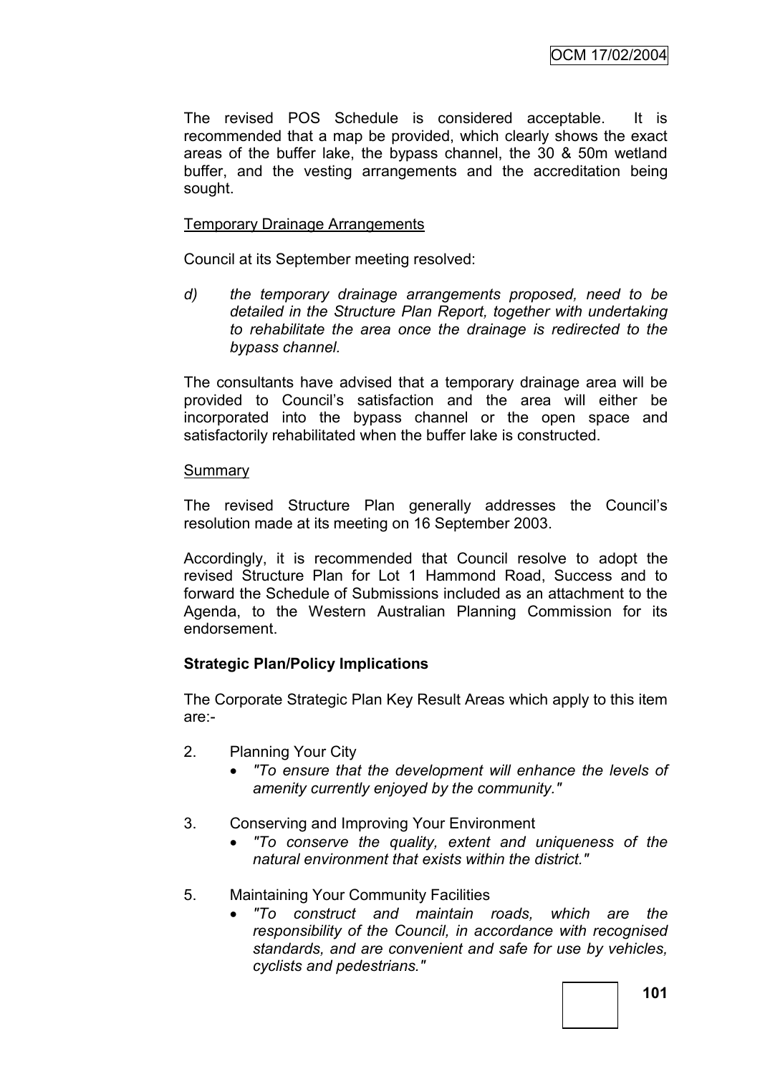The revised POS Schedule is considered acceptable. It is recommended that a map be provided, which clearly shows the exact areas of the buffer lake, the bypass channel, the 30 & 50m wetland buffer, and the vesting arrangements and the accreditation being sought.

### Temporary Drainage Arrangements

Council at its September meeting resolved:

*d) the temporary drainage arrangements proposed, need to be detailed in the Structure Plan Report, together with undertaking to rehabilitate the area once the drainage is redirected to the bypass channel.*

The consultants have advised that a temporary drainage area will be provided to Council"s satisfaction and the area will either be incorporated into the bypass channel or the open space and satisfactorily rehabilitated when the buffer lake is constructed.

### **Summary**

The revised Structure Plan generally addresses the Council"s resolution made at its meeting on 16 September 2003.

Accordingly, it is recommended that Council resolve to adopt the revised Structure Plan for Lot 1 Hammond Road, Success and to forward the Schedule of Submissions included as an attachment to the Agenda, to the Western Australian Planning Commission for its endorsement.

# **Strategic Plan/Policy Implications**

The Corporate Strategic Plan Key Result Areas which apply to this item are:-

- 2. Planning Your City
	- *"To ensure that the development will enhance the levels of amenity currently enjoyed by the community."*
- 3. Conserving and Improving Your Environment
	- *"To conserve the quality, extent and uniqueness of the natural environment that exists within the district."*
- 5. Maintaining Your Community Facilities
	- *"To construct and maintain roads, which are the responsibility of the Council, in accordance with recognised standards, and are convenient and safe for use by vehicles, cyclists and pedestrians."*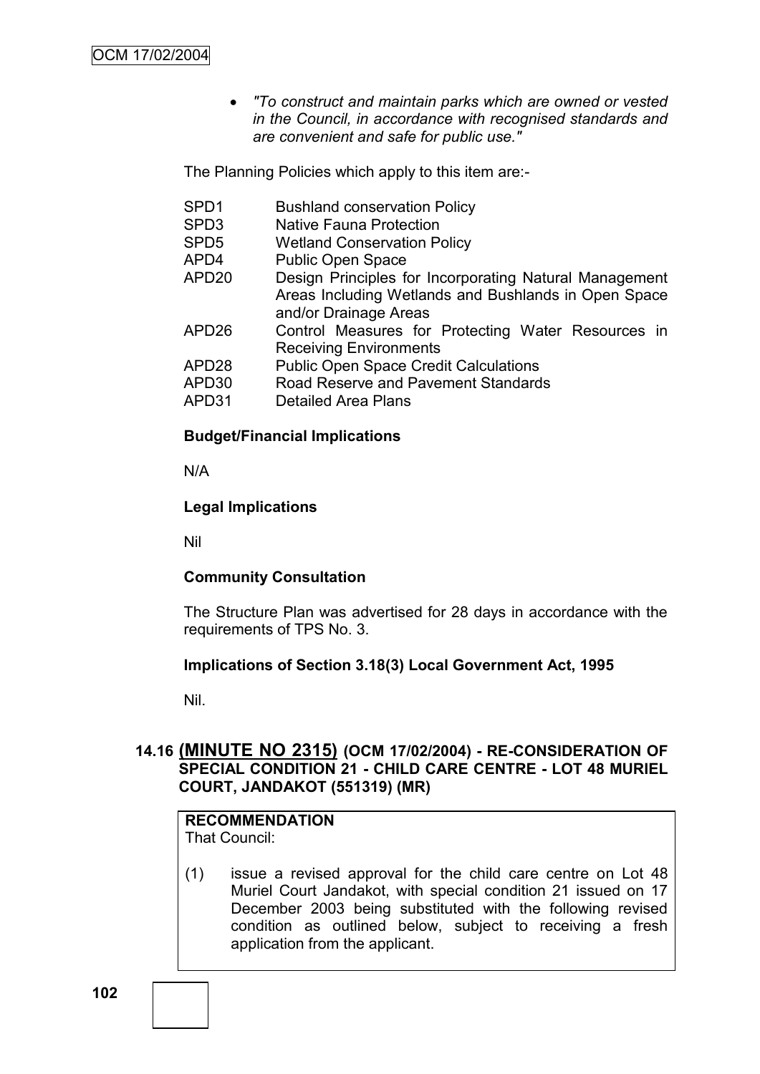*"To construct and maintain parks which are owned or vested in the Council, in accordance with recognised standards and are convenient and safe for public use."*

The Planning Policies which apply to this item are:-

SPD1 Bushland conservation Policy SPD3 Native Fauna Protection SPD5 Wetland Conservation Policy APD4 Public Open Space APD20 Design Principles for Incorporating Natural Management Areas Including Wetlands and Bushlands in Open Space and/or Drainage Areas APD26 Control Measures for Protecting Water Resources in Receiving Environments APD28 Public Open Space Credit Calculations APD30 Road Reserve and Pavement Standards APD31 Detailed Area Plans

### **Budget/Financial Implications**

N/A

### **Legal Implications**

Nil

### **Community Consultation**

The Structure Plan was advertised for 28 days in accordance with the requirements of TPS No. 3.

### **Implications of Section 3.18(3) Local Government Act, 1995**

Nil.

# **14.16 (MINUTE NO 2315) (OCM 17/02/2004) - RE-CONSIDERATION OF SPECIAL CONDITION 21 - CHILD CARE CENTRE - LOT 48 MURIEL COURT, JANDAKOT (551319) (MR)**

# **RECOMMENDATION**

That Council:

(1) issue a revised approval for the child care centre on Lot 48 Muriel Court Jandakot, with special condition 21 issued on 17 December 2003 being substituted with the following revised condition as outlined below, subject to receiving a fresh application from the applicant.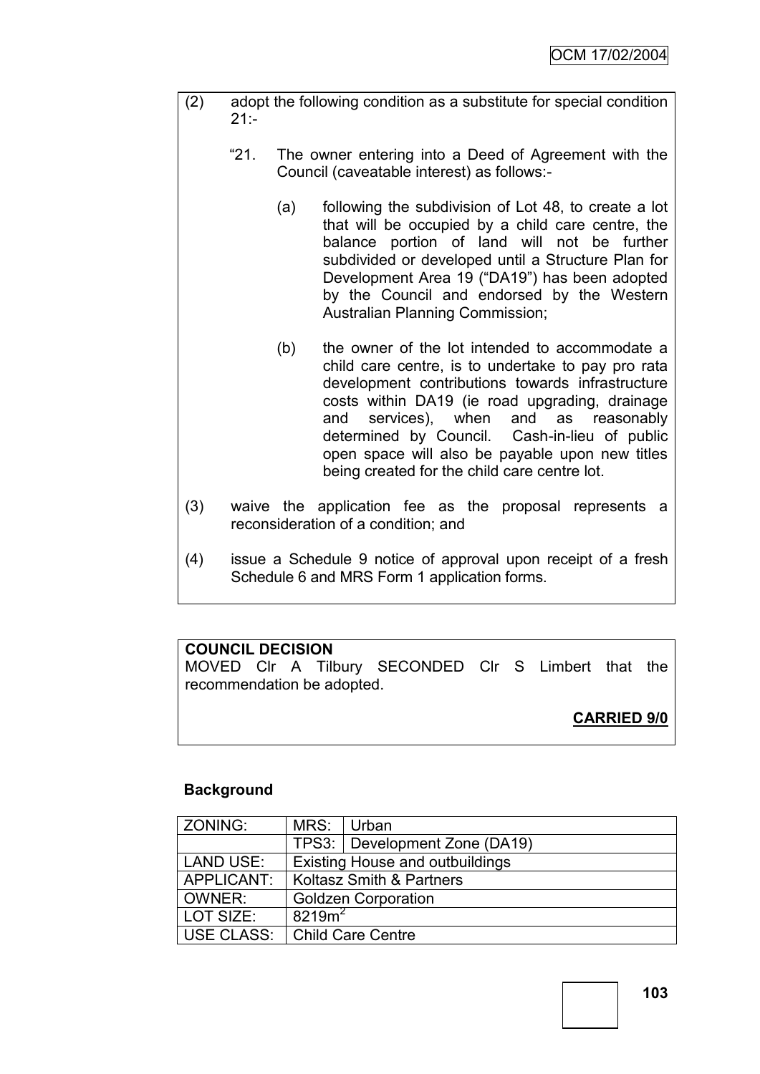- (2) adopt the following condition as a substitute for special condition  $21:$ 
	- "21. The owner entering into a Deed of Agreement with the Council (caveatable interest) as follows:-
		- (a) following the subdivision of Lot 48, to create a lot that will be occupied by a child care centre, the balance portion of land will not be further subdivided or developed until a Structure Plan for Development Area 19 ("DA19") has been adopted by the Council and endorsed by the Western Australian Planning Commission;
		- (b) the owner of the lot intended to accommodate a child care centre, is to undertake to pay pro rata development contributions towards infrastructure costs within DA19 (ie road upgrading, drainage and services), when and as reasonably determined by Council. Cash-in-lieu of public open space will also be payable upon new titles being created for the child care centre lot.
- (3) waive the application fee as the proposal represents a reconsideration of a condition; and
- (4) issue a Schedule 9 notice of approval upon receipt of a fresh Schedule 6 and MRS Form 1 application forms.

# **COUNCIL DECISION**

MOVED Clr A Tilbury SECONDED Clr S Limbert that the recommendation be adopted.

# **CARRIED 9/0**

# **Background**

| ZONING:    | MRS: Urban                             |                                 |  |
|------------|----------------------------------------|---------------------------------|--|
|            |                                        | TPS3:   Development Zone (DA19) |  |
| LAND USE:  | <b>Existing House and outbuildings</b> |                                 |  |
| APPLICANT: | Koltasz Smith & Partners               |                                 |  |
| l OWNER:   | <b>Goldzen Corporation</b>             |                                 |  |
| LOT SIZE:  | 8219m <sup>2</sup>                     |                                 |  |
|            | USE CLASS:   Child Care Centre         |                                 |  |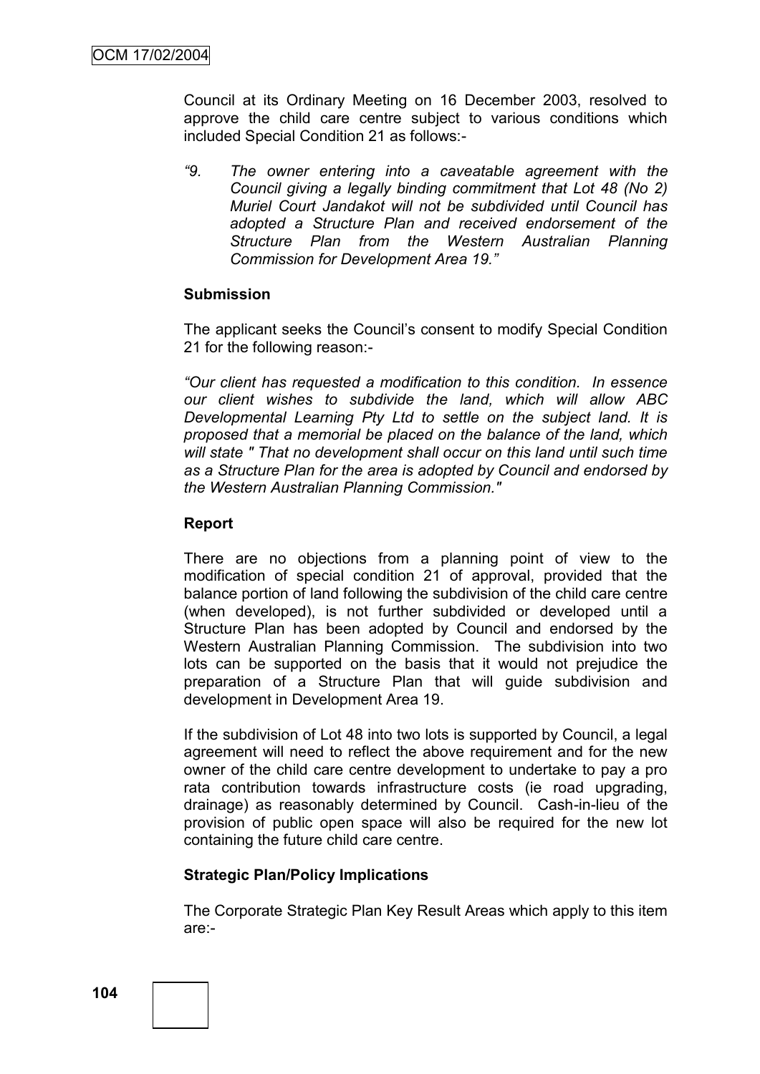Council at its Ordinary Meeting on 16 December 2003, resolved to approve the child care centre subject to various conditions which included Special Condition 21 as follows:-

*"9. The owner entering into a caveatable agreement with the Council giving a legally binding commitment that Lot 48 (No 2) Muriel Court Jandakot will not be subdivided until Council has adopted a Structure Plan and received endorsement of the Structure Plan from the Western Australian Planning Commission for Development Area 19."*

#### **Submission**

The applicant seeks the Council"s consent to modify Special Condition 21 for the following reason:-

*"Our client has requested a modification to this condition. In essence our client wishes to subdivide the land, which will allow ABC Developmental Learning Pty Ltd to settle on the subject land. It is proposed that a memorial be placed on the balance of the land, which will state " That no development shall occur on this land until such time as a Structure Plan for the area is adopted by Council and endorsed by the Western Australian Planning Commission."*

### **Report**

There are no objections from a planning point of view to the modification of special condition 21 of approval, provided that the balance portion of land following the subdivision of the child care centre (when developed), is not further subdivided or developed until a Structure Plan has been adopted by Council and endorsed by the Western Australian Planning Commission. The subdivision into two lots can be supported on the basis that it would not prejudice the preparation of a Structure Plan that will guide subdivision and development in Development Area 19.

If the subdivision of Lot 48 into two lots is supported by Council, a legal agreement will need to reflect the above requirement and for the new owner of the child care centre development to undertake to pay a pro rata contribution towards infrastructure costs (ie road upgrading, drainage) as reasonably determined by Council. Cash-in-lieu of the provision of public open space will also be required for the new lot containing the future child care centre.

### **Strategic Plan/Policy Implications**

The Corporate Strategic Plan Key Result Areas which apply to this item are:-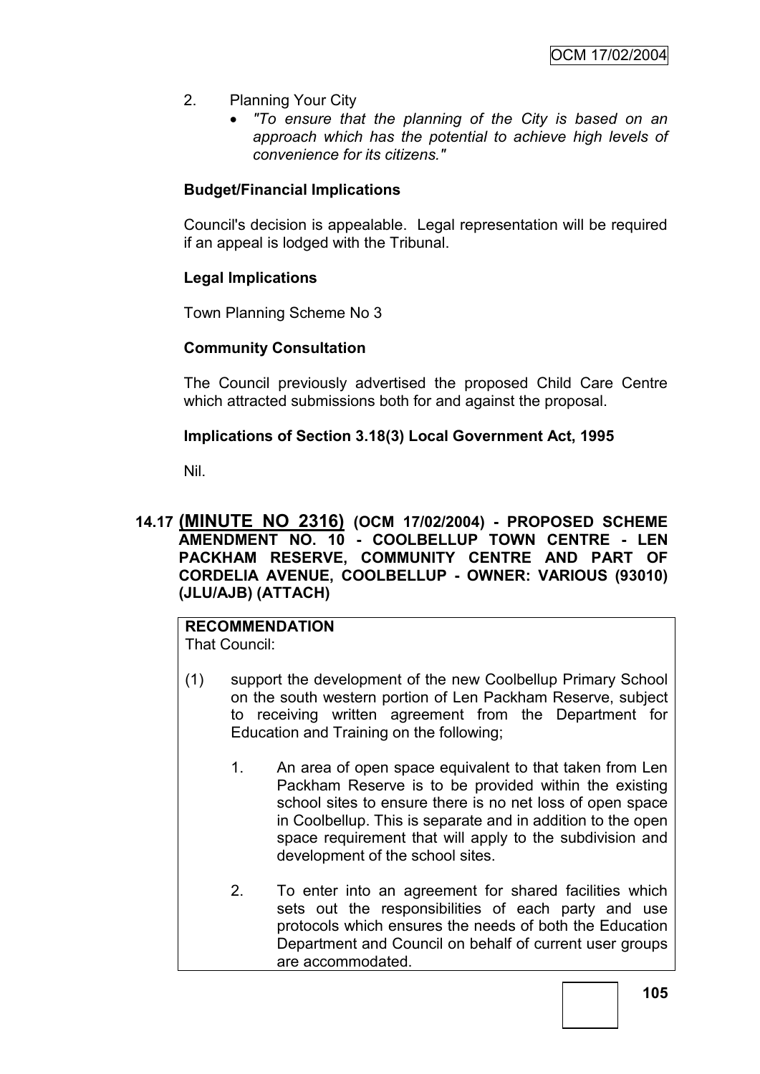- 2. Planning Your City
	- *"To ensure that the planning of the City is based on an approach which has the potential to achieve high levels of convenience for its citizens."*

# **Budget/Financial Implications**

Council's decision is appealable. Legal representation will be required if an appeal is lodged with the Tribunal.

# **Legal Implications**

Town Planning Scheme No 3

### **Community Consultation**

The Council previously advertised the proposed Child Care Centre which attracted submissions both for and against the proposal.

### **Implications of Section 3.18(3) Local Government Act, 1995**

Nil.

### **14.17 (MINUTE NO 2316) (OCM 17/02/2004) - PROPOSED SCHEME AMENDMENT NO. 10 - COOLBELLUP TOWN CENTRE - LEN PACKHAM RESERVE, COMMUNITY CENTRE AND PART OF CORDELIA AVENUE, COOLBELLUP - OWNER: VARIOUS (93010) (JLU/AJB) (ATTACH)**

# **RECOMMENDATION**

That Council:

- (1) support the development of the new Coolbellup Primary School on the south western portion of Len Packham Reserve, subject to receiving written agreement from the Department for Education and Training on the following;
	- 1. An area of open space equivalent to that taken from Len Packham Reserve is to be provided within the existing school sites to ensure there is no net loss of open space in Coolbellup. This is separate and in addition to the open space requirement that will apply to the subdivision and development of the school sites.
	- 2. To enter into an agreement for shared facilities which sets out the responsibilities of each party and use protocols which ensures the needs of both the Education Department and Council on behalf of current user groups are accommodated.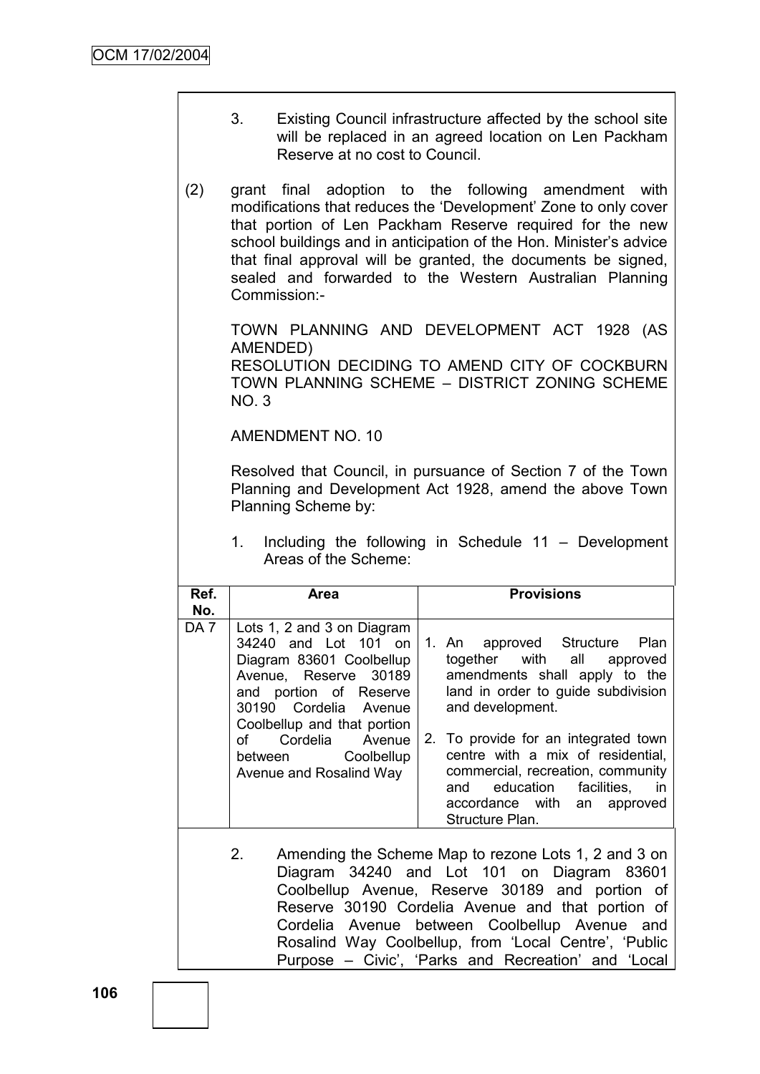- 3. Existing Council infrastructure affected by the school site will be replaced in an agreed location on Len Packham Reserve at no cost to Council.
- (2) grant final adoption to the following amendment with modifications that reduces the "Development" Zone to only cover that portion of Len Packham Reserve required for the new school buildings and in anticipation of the Hon. Minister's advice that final approval will be granted, the documents be signed, sealed and forwarded to the Western Australian Planning Commission:-

TOWN PLANNING AND DEVELOPMENT ACT 1928 (AS AMENDED)

RESOLUTION DECIDING TO AMEND CITY OF COCKBURN TOWN PLANNING SCHEME – DISTRICT ZONING SCHEME NO. 3

AMENDMENT NO. 10

Resolved that Council, in pursuance of Section 7 of the Town Planning and Development Act 1928, amend the above Town Planning Scheme by:

1. Including the following in Schedule 11 – Development Areas of the Scheme:

| Ref.                                                | <b>Area</b>                                                                                                                                                                               | <b>Provisions</b>                                                                                                                                                                                              |  |  |
|-----------------------------------------------------|-------------------------------------------------------------------------------------------------------------------------------------------------------------------------------------------|----------------------------------------------------------------------------------------------------------------------------------------------------------------------------------------------------------------|--|--|
| No.                                                 |                                                                                                                                                                                           |                                                                                                                                                                                                                |  |  |
| DA <sub>7</sub>                                     | Lots 1, 2 and 3 on Diagram<br>34240 and Lot 101 on<br>Diagram 83601 Coolbellup<br>Avenue, Reserve 30189<br>and portion of Reserve<br>30190 Cordelia Avenue<br>Coolbellup and that portion | 1. An approved Structure<br>Plan<br>together with all approved<br>amendments shall apply to the<br>land in order to guide subdivision<br>and development.                                                      |  |  |
|                                                     | Cordelia Avenue<br>of<br>between Coolbellup<br>Avenue and Rosalind Way                                                                                                                    | 2. To provide for an integrated town<br>centre with a mix of residential,<br>commercial, recreation, community<br>facilities,<br>education<br>and<br>- in<br>accordance with<br>an approved<br>Structure Plan. |  |  |
| Amending the Scheme Map to rezone Lots 1 2 and 3 on |                                                                                                                                                                                           |                                                                                                                                                                                                                |  |  |

2. Amending the Scheme Map to rezone Lots 1, 2 and 3 on Diagram 34240 and Lot 101 on Diagram 83601 Coolbellup Avenue, Reserve 30189 and portion of Reserve 30190 Cordelia Avenue and that portion of Cordelia Avenue between Coolbellup Avenue and Rosalind Way Coolbellup, from 'Local Centre', 'Public Purpose – Civic', 'Parks and Recreation' and 'Local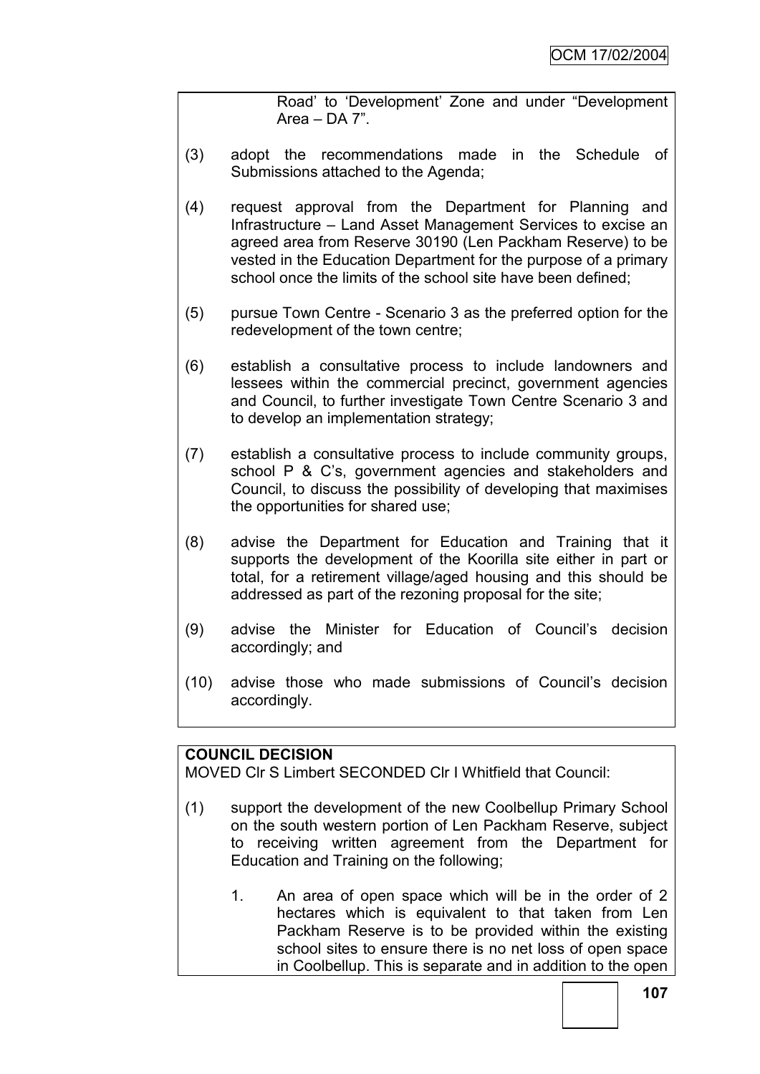Road" to "Development" Zone and under "Development Area – DA 7".

- (3) adopt the recommendations made in the Schedule of Submissions attached to the Agenda;
- (4) request approval from the Department for Planning and Infrastructure – Land Asset Management Services to excise an agreed area from Reserve 30190 (Len Packham Reserve) to be vested in the Education Department for the purpose of a primary school once the limits of the school site have been defined;
- (5) pursue Town Centre Scenario 3 as the preferred option for the redevelopment of the town centre;
- (6) establish a consultative process to include landowners and lessees within the commercial precinct, government agencies and Council, to further investigate Town Centre Scenario 3 and to develop an implementation strategy;
- (7) establish a consultative process to include community groups, school P & C"s, government agencies and stakeholders and Council, to discuss the possibility of developing that maximises the opportunities for shared use;
- (8) advise the Department for Education and Training that it supports the development of the Koorilla site either in part or total, for a retirement village/aged housing and this should be addressed as part of the rezoning proposal for the site;
- (9) advise the Minister for Education of Council"s decision accordingly; and
- (10) advise those who made submissions of Council"s decision accordingly.

# **COUNCIL DECISION**

MOVED Clr S Limbert SECONDED Clr I Whitfield that Council:

- (1) support the development of the new Coolbellup Primary School on the south western portion of Len Packham Reserve, subject to receiving written agreement from the Department for Education and Training on the following;
	- 1. An area of open space which will be in the order of 2 hectares which is equivalent to that taken from Len Packham Reserve is to be provided within the existing school sites to ensure there is no net loss of open space in Coolbellup. This is separate and in addition to the open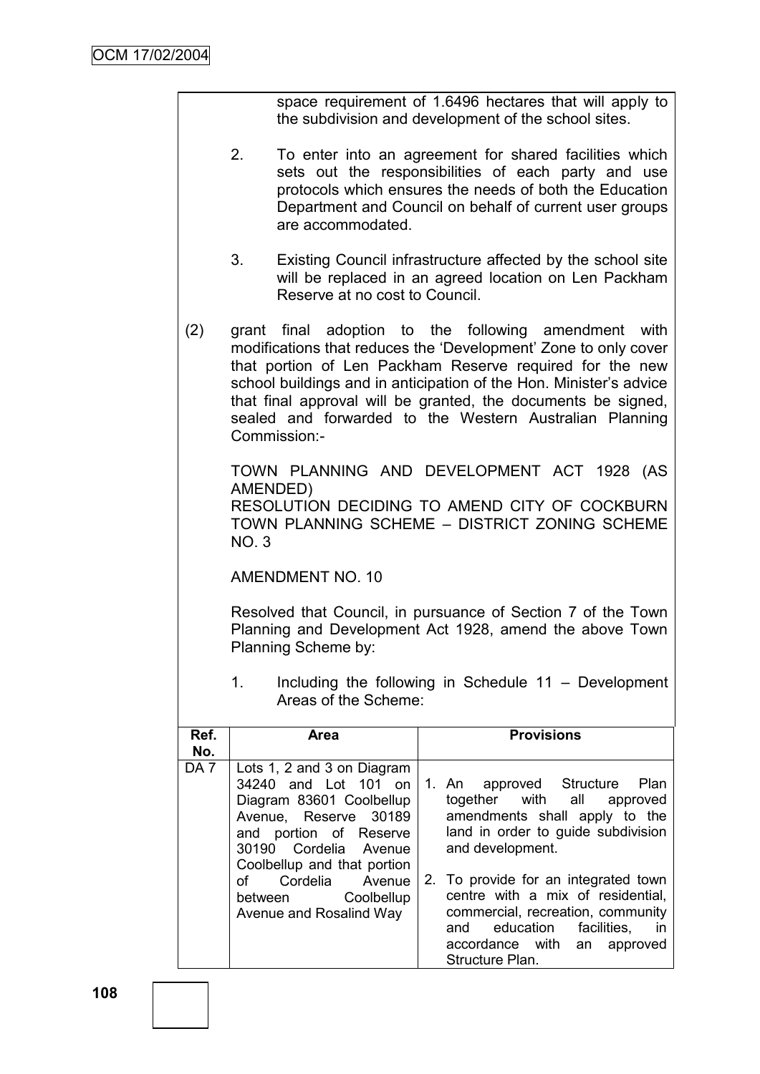space requirement of 1.6496 hectares that will apply to the subdivision and development of the school sites.

- 2. To enter into an agreement for shared facilities which sets out the responsibilities of each party and use protocols which ensures the needs of both the Education Department and Council on behalf of current user groups are accommodated.
- 3. Existing Council infrastructure affected by the school site will be replaced in an agreed location on Len Packham Reserve at no cost to Council.
- (2) grant final adoption to the following amendment with modifications that reduces the "Development" Zone to only cover that portion of Len Packham Reserve required for the new school buildings and in anticipation of the Hon. Minister's advice that final approval will be granted, the documents be signed, sealed and forwarded to the Western Australian Planning Commission:-

TOWN PLANNING AND DEVELOPMENT ACT 1928 (AS AMENDED)

RESOLUTION DECIDING TO AMEND CITY OF COCKBURN TOWN PLANNING SCHEME – DISTRICT ZONING SCHEME NO. 3

AMENDMENT NO. 10

Resolved that Council, in pursuance of Section 7 of the Town Planning and Development Act 1928, amend the above Town Planning Scheme by:

1. Including the following in Schedule 11 – Development Areas of the Scheme:

| Ref.<br>No.     | <b>Area</b>                                                                                                                                                                                                                                                            | <b>Provisions</b>                                                                                                                                                                                                                                                                                                                                                               |
|-----------------|------------------------------------------------------------------------------------------------------------------------------------------------------------------------------------------------------------------------------------------------------------------------|---------------------------------------------------------------------------------------------------------------------------------------------------------------------------------------------------------------------------------------------------------------------------------------------------------------------------------------------------------------------------------|
| DA <sub>7</sub> | Lots 1, 2 and 3 on Diagram<br>34240 and Lot 101 on<br>Diagram 83601 Coolbellup<br>Avenue, Reserve 30189<br>and portion of Reserve<br>30190 Cordelia Avenue<br>Coolbellup and that portion<br>Cordelia<br>of<br>Avenue<br>between Coolbellup<br>Avenue and Rosalind Way | 1. An approved Structure<br>Plan<br>together with all<br>approved<br>amendments shall apply to the<br>land in order to guide subdivision<br>and development.<br>2. To provide for an integrated town<br>centre with a mix of residential,<br>commercial, recreation, community<br>education<br>facilities.<br>and<br>in<br>accordance with<br>an<br>approved<br>Structure Plan. |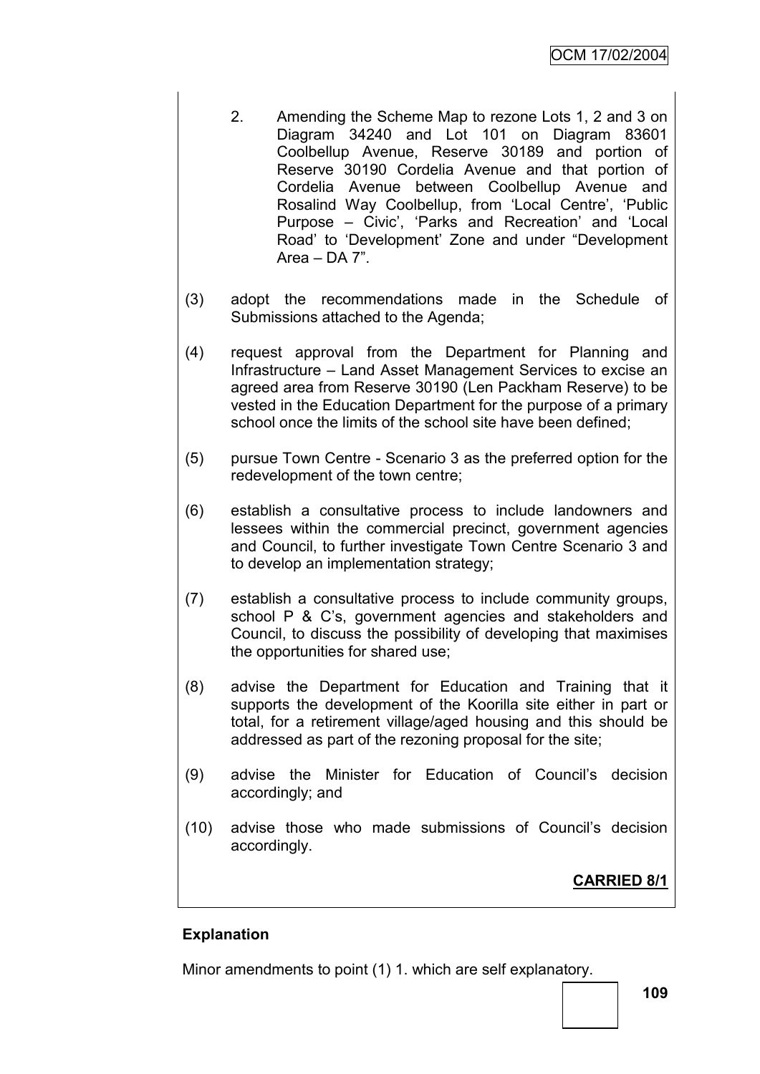- 2. Amending the Scheme Map to rezone Lots 1, 2 and 3 on Diagram 34240 and Lot 101 on Diagram 83601 Coolbellup Avenue, Reserve 30189 and portion of Reserve 30190 Cordelia Avenue and that portion of Cordelia Avenue between Coolbellup Avenue and Rosalind Way Coolbellup, from 'Local Centre', 'Public Purpose – Civic', 'Parks and Recreation' and 'Local Road" to "Development" Zone and under "Development Area – DA 7".
- (3) adopt the recommendations made in the Schedule of Submissions attached to the Agenda;
- (4) request approval from the Department for Planning and Infrastructure – Land Asset Management Services to excise an agreed area from Reserve 30190 (Len Packham Reserve) to be vested in the Education Department for the purpose of a primary school once the limits of the school site have been defined;
- (5) pursue Town Centre Scenario 3 as the preferred option for the redevelopment of the town centre;
- (6) establish a consultative process to include landowners and lessees within the commercial precinct, government agencies and Council, to further investigate Town Centre Scenario 3 and to develop an implementation strategy;
- (7) establish a consultative process to include community groups, school P & C"s, government agencies and stakeholders and Council, to discuss the possibility of developing that maximises the opportunities for shared use;
- (8) advise the Department for Education and Training that it supports the development of the Koorilla site either in part or total, for a retirement village/aged housing and this should be addressed as part of the rezoning proposal for the site;
- (9) advise the Minister for Education of Council"s decision accordingly; and
- (10) advise those who made submissions of Council"s decision accordingly.

**CARRIED 8/1**

# **Explanation**

Minor amendments to point (1) 1. which are self explanatory.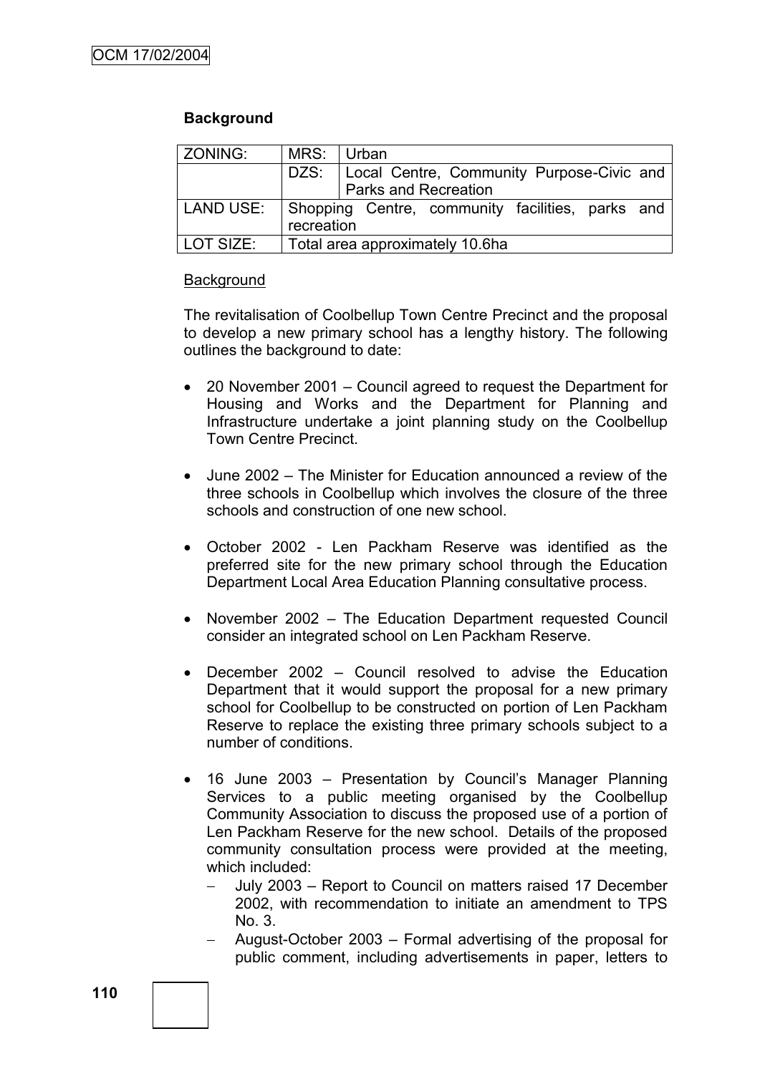# **Background**

| ZONING:          | MRS: Urban                                       |                                                  |  |
|------------------|--------------------------------------------------|--------------------------------------------------|--|
|                  |                                                  | DZS:   Local Centre, Community Purpose-Civic and |  |
|                  |                                                  | Parks and Recreation                             |  |
| <b>LAND USE:</b> | Shopping Centre, community facilities, parks and |                                                  |  |
|                  | recreation                                       |                                                  |  |
| LOT SIZE:        |                                                  | Total area approximately 10.6ha                  |  |

#### **Background**

The revitalisation of Coolbellup Town Centre Precinct and the proposal to develop a new primary school has a lengthy history. The following outlines the background to date:

- 20 November 2001 Council agreed to request the Department for Housing and Works and the Department for Planning and Infrastructure undertake a joint planning study on the Coolbellup Town Centre Precinct.
- June 2002 The Minister for Education announced a review of the three schools in Coolbellup which involves the closure of the three schools and construction of one new school.
- October 2002 Len Packham Reserve was identified as the preferred site for the new primary school through the Education Department Local Area Education Planning consultative process.
- November 2002 The Education Department requested Council consider an integrated school on Len Packham Reserve.
- December 2002 Council resolved to advise the Education Department that it would support the proposal for a new primary school for Coolbellup to be constructed on portion of Len Packham Reserve to replace the existing three primary schools subject to a number of conditions.
- 16 June 2003 Presentation by Council's Manager Planning Services to a public meeting organised by the Coolbellup Community Association to discuss the proposed use of a portion of Len Packham Reserve for the new school. Details of the proposed community consultation process were provided at the meeting, which included:
	- July 2003 Report to Council on matters raised 17 December 2002, with recommendation to initiate an amendment to TPS No. 3.
	- August-October 2003 Formal advertising of the proposal for public comment, including advertisements in paper, letters to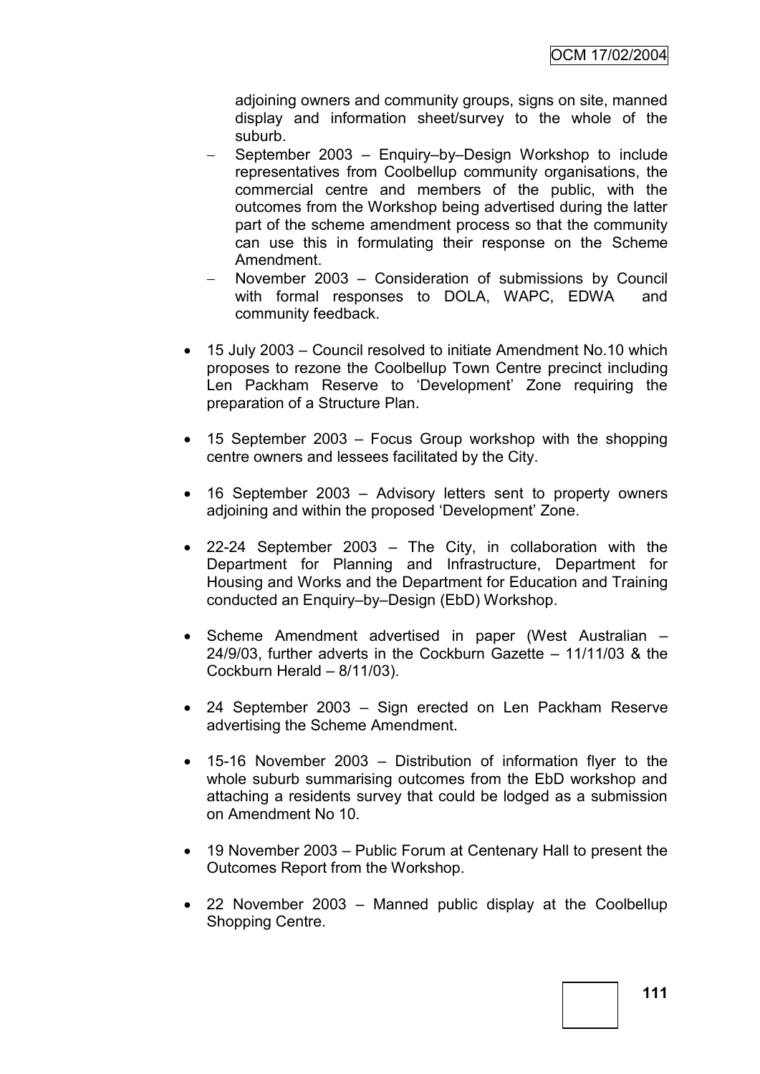adjoining owners and community groups, signs on site, manned display and information sheet/survey to the whole of the suburb.

- September 2003 Enquiry–by–Design Workshop to include representatives from Coolbellup community organisations, the commercial centre and members of the public, with the outcomes from the Workshop being advertised during the latter part of the scheme amendment process so that the community can use this in formulating their response on the Scheme Amendment.
- November 2003 Consideration of submissions by Council with formal responses to DOLA, WAPC, EDWA and community feedback.
- 15 July 2003 Council resolved to initiate Amendment No.10 which proposes to rezone the Coolbellup Town Centre precinct including Len Packham Reserve to "Development" Zone requiring the preparation of a Structure Plan.
- 15 September 2003 Focus Group workshop with the shopping centre owners and lessees facilitated by the City.
- 16 September 2003 Advisory letters sent to property owners adjoining and within the proposed "Development" Zone.
- 22-24 September 2003 The City, in collaboration with the Department for Planning and Infrastructure, Department for Housing and Works and the Department for Education and Training conducted an Enquiry–by–Design (EbD) Workshop.
- Scheme Amendment advertised in paper (West Australian 24/9/03, further adverts in the Cockburn Gazette – 11/11/03 & the Cockburn Herald – 8/11/03).
- 24 September 2003 Sign erected on Len Packham Reserve advertising the Scheme Amendment.
- 15-16 November 2003 Distribution of information flyer to the whole suburb summarising outcomes from the EbD workshop and attaching a residents survey that could be lodged as a submission on Amendment No 10.
- 19 November 2003 Public Forum at Centenary Hall to present the Outcomes Report from the Workshop.
- 22 November 2003 Manned public display at the Coolbellup Shopping Centre.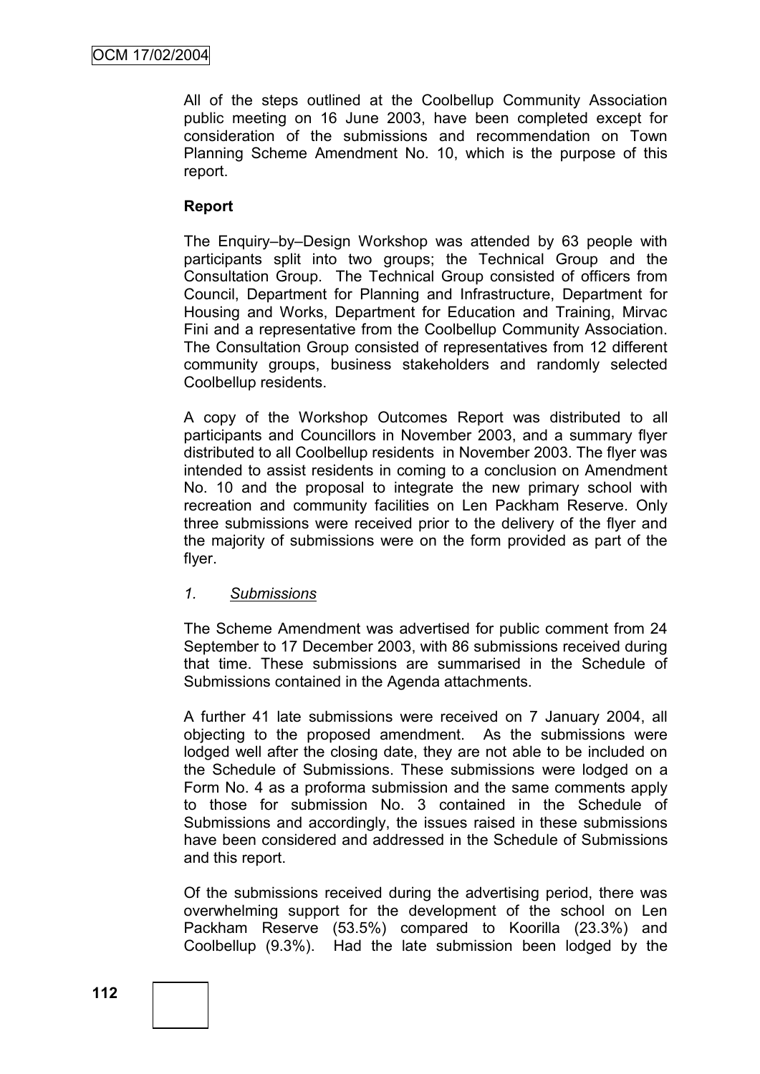All of the steps outlined at the Coolbellup Community Association public meeting on 16 June 2003, have been completed except for consideration of the submissions and recommendation on Town Planning Scheme Amendment No. 10, which is the purpose of this report.

### **Report**

The Enquiry–by–Design Workshop was attended by 63 people with participants split into two groups; the Technical Group and the Consultation Group. The Technical Group consisted of officers from Council, Department for Planning and Infrastructure, Department for Housing and Works, Department for Education and Training, Mirvac Fini and a representative from the Coolbellup Community Association. The Consultation Group consisted of representatives from 12 different community groups, business stakeholders and randomly selected Coolbellup residents.

A copy of the Workshop Outcomes Report was distributed to all participants and Councillors in November 2003, and a summary flyer distributed to all Coolbellup residents in November 2003. The flyer was intended to assist residents in coming to a conclusion on Amendment No. 10 and the proposal to integrate the new primary school with recreation and community facilities on Len Packham Reserve. Only three submissions were received prior to the delivery of the flyer and the majority of submissions were on the form provided as part of the flyer.

### *1. Submissions*

The Scheme Amendment was advertised for public comment from 24 September to 17 December 2003, with 86 submissions received during that time. These submissions are summarised in the Schedule of Submissions contained in the Agenda attachments.

A further 41 late submissions were received on 7 January 2004, all objecting to the proposed amendment. As the submissions were lodged well after the closing date, they are not able to be included on the Schedule of Submissions. These submissions were lodged on a Form No. 4 as a proforma submission and the same comments apply to those for submission No. 3 contained in the Schedule of Submissions and accordingly, the issues raised in these submissions have been considered and addressed in the Schedule of Submissions and this report.

Of the submissions received during the advertising period, there was overwhelming support for the development of the school on Len Packham Reserve (53.5%) compared to Koorilla (23.3%) and Coolbellup (9.3%). Had the late submission been lodged by the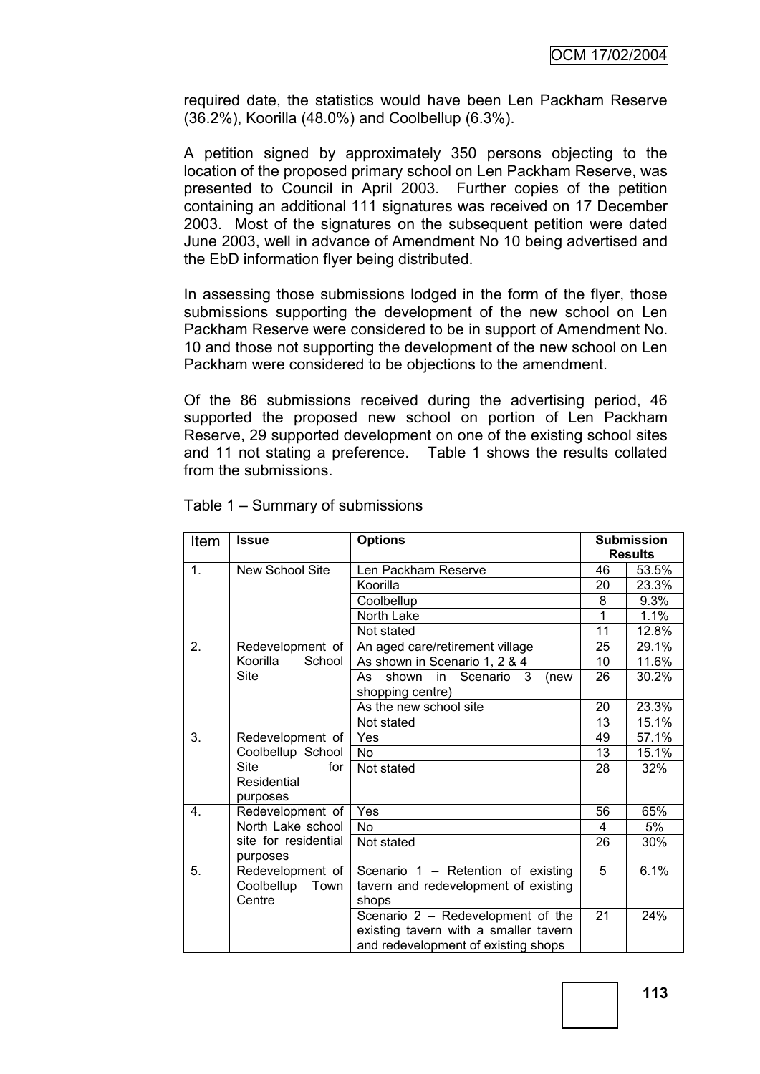required date, the statistics would have been Len Packham Reserve (36.2%), Koorilla (48.0%) and Coolbellup (6.3%).

A petition signed by approximately 350 persons objecting to the location of the proposed primary school on Len Packham Reserve, was presented to Council in April 2003. Further copies of the petition containing an additional 111 signatures was received on 17 December 2003. Most of the signatures on the subsequent petition were dated June 2003, well in advance of Amendment No 10 being advertised and the EbD information flyer being distributed.

In assessing those submissions lodged in the form of the flyer, those submissions supporting the development of the new school on Len Packham Reserve were considered to be in support of Amendment No. 10 and those not supporting the development of the new school on Len Packham were considered to be objections to the amendment.

Of the 86 submissions received during the advertising period, 46 supported the proposed new school on portion of Len Packham Reserve, 29 supported development on one of the existing school sites and 11 not stating a preference. Table 1 shows the results collated from the submissions.

| Item                                                  | <b>Issue</b>       | <b>Options</b>                        |                | <b>Submission</b> |  |
|-------------------------------------------------------|--------------------|---------------------------------------|----------------|-------------------|--|
|                                                       |                    |                                       | <b>Results</b> |                   |  |
| 1.<br>New School Site                                 |                    | Len Packham Reserve                   | 46             | 53.5%             |  |
|                                                       |                    | Koorilla                              | 20             | 23.3%             |  |
|                                                       |                    | Coolbellup                            | 8              | 9.3%              |  |
|                                                       |                    | <b>North Lake</b>                     | 1              | 1.1%              |  |
|                                                       |                    | Not stated                            | 11             | 12.8%             |  |
| 2.                                                    | Redevelopment of   | An aged care/retirement village       | 25             | 29.1%             |  |
|                                                       | Koorilla<br>School | As shown in Scenario 1, 2 & 4         | 10             | 11.6%             |  |
|                                                       | Site               | shown in Scenario 3<br>(new<br>As     | 26             | 30.2%             |  |
|                                                       |                    | shopping centre)                      |                |                   |  |
|                                                       |                    | As the new school site                | 20             | 23.3%             |  |
|                                                       |                    | Not stated                            | 13             | 15.1%             |  |
| 3.                                                    | Redevelopment of   | Yes                                   | 49             | 57.1%             |  |
|                                                       | Coolbellup School  | No.                                   | 13             | 15.1%             |  |
|                                                       | <b>Site</b><br>for | Not stated                            | 28             | 32%               |  |
|                                                       | Residential        |                                       |                |                   |  |
|                                                       | purposes           |                                       |                |                   |  |
| 4.                                                    | Redevelopment of   | Yes                                   | 56             | 65%               |  |
| North Lake school<br>site for residential<br>purposes |                    | <b>No</b>                             | 4              | 5%                |  |
|                                                       |                    | Not stated                            | 26             | 30%               |  |
| 5.                                                    | Redevelopment of   | Scenario 1 - Retention of existing    | 5              | 6.1%              |  |
|                                                       | Coolbellup Town    | tavern and redevelopment of existing  |                |                   |  |
| Centre                                                |                    | shops                                 |                |                   |  |
|                                                       |                    | Scenario 2 - Redevelopment of the     | 21             | 24%               |  |
|                                                       |                    | existing tavern with a smaller tavern |                |                   |  |
|                                                       |                    | and redevelopment of existing shops   |                |                   |  |

Table 1 – Summary of submissions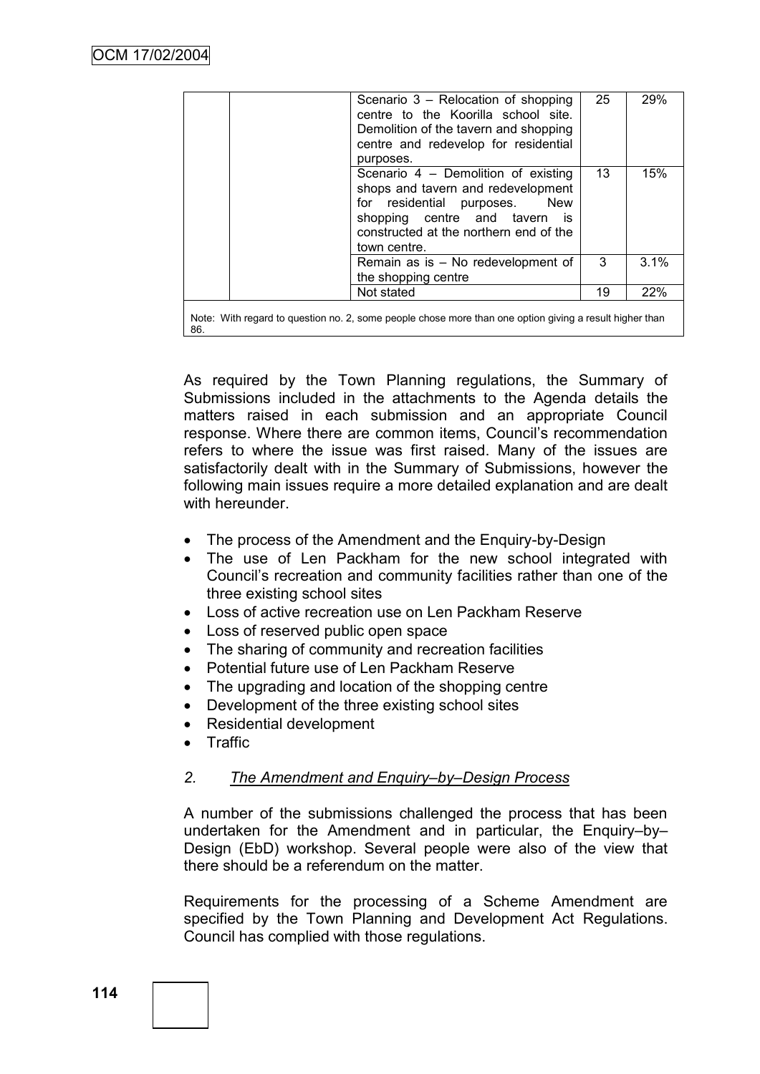|                                                                                                        | Scenario 3 – Relocation of shopping<br>centre to the Koorilla school site.<br>Demolition of the tavern and shopping<br>centre and redevelop for residential<br>purposes.                                           | 25 | 29%  |
|--------------------------------------------------------------------------------------------------------|--------------------------------------------------------------------------------------------------------------------------------------------------------------------------------------------------------------------|----|------|
|                                                                                                        | Scenario 4 - Demolition of existing<br>shops and tavern and redevelopment<br>for residential purposes.<br>New<br>shopping centre and tavern<br><b>is</b><br>constructed at the northern end of the<br>town centre. | 13 | 15%  |
|                                                                                                        | Remain as is - No redevelopment of<br>the shopping centre                                                                                                                                                          | 3  | 3.1% |
|                                                                                                        | Not stated                                                                                                                                                                                                         | 19 | 22%  |
| Note: With regard to question no 2, some people chose more than one option giving a result higher than |                                                                                                                                                                                                                    |    |      |

Note: With regard to question no. 2, some people chose more than one option giving a result higher than 86.

As required by the Town Planning regulations, the Summary of Submissions included in the attachments to the Agenda details the matters raised in each submission and an appropriate Council response. Where there are common items, Council"s recommendation refers to where the issue was first raised. Many of the issues are satisfactorily dealt with in the Summary of Submissions, however the following main issues require a more detailed explanation and are dealt with hereunder.

- The process of the Amendment and the Enquiry-by-Design
- The use of Len Packham for the new school integrated with Council"s recreation and community facilities rather than one of the three existing school sites
- Loss of active recreation use on Len Packham Reserve
- Loss of reserved public open space
- The sharing of community and recreation facilities
- Potential future use of Len Packham Reserve
- The upgrading and location of the shopping centre
- Development of the three existing school sites
- Residential development
- Traffic

#### *2. The Amendment and Enquiry–by–Design Process*

A number of the submissions challenged the process that has been undertaken for the Amendment and in particular, the Enquiry–by– Design (EbD) workshop. Several people were also of the view that there should be a referendum on the matter.

Requirements for the processing of a Scheme Amendment are specified by the Town Planning and Development Act Regulations. Council has complied with those regulations.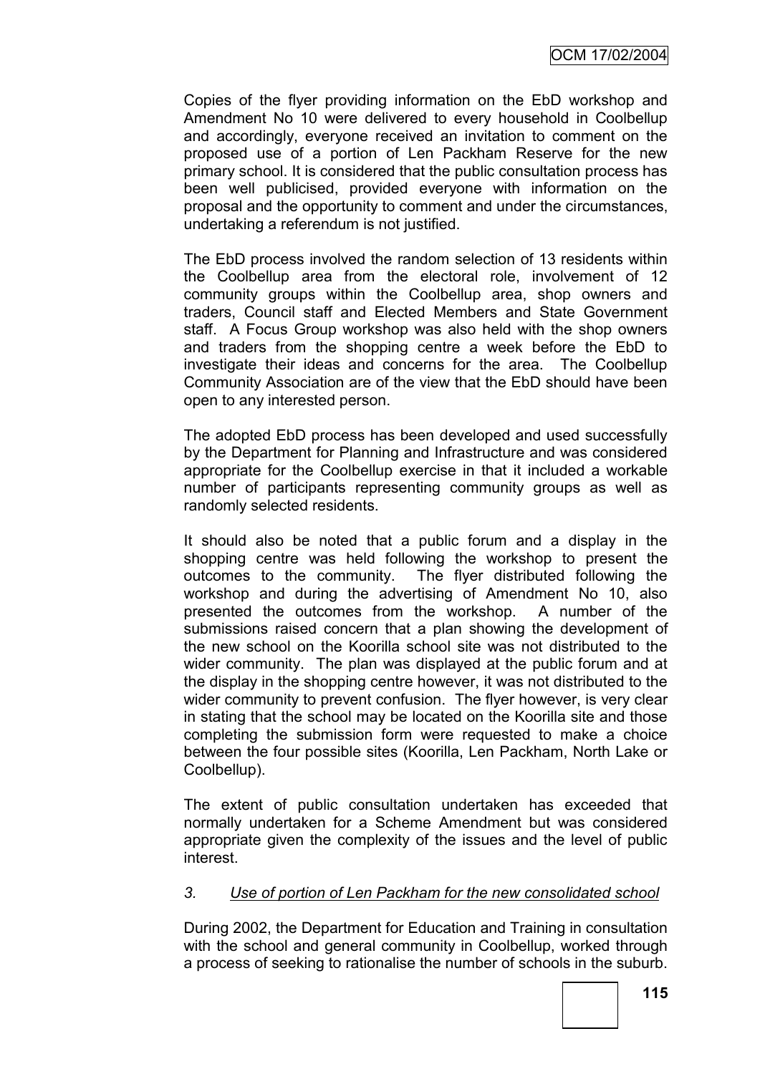Copies of the flyer providing information on the EbD workshop and Amendment No 10 were delivered to every household in Coolbellup and accordingly, everyone received an invitation to comment on the proposed use of a portion of Len Packham Reserve for the new primary school. It is considered that the public consultation process has been well publicised, provided everyone with information on the proposal and the opportunity to comment and under the circumstances, undertaking a referendum is not justified.

The EbD process involved the random selection of 13 residents within the Coolbellup area from the electoral role, involvement of 12 community groups within the Coolbellup area, shop owners and traders, Council staff and Elected Members and State Government staff. A Focus Group workshop was also held with the shop owners and traders from the shopping centre a week before the EbD to investigate their ideas and concerns for the area. The Coolbellup Community Association are of the view that the EbD should have been open to any interested person.

The adopted EbD process has been developed and used successfully by the Department for Planning and Infrastructure and was considered appropriate for the Coolbellup exercise in that it included a workable number of participants representing community groups as well as randomly selected residents.

It should also be noted that a public forum and a display in the shopping centre was held following the workshop to present the outcomes to the community. The flyer distributed following the workshop and during the advertising of Amendment No 10, also presented the outcomes from the workshop. A number of the submissions raised concern that a plan showing the development of the new school on the Koorilla school site was not distributed to the wider community. The plan was displayed at the public forum and at the display in the shopping centre however, it was not distributed to the wider community to prevent confusion. The flyer however, is very clear in stating that the school may be located on the Koorilla site and those completing the submission form were requested to make a choice between the four possible sites (Koorilla, Len Packham, North Lake or Coolbellup).

The extent of public consultation undertaken has exceeded that normally undertaken for a Scheme Amendment but was considered appropriate given the complexity of the issues and the level of public interest.

### *3. Use of portion of Len Packham for the new consolidated school*

During 2002, the Department for Education and Training in consultation with the school and general community in Coolbellup, worked through a process of seeking to rationalise the number of schools in the suburb.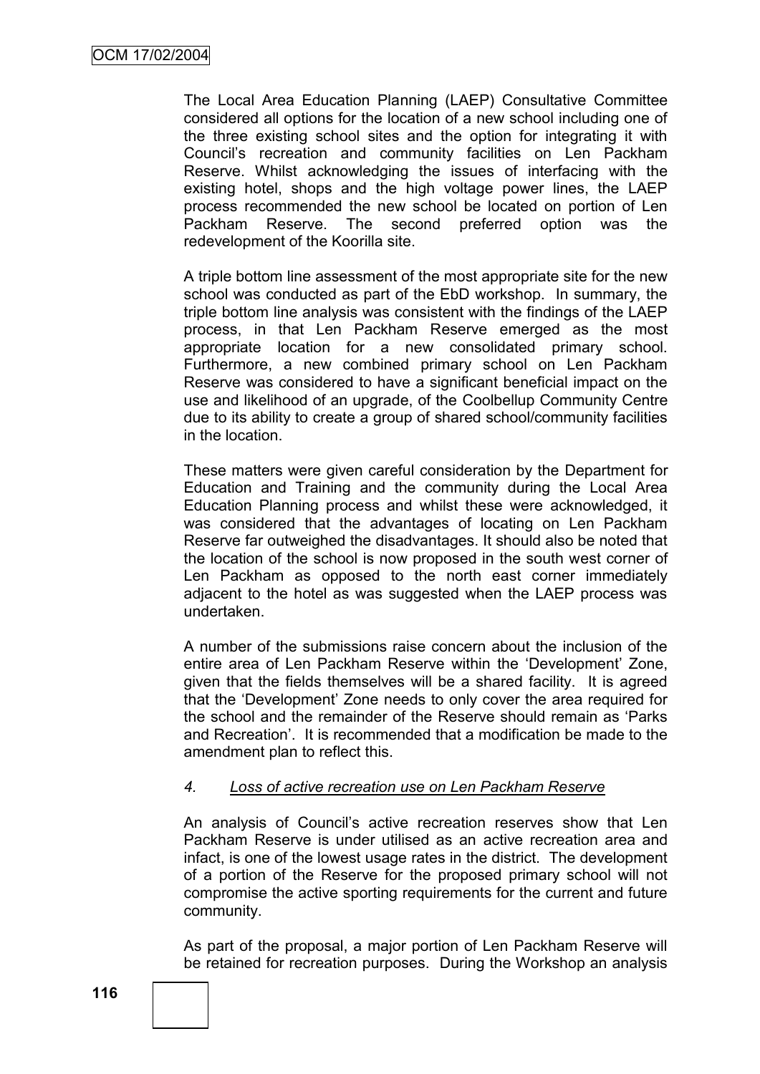The Local Area Education Planning (LAEP) Consultative Committee considered all options for the location of a new school including one of the three existing school sites and the option for integrating it with Council"s recreation and community facilities on Len Packham Reserve. Whilst acknowledging the issues of interfacing with the existing hotel, shops and the high voltage power lines, the LAEP process recommended the new school be located on portion of Len Packham Reserve. The second preferred option was the redevelopment of the Koorilla site.

A triple bottom line assessment of the most appropriate site for the new school was conducted as part of the EbD workshop. In summary, the triple bottom line analysis was consistent with the findings of the LAEP process, in that Len Packham Reserve emerged as the most appropriate location for a new consolidated primary school. Furthermore, a new combined primary school on Len Packham Reserve was considered to have a significant beneficial impact on the use and likelihood of an upgrade, of the Coolbellup Community Centre due to its ability to create a group of shared school/community facilities in the location.

These matters were given careful consideration by the Department for Education and Training and the community during the Local Area Education Planning process and whilst these were acknowledged, it was considered that the advantages of locating on Len Packham Reserve far outweighed the disadvantages. It should also be noted that the location of the school is now proposed in the south west corner of Len Packham as opposed to the north east corner immediately adiacent to the hotel as was suggested when the LAEP process was undertaken.

A number of the submissions raise concern about the inclusion of the entire area of Len Packham Reserve within the "Development" Zone, given that the fields themselves will be a shared facility. It is agreed that the "Development" Zone needs to only cover the area required for the school and the remainder of the Reserve should remain as "Parks and Recreation". It is recommended that a modification be made to the amendment plan to reflect this.

### *4. Loss of active recreation use on Len Packham Reserve*

An analysis of Council"s active recreation reserves show that Len Packham Reserve is under utilised as an active recreation area and infact, is one of the lowest usage rates in the district. The development of a portion of the Reserve for the proposed primary school will not compromise the active sporting requirements for the current and future community.

As part of the proposal, a major portion of Len Packham Reserve will be retained for recreation purposes. During the Workshop an analysis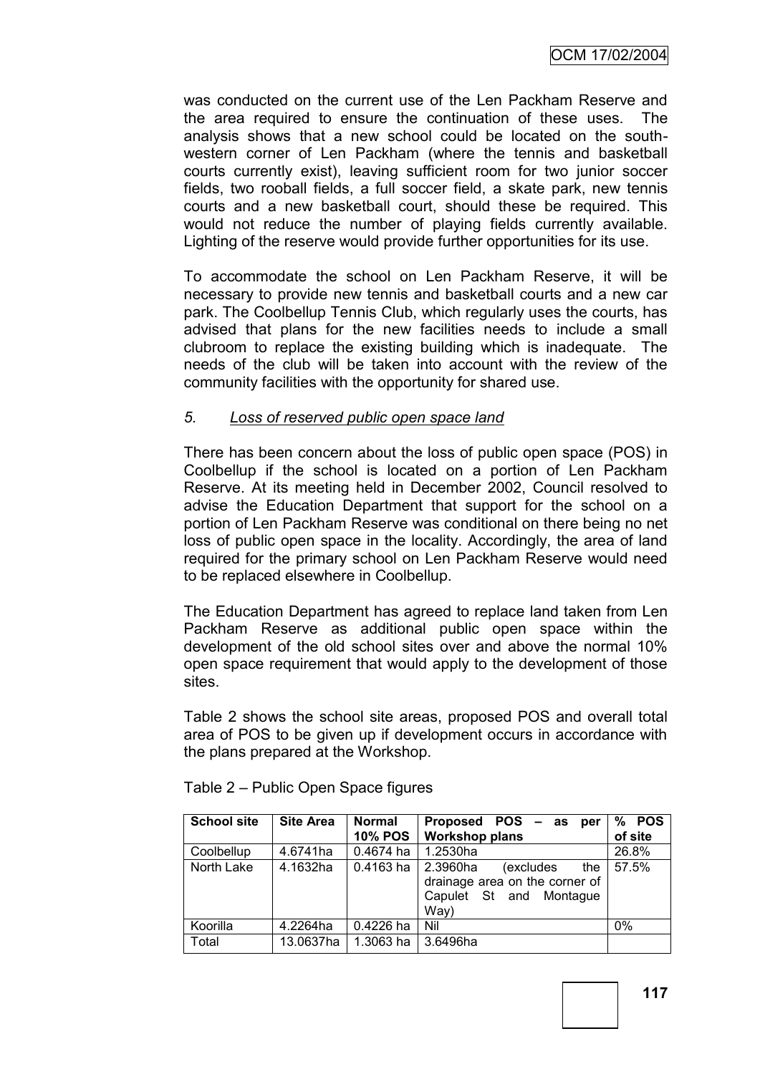was conducted on the current use of the Len Packham Reserve and the area required to ensure the continuation of these uses. The analysis shows that a new school could be located on the southwestern corner of Len Packham (where the tennis and basketball courts currently exist), leaving sufficient room for two junior soccer fields, two rooball fields, a full soccer field, a skate park, new tennis courts and a new basketball court, should these be required. This would not reduce the number of playing fields currently available. Lighting of the reserve would provide further opportunities for its use.

To accommodate the school on Len Packham Reserve, it will be necessary to provide new tennis and basketball courts and a new car park. The Coolbellup Tennis Club, which regularly uses the courts, has advised that plans for the new facilities needs to include a small clubroom to replace the existing building which is inadequate. The needs of the club will be taken into account with the review of the community facilities with the opportunity for shared use.

### *5. Loss of reserved public open space land*

There has been concern about the loss of public open space (POS) in Coolbellup if the school is located on a portion of Len Packham Reserve. At its meeting held in December 2002, Council resolved to advise the Education Department that support for the school on a portion of Len Packham Reserve was conditional on there being no net loss of public open space in the locality. Accordingly, the area of land required for the primary school on Len Packham Reserve would need to be replaced elsewhere in Coolbellup.

The Education Department has agreed to replace land taken from Len Packham Reserve as additional public open space within the development of the old school sites over and above the normal 10% open space requirement that would apply to the development of those sites.

Table 2 shows the school site areas, proposed POS and overall total area of POS to be given up if development occurs in accordance with the plans prepared at the Workshop.

| <b>School site</b> | <b>Site Area</b> | <b>Normal</b>  | Proposed POS - as<br>per                                                                          | <b>POS</b><br>% |
|--------------------|------------------|----------------|---------------------------------------------------------------------------------------------------|-----------------|
|                    |                  | <b>10% POS</b> | <b>Workshop plans</b>                                                                             | of site         |
| Coolbellup         | 4.6741ha         | $0.4674$ ha    | 1.2530ha                                                                                          | 26.8%           |
| North Lake         | 4.1632ha         | $0.4163$ ha    | 2.3960ha<br>the<br>(excludes<br>drainage area on the corner of<br>Capulet St and Montaque<br>Way) | 57.5%           |
| Koorilla           | 4.2264ha         | 0.4226 ha      | Nil                                                                                               | 0%              |
| Total              | 13.0637ha        | 1.3063 ha      | 3.6496ha                                                                                          |                 |

Table 2 – Public Open Space figures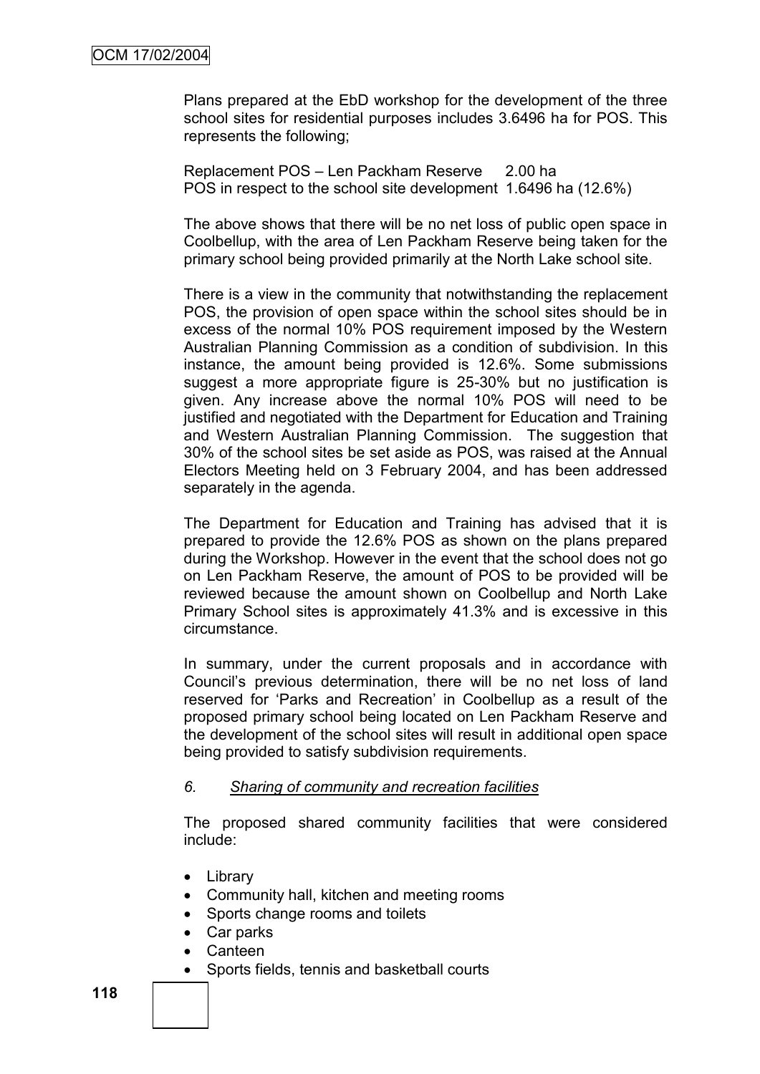Plans prepared at the EbD workshop for the development of the three school sites for residential purposes includes 3.6496 ha for POS. This represents the following;

Replacement POS – Len Packham Reserve 2.00 ha POS in respect to the school site development 1.6496 ha (12.6%)

The above shows that there will be no net loss of public open space in Coolbellup, with the area of Len Packham Reserve being taken for the primary school being provided primarily at the North Lake school site.

There is a view in the community that notwithstanding the replacement POS, the provision of open space within the school sites should be in excess of the normal 10% POS requirement imposed by the Western Australian Planning Commission as a condition of subdivision. In this instance, the amount being provided is 12.6%. Some submissions suggest a more appropriate figure is 25-30% but no justification is given. Any increase above the normal 10% POS will need to be justified and negotiated with the Department for Education and Training and Western Australian Planning Commission. The suggestion that 30% of the school sites be set aside as POS, was raised at the Annual Electors Meeting held on 3 February 2004, and has been addressed separately in the agenda.

The Department for Education and Training has advised that it is prepared to provide the 12.6% POS as shown on the plans prepared during the Workshop. However in the event that the school does not go on Len Packham Reserve, the amount of POS to be provided will be reviewed because the amount shown on Coolbellup and North Lake Primary School sites is approximately 41.3% and is excessive in this circumstance.

In summary, under the current proposals and in accordance with Council"s previous determination, there will be no net loss of land reserved for "Parks and Recreation" in Coolbellup as a result of the proposed primary school being located on Len Packham Reserve and the development of the school sites will result in additional open space being provided to satisfy subdivision requirements.

#### *6. Sharing of community and recreation facilities*

The proposed shared community facilities that were considered include:

- Library
- Community hall, kitchen and meeting rooms
- Sports change rooms and toilets
- Car parks
- Canteen
- Sports fields, tennis and basketball courts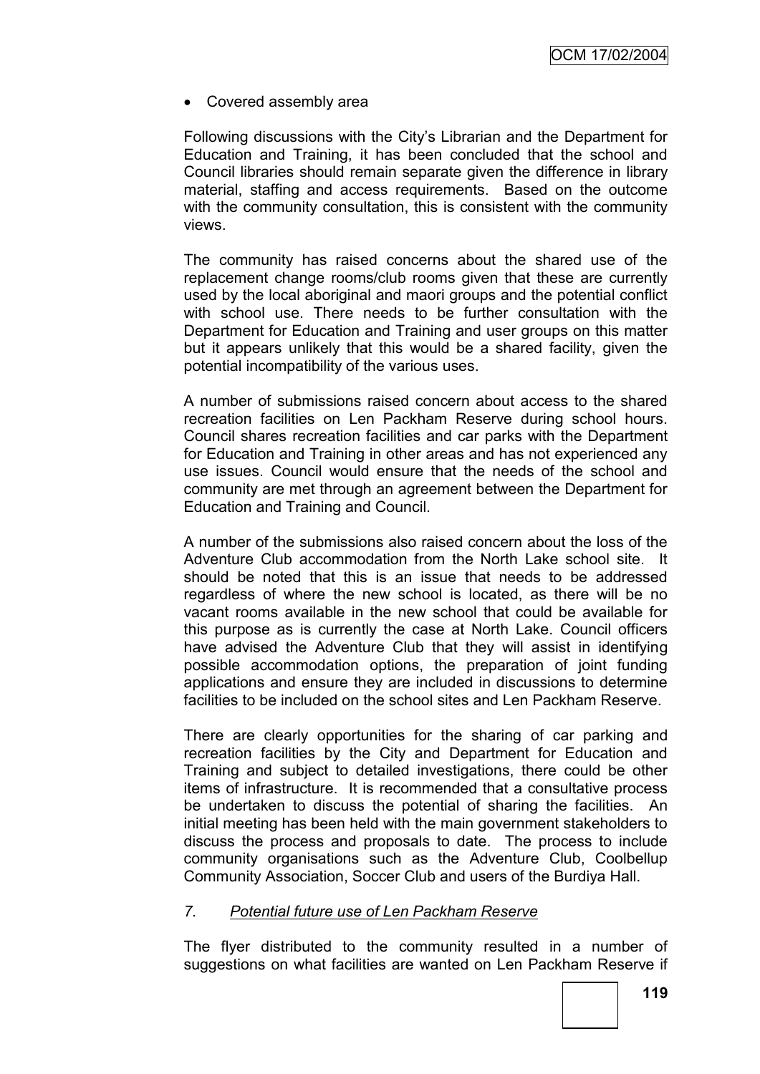Covered assembly area

Following discussions with the City"s Librarian and the Department for Education and Training, it has been concluded that the school and Council libraries should remain separate given the difference in library material, staffing and access requirements. Based on the outcome with the community consultation, this is consistent with the community views.

The community has raised concerns about the shared use of the replacement change rooms/club rooms given that these are currently used by the local aboriginal and maori groups and the potential conflict with school use. There needs to be further consultation with the Department for Education and Training and user groups on this matter but it appears unlikely that this would be a shared facility, given the potential incompatibility of the various uses.

A number of submissions raised concern about access to the shared recreation facilities on Len Packham Reserve during school hours. Council shares recreation facilities and car parks with the Department for Education and Training in other areas and has not experienced any use issues. Council would ensure that the needs of the school and community are met through an agreement between the Department for Education and Training and Council.

A number of the submissions also raised concern about the loss of the Adventure Club accommodation from the North Lake school site. It should be noted that this is an issue that needs to be addressed regardless of where the new school is located, as there will be no vacant rooms available in the new school that could be available for this purpose as is currently the case at North Lake. Council officers have advised the Adventure Club that they will assist in identifying possible accommodation options, the preparation of joint funding applications and ensure they are included in discussions to determine facilities to be included on the school sites and Len Packham Reserve.

There are clearly opportunities for the sharing of car parking and recreation facilities by the City and Department for Education and Training and subject to detailed investigations, there could be other items of infrastructure. It is recommended that a consultative process be undertaken to discuss the potential of sharing the facilities. An initial meeting has been held with the main government stakeholders to discuss the process and proposals to date. The process to include community organisations such as the Adventure Club, Coolbellup Community Association, Soccer Club and users of the Burdiya Hall.

# *7. Potential future use of Len Packham Reserve*

The flyer distributed to the community resulted in a number of suggestions on what facilities are wanted on Len Packham Reserve if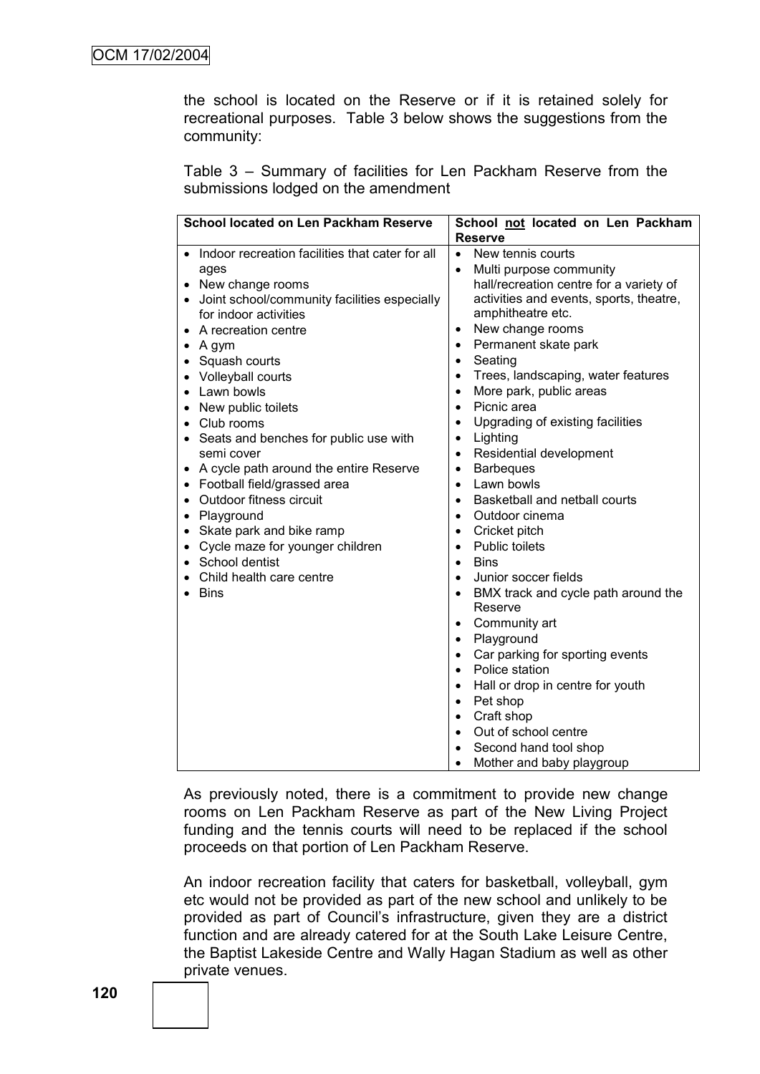the school is located on the Reserve or if it is retained solely for recreational purposes. Table 3 below shows the suggestions from the community:

Table 3 – Summary of facilities for Len Packham Reserve from the submissions lodged on the amendment

| School located on Len Packham Reserve                                                                                                                                                                                                                                                                                                                                                                                                                                                                                                                                                                                                                                                                                                                   | School not located on Len Packham                                                                                                                                                                                                                                                                                                                                                                                                                                                                                                                                                                                                                                                                                                                                                                                                                                                                                                                                                                                                                                                                                                                                                                |
|---------------------------------------------------------------------------------------------------------------------------------------------------------------------------------------------------------------------------------------------------------------------------------------------------------------------------------------------------------------------------------------------------------------------------------------------------------------------------------------------------------------------------------------------------------------------------------------------------------------------------------------------------------------------------------------------------------------------------------------------------------|--------------------------------------------------------------------------------------------------------------------------------------------------------------------------------------------------------------------------------------------------------------------------------------------------------------------------------------------------------------------------------------------------------------------------------------------------------------------------------------------------------------------------------------------------------------------------------------------------------------------------------------------------------------------------------------------------------------------------------------------------------------------------------------------------------------------------------------------------------------------------------------------------------------------------------------------------------------------------------------------------------------------------------------------------------------------------------------------------------------------------------------------------------------------------------------------------|
|                                                                                                                                                                                                                                                                                                                                                                                                                                                                                                                                                                                                                                                                                                                                                         | <b>Reserve</b>                                                                                                                                                                                                                                                                                                                                                                                                                                                                                                                                                                                                                                                                                                                                                                                                                                                                                                                                                                                                                                                                                                                                                                                   |
| Indoor recreation facilities that cater for all<br>$\bullet$<br>ages<br>New change rooms<br>$\bullet$<br>Joint school/community facilities especially<br>$\bullet$<br>for indoor activities<br>A recreation centre<br>٠<br>$\bullet$ A gym<br>Squash courts<br>$\bullet$<br>Volleyball courts<br>$\bullet$<br>Lawn bowls<br>$\bullet$<br>New public toilets<br>٠<br>Club rooms<br>$\bullet$<br>Seats and benches for public use with<br>٠<br>semi cover<br>A cycle path around the entire Reserve<br>٠<br>• Football field/grassed area<br>• Outdoor fitness circuit<br>Playground<br>$\bullet$<br>• Skate park and bike ramp<br>Cycle maze for younger children<br>$\bullet$<br>School dentist<br>$\bullet$<br>Child health care centre<br><b>Bins</b> | New tennis courts<br>$\bullet$<br>Multi purpose community<br>$\bullet$<br>hall/recreation centre for a variety of<br>activities and events, sports, theatre,<br>amphitheatre etc.<br>New change rooms<br>$\bullet$<br>Permanent skate park<br>$\bullet$<br>Seating<br>$\bullet$<br>Trees, landscaping, water features<br>More park, public areas<br>$\bullet$<br>Picnic area<br>$\bullet$<br>Upgrading of existing facilities<br>$\bullet$<br>Lighting<br>$\bullet$<br>Residential development<br>$\bullet$<br><b>Barbeques</b><br>$\bullet$<br>Lawn bowls<br>$\bullet$<br>Basketball and netball courts<br>$\bullet$<br>Outdoor cinema<br>$\bullet$<br>Cricket pitch<br>$\bullet$<br><b>Public toilets</b><br>$\bullet$<br><b>Bins</b><br>$\bullet$<br>Junior soccer fields<br>$\bullet$<br>BMX track and cycle path around the<br>Reserve<br>Community art<br>$\bullet$<br>Playground<br>$\bullet$<br>Car parking for sporting events<br>$\bullet$<br>Police station<br>$\bullet$<br>Hall or drop in centre for youth<br>$\bullet$<br>Pet shop<br>$\bullet$<br>Craft shop<br>$\bullet$<br>Out of school centre<br>$\bullet$<br>Second hand tool shop<br>Mother and baby playgroup<br>$\bullet$ |

As previously noted, there is a commitment to provide new change rooms on Len Packham Reserve as part of the New Living Project funding and the tennis courts will need to be replaced if the school proceeds on that portion of Len Packham Reserve.

An indoor recreation facility that caters for basketball, volleyball, gym etc would not be provided as part of the new school and unlikely to be provided as part of Council"s infrastructure, given they are a district function and are already catered for at the South Lake Leisure Centre, the Baptist Lakeside Centre and Wally Hagan Stadium as well as other private venues.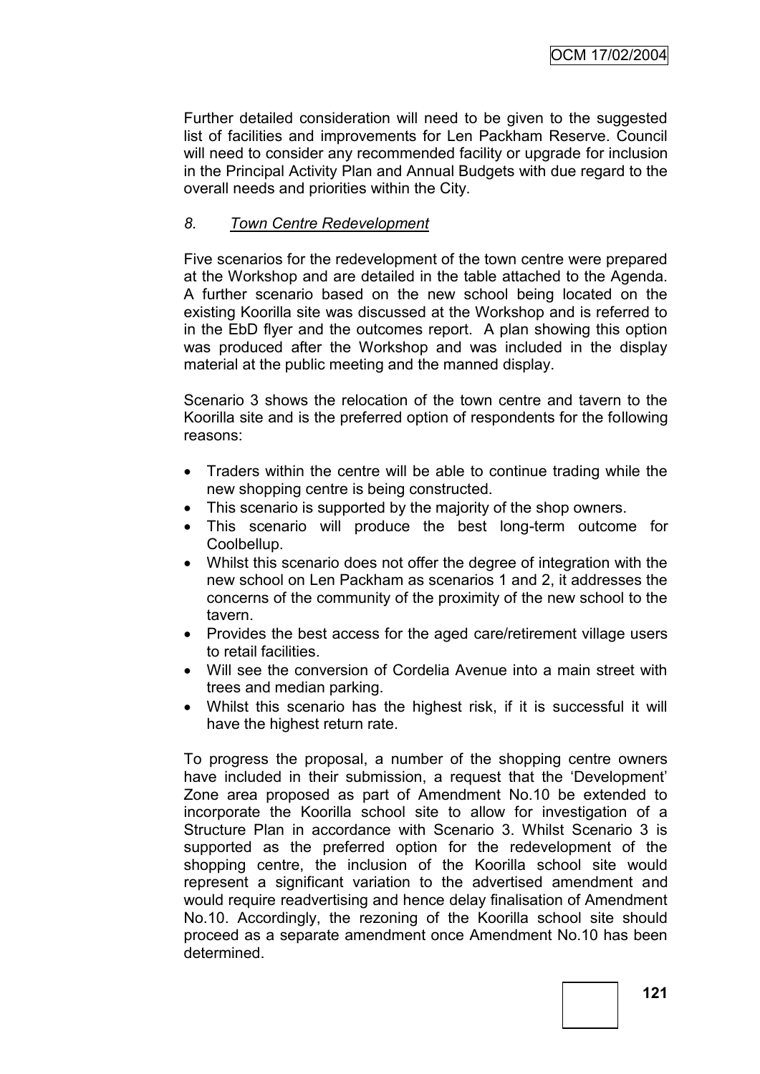Further detailed consideration will need to be given to the suggested list of facilities and improvements for Len Packham Reserve. Council will need to consider any recommended facility or upgrade for inclusion in the Principal Activity Plan and Annual Budgets with due regard to the overall needs and priorities within the City.

# *8. Town Centre Redevelopment*

Five scenarios for the redevelopment of the town centre were prepared at the Workshop and are detailed in the table attached to the Agenda. A further scenario based on the new school being located on the existing Koorilla site was discussed at the Workshop and is referred to in the EbD flyer and the outcomes report. A plan showing this option was produced after the Workshop and was included in the display material at the public meeting and the manned display.

Scenario 3 shows the relocation of the town centre and tavern to the Koorilla site and is the preferred option of respondents for the following reasons:

- Traders within the centre will be able to continue trading while the new shopping centre is being constructed.
- This scenario is supported by the majority of the shop owners.
- This scenario will produce the best long-term outcome for Coolbellup.
- Whilst this scenario does not offer the degree of integration with the new school on Len Packham as scenarios 1 and 2, it addresses the concerns of the community of the proximity of the new school to the tavern.
- Provides the best access for the aged care/retirement village users to retail facilities.
- Will see the conversion of Cordelia Avenue into a main street with trees and median parking.
- Whilst this scenario has the highest risk, if it is successful it will have the highest return rate.

To progress the proposal, a number of the shopping centre owners have included in their submission, a request that the "Development" Zone area proposed as part of Amendment No.10 be extended to incorporate the Koorilla school site to allow for investigation of a Structure Plan in accordance with Scenario 3. Whilst Scenario 3 is supported as the preferred option for the redevelopment of the shopping centre, the inclusion of the Koorilla school site would represent a significant variation to the advertised amendment and would require readvertising and hence delay finalisation of Amendment No.10. Accordingly, the rezoning of the Koorilla school site should proceed as a separate amendment once Amendment No.10 has been determined.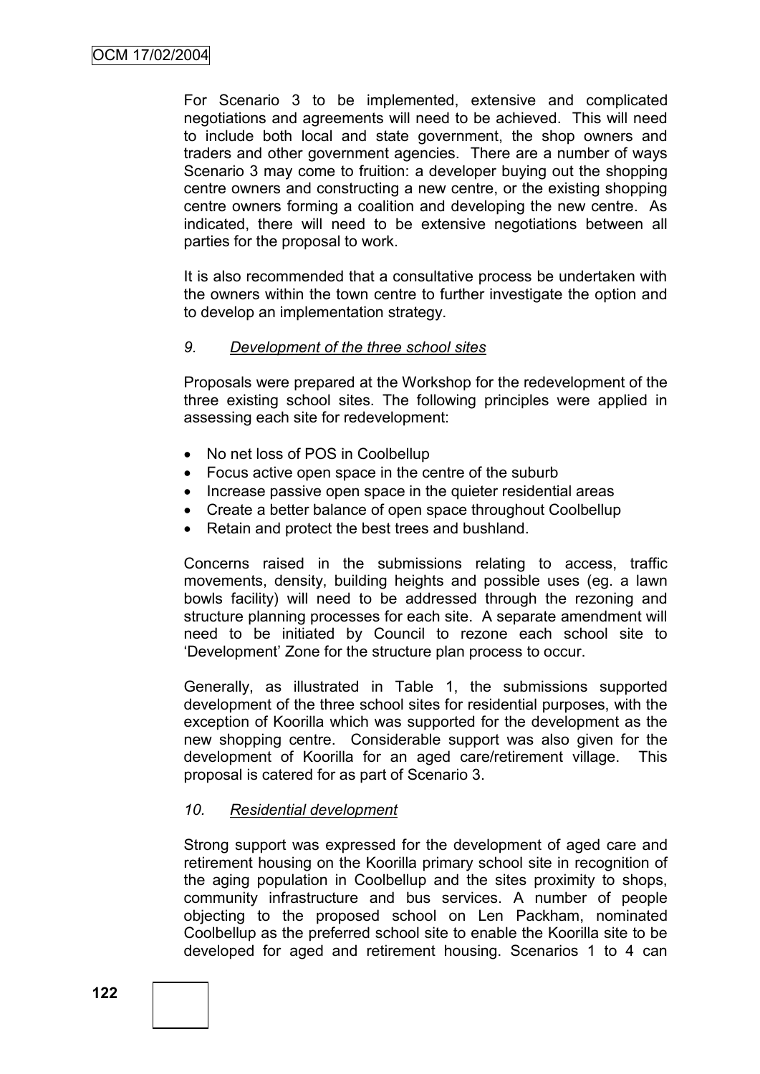For Scenario 3 to be implemented, extensive and complicated negotiations and agreements will need to be achieved. This will need to include both local and state government, the shop owners and traders and other government agencies. There are a number of ways Scenario 3 may come to fruition: a developer buying out the shopping centre owners and constructing a new centre, or the existing shopping centre owners forming a coalition and developing the new centre. As indicated, there will need to be extensive negotiations between all parties for the proposal to work.

It is also recommended that a consultative process be undertaken with the owners within the town centre to further investigate the option and to develop an implementation strategy.

#### *9. Development of the three school sites*

Proposals were prepared at the Workshop for the redevelopment of the three existing school sites. The following principles were applied in assessing each site for redevelopment:

- No net loss of POS in Coolbellup
- Focus active open space in the centre of the suburb
- Increase passive open space in the quieter residential areas
- Create a better balance of open space throughout Coolbellup
- Retain and protect the best trees and bushland.

Concerns raised in the submissions relating to access, traffic movements, density, building heights and possible uses (eg. a lawn bowls facility) will need to be addressed through the rezoning and structure planning processes for each site. A separate amendment will need to be initiated by Council to rezone each school site to "Development" Zone for the structure plan process to occur.

Generally, as illustrated in Table 1, the submissions supported development of the three school sites for residential purposes, with the exception of Koorilla which was supported for the development as the new shopping centre. Considerable support was also given for the development of Koorilla for an aged care/retirement village. This proposal is catered for as part of Scenario 3.

#### *10. Residential development*

Strong support was expressed for the development of aged care and retirement housing on the Koorilla primary school site in recognition of the aging population in Coolbellup and the sites proximity to shops, community infrastructure and bus services. A number of people objecting to the proposed school on Len Packham, nominated Coolbellup as the preferred school site to enable the Koorilla site to be developed for aged and retirement housing. Scenarios 1 to 4 can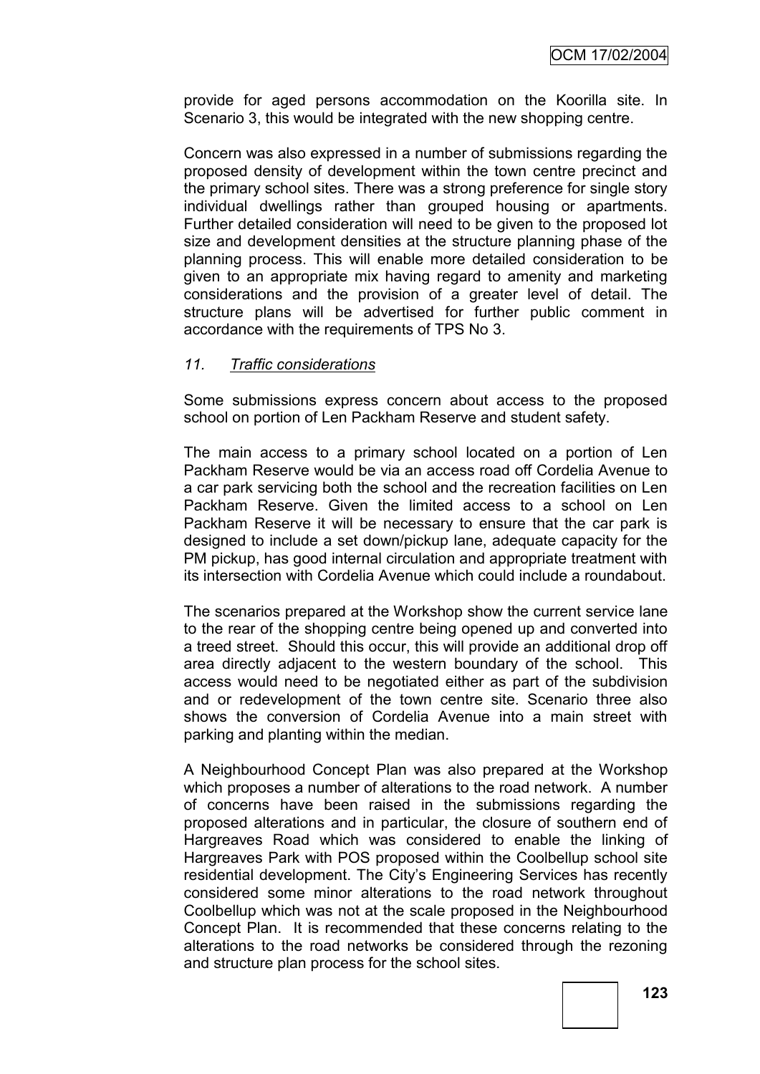provide for aged persons accommodation on the Koorilla site. In Scenario 3, this would be integrated with the new shopping centre.

Concern was also expressed in a number of submissions regarding the proposed density of development within the town centre precinct and the primary school sites. There was a strong preference for single story individual dwellings rather than grouped housing or apartments. Further detailed consideration will need to be given to the proposed lot size and development densities at the structure planning phase of the planning process. This will enable more detailed consideration to be given to an appropriate mix having regard to amenity and marketing considerations and the provision of a greater level of detail. The structure plans will be advertised for further public comment in accordance with the requirements of TPS No 3.

#### *11. Traffic considerations*

Some submissions express concern about access to the proposed school on portion of Len Packham Reserve and student safety.

The main access to a primary school located on a portion of Len Packham Reserve would be via an access road off Cordelia Avenue to a car park servicing both the school and the recreation facilities on Len Packham Reserve. Given the limited access to a school on Len Packham Reserve it will be necessary to ensure that the car park is designed to include a set down/pickup lane, adequate capacity for the PM pickup, has good internal circulation and appropriate treatment with its intersection with Cordelia Avenue which could include a roundabout.

The scenarios prepared at the Workshop show the current service lane to the rear of the shopping centre being opened up and converted into a treed street. Should this occur, this will provide an additional drop off area directly adjacent to the western boundary of the school. This access would need to be negotiated either as part of the subdivision and or redevelopment of the town centre site. Scenario three also shows the conversion of Cordelia Avenue into a main street with parking and planting within the median.

A Neighbourhood Concept Plan was also prepared at the Workshop which proposes a number of alterations to the road network. A number of concerns have been raised in the submissions regarding the proposed alterations and in particular, the closure of southern end of Hargreaves Road which was considered to enable the linking of Hargreaves Park with POS proposed within the Coolbellup school site residential development. The City's Engineering Services has recently considered some minor alterations to the road network throughout Coolbellup which was not at the scale proposed in the Neighbourhood Concept Plan. It is recommended that these concerns relating to the alterations to the road networks be considered through the rezoning and structure plan process for the school sites.

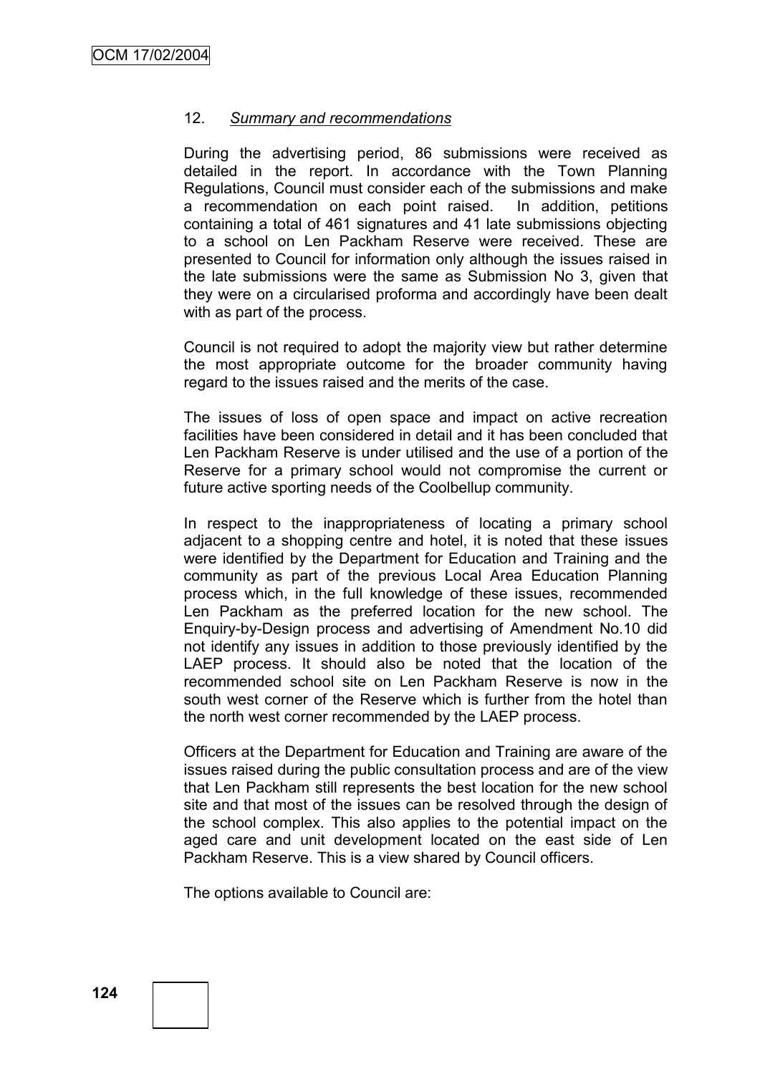#### 12. *Summary and recommendations*

During the advertising period, 86 submissions were received as detailed in the report. In accordance with the Town Planning Regulations, Council must consider each of the submissions and make a recommendation on each point raised. In addition, petitions containing a total of 461 signatures and 41 late submissions objecting to a school on Len Packham Reserve were received. These are presented to Council for information only although the issues raised in the late submissions were the same as Submission No 3, given that they were on a circularised proforma and accordingly have been dealt with as part of the process.

Council is not required to adopt the majority view but rather determine the most appropriate outcome for the broader community having regard to the issues raised and the merits of the case.

The issues of loss of open space and impact on active recreation facilities have been considered in detail and it has been concluded that Len Packham Reserve is under utilised and the use of a portion of the Reserve for a primary school would not compromise the current or future active sporting needs of the Coolbellup community.

In respect to the inappropriateness of locating a primary school adjacent to a shopping centre and hotel, it is noted that these issues were identified by the Department for Education and Training and the community as part of the previous Local Area Education Planning process which, in the full knowledge of these issues, recommended Len Packham as the preferred location for the new school. The Enquiry-by-Design process and advertising of Amendment No.10 did not identify any issues in addition to those previously identified by the LAEP process. It should also be noted that the location of the recommended school site on Len Packham Reserve is now in the south west corner of the Reserve which is further from the hotel than the north west corner recommended by the LAEP process.

Officers at the Department for Education and Training are aware of the issues raised during the public consultation process and are of the view that Len Packham still represents the best location for the new school site and that most of the issues can be resolved through the design of the school complex. This also applies to the potential impact on the aged care and unit development located on the east side of Len Packham Reserve. This is a view shared by Council officers.

The options available to Council are: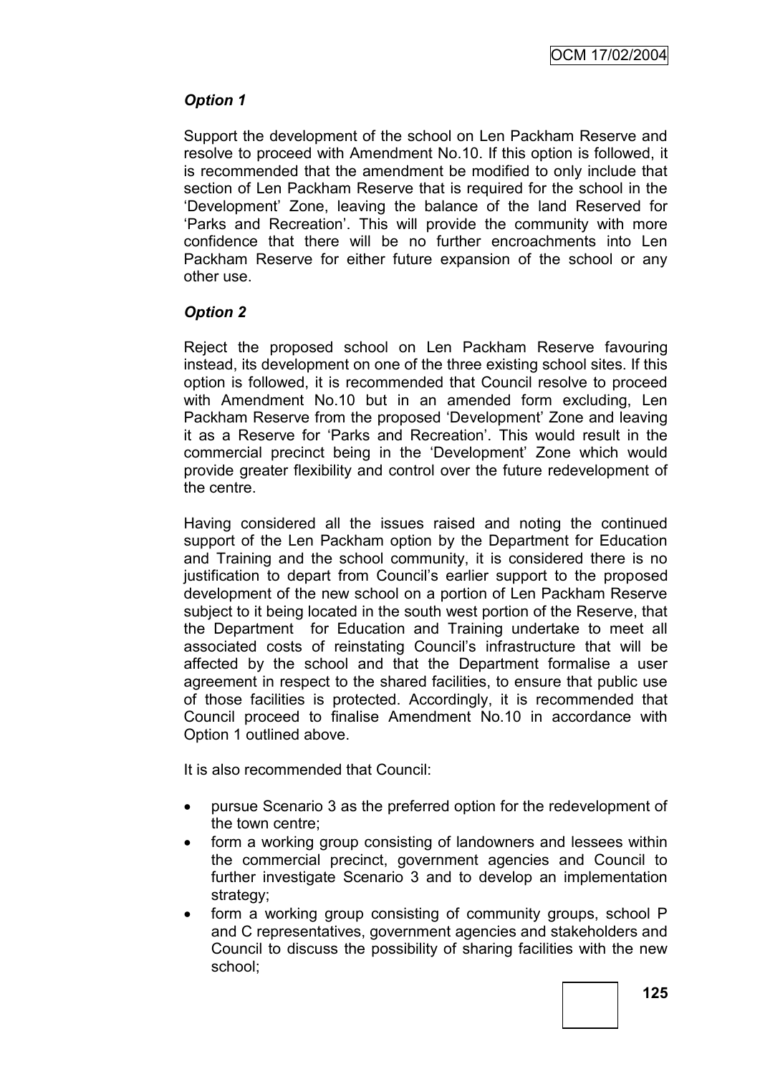# *Option 1*

Support the development of the school on Len Packham Reserve and resolve to proceed with Amendment No.10. If this option is followed, it is recommended that the amendment be modified to only include that section of Len Packham Reserve that is required for the school in the "Development" Zone, leaving the balance of the land Reserved for "Parks and Recreation". This will provide the community with more confidence that there will be no further encroachments into Len Packham Reserve for either future expansion of the school or any other use.

# *Option 2*

Reject the proposed school on Len Packham Reserve favouring instead, its development on one of the three existing school sites. If this option is followed, it is recommended that Council resolve to proceed with Amendment No.10 but in an amended form excluding. Len Packham Reserve from the proposed "Development" Zone and leaving it as a Reserve for "Parks and Recreation". This would result in the commercial precinct being in the "Development" Zone which would provide greater flexibility and control over the future redevelopment of the centre.

Having considered all the issues raised and noting the continued support of the Len Packham option by the Department for Education and Training and the school community, it is considered there is no justification to depart from Council"s earlier support to the proposed development of the new school on a portion of Len Packham Reserve subject to it being located in the south west portion of the Reserve, that the Department for Education and Training undertake to meet all associated costs of reinstating Council"s infrastructure that will be affected by the school and that the Department formalise a user agreement in respect to the shared facilities, to ensure that public use of those facilities is protected. Accordingly, it is recommended that Council proceed to finalise Amendment No.10 in accordance with Option 1 outlined above.

It is also recommended that Council:

- pursue Scenario 3 as the preferred option for the redevelopment of the town centre;
- form a working group consisting of landowners and lessees within the commercial precinct, government agencies and Council to further investigate Scenario 3 and to develop an implementation strategy:
- form a working group consisting of community groups, school P and C representatives, government agencies and stakeholders and Council to discuss the possibility of sharing facilities with the new school;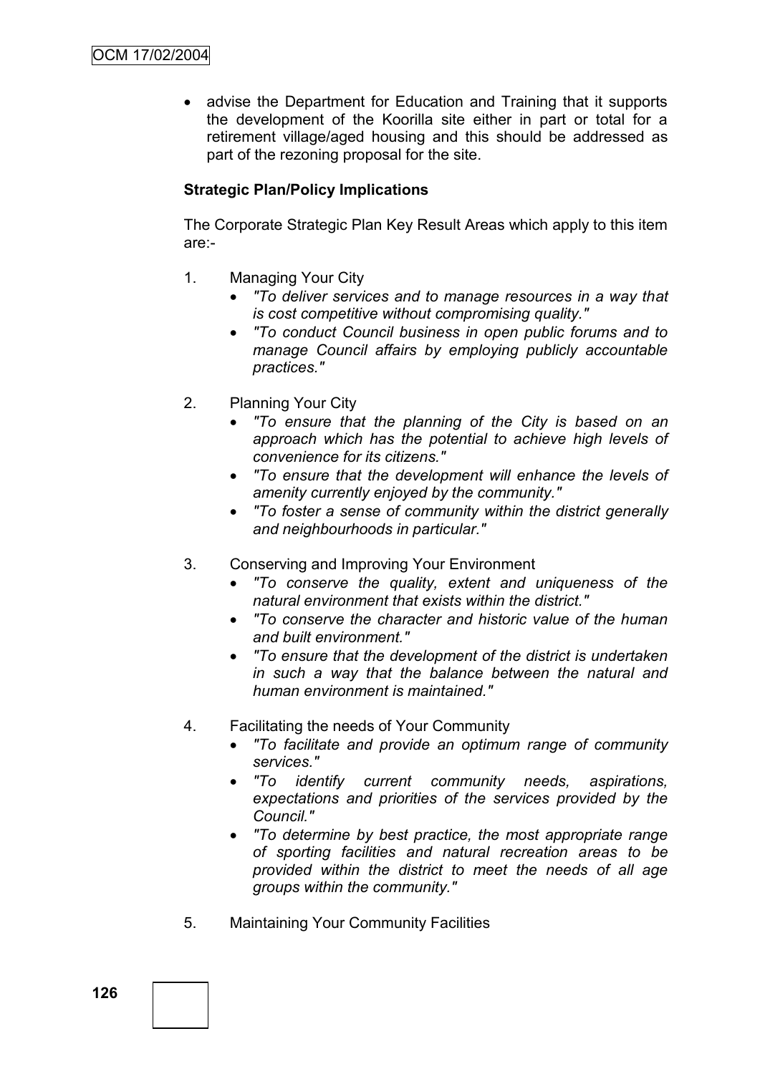• advise the Department for Education and Training that it supports the development of the Koorilla site either in part or total for a retirement village/aged housing and this should be addressed as part of the rezoning proposal for the site.

# **Strategic Plan/Policy Implications**

The Corporate Strategic Plan Key Result Areas which apply to this item are:-

- 1. Managing Your City
	- *"To deliver services and to manage resources in a way that is cost competitive without compromising quality."*
	- *"To conduct Council business in open public forums and to manage Council affairs by employing publicly accountable practices."*
- 2. Planning Your City
	- *"To ensure that the planning of the City is based on an approach which has the potential to achieve high levels of convenience for its citizens."*
	- *"To ensure that the development will enhance the levels of amenity currently enjoyed by the community."*
	- *"To foster a sense of community within the district generally and neighbourhoods in particular."*
- 3. Conserving and Improving Your Environment
	- *"To conserve the quality, extent and uniqueness of the natural environment that exists within the district."*
	- *"To conserve the character and historic value of the human and built environment."*
	- *"To ensure that the development of the district is undertaken in such a way that the balance between the natural and human environment is maintained."*
- 4. Facilitating the needs of Your Community
	- *"To facilitate and provide an optimum range of community services."*
	- *"To identify current community needs, aspirations, expectations and priorities of the services provided by the Council."*
	- *"To determine by best practice, the most appropriate range of sporting facilities and natural recreation areas to be provided within the district to meet the needs of all age groups within the community."*
- 5. Maintaining Your Community Facilities

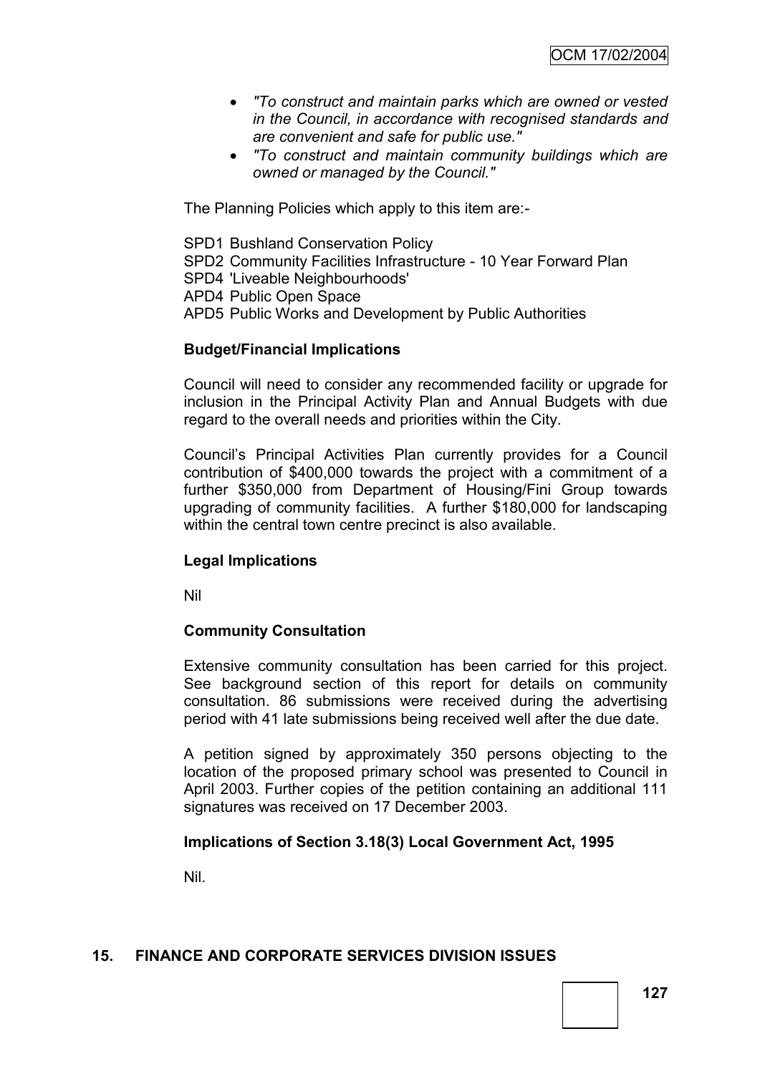- *"To construct and maintain parks which are owned or vested in the Council, in accordance with recognised standards and are convenient and safe for public use."*
- *"To construct and maintain community buildings which are owned or managed by the Council."*

The Planning Policies which apply to this item are:-

SPD1 Bushland Conservation Policy

SPD2 Community Facilities Infrastructure - 10 Year Forward Plan

SPD4 'Liveable Neighbourhoods'

APD4 Public Open Space

APD5 Public Works and Development by Public Authorities

#### **Budget/Financial Implications**

Council will need to consider any recommended facility or upgrade for inclusion in the Principal Activity Plan and Annual Budgets with due regard to the overall needs and priorities within the City.

Council"s Principal Activities Plan currently provides for a Council contribution of \$400,000 towards the project with a commitment of a further \$350,000 from Department of Housing/Fini Group towards upgrading of community facilities. A further \$180,000 for landscaping within the central town centre precinct is also available.

### **Legal Implications**

Nil

#### **Community Consultation**

Extensive community consultation has been carried for this project. See background section of this report for details on community consultation. 86 submissions were received during the advertising period with 41 late submissions being received well after the due date.

A petition signed by approximately 350 persons objecting to the location of the proposed primary school was presented to Council in April 2003. Further copies of the petition containing an additional 111 signatures was received on 17 December 2003.

### **Implications of Section 3.18(3) Local Government Act, 1995**

Nil.

### **15. FINANCE AND CORPORATE SERVICES DIVISION ISSUES**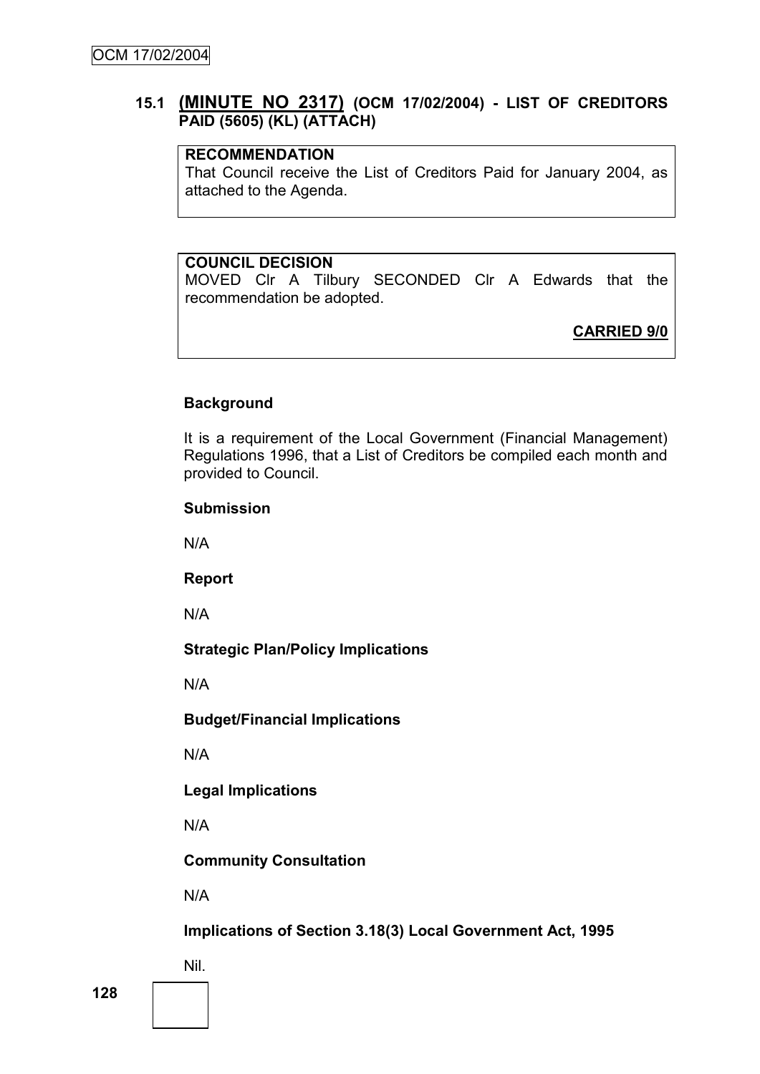# **15.1 (MINUTE NO 2317) (OCM 17/02/2004) - LIST OF CREDITORS PAID (5605) (KL) (ATTACH)**

# **RECOMMENDATION**

That Council receive the List of Creditors Paid for January 2004, as attached to the Agenda.

### **COUNCIL DECISION**

MOVED Clr A Tilbury SECONDED Clr A Edwards that the recommendation be adopted.

**CARRIED 9/0**

### **Background**

It is a requirement of the Local Government (Financial Management) Regulations 1996, that a List of Creditors be compiled each month and provided to Council.

#### **Submission**

N/A

### **Report**

N/A

### **Strategic Plan/Policy Implications**

N/A

### **Budget/Financial Implications**

N/A

### **Legal Implications**

N/A

**Community Consultation**

N/A

# **Implications of Section 3.18(3) Local Government Act, 1995**

Nil.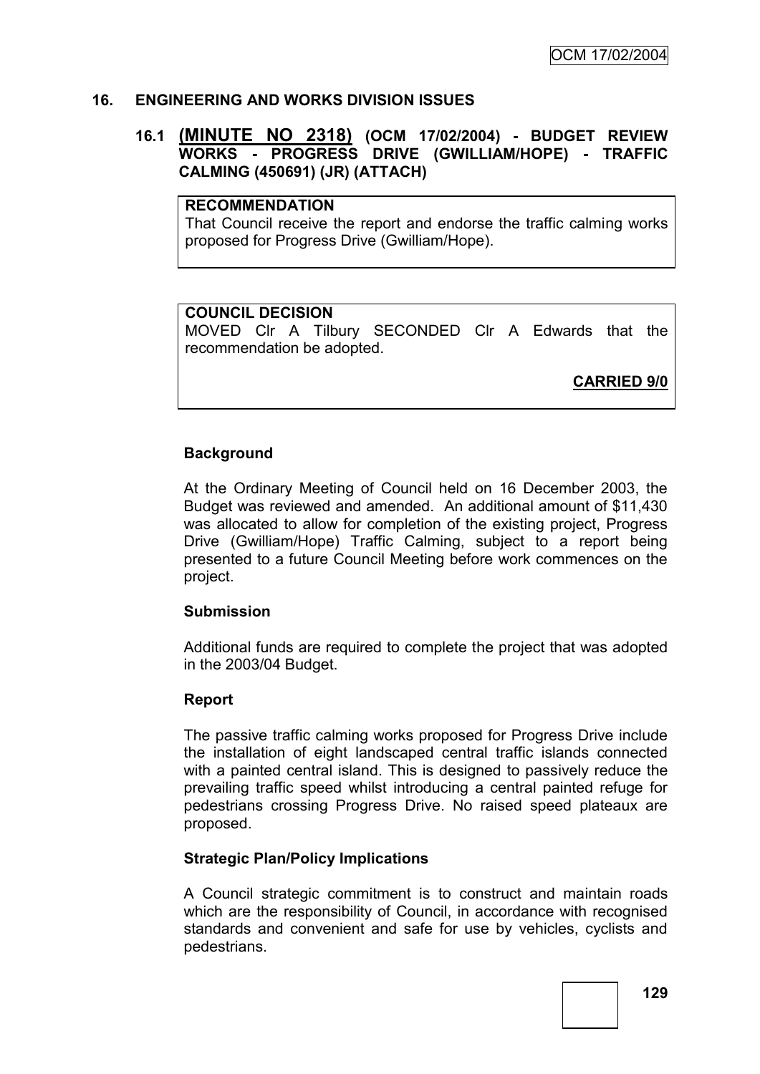### **16. ENGINEERING AND WORKS DIVISION ISSUES**

### **16.1 (MINUTE NO 2318) (OCM 17/02/2004) - BUDGET REVIEW WORKS - PROGRESS DRIVE (GWILLIAM/HOPE) - TRAFFIC CALMING (450691) (JR) (ATTACH)**

### **RECOMMENDATION**

That Council receive the report and endorse the traffic calming works proposed for Progress Drive (Gwilliam/Hope).

#### **COUNCIL DECISION**

MOVED Clr A Tilbury SECONDED Clr A Edwards that the recommendation be adopted.

**CARRIED 9/0**

#### **Background**

At the Ordinary Meeting of Council held on 16 December 2003, the Budget was reviewed and amended. An additional amount of \$11,430 was allocated to allow for completion of the existing project. Progress Drive (Gwilliam/Hope) Traffic Calming, subject to a report being presented to a future Council Meeting before work commences on the project.

#### **Submission**

Additional funds are required to complete the project that was adopted in the 2003/04 Budget.

#### **Report**

The passive traffic calming works proposed for Progress Drive include the installation of eight landscaped central traffic islands connected with a painted central island. This is designed to passively reduce the prevailing traffic speed whilst introducing a central painted refuge for pedestrians crossing Progress Drive. No raised speed plateaux are proposed.

#### **Strategic Plan/Policy Implications**

A Council strategic commitment is to construct and maintain roads which are the responsibility of Council, in accordance with recognised standards and convenient and safe for use by vehicles, cyclists and pedestrians.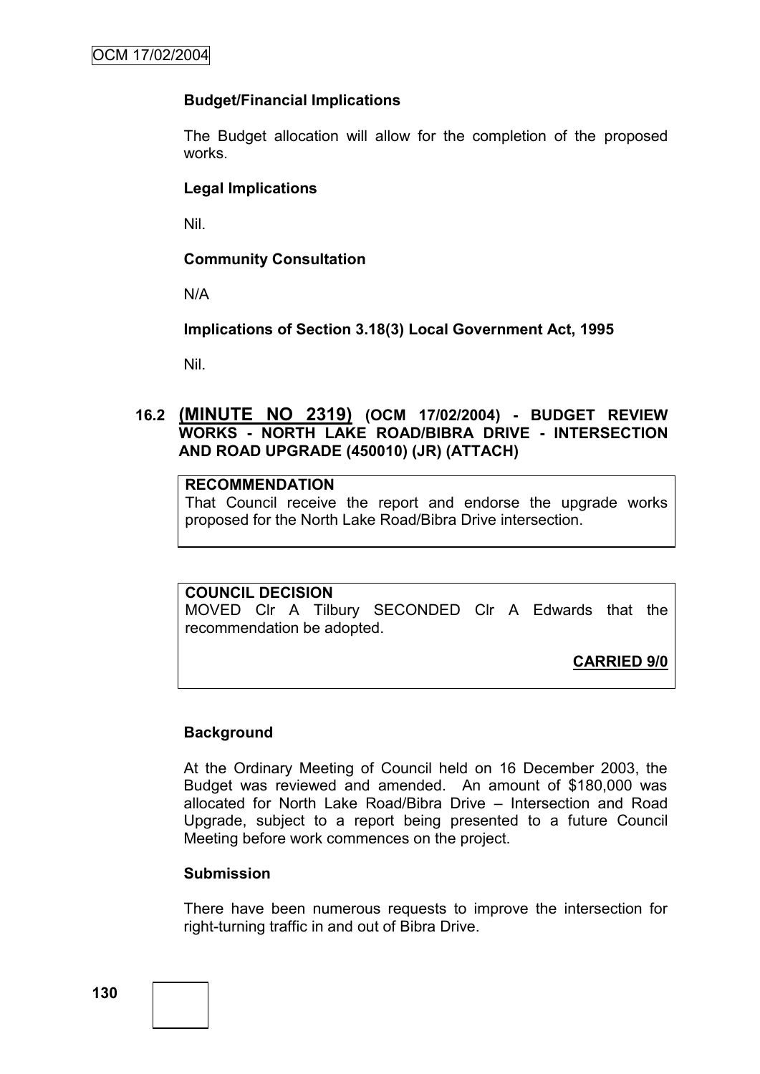### **Budget/Financial Implications**

The Budget allocation will allow for the completion of the proposed works.

### **Legal Implications**

Nil.

### **Community Consultation**

N/A

**Implications of Section 3.18(3) Local Government Act, 1995**

Nil.

### **16.2 (MINUTE NO 2319) (OCM 17/02/2004) - BUDGET REVIEW WORKS - NORTH LAKE ROAD/BIBRA DRIVE - INTERSECTION AND ROAD UPGRADE (450010) (JR) (ATTACH)**

# **RECOMMENDATION**

That Council receive the report and endorse the upgrade works proposed for the North Lake Road/Bibra Drive intersection.

### **COUNCIL DECISION**

MOVED Clr A Tilbury SECONDED Clr A Edwards that the recommendation be adopted.

**CARRIED 9/0**

### **Background**

At the Ordinary Meeting of Council held on 16 December 2003, the Budget was reviewed and amended. An amount of \$180,000 was allocated for North Lake Road/Bibra Drive – Intersection and Road Upgrade, subject to a report being presented to a future Council Meeting before work commences on the project.

### **Submission**

There have been numerous requests to improve the intersection for right-turning traffic in and out of Bibra Drive.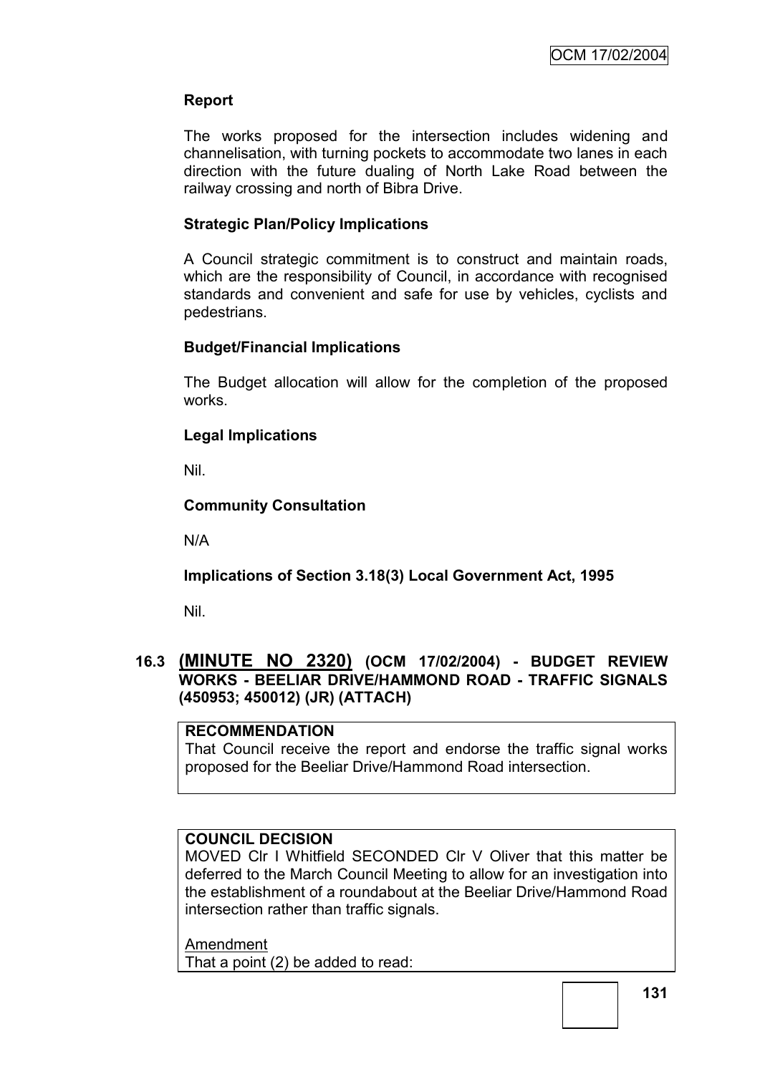# **Report**

The works proposed for the intersection includes widening and channelisation, with turning pockets to accommodate two lanes in each direction with the future dualing of North Lake Road between the railway crossing and north of Bibra Drive.

### **Strategic Plan/Policy Implications**

A Council strategic commitment is to construct and maintain roads, which are the responsibility of Council, in accordance with recognised standards and convenient and safe for use by vehicles, cyclists and pedestrians.

### **Budget/Financial Implications**

The Budget allocation will allow for the completion of the proposed works.

# **Legal Implications**

Nil.

# **Community Consultation**

N/A

# **Implications of Section 3.18(3) Local Government Act, 1995**

Nil.

### **16.3 (MINUTE NO 2320) (OCM 17/02/2004) - BUDGET REVIEW WORKS - BEELIAR DRIVE/HAMMOND ROAD - TRAFFIC SIGNALS (450953; 450012) (JR) (ATTACH)**

### **RECOMMENDATION**

That Council receive the report and endorse the traffic signal works proposed for the Beeliar Drive/Hammond Road intersection.

### **COUNCIL DECISION**

MOVED Clr I Whitfield SECONDED Clr V Oliver that this matter be deferred to the March Council Meeting to allow for an investigation into the establishment of a roundabout at the Beeliar Drive/Hammond Road intersection rather than traffic signals.

Amendment That a point (2) be added to read: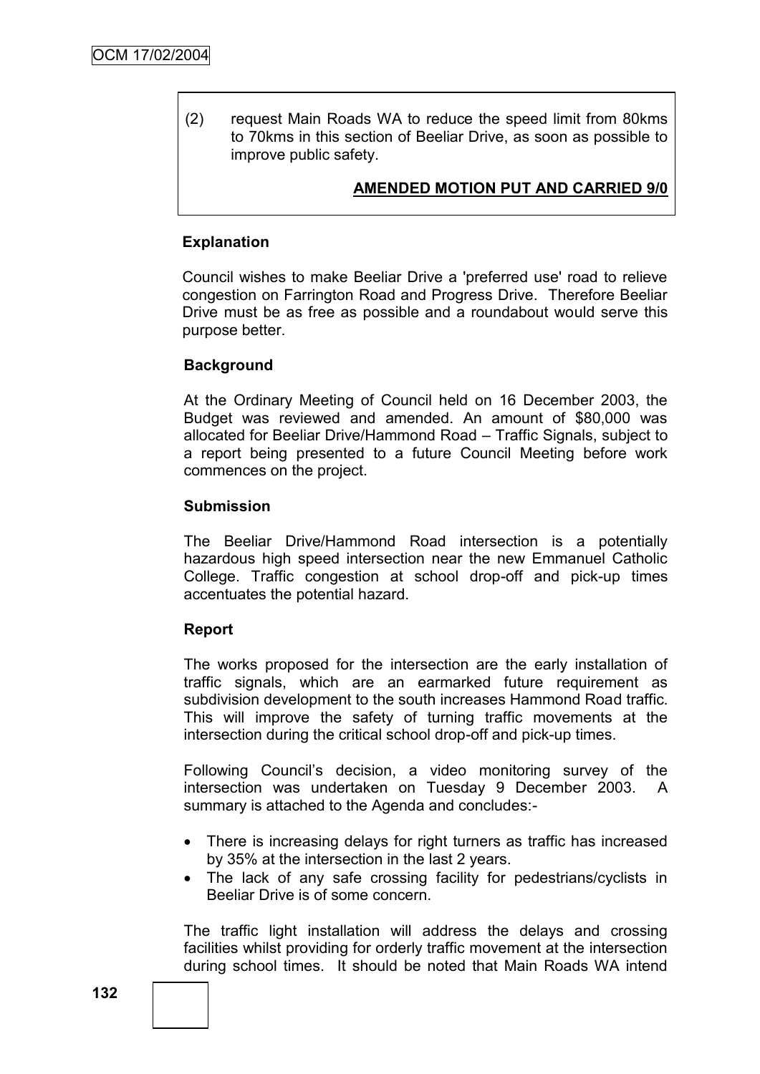(2) request Main Roads WA to reduce the speed limit from 80kms to 70kms in this section of Beeliar Drive, as soon as possible to improve public safety.

# **AMENDED MOTION PUT AND CARRIED 9/0**

### **Explanation**

Council wishes to make Beeliar Drive a 'preferred use' road to relieve congestion on Farrington Road and Progress Drive. Therefore Beeliar Drive must be as free as possible and a roundabout would serve this purpose better.

### **Background**

At the Ordinary Meeting of Council held on 16 December 2003, the Budget was reviewed and amended. An amount of \$80,000 was allocated for Beeliar Drive/Hammond Road – Traffic Signals, subject to a report being presented to a future Council Meeting before work commences on the project.

#### **Submission**

The Beeliar Drive/Hammond Road intersection is a potentially hazardous high speed intersection near the new Emmanuel Catholic College. Traffic congestion at school drop-off and pick-up times accentuates the potential hazard.

### **Report**

The works proposed for the intersection are the early installation of traffic signals, which are an earmarked future requirement as subdivision development to the south increases Hammond Road traffic. This will improve the safety of turning traffic movements at the intersection during the critical school drop-off and pick-up times.

Following Council"s decision, a video monitoring survey of the intersection was undertaken on Tuesday 9 December 2003. A summary is attached to the Agenda and concludes:-

- There is increasing delays for right turners as traffic has increased by 35% at the intersection in the last 2 years.
- The lack of any safe crossing facility for pedestrians/cyclists in Beeliar Drive is of some concern.

The traffic light installation will address the delays and crossing facilities whilst providing for orderly traffic movement at the intersection during school times. It should be noted that Main Roads WA intend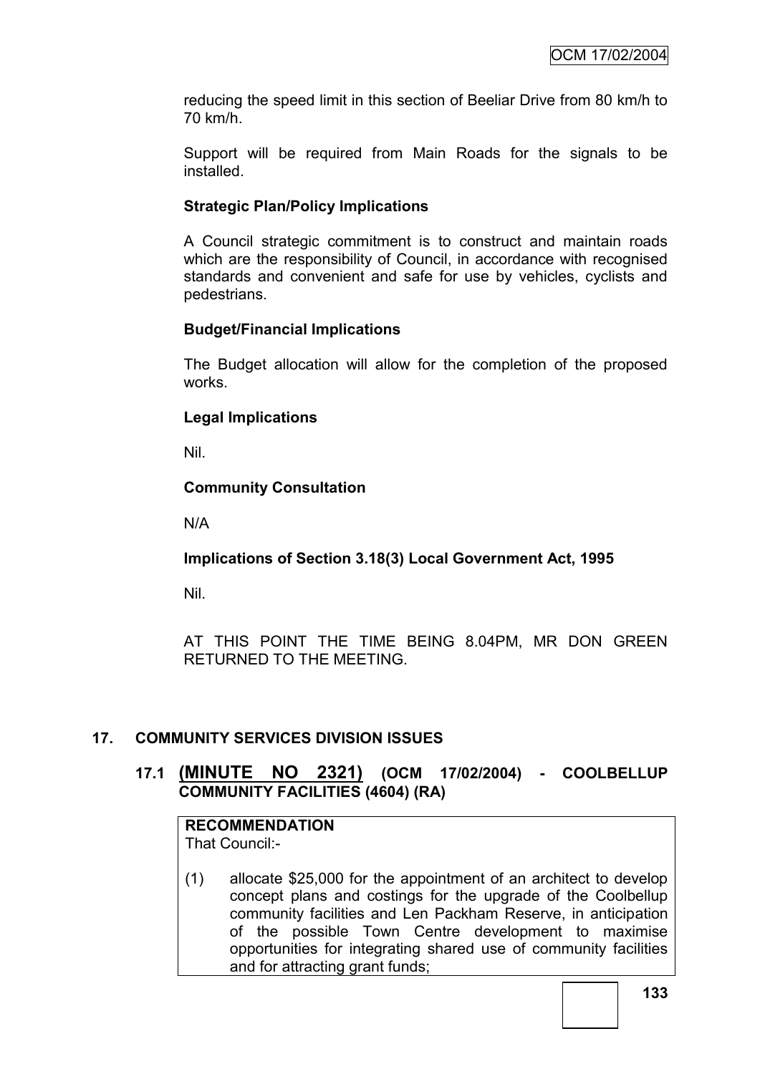reducing the speed limit in this section of Beeliar Drive from 80 km/h to 70 km/h.

Support will be required from Main Roads for the signals to be installed.

# **Strategic Plan/Policy Implications**

A Council strategic commitment is to construct and maintain roads which are the responsibility of Council, in accordance with recognised standards and convenient and safe for use by vehicles, cyclists and pedestrians.

# **Budget/Financial Implications**

The Budget allocation will allow for the completion of the proposed works.

# **Legal Implications**

Nil.

# **Community Consultation**

N/A

### **Implications of Section 3.18(3) Local Government Act, 1995**

Nil.

AT THIS POINT THE TIME BEING 8.04PM, MR DON GREEN RETURNED TO THE MEETING.

### **17. COMMUNITY SERVICES DIVISION ISSUES**

# **17.1 (MINUTE NO 2321) (OCM 17/02/2004) - COOLBELLUP COMMUNITY FACILITIES (4604) (RA)**

# **RECOMMENDATION**

That Council:-

(1) allocate \$25,000 for the appointment of an architect to develop concept plans and costings for the upgrade of the Coolbellup community facilities and Len Packham Reserve, in anticipation of the possible Town Centre development to maximise opportunities for integrating shared use of community facilities and for attracting grant funds;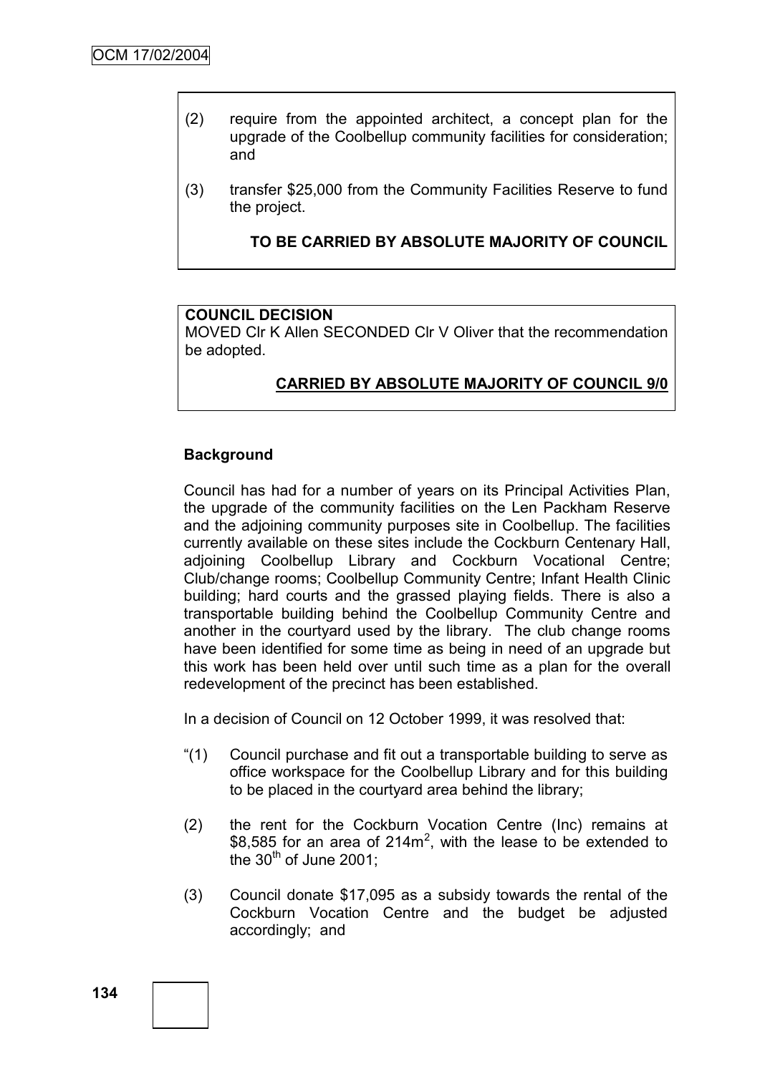- (2) require from the appointed architect, a concept plan for the upgrade of the Coolbellup community facilities for consideration; and
- (3) transfer \$25,000 from the Community Facilities Reserve to fund the project.

### **TO BE CARRIED BY ABSOLUTE MAJORITY OF COUNCIL**

#### **COUNCIL DECISION**

MOVED Clr K Allen SECONDED Clr V Oliver that the recommendation be adopted.

# **CARRIED BY ABSOLUTE MAJORITY OF COUNCIL 9/0**

#### **Background**

Council has had for a number of years on its Principal Activities Plan, the upgrade of the community facilities on the Len Packham Reserve and the adjoining community purposes site in Coolbellup. The facilities currently available on these sites include the Cockburn Centenary Hall, adjoining Coolbellup Library and Cockburn Vocational Centre; Club/change rooms; Coolbellup Community Centre; Infant Health Clinic building; hard courts and the grassed playing fields. There is also a transportable building behind the Coolbellup Community Centre and another in the courtyard used by the library. The club change rooms have been identified for some time as being in need of an upgrade but this work has been held over until such time as a plan for the overall redevelopment of the precinct has been established.

In a decision of Council on 12 October 1999, it was resolved that:

- "(1) Council purchase and fit out a transportable building to serve as office workspace for the Coolbellup Library and for this building to be placed in the courtyard area behind the library;
- (2) the rent for the Cockburn Vocation Centre (Inc) remains at \$8,585 for an area of 214 $m^2$ , with the lease to be extended to the  $30<sup>th</sup>$  of June 2001;
- (3) Council donate \$17,095 as a subsidy towards the rental of the Cockburn Vocation Centre and the budget be adjusted accordingly; and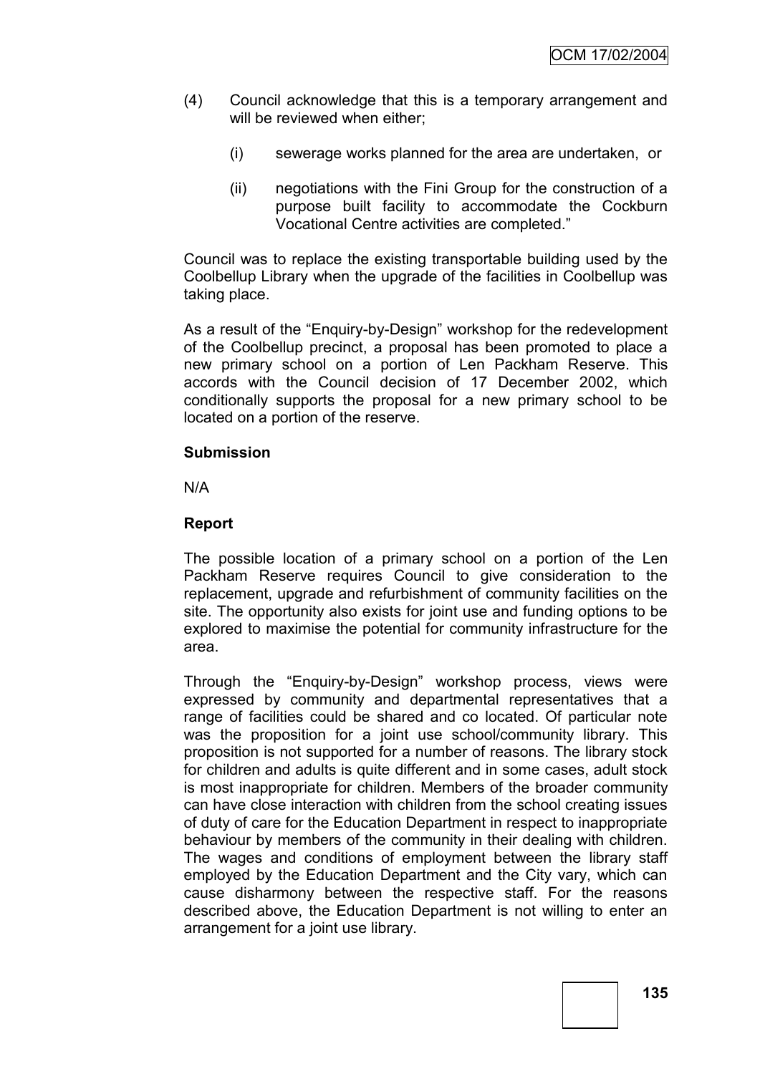- (4) Council acknowledge that this is a temporary arrangement and will be reviewed when either;
	- (i) sewerage works planned for the area are undertaken, or
	- (ii) negotiations with the Fini Group for the construction of a purpose built facility to accommodate the Cockburn Vocational Centre activities are completed."

Council was to replace the existing transportable building used by the Coolbellup Library when the upgrade of the facilities in Coolbellup was taking place.

As a result of the "Enquiry-by-Design" workshop for the redevelopment of the Coolbellup precinct, a proposal has been promoted to place a new primary school on a portion of Len Packham Reserve. This accords with the Council decision of 17 December 2002, which conditionally supports the proposal for a new primary school to be located on a portion of the reserve.

#### **Submission**

N/A

### **Report**

The possible location of a primary school on a portion of the Len Packham Reserve requires Council to give consideration to the replacement, upgrade and refurbishment of community facilities on the site. The opportunity also exists for joint use and funding options to be explored to maximise the potential for community infrastructure for the area.

Through the "Enquiry-by-Design" workshop process, views were expressed by community and departmental representatives that a range of facilities could be shared and co located. Of particular note was the proposition for a joint use school/community library. This proposition is not supported for a number of reasons. The library stock for children and adults is quite different and in some cases, adult stock is most inappropriate for children. Members of the broader community can have close interaction with children from the school creating issues of duty of care for the Education Department in respect to inappropriate behaviour by members of the community in their dealing with children. The wages and conditions of employment between the library staff employed by the Education Department and the City vary, which can cause disharmony between the respective staff. For the reasons described above, the Education Department is not willing to enter an arrangement for a joint use library.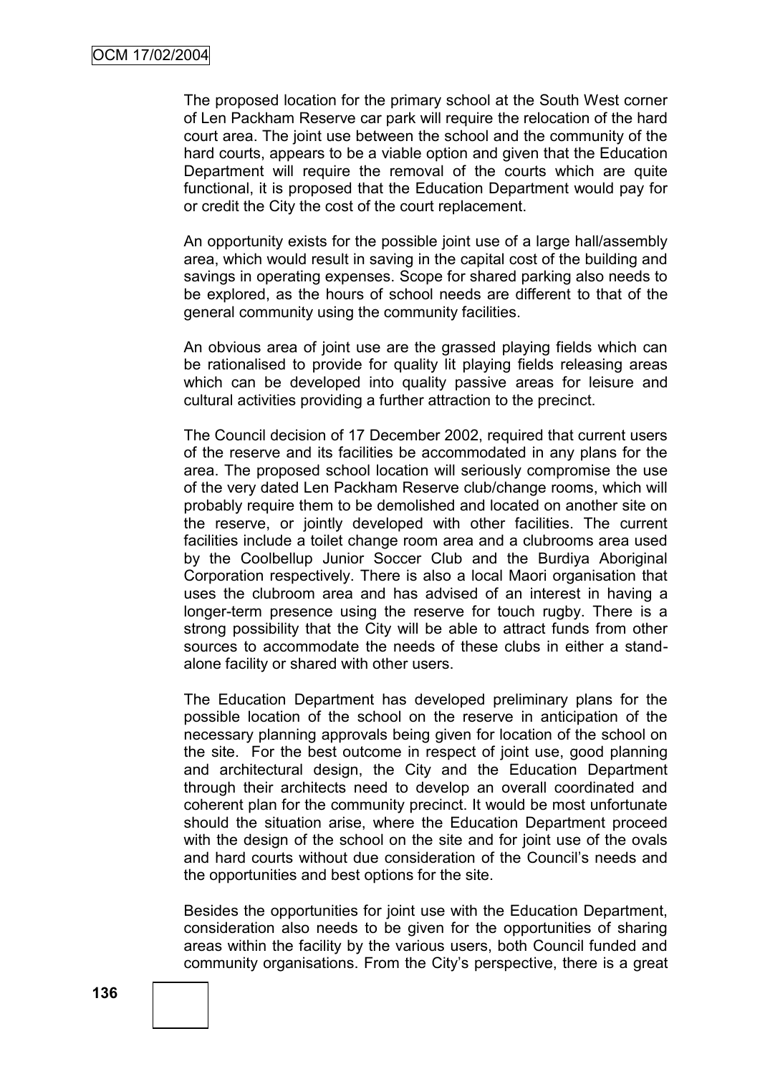The proposed location for the primary school at the South West corner of Len Packham Reserve car park will require the relocation of the hard court area. The joint use between the school and the community of the hard courts, appears to be a viable option and given that the Education Department will require the removal of the courts which are quite functional, it is proposed that the Education Department would pay for or credit the City the cost of the court replacement.

An opportunity exists for the possible joint use of a large hall/assembly area, which would result in saving in the capital cost of the building and savings in operating expenses. Scope for shared parking also needs to be explored, as the hours of school needs are different to that of the general community using the community facilities.

An obvious area of joint use are the grassed playing fields which can be rationalised to provide for quality lit playing fields releasing areas which can be developed into quality passive areas for leisure and cultural activities providing a further attraction to the precinct.

The Council decision of 17 December 2002, required that current users of the reserve and its facilities be accommodated in any plans for the area. The proposed school location will seriously compromise the use of the very dated Len Packham Reserve club/change rooms, which will probably require them to be demolished and located on another site on the reserve, or jointly developed with other facilities. The current facilities include a toilet change room area and a clubrooms area used by the Coolbellup Junior Soccer Club and the Burdiya Aboriginal Corporation respectively. There is also a local Maori organisation that uses the clubroom area and has advised of an interest in having a longer-term presence using the reserve for touch rugby. There is a strong possibility that the City will be able to attract funds from other sources to accommodate the needs of these clubs in either a standalone facility or shared with other users.

The Education Department has developed preliminary plans for the possible location of the school on the reserve in anticipation of the necessary planning approvals being given for location of the school on the site. For the best outcome in respect of joint use, good planning and architectural design, the City and the Education Department through their architects need to develop an overall coordinated and coherent plan for the community precinct. It would be most unfortunate should the situation arise, where the Education Department proceed with the design of the school on the site and for joint use of the ovals and hard courts without due consideration of the Council"s needs and the opportunities and best options for the site.

Besides the opportunities for joint use with the Education Department, consideration also needs to be given for the opportunities of sharing areas within the facility by the various users, both Council funded and community organisations. From the City"s perspective, there is a great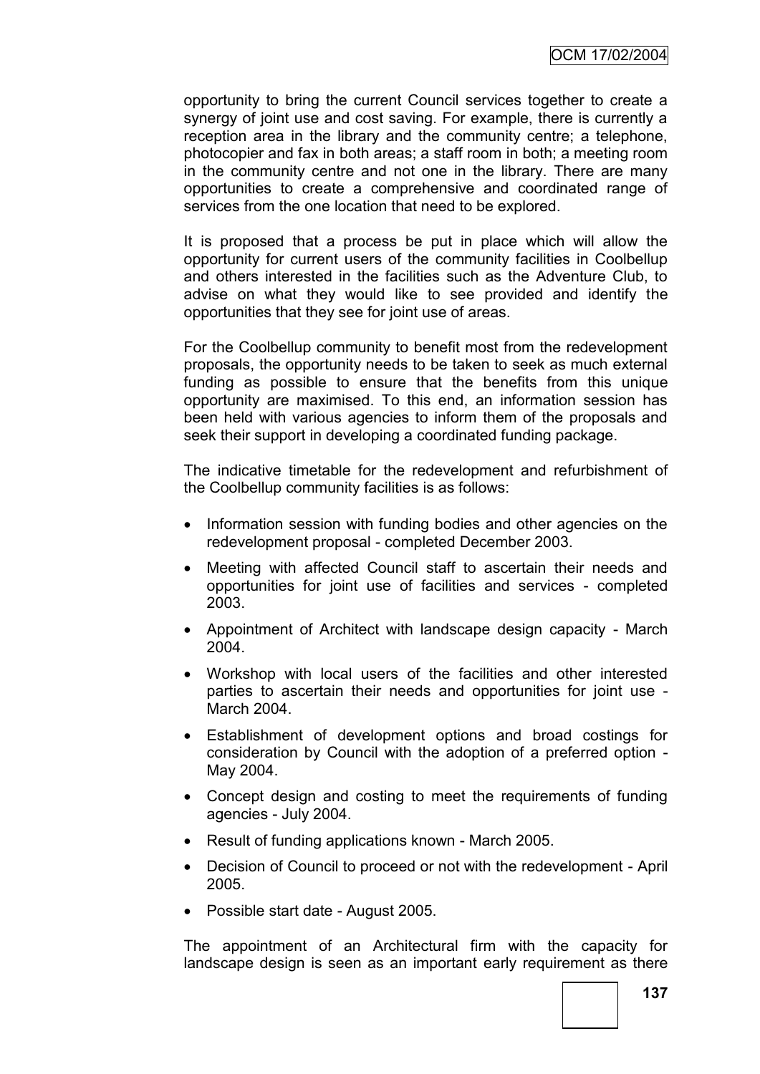opportunity to bring the current Council services together to create a synergy of joint use and cost saving. For example, there is currently a reception area in the library and the community centre; a telephone, photocopier and fax in both areas; a staff room in both; a meeting room in the community centre and not one in the library. There are many opportunities to create a comprehensive and coordinated range of services from the one location that need to be explored.

It is proposed that a process be put in place which will allow the opportunity for current users of the community facilities in Coolbellup and others interested in the facilities such as the Adventure Club, to advise on what they would like to see provided and identify the opportunities that they see for joint use of areas.

For the Coolbellup community to benefit most from the redevelopment proposals, the opportunity needs to be taken to seek as much external funding as possible to ensure that the benefits from this unique opportunity are maximised. To this end, an information session has been held with various agencies to inform them of the proposals and seek their support in developing a coordinated funding package.

The indicative timetable for the redevelopment and refurbishment of the Coolbellup community facilities is as follows:

- Information session with funding bodies and other agencies on the redevelopment proposal - completed December 2003.
- Meeting with affected Council staff to ascertain their needs and opportunities for joint use of facilities and services - completed 2003.
- Appointment of Architect with landscape design capacity March 2004.
- Workshop with local users of the facilities and other interested parties to ascertain their needs and opportunities for joint use - March 2004.
- Establishment of development options and broad costings for consideration by Council with the adoption of a preferred option - May 2004.
- Concept design and costing to meet the requirements of funding agencies - July 2004.
- Result of funding applications known March 2005.
- Decision of Council to proceed or not with the redevelopment April 2005.
- Possible start date August 2005.

The appointment of an Architectural firm with the capacity for landscape design is seen as an important early requirement as there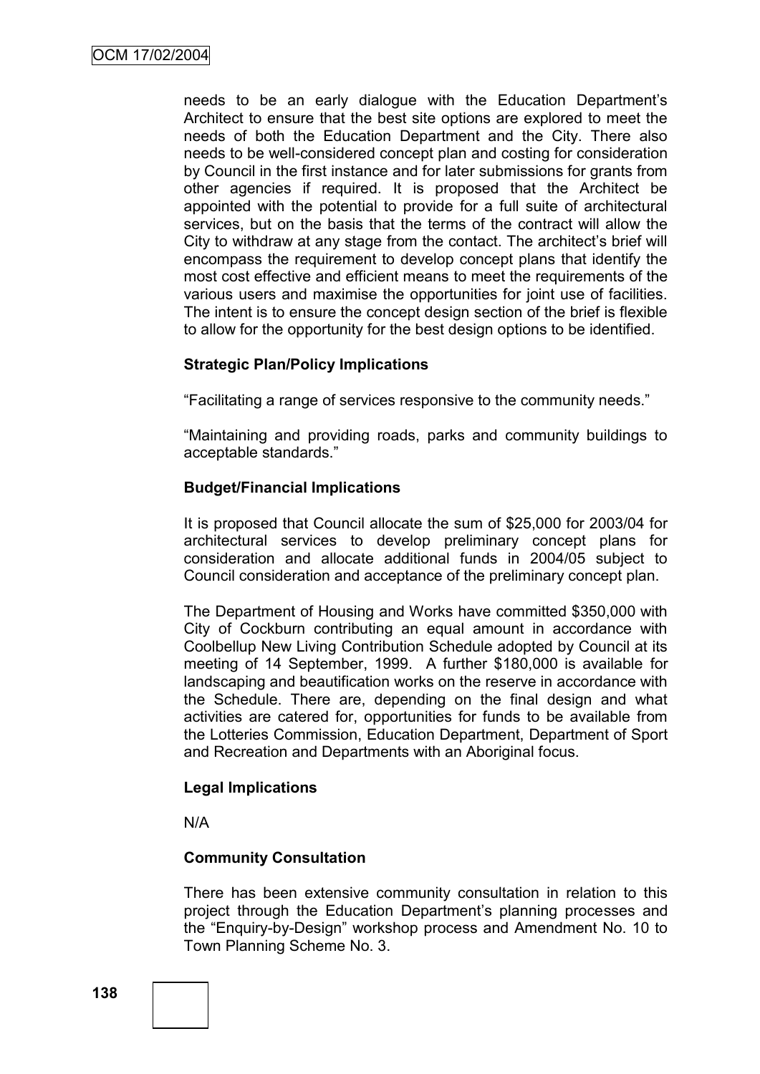needs to be an early dialogue with the Education Department"s Architect to ensure that the best site options are explored to meet the needs of both the Education Department and the City. There also needs to be well-considered concept plan and costing for consideration by Council in the first instance and for later submissions for grants from other agencies if required. It is proposed that the Architect be appointed with the potential to provide for a full suite of architectural services, but on the basis that the terms of the contract will allow the City to withdraw at any stage from the contact. The architect's brief will encompass the requirement to develop concept plans that identify the most cost effective and efficient means to meet the requirements of the various users and maximise the opportunities for joint use of facilities. The intent is to ensure the concept design section of the brief is flexible to allow for the opportunity for the best design options to be identified.

### **Strategic Plan/Policy Implications**

"Facilitating a range of services responsive to the community needs."

"Maintaining and providing roads, parks and community buildings to acceptable standards."

#### **Budget/Financial Implications**

It is proposed that Council allocate the sum of \$25,000 for 2003/04 for architectural services to develop preliminary concept plans for consideration and allocate additional funds in 2004/05 subject to Council consideration and acceptance of the preliminary concept plan.

The Department of Housing and Works have committed \$350,000 with City of Cockburn contributing an equal amount in accordance with Coolbellup New Living Contribution Schedule adopted by Council at its meeting of 14 September, 1999. A further \$180,000 is available for landscaping and beautification works on the reserve in accordance with the Schedule. There are, depending on the final design and what activities are catered for, opportunities for funds to be available from the Lotteries Commission, Education Department, Department of Sport and Recreation and Departments with an Aboriginal focus.

#### **Legal Implications**

N/A

### **Community Consultation**

There has been extensive community consultation in relation to this project through the Education Department"s planning processes and the "Enquiry-by-Design" workshop process and Amendment No. 10 to Town Planning Scheme No. 3.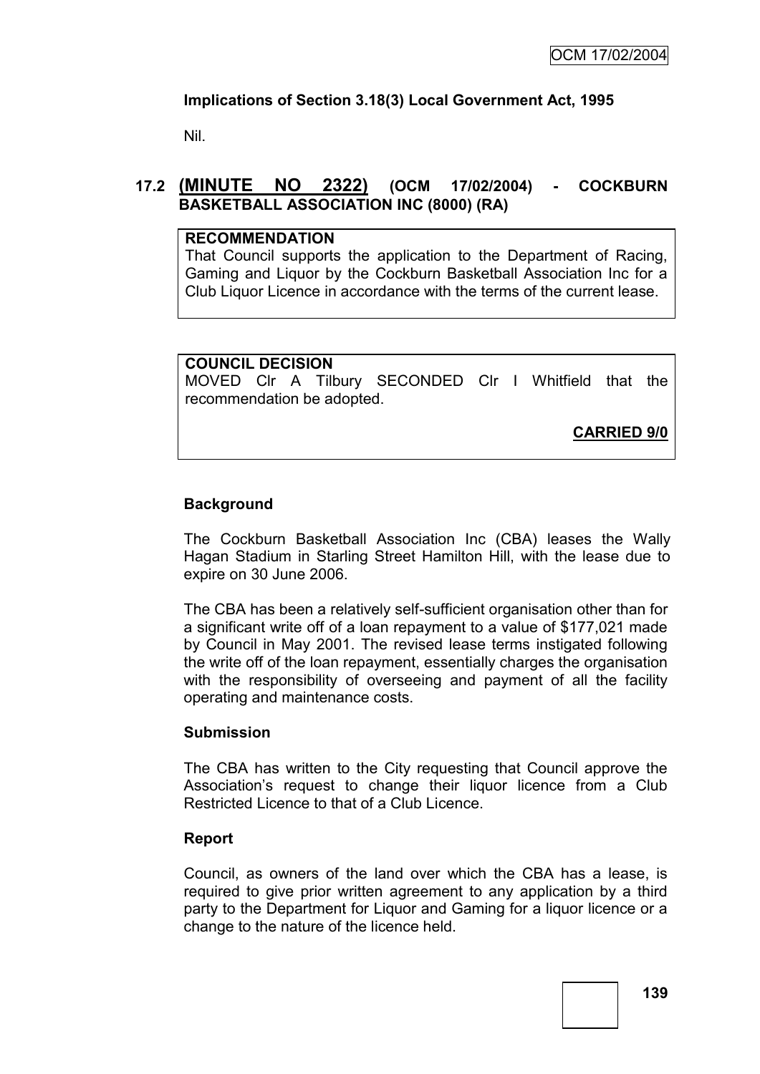## **Implications of Section 3.18(3) Local Government Act, 1995**

Nil.

## **17.2 (MINUTE NO 2322) (OCM 17/02/2004) - COCKBURN BASKETBALL ASSOCIATION INC (8000) (RA)**

#### **RECOMMENDATION**

That Council supports the application to the Department of Racing, Gaming and Liquor by the Cockburn Basketball Association Inc for a Club Liquor Licence in accordance with the terms of the current lease.

### **COUNCIL DECISION**

MOVED Clr A Tilbury SECONDED Clr I Whitfield that the recommendation be adopted.

**CARRIED 9/0**

## **Background**

The Cockburn Basketball Association Inc (CBA) leases the Wally Hagan Stadium in Starling Street Hamilton Hill, with the lease due to expire on 30 June 2006.

The CBA has been a relatively self-sufficient organisation other than for a significant write off of a loan repayment to a value of \$177,021 made by Council in May 2001. The revised lease terms instigated following the write off of the loan repayment, essentially charges the organisation with the responsibility of overseeing and payment of all the facility operating and maintenance costs.

### **Submission**

The CBA has written to the City requesting that Council approve the Association"s request to change their liquor licence from a Club Restricted Licence to that of a Club Licence.

### **Report**

Council, as owners of the land over which the CBA has a lease, is required to give prior written agreement to any application by a third party to the Department for Liquor and Gaming for a liquor licence or a change to the nature of the licence held.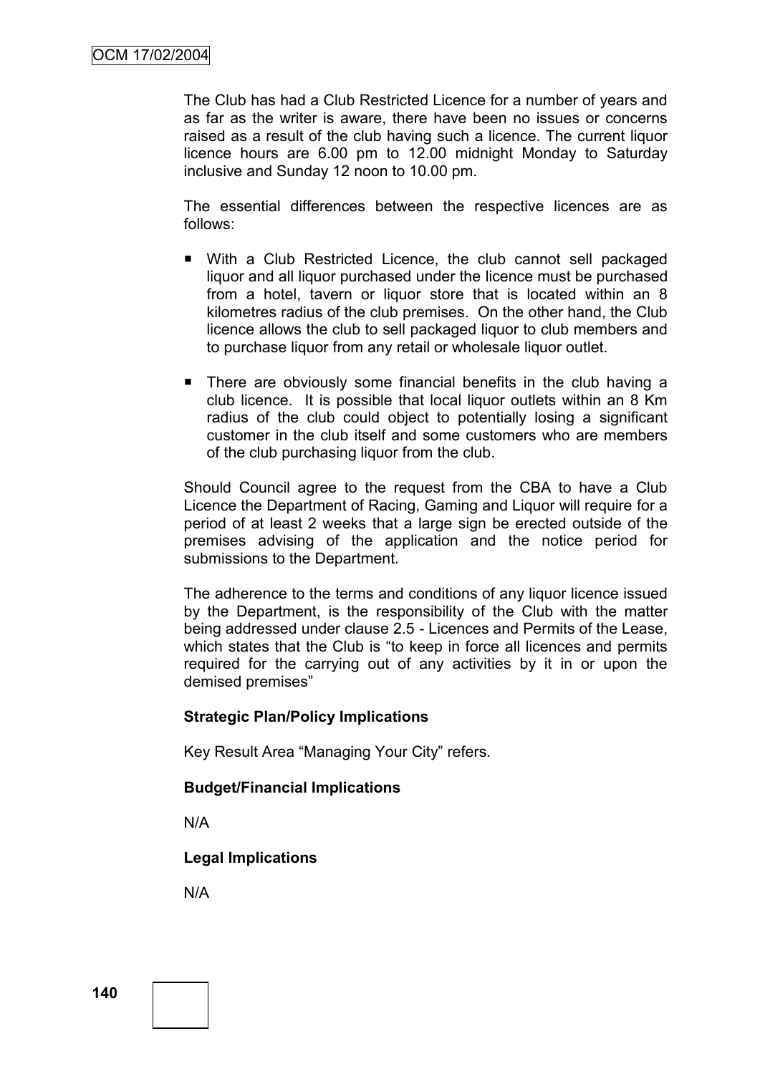The Club has had a Club Restricted Licence for a number of years and as far as the writer is aware, there have been no issues or concerns raised as a result of the club having such a licence. The current liquor licence hours are 6.00 pm to 12.00 midnight Monday to Saturday inclusive and Sunday 12 noon to 10.00 pm.

The essential differences between the respective licences are as follows:

- With a Club Restricted Licence, the club cannot sell packaged liquor and all liquor purchased under the licence must be purchased from a hotel, tavern or liquor store that is located within an 8 kilometres radius of the club premises. On the other hand, the Club licence allows the club to sell packaged liquor to club members and to purchase liquor from any retail or wholesale liquor outlet.
- **There are obviously some financial benefits in the club having a** club licence. It is possible that local liquor outlets within an 8 Km radius of the club could object to potentially losing a significant customer in the club itself and some customers who are members of the club purchasing liquor from the club.

Should Council agree to the request from the CBA to have a Club Licence the Department of Racing, Gaming and Liquor will require for a period of at least 2 weeks that a large sign be erected outside of the premises advising of the application and the notice period for submissions to the Department.

The adherence to the terms and conditions of any liquor licence issued by the Department, is the responsibility of the Club with the matter being addressed under clause 2.5 - Licences and Permits of the Lease, which states that the Club is "to keep in force all licences and permits required for the carrying out of any activities by it in or upon the demised premises"

#### **Strategic Plan/Policy Implications**

Key Result Area "Managing Your City" refers.

### **Budget/Financial Implications**

N/A

**Legal Implications**

N/A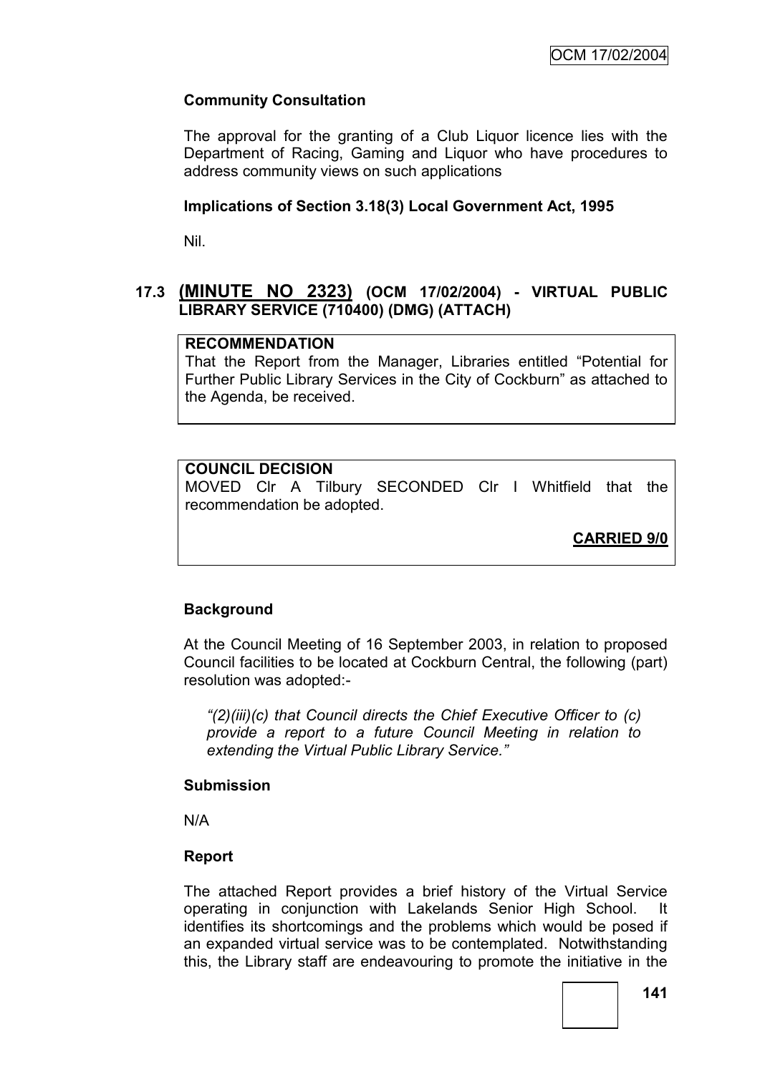## **Community Consultation**

The approval for the granting of a Club Liquor licence lies with the Department of Racing, Gaming and Liquor who have procedures to address community views on such applications

### **Implications of Section 3.18(3) Local Government Act, 1995**

Nil.

## **17.3 (MINUTE NO 2323) (OCM 17/02/2004) - VIRTUAL PUBLIC LIBRARY SERVICE (710400) (DMG) (ATTACH)**

### **RECOMMENDATION**

That the Report from the Manager, Libraries entitled "Potential for Further Public Library Services in the City of Cockburn" as attached to the Agenda, be received.

## **COUNCIL DECISION**

MOVED Clr A Tilbury SECONDED Clr I Whitfield that the recommendation be adopted.

**CARRIED 9/0**

### **Background**

At the Council Meeting of 16 September 2003, in relation to proposed Council facilities to be located at Cockburn Central, the following (part) resolution was adopted:-

*"(2)(iii)(c) that Council directs the Chief Executive Officer to (c) provide a report to a future Council Meeting in relation to extending the Virtual Public Library Service."*

### **Submission**

N/A

### **Report**

The attached Report provides a brief history of the Virtual Service operating in conjunction with Lakelands Senior High School. It identifies its shortcomings and the problems which would be posed if an expanded virtual service was to be contemplated. Notwithstanding this, the Library staff are endeavouring to promote the initiative in the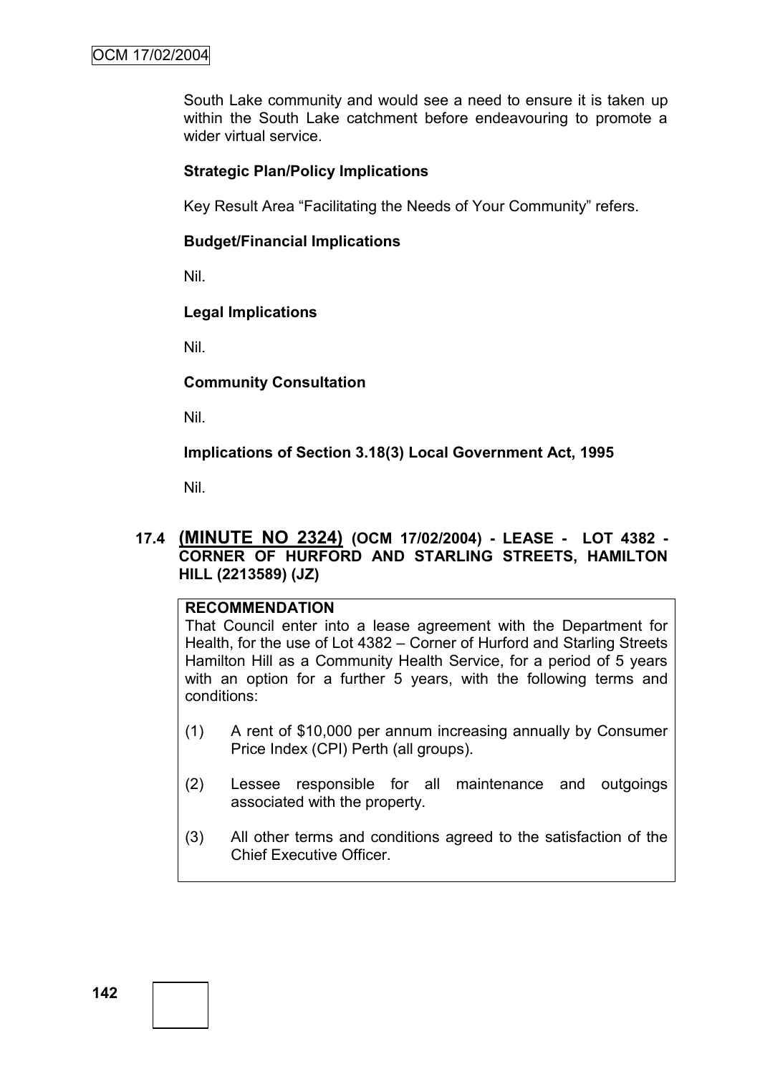South Lake community and would see a need to ensure it is taken up within the South Lake catchment before endeavouring to promote a wider virtual service.

### **Strategic Plan/Policy Implications**

Key Result Area "Facilitating the Needs of Your Community" refers.

### **Budget/Financial Implications**

Nil.

### **Legal Implications**

Nil.

#### **Community Consultation**

Nil.

**Implications of Section 3.18(3) Local Government Act, 1995**

Nil.

### **17.4 (MINUTE NO 2324) (OCM 17/02/2004) - LEASE - LOT 4382 - CORNER OF HURFORD AND STARLING STREETS, HAMILTON HILL (2213589) (JZ)**

### **RECOMMENDATION**

That Council enter into a lease agreement with the Department for Health, for the use of Lot 4382 – Corner of Hurford and Starling Streets Hamilton Hill as a Community Health Service, for a period of 5 years with an option for a further 5 years, with the following terms and conditions:

- (1) A rent of \$10,000 per annum increasing annually by Consumer Price Index (CPI) Perth (all groups).
- (2) Lessee responsible for all maintenance and outgoings associated with the property.
- (3) All other terms and conditions agreed to the satisfaction of the Chief Executive Officer.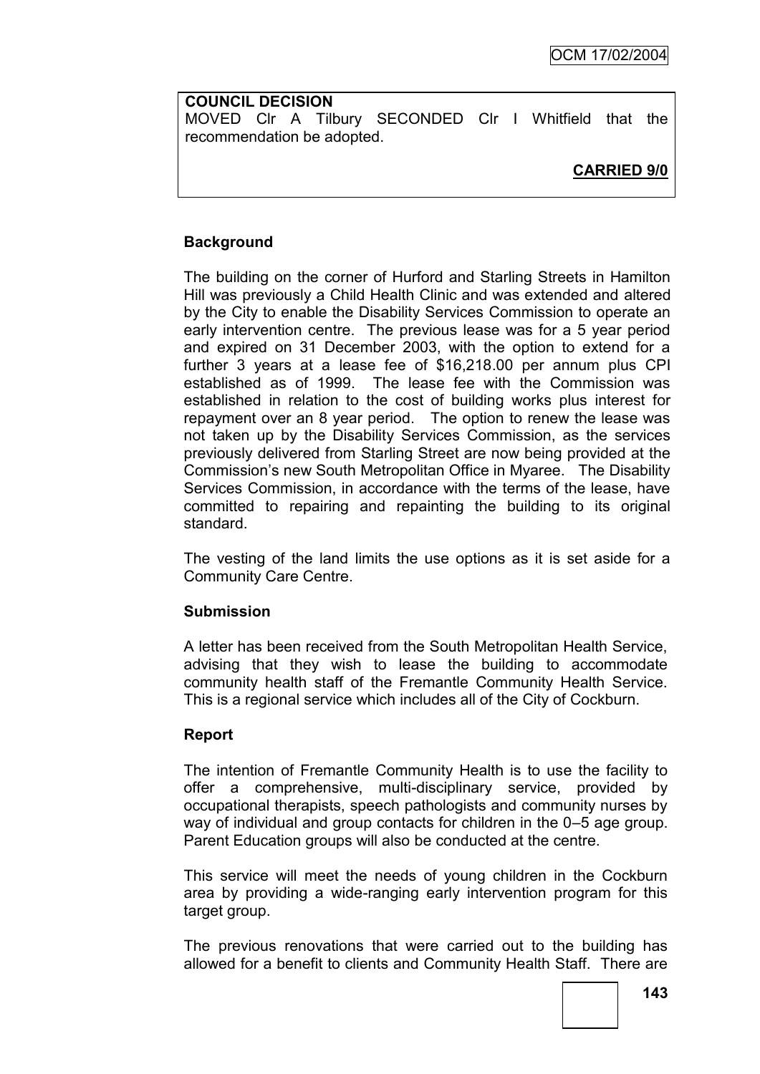## **COUNCIL DECISION**

MOVED Clr A Tilbury SECONDED Clr I Whitfield that the recommendation be adopted.

## **CARRIED 9/0**

## **Background**

The building on the corner of Hurford and Starling Streets in Hamilton Hill was previously a Child Health Clinic and was extended and altered by the City to enable the Disability Services Commission to operate an early intervention centre. The previous lease was for a 5 year period and expired on 31 December 2003, with the option to extend for a further 3 years at a lease fee of \$16,218.00 per annum plus CPI established as of 1999. The lease fee with the Commission was established in relation to the cost of building works plus interest for repayment over an 8 year period. The option to renew the lease was not taken up by the Disability Services Commission, as the services previously delivered from Starling Street are now being provided at the Commission"s new South Metropolitan Office in Myaree. The Disability Services Commission, in accordance with the terms of the lease, have committed to repairing and repainting the building to its original standard.

The vesting of the land limits the use options as it is set aside for a Community Care Centre.

### **Submission**

A letter has been received from the South Metropolitan Health Service, advising that they wish to lease the building to accommodate community health staff of the Fremantle Community Health Service. This is a regional service which includes all of the City of Cockburn.

## **Report**

The intention of Fremantle Community Health is to use the facility to offer a comprehensive, multi-disciplinary service, provided by occupational therapists, speech pathologists and community nurses by way of individual and group contacts for children in the 0–5 age group. Parent Education groups will also be conducted at the centre.

This service will meet the needs of young children in the Cockburn area by providing a wide-ranging early intervention program for this target group.

The previous renovations that were carried out to the building has allowed for a benefit to clients and Community Health Staff. There are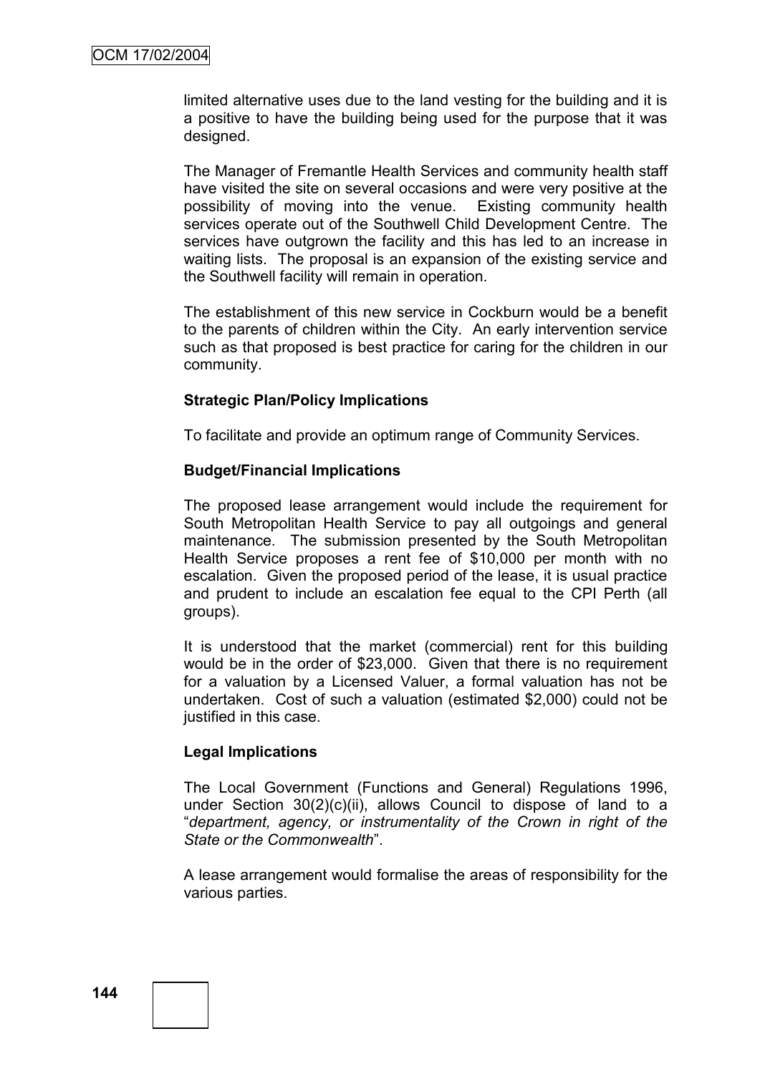limited alternative uses due to the land vesting for the building and it is a positive to have the building being used for the purpose that it was designed.

The Manager of Fremantle Health Services and community health staff have visited the site on several occasions and were very positive at the possibility of moving into the venue. Existing community health services operate out of the Southwell Child Development Centre. The services have outgrown the facility and this has led to an increase in waiting lists. The proposal is an expansion of the existing service and the Southwell facility will remain in operation.

The establishment of this new service in Cockburn would be a benefit to the parents of children within the City. An early intervention service such as that proposed is best practice for caring for the children in our community.

#### **Strategic Plan/Policy Implications**

To facilitate and provide an optimum range of Community Services.

#### **Budget/Financial Implications**

The proposed lease arrangement would include the requirement for South Metropolitan Health Service to pay all outgoings and general maintenance. The submission presented by the South Metropolitan Health Service proposes a rent fee of \$10,000 per month with no escalation. Given the proposed period of the lease, it is usual practice and prudent to include an escalation fee equal to the CPI Perth (all groups).

It is understood that the market (commercial) rent for this building would be in the order of \$23,000. Given that there is no requirement for a valuation by a Licensed Valuer, a formal valuation has not be undertaken. Cost of such a valuation (estimated \$2,000) could not be justified in this case.

#### **Legal Implications**

The Local Government (Functions and General) Regulations 1996, under Section 30(2)(c)(ii), allows Council to dispose of land to a "*department, agency, or instrumentality of the Crown in right of the State or the Commonwealth*".

A lease arrangement would formalise the areas of responsibility for the various parties.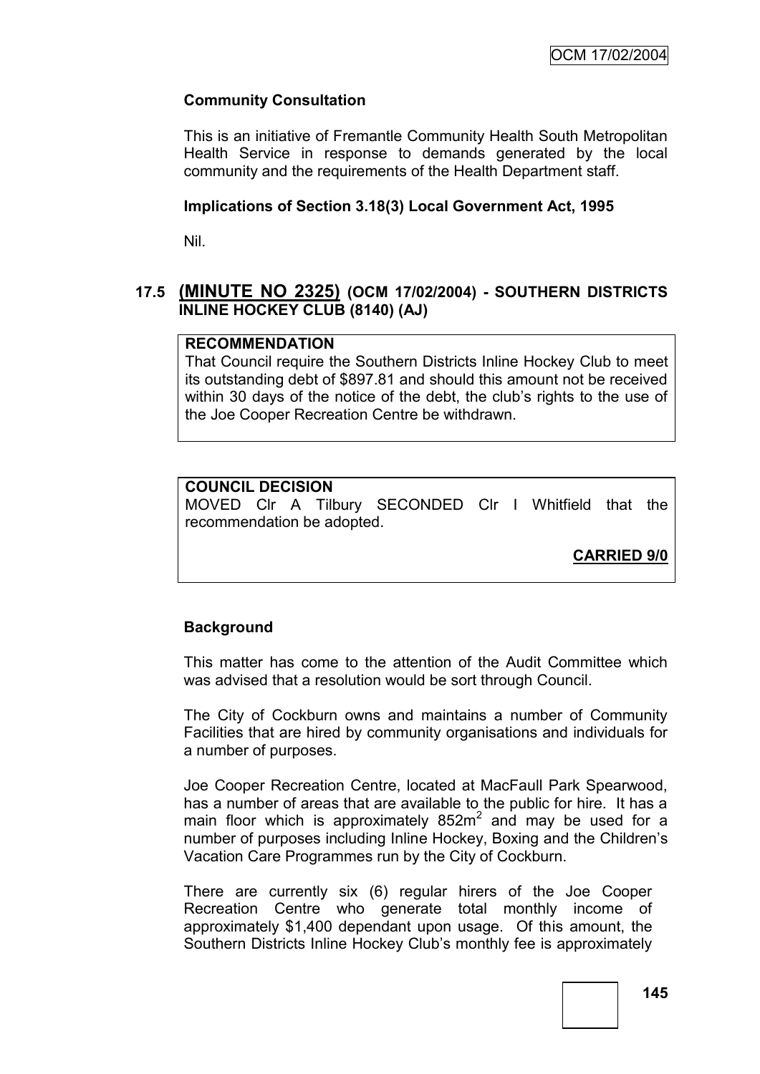## **Community Consultation**

This is an initiative of Fremantle Community Health South Metropolitan Health Service in response to demands generated by the local community and the requirements of the Health Department staff.

### **Implications of Section 3.18(3) Local Government Act, 1995**

Nil.

## **17.5 (MINUTE NO 2325) (OCM 17/02/2004) - SOUTHERN DISTRICTS INLINE HOCKEY CLUB (8140) (AJ)**

### **RECOMMENDATION**

That Council require the Southern Districts Inline Hockey Club to meet its outstanding debt of \$897.81 and should this amount not be received within 30 days of the notice of the debt, the club"s rights to the use of the Joe Cooper Recreation Centre be withdrawn.

## **COUNCIL DECISION**

MOVED Clr A Tilbury SECONDED Clr I Whitfield that the recommendation be adopted.

**CARRIED 9/0**

### **Background**

This matter has come to the attention of the Audit Committee which was advised that a resolution would be sort through Council.

The City of Cockburn owns and maintains a number of Community Facilities that are hired by community organisations and individuals for a number of purposes.

Joe Cooper Recreation Centre, located at MacFaull Park Spearwood, has a number of areas that are available to the public for hire. It has a main floor which is approximately  $852m^2$  and may be used for a number of purposes including Inline Hockey, Boxing and the Children"s Vacation Care Programmes run by the City of Cockburn.

There are currently six (6) regular hirers of the Joe Cooper Recreation Centre who generate total monthly income of approximately \$1,400 dependant upon usage. Of this amount, the Southern Districts Inline Hockey Club"s monthly fee is approximately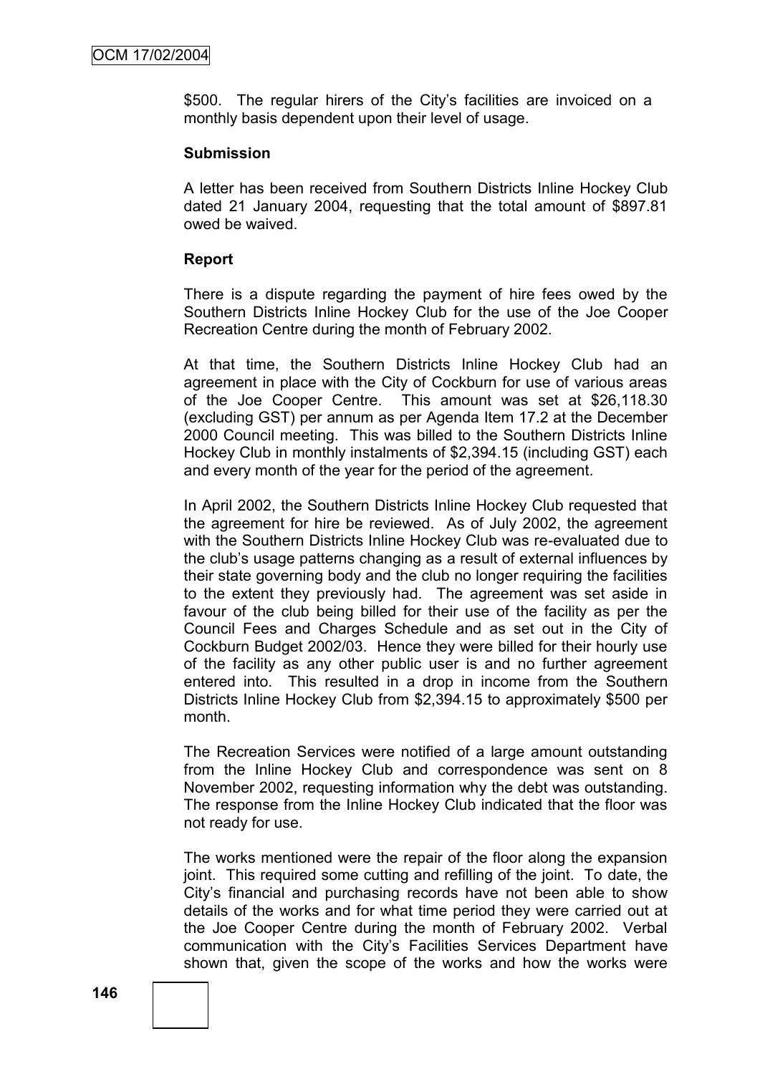\$500. The regular hirers of the City's facilities are invoiced on a monthly basis dependent upon their level of usage.

#### **Submission**

A letter has been received from Southern Districts Inline Hockey Club dated 21 January 2004, requesting that the total amount of \$897.81 owed be waived.

### **Report**

There is a dispute regarding the payment of hire fees owed by the Southern Districts Inline Hockey Club for the use of the Joe Cooper Recreation Centre during the month of February 2002.

At that time, the Southern Districts Inline Hockey Club had an agreement in place with the City of Cockburn for use of various areas of the Joe Cooper Centre. This amount was set at \$26,118.30 (excluding GST) per annum as per Agenda Item 17.2 at the December 2000 Council meeting. This was billed to the Southern Districts Inline Hockey Club in monthly instalments of \$2,394.15 (including GST) each and every month of the year for the period of the agreement.

In April 2002, the Southern Districts Inline Hockey Club requested that the agreement for hire be reviewed. As of July 2002, the agreement with the Southern Districts Inline Hockey Club was re-evaluated due to the club"s usage patterns changing as a result of external influences by their state governing body and the club no longer requiring the facilities to the extent they previously had. The agreement was set aside in favour of the club being billed for their use of the facility as per the Council Fees and Charges Schedule and as set out in the City of Cockburn Budget 2002/03. Hence they were billed for their hourly use of the facility as any other public user is and no further agreement entered into. This resulted in a drop in income from the Southern Districts Inline Hockey Club from \$2,394.15 to approximately \$500 per month.

The Recreation Services were notified of a large amount outstanding from the Inline Hockey Club and correspondence was sent on 8 November 2002, requesting information why the debt was outstanding. The response from the Inline Hockey Club indicated that the floor was not ready for use.

The works mentioned were the repair of the floor along the expansion joint. This required some cutting and refilling of the joint. To date, the City"s financial and purchasing records have not been able to show details of the works and for what time period they were carried out at the Joe Cooper Centre during the month of February 2002. Verbal communication with the City"s Facilities Services Department have shown that, given the scope of the works and how the works were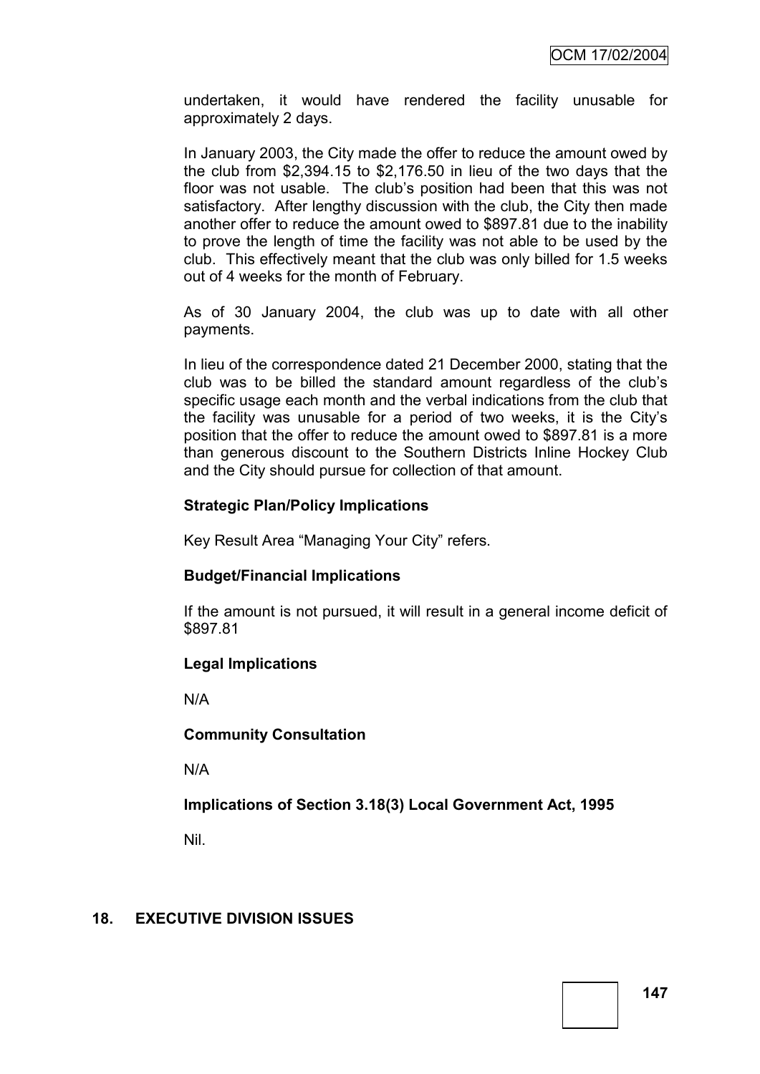undertaken, it would have rendered the facility unusable for approximately 2 days.

In January 2003, the City made the offer to reduce the amount owed by the club from \$2,394.15 to \$2,176.50 in lieu of the two days that the floor was not usable. The club's position had been that this was not satisfactory. After lengthy discussion with the club, the City then made another offer to reduce the amount owed to \$897.81 due to the inability to prove the length of time the facility was not able to be used by the club. This effectively meant that the club was only billed for 1.5 weeks out of 4 weeks for the month of February.

As of 30 January 2004, the club was up to date with all other payments.

In lieu of the correspondence dated 21 December 2000, stating that the club was to be billed the standard amount regardless of the club"s specific usage each month and the verbal indications from the club that the facility was unusable for a period of two weeks, it is the City"s position that the offer to reduce the amount owed to \$897.81 is a more than generous discount to the Southern Districts Inline Hockey Club and the City should pursue for collection of that amount.

## **Strategic Plan/Policy Implications**

Key Result Area "Managing Your City" refers.

## **Budget/Financial Implications**

If the amount is not pursued, it will result in a general income deficit of \$897.81

## **Legal Implications**

N/A

### **Community Consultation**

N/A

## **Implications of Section 3.18(3) Local Government Act, 1995**

Nil.

## **18. EXECUTIVE DIVISION ISSUES**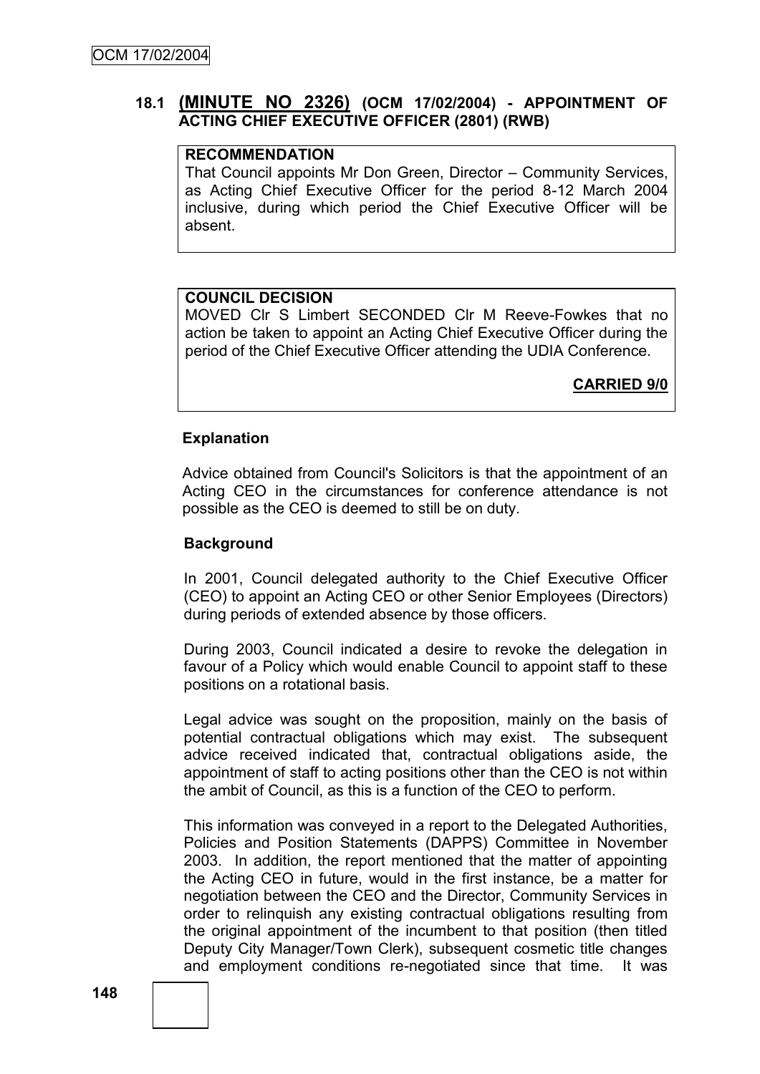## **18.1 (MINUTE NO 2326) (OCM 17/02/2004) - APPOINTMENT OF ACTING CHIEF EXECUTIVE OFFICER (2801) (RWB)**

#### **RECOMMENDATION**

That Council appoints Mr Don Green, Director – Community Services, as Acting Chief Executive Officer for the period 8-12 March 2004 inclusive, during which period the Chief Executive Officer will be absent.

#### **COUNCIL DECISION**

MOVED Clr S Limbert SECONDED Clr M Reeve-Fowkes that no action be taken to appoint an Acting Chief Executive Officer during the period of the Chief Executive Officer attending the UDIA Conference.

**CARRIED 9/0**

#### **Explanation**

Advice obtained from Council's Solicitors is that the appointment of an Acting CEO in the circumstances for conference attendance is not possible as the CEO is deemed to still be on duty.

#### **Background**

In 2001, Council delegated authority to the Chief Executive Officer (CEO) to appoint an Acting CEO or other Senior Employees (Directors) during periods of extended absence by those officers.

During 2003, Council indicated a desire to revoke the delegation in favour of a Policy which would enable Council to appoint staff to these positions on a rotational basis.

Legal advice was sought on the proposition, mainly on the basis of potential contractual obligations which may exist. The subsequent advice received indicated that, contractual obligations aside, the appointment of staff to acting positions other than the CEO is not within the ambit of Council, as this is a function of the CEO to perform.

This information was conveyed in a report to the Delegated Authorities, Policies and Position Statements (DAPPS) Committee in November 2003. In addition, the report mentioned that the matter of appointing the Acting CEO in future, would in the first instance, be a matter for negotiation between the CEO and the Director, Community Services in order to relinquish any existing contractual obligations resulting from the original appointment of the incumbent to that position (then titled Deputy City Manager/Town Clerk), subsequent cosmetic title changes and employment conditions re-negotiated since that time. It was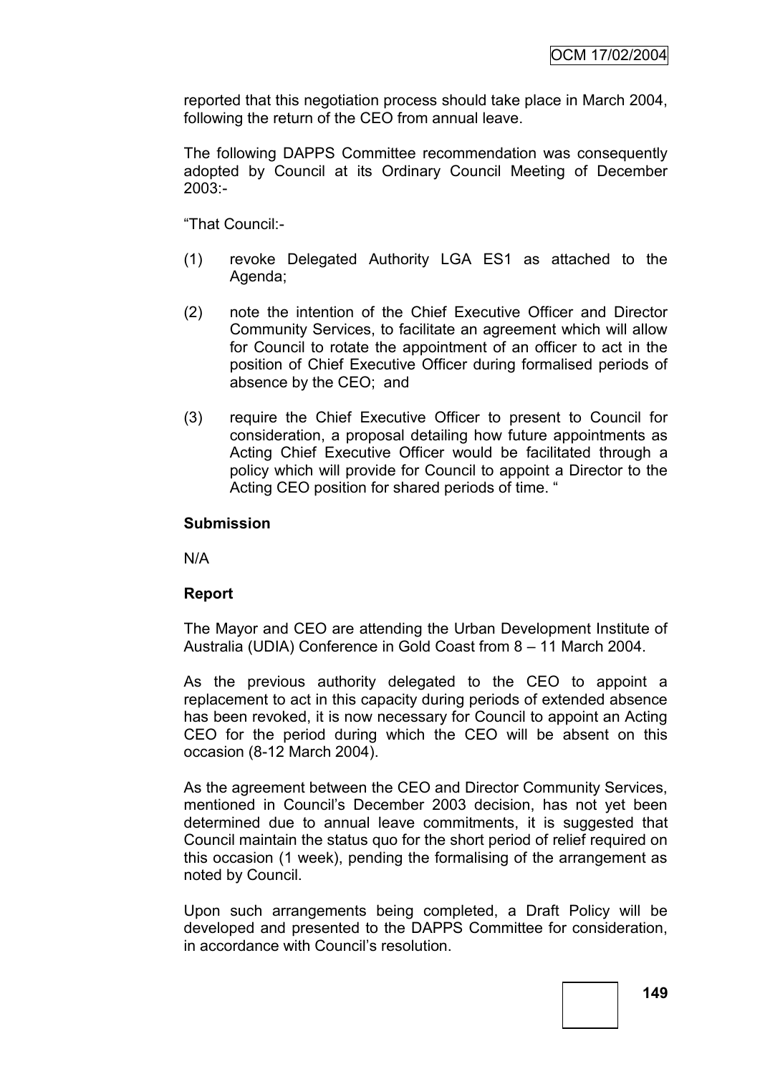reported that this negotiation process should take place in March 2004, following the return of the CEO from annual leave.

The following DAPPS Committee recommendation was consequently adopted by Council at its Ordinary Council Meeting of December 2003:-

"That Council:-

- (1) revoke Delegated Authority LGA ES1 as attached to the Agenda;
- (2) note the intention of the Chief Executive Officer and Director Community Services, to facilitate an agreement which will allow for Council to rotate the appointment of an officer to act in the position of Chief Executive Officer during formalised periods of absence by the CEO; and
- (3) require the Chief Executive Officer to present to Council for consideration, a proposal detailing how future appointments as Acting Chief Executive Officer would be facilitated through a policy which will provide for Council to appoint a Director to the Acting CEO position for shared periods of time. "

### **Submission**

N/A

### **Report**

The Mayor and CEO are attending the Urban Development Institute of Australia (UDIA) Conference in Gold Coast from 8 – 11 March 2004.

As the previous authority delegated to the CEO to appoint a replacement to act in this capacity during periods of extended absence has been revoked, it is now necessary for Council to appoint an Acting CEO for the period during which the CEO will be absent on this occasion (8-12 March 2004).

As the agreement between the CEO and Director Community Services, mentioned in Council"s December 2003 decision, has not yet been determined due to annual leave commitments, it is suggested that Council maintain the status quo for the short period of relief required on this occasion (1 week), pending the formalising of the arrangement as noted by Council.

Upon such arrangements being completed, a Draft Policy will be developed and presented to the DAPPS Committee for consideration, in accordance with Council"s resolution.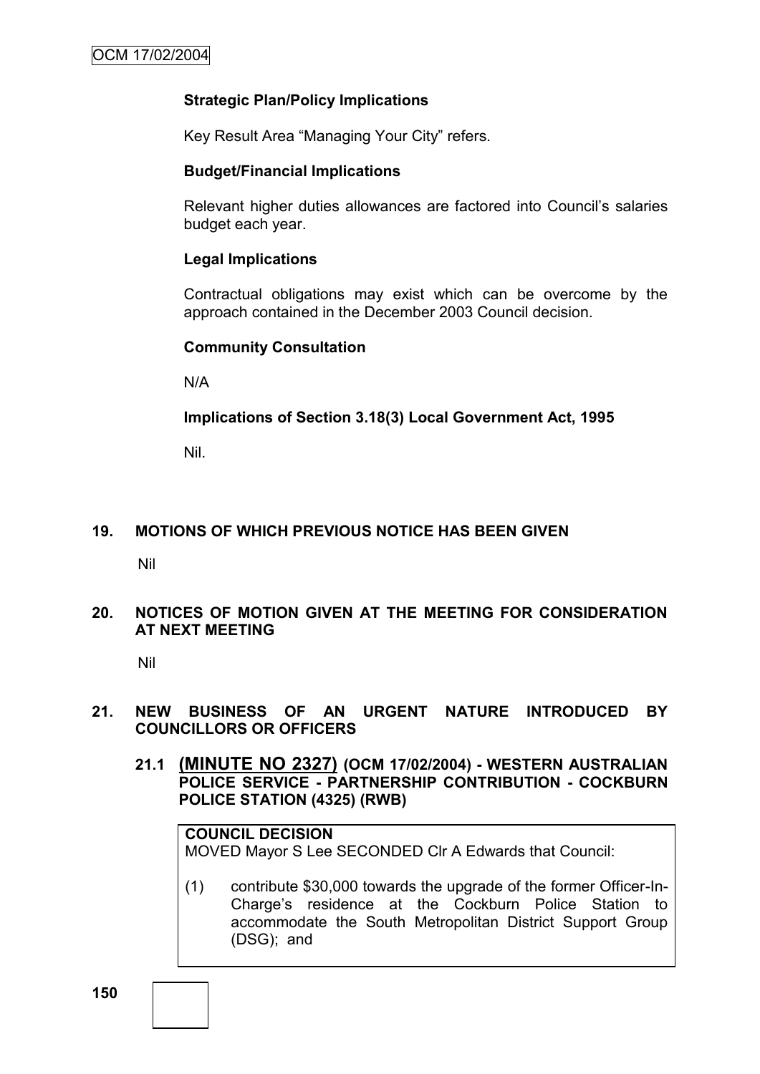## **Strategic Plan/Policy Implications**

Key Result Area "Managing Your City" refers.

### **Budget/Financial Implications**

Relevant higher duties allowances are factored into Council"s salaries budget each year.

### **Legal Implications**

Contractual obligations may exist which can be overcome by the approach contained in the December 2003 Council decision.

#### **Community Consultation**

N/A

### **Implications of Section 3.18(3) Local Government Act, 1995**

Nil.

### **19. MOTIONS OF WHICH PREVIOUS NOTICE HAS BEEN GIVEN**

Nil

## **20. NOTICES OF MOTION GIVEN AT THE MEETING FOR CONSIDERATION AT NEXT MEETING**

Nil

### **21. NEW BUSINESS OF AN URGENT NATURE INTRODUCED BY COUNCILLORS OR OFFICERS**

**21.1 (MINUTE NO 2327) (OCM 17/02/2004) - WESTERN AUSTRALIAN POLICE SERVICE - PARTNERSHIP CONTRIBUTION - COCKBURN POLICE STATION (4325) (RWB)**

# **COUNCIL DECISION**

MOVED Mayor S Lee SECONDED Clr A Edwards that Council:

(1) contribute \$30,000 towards the upgrade of the former Officer-In-Charge"s residence at the Cockburn Police Station to accommodate the South Metropolitan District Support Group (DSG); and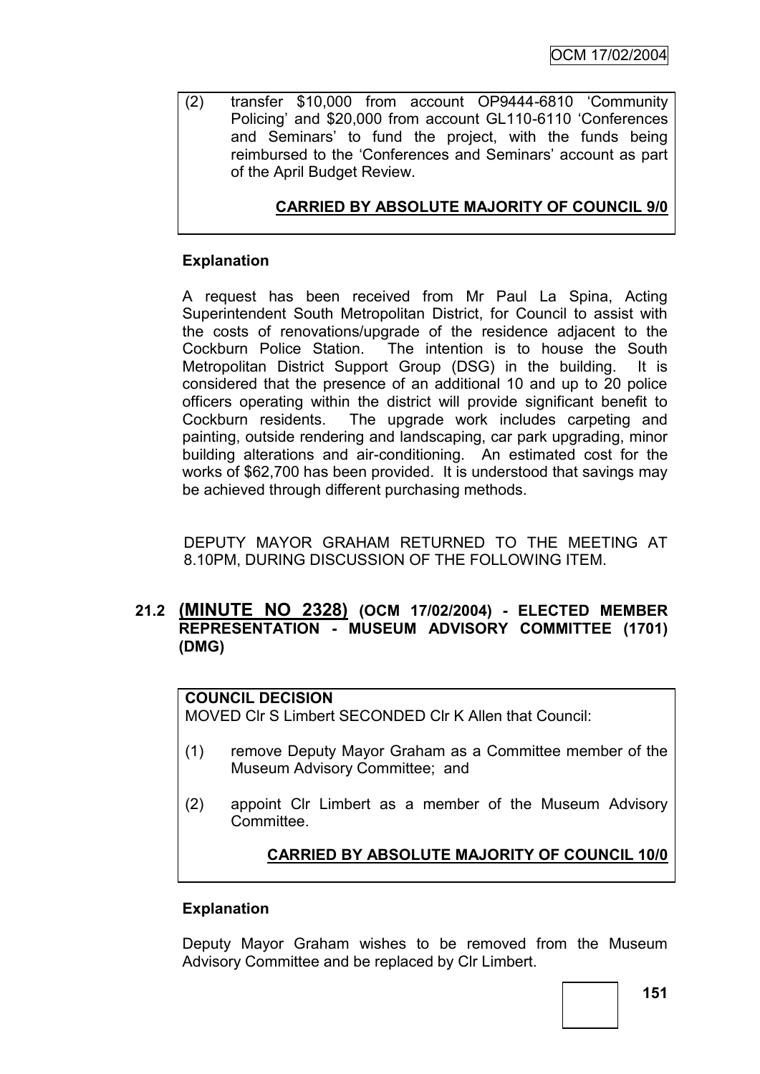(2) transfer \$10,000 from account OP9444-6810 "Community Policing" and \$20,000 from account GL110-6110 "Conferences and Seminars" to fund the project, with the funds being reimbursed to the 'Conferences and Seminars' account as part of the April Budget Review.

# **CARRIED BY ABSOLUTE MAJORITY OF COUNCIL 9/0**

## **Explanation**

A request has been received from Mr Paul La Spina, Acting Superintendent South Metropolitan District, for Council to assist with the costs of renovations/upgrade of the residence adjacent to the Cockburn Police Station. The intention is to house the South Metropolitan District Support Group (DSG) in the building. It is considered that the presence of an additional 10 and up to 20 police officers operating within the district will provide significant benefit to Cockburn residents. The upgrade work includes carpeting and painting, outside rendering and landscaping, car park upgrading, minor building alterations and air-conditioning. An estimated cost for the works of \$62,700 has been provided. It is understood that savings may be achieved through different purchasing methods.

DEPUTY MAYOR GRAHAM RETURNED TO THE MEETING AT 8.10PM, DURING DISCUSSION OF THE FOLLOWING ITEM.

## **21.2 (MINUTE NO 2328) (OCM 17/02/2004) - ELECTED MEMBER REPRESENTATION - MUSEUM ADVISORY COMMITTEE (1701) (DMG)**

### **COUNCIL DECISION**

MOVED Clr S Limbert SECONDED Clr K Allen that Council:

- (1) remove Deputy Mayor Graham as a Committee member of the Museum Advisory Committee; and
- (2) appoint Clr Limbert as a member of the Museum Advisory **Committee.**

## **CARRIED BY ABSOLUTE MAJORITY OF COUNCIL 10/0**

### **Explanation**

Deputy Mayor Graham wishes to be removed from the Museum Advisory Committee and be replaced by Clr Limbert.